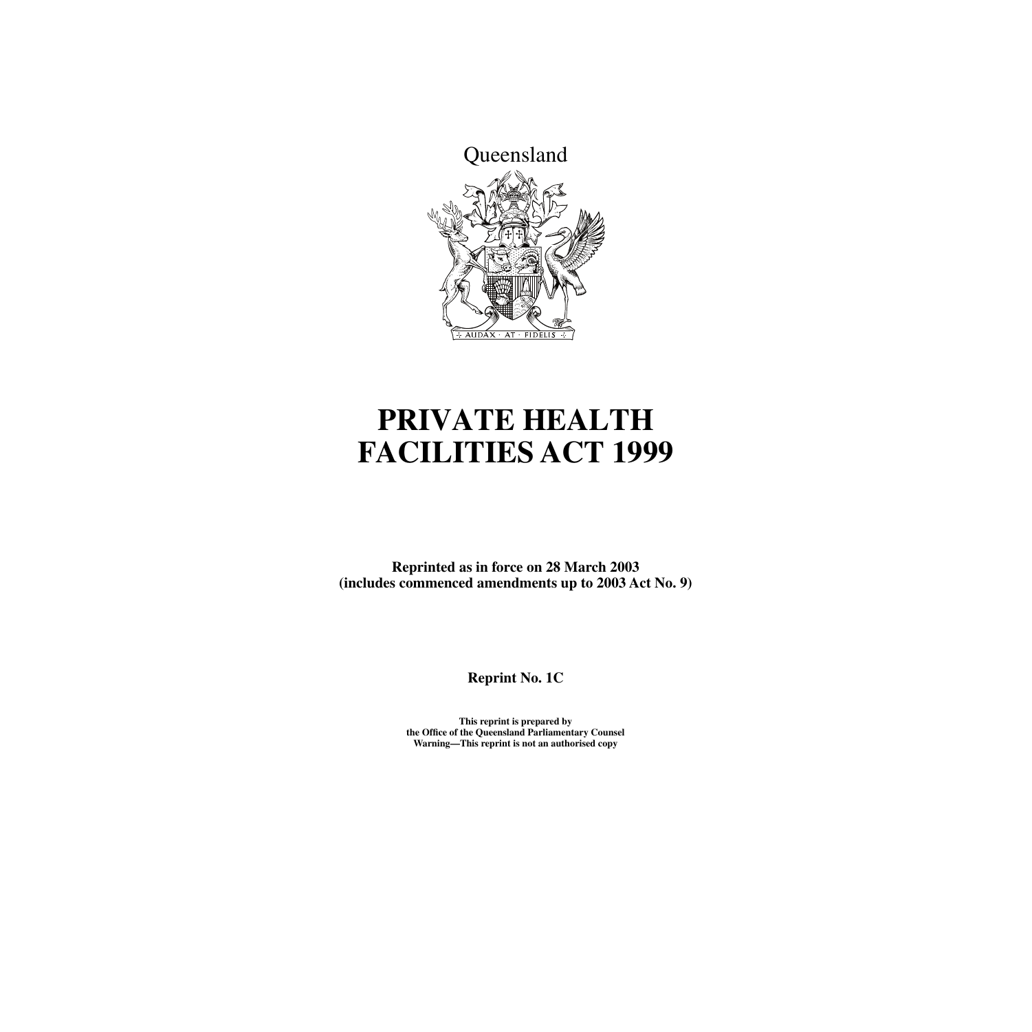

# **PRIVATE HEALTH FACILITIES ACT 1999**

**Reprinted as in force on 28 March 2003 (includes commenced amendments up to 2003 Act No. 9)**

**Reprint No. 1C**

**This reprint is prepared by the Office of the Queensland Parliamentary Counsel Warning—This reprint is not an authorised copy**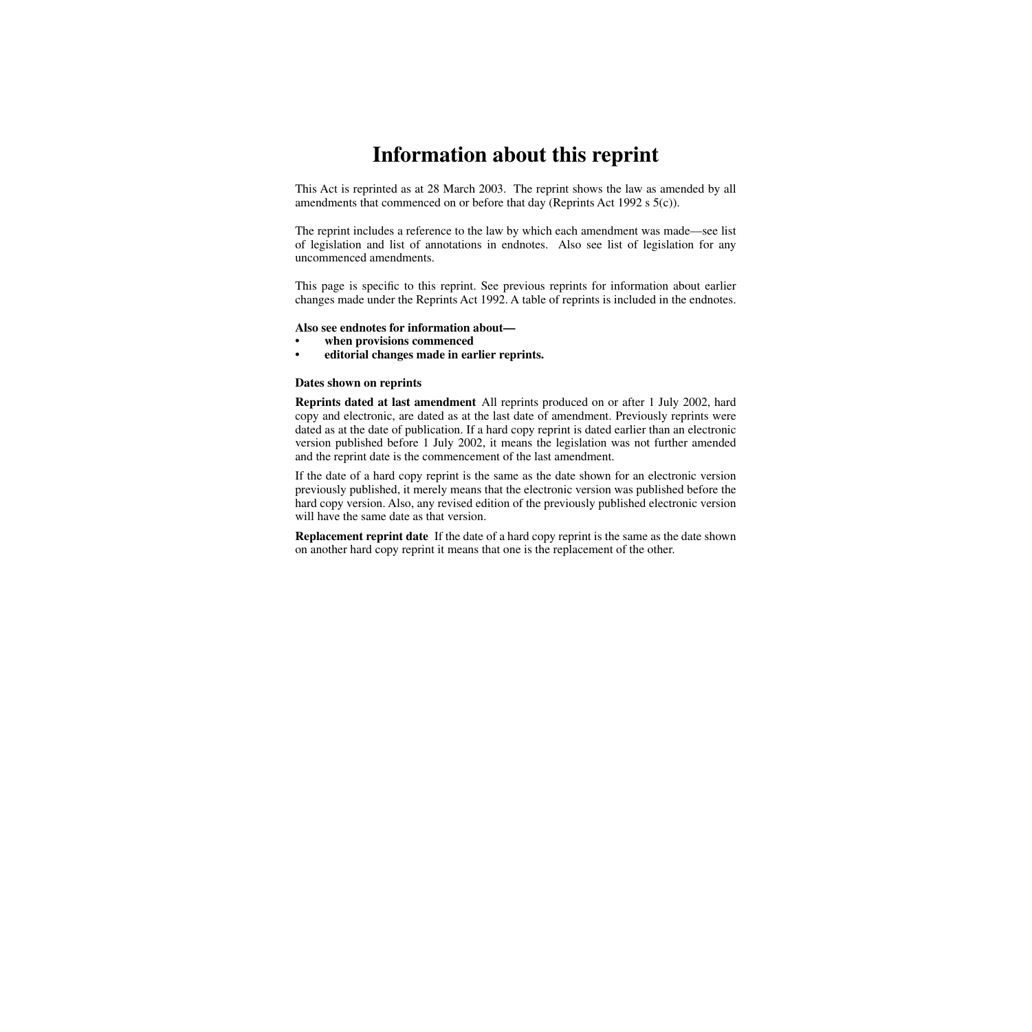# **Information about this reprint**

This Act is reprinted as at 28 March 2003. The reprint shows the law as amended by all amendments that commenced on or before that day (Reprints Act 1992 s 5(c)).

The reprint includes a reference to the law by which each amendment was made—see list of legislation and list of annotations in endnotes. Also see list of legislation for any uncommenced amendments.

This page is specific to this reprint. See previous reprints for information about earlier changes made under the Reprints Act 1992. A table of reprints is included in the endnotes.

#### **Also see endnotes for information about—**

- **when provisions commenced**
- **editorial changes made in earlier reprints.**

#### **Dates shown on reprints**

**Reprints dated at last amendment** All reprints produced on or after 1 July 2002, hard copy and electronic, are dated as at the last date of amendment. Previously reprints were dated as at the date of publication. If a hard copy reprint is dated earlier than an electronic version published before 1 July 2002, it means the legislation was not further amended and the reprint date is the commencement of the last amendment.

If the date of a hard copy reprint is the same as the date shown for an electronic version previously published, it merely means that the electronic version was published before the hard copy version. Also, any revised edition of the previously published electronic version will have the same date as that version.

**Replacement reprint date** If the date of a hard copy reprint is the same as the date shown on another hard copy reprint it means that one is the replacement of the other.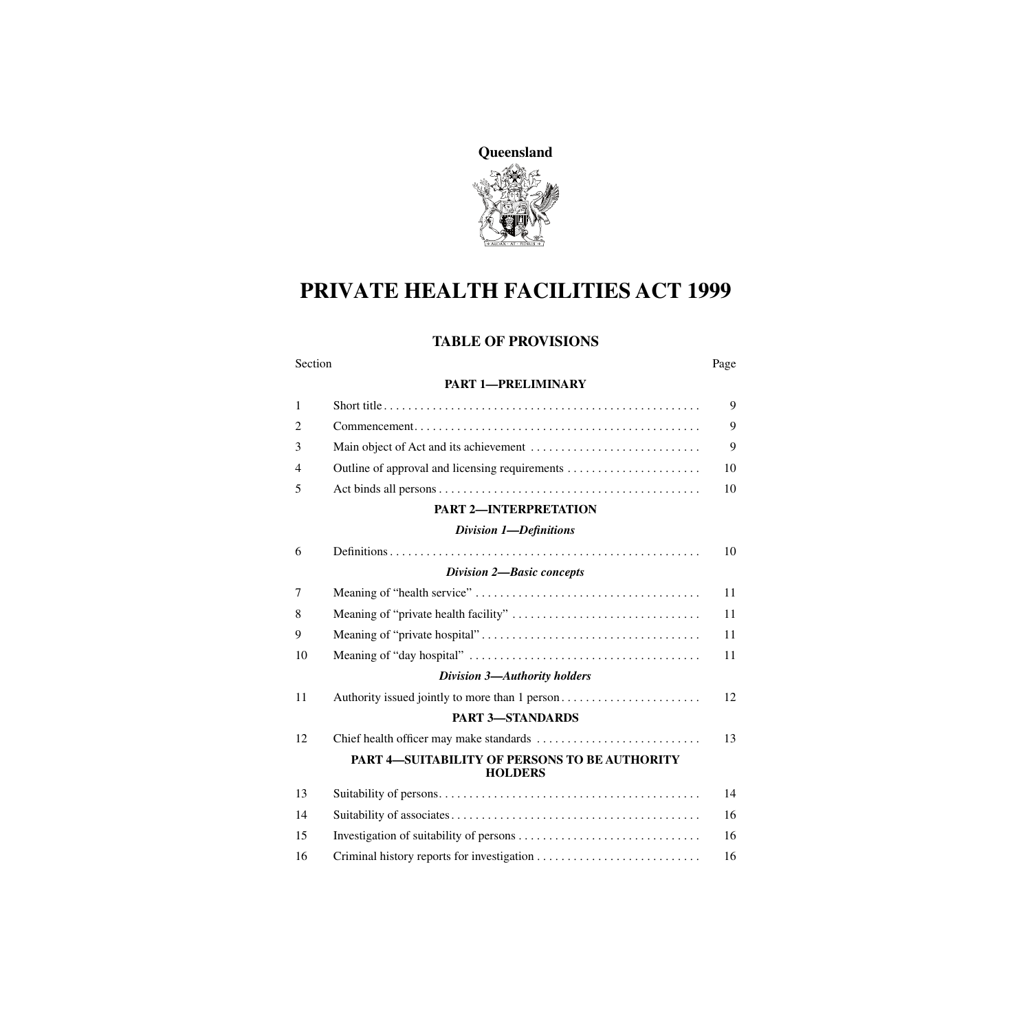

# **PRIVATE HEALTH FACILITIES ACT 1999**

# **TABLE OF PROVISIONS**

| Section        |                                                                 | Page |
|----------------|-----------------------------------------------------------------|------|
|                | <b>PART 1-PRELIMINARY</b>                                       |      |
| $\mathbf{1}$   |                                                                 | 9    |
| $\overline{2}$ |                                                                 | 9    |
| 3              |                                                                 | 9    |
| 4              |                                                                 | 10   |
| 5              |                                                                 | 10   |
|                | <b>PART 2-INTERPRETATION</b>                                    |      |
|                | <b>Division 1-Definitions</b>                                   |      |
| 6              |                                                                 | 10   |
|                | <b>Division 2-Basic concepts</b>                                |      |
| 7              |                                                                 | 11   |
| 8              |                                                                 | 11   |
| 9              |                                                                 | 11   |
| 10             |                                                                 | 11   |
|                | Division 3-Authority holders                                    |      |
| 11             |                                                                 | 12   |
|                | <b>PART 3-STANDARDS</b>                                         |      |
| 12             |                                                                 | 13   |
|                | PART 4-SUITABILITY OF PERSONS TO BE AUTHORITY<br><b>HOLDERS</b> |      |
| 13             |                                                                 | 14   |
| 14             |                                                                 | 16   |
| 15             |                                                                 | 16   |
| 16             |                                                                 | 16   |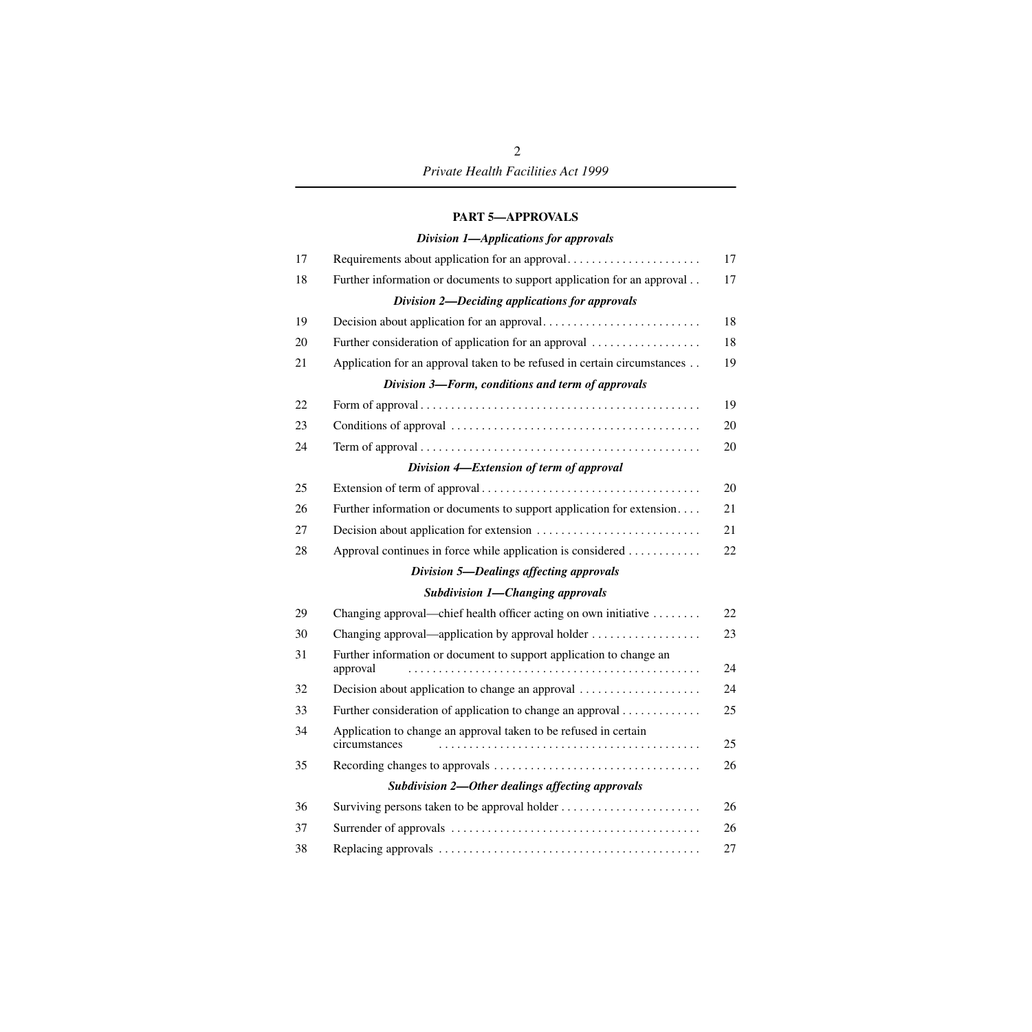#### **[PART 5—APPROVALS](#page-18-0)**

| Division 1-Applications for approvals |  |
|---------------------------------------|--|
|---------------------------------------|--|

| 17 | Requirements about application for an approval                                    | 17 |
|----|-----------------------------------------------------------------------------------|----|
| 18 | Further information or documents to support application for an approval           | 17 |
|    | Division 2-Deciding applications for approvals                                    |    |
| 19 |                                                                                   | 18 |
| 20 | Further consideration of application for an approval                              | 18 |
| 21 | Application for an approval taken to be refused in certain circumstances          | 19 |
|    | Division 3-Form, conditions and term of approvals                                 |    |
| 22 |                                                                                   | 19 |
| 23 |                                                                                   | 20 |
| 24 |                                                                                   | 20 |
|    | Division 4-Extension of term of approval                                          |    |
| 25 |                                                                                   | 20 |
| 26 | Further information or documents to support application for extension             | 21 |
| 27 |                                                                                   | 21 |
| 28 | Approval continues in force while application is considered                       | 22 |
|    | <b>Division 5-Dealings affecting approvals</b>                                    |    |
|    | <b>Subdivision 1-Changing approvals</b>                                           |    |
| 29 | Changing approval—chief health officer acting on own initiative                   | 22 |
| 30 | Changing approval—application by approval holder                                  | 23 |
| 31 | Further information or document to support application to change an<br>approval   | 24 |
| 32 | Decision about application to change an approval                                  | 24 |
| 33 | Further consideration of application to change an approval                        | 25 |
| 34 | Application to change an approval taken to be refused in certain<br>circumstances | 25 |
| 35 |                                                                                   | 26 |
|    | Subdivision 2-Other dealings affecting approvals                                  |    |
| 36 | Surviving persons taken to be approval holder                                     | 26 |
| 37 |                                                                                   | 26 |
| 38 |                                                                                   | 27 |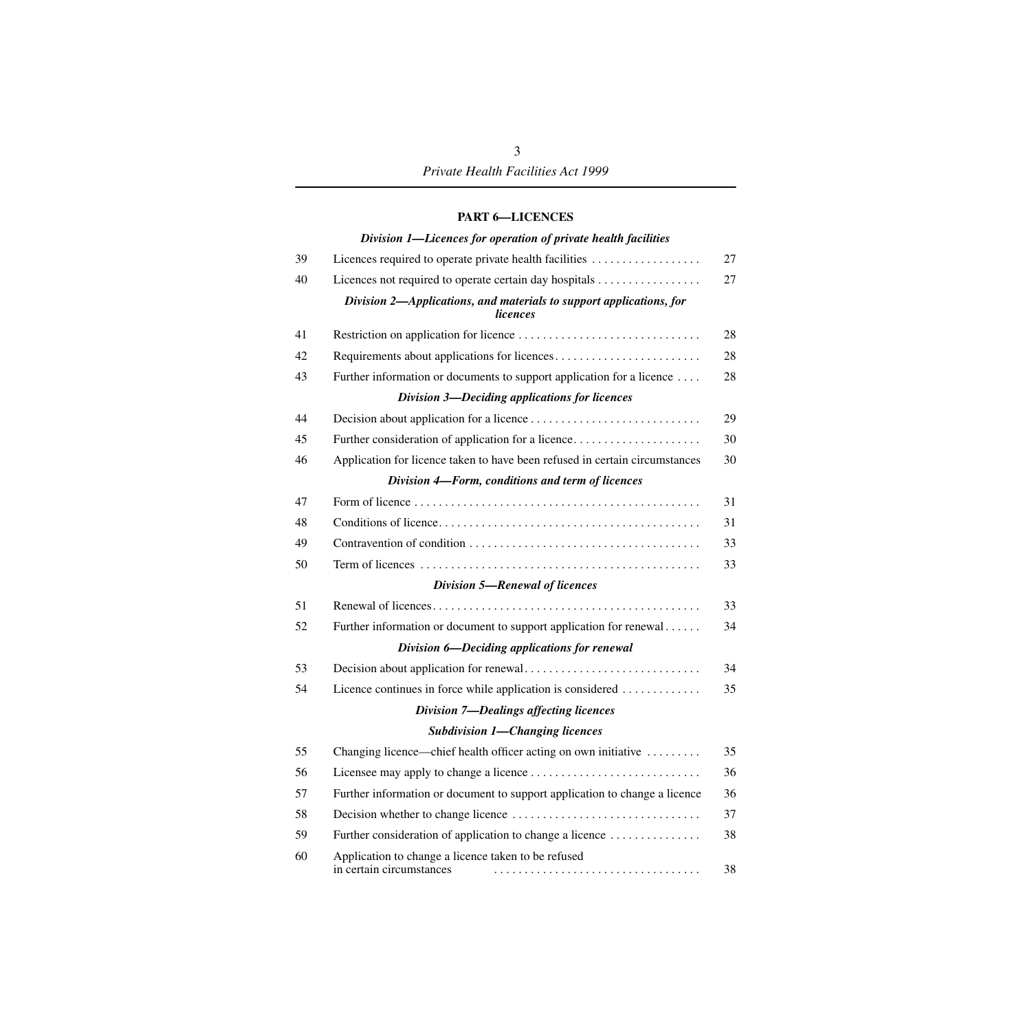#### **[PART 6—LICENCES](#page-28-1)**

|    | Division 1-Licences for operation of private health facilities                         |
|----|----------------------------------------------------------------------------------------|
| 39 | Licences required to operate private health facilities                                 |
| 40 | Licences not required to operate certain day hospitals                                 |
|    | Division 2-Applications, and materials to support applications, for<br><i>licences</i> |
| 41 |                                                                                        |
| 42 |                                                                                        |
| 43 | Further information or documents to support application for a licence                  |
|    | Division 3-Deciding applications for licences                                          |
| 44 |                                                                                        |
| 45 | Further consideration of application for a licence                                     |
| 46 | Application for licence taken to have been refused in certain circumstances            |
|    | Division 4-Form, conditions and term of licences                                       |
| 47 |                                                                                        |
| 48 |                                                                                        |
| 49 |                                                                                        |
| 50 |                                                                                        |
|    | <b>Division 5-Renewal of licences</b>                                                  |
| 51 |                                                                                        |
| 52 | Further information or document to support application for renewal                     |
|    | Division 6—Deciding applications for renewal                                           |
| 53 |                                                                                        |
| 54 | Licence continues in force while application is considered                             |
|    | <b>Division 7-Dealings affecting licences</b>                                          |
|    | <b>Subdivision 1-Changing licences</b>                                                 |
| 55 | Changing licence—chief health officer acting on own initiative                         |
| 56 |                                                                                        |
| 57 | Further information or document to support application to change a licence             |
| 58 |                                                                                        |
| 59 | Further consideration of application to change a licence                               |
| 60 | Application to change a licence taken to be refused<br>in certain circumstances<br>.   |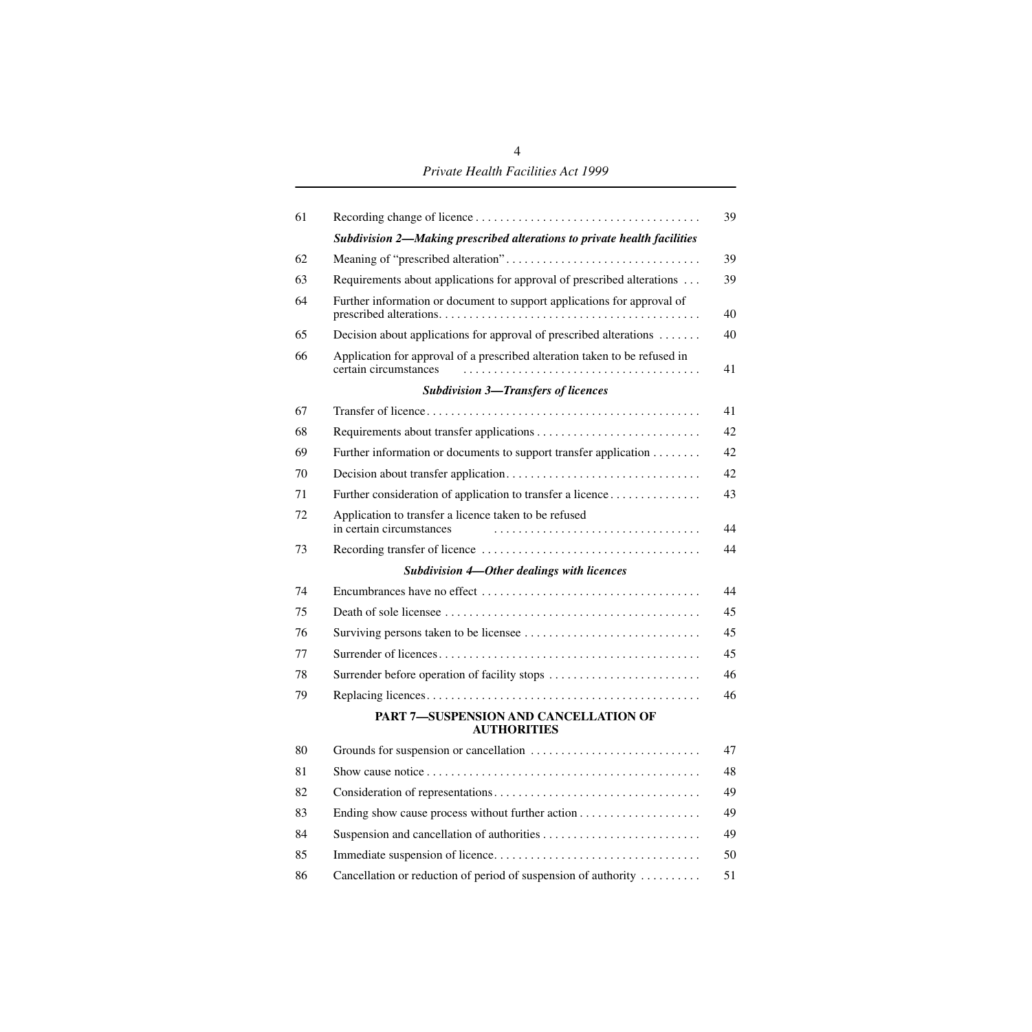*Private Health Facilities Act 1999*

| 61 |                                                                                                     | 39 |
|----|-----------------------------------------------------------------------------------------------------|----|
|    | Subdivision 2-Making prescribed alterations to private health facilities                            |    |
| 62 |                                                                                                     | 39 |
| 63 | Requirements about applications for approval of prescribed alterations                              | 39 |
| 64 | Further information or document to support applications for approval of                             | 40 |
| 65 | Decision about applications for approval of prescribed alterations                                  | 40 |
| 66 | Application for approval of a prescribed alteration taken to be refused in<br>certain circumstances | 41 |
|    | <b>Subdivision 3-Transfers of licences</b>                                                          |    |
| 67 |                                                                                                     | 41 |
| 68 |                                                                                                     | 42 |
| 69 | Further information or documents to support transfer application                                    | 42 |
| 70 |                                                                                                     | 42 |
| 71 | Further consideration of application to transfer a licence                                          | 43 |
| 72 | Application to transfer a licence taken to be refused<br>in certain circumstances                   | 44 |
| 73 |                                                                                                     | 44 |
|    | <b>Subdivision 4-Other dealings with licences</b>                                                   |    |
| 74 |                                                                                                     | 44 |
| 75 |                                                                                                     | 45 |
| 76 |                                                                                                     | 45 |
| 77 |                                                                                                     | 45 |
| 78 | Surrender before operation of facility stops                                                        | 46 |
| 79 |                                                                                                     | 46 |
|    | PART 7-SUSPENSION AND CANCELLATION OF<br><b>AUTHORITIES</b>                                         |    |
| 80 |                                                                                                     | 47 |
| 81 |                                                                                                     | 48 |
| 82 |                                                                                                     | 49 |
| 83 |                                                                                                     | 49 |
| 84 |                                                                                                     | 49 |
| 85 |                                                                                                     | 50 |
| 86 | Cancellation or reduction of period of suspension of authority                                      | 51 |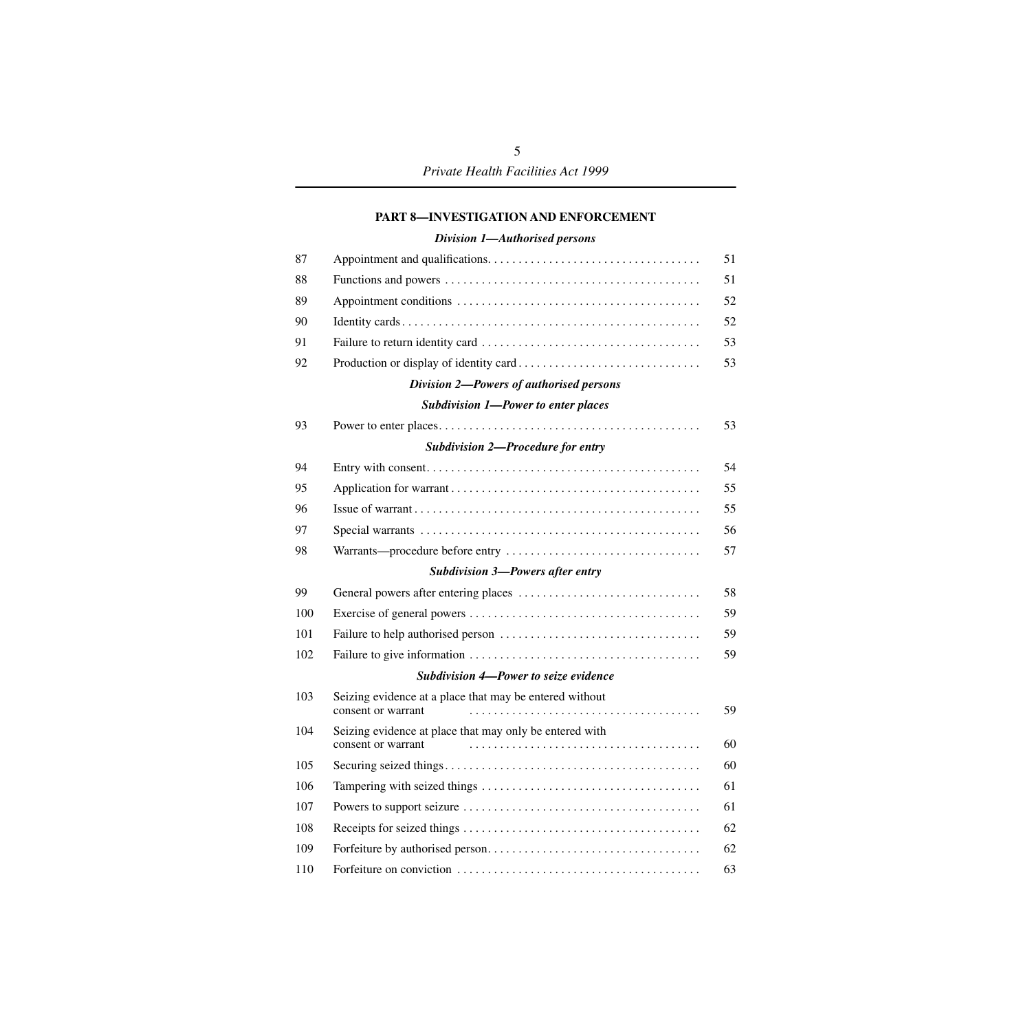#### **[PART 8—INVESTIGATION AND ENFORCEMENT](#page-52-1)**

#### *[Division 1—Authorised persons](#page-52-2)*

| 87  |                                                                               | 51 |
|-----|-------------------------------------------------------------------------------|----|
| 88  |                                                                               | 51 |
| 89  |                                                                               | 52 |
| 90  |                                                                               | 52 |
| 91  |                                                                               | 53 |
| 92  |                                                                               | 53 |
|     | Division 2-Powers of authorised persons                                       |    |
|     | <b>Subdivision 1-Power to enter places</b>                                    |    |
| 93  |                                                                               | 53 |
|     | <b>Subdivision 2-Procedure for entry</b>                                      |    |
| 94  |                                                                               | 54 |
| 95  |                                                                               | 55 |
| 96  |                                                                               | 55 |
| 97  |                                                                               | 56 |
| 98  |                                                                               | 57 |
|     | <b>Subdivision 3-Powers after entry</b>                                       |    |
| 99  |                                                                               | 58 |
| 100 |                                                                               | 59 |
|     |                                                                               |    |
| 101 |                                                                               | 59 |
| 102 |                                                                               | 59 |
|     | Subdivision 4-Power to seize evidence                                         |    |
| 103 | Seizing evidence at a place that may be entered without<br>consent or warrant | 59 |
| 104 | Seizing evidence at place that may only be entered with<br>consent or warrant | 60 |
| 105 |                                                                               | 60 |
| 106 |                                                                               | 61 |
| 107 |                                                                               | 61 |
| 108 |                                                                               | 62 |
| 109 |                                                                               | 62 |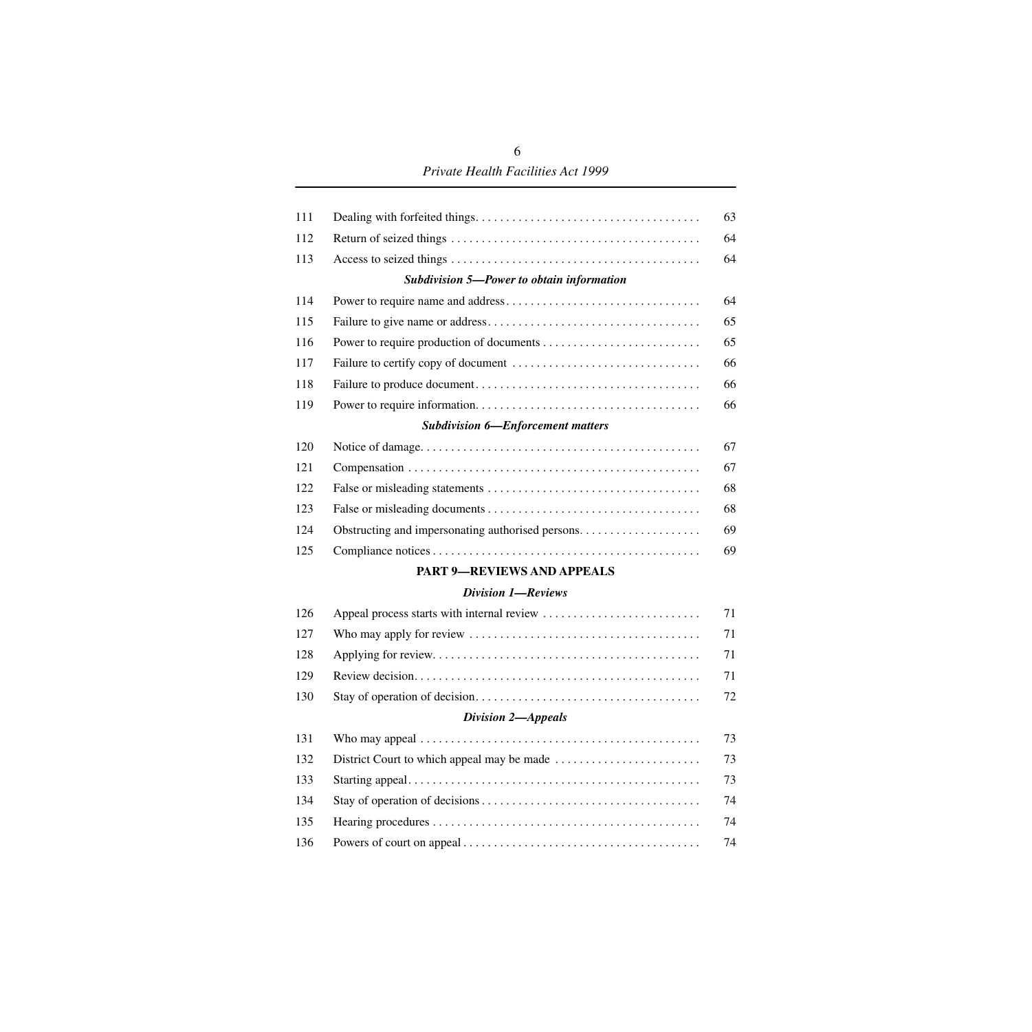# *Private Health Facilities Act 1999*

| 111 |                                           | 63 |
|-----|-------------------------------------------|----|
| 112 |                                           | 64 |
| 113 |                                           | 64 |
|     | Subdivision 5-Power to obtain information |    |
| 114 |                                           | 64 |
| 115 |                                           | 65 |
| 116 |                                           | 65 |
| 117 |                                           | 66 |
| 118 |                                           | 66 |
| 119 |                                           | 66 |
|     | <b>Subdivision 6-Enforcement matters</b>  |    |
| 120 |                                           | 67 |
| 121 |                                           | 67 |
| 122 |                                           | 68 |
| 123 |                                           | 68 |
| 124 |                                           | 69 |
| 125 |                                           | 69 |
|     | <b>PART 9-REVIEWS AND APPEALS</b>         |    |
|     | <b>Division 1-Reviews</b>                 |    |
| 126 |                                           | 71 |
| 127 |                                           | 71 |
| 128 |                                           | 71 |
| 129 |                                           | 71 |
| 130 |                                           | 72 |
|     | <b>Division 2-Appeals</b>                 |    |
| 131 |                                           | 73 |
| 132 |                                           | 73 |
| 133 |                                           | 73 |
| 134 |                                           | 74 |
| 135 |                                           | 74 |
| 136 |                                           | 74 |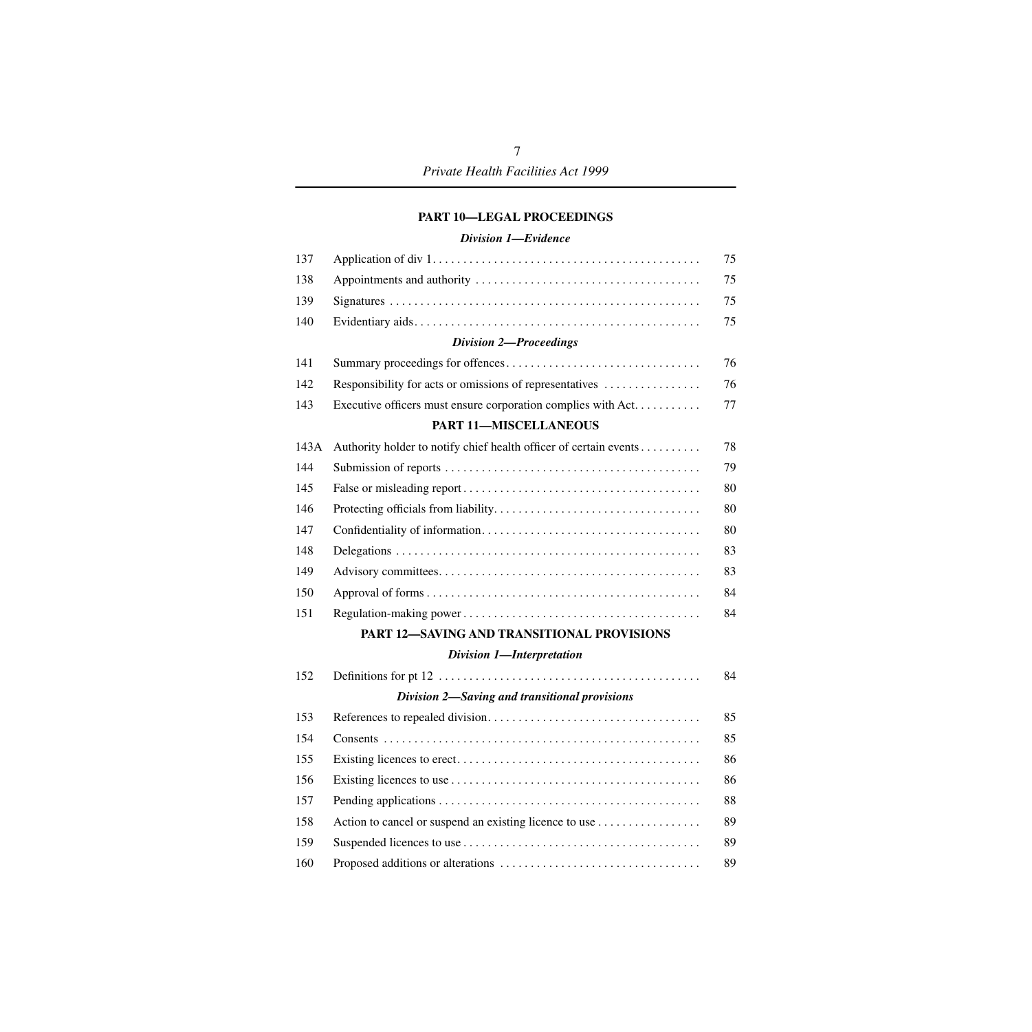#### **[PART 10—LEGAL PROCEEDINGS](#page-76-0)**

#### *[Division 1—Evidence](#page-76-1)*

| 137  |                                                                   | 75 |
|------|-------------------------------------------------------------------|----|
| 138  |                                                                   | 75 |
| 139  |                                                                   | 75 |
| 140  |                                                                   | 75 |
|      | <b>Division 2-Proceedings</b>                                     |    |
| 141  |                                                                   | 76 |
| 142  | Responsibility for acts or omissions of representatives           | 76 |
| 143  | Executive officers must ensure corporation complies with Act.     | 77 |
|      | <b>PART 11-MISCELLANEOUS</b>                                      |    |
| 143A | Authority holder to notify chief health officer of certain events | 78 |
| 144  |                                                                   | 79 |
| 145  |                                                                   | 80 |
| 146  |                                                                   | 80 |
| 147  |                                                                   | 80 |
| 148  |                                                                   | 83 |
| 149  |                                                                   | 83 |
| 150  |                                                                   | 84 |
| 151  |                                                                   | 84 |
|      | PART 12-SAVING AND TRANSITIONAL PROVISIONS                        |    |
|      | Division 1-Interpretation                                         |    |
| 152  |                                                                   | 84 |
|      | Division 2-Saving and transitional provisions                     |    |
| 153  |                                                                   | 85 |
| 154  |                                                                   | 85 |
| 155  |                                                                   | 86 |
| 156  |                                                                   | 86 |
| 157  |                                                                   | 88 |
| 158  | Action to cancel or suspend an existing licence to use            | 89 |
| 159  |                                                                   | 89 |
| 160  |                                                                   | 89 |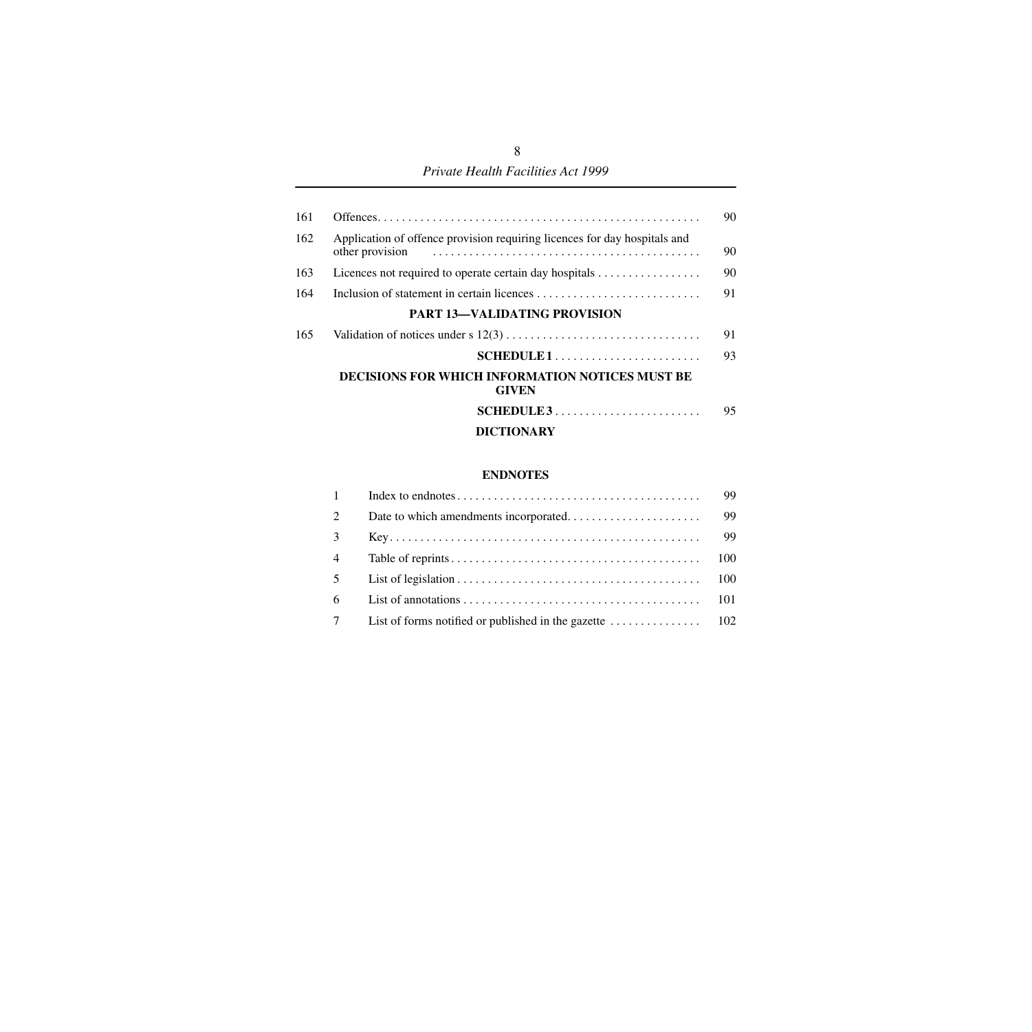## *Private Health Facilities Act 1999*

| 161 |                                                                           | 90 |
|-----|---------------------------------------------------------------------------|----|
| 162 | Application of offence provision requiring licences for day hospitals and | 90 |
| 163 |                                                                           | 90 |
| 164 |                                                                           | 91 |
|     | <b>PART 13-VALIDATING PROVISION</b>                                       |    |
| 165 |                                                                           | 91 |
|     |                                                                           | 93 |
|     | DECISIONS FOR WHICH INFORMATION NOTICES MUST BE<br><b>GIVEN</b>           |    |
|     |                                                                           | 95 |
|     | <b>DICTIONARY</b>                                                         |    |

#### **[ENDNOTES](#page-100-0)**

| 1              | 99 |
|----------------|----|
| 2              | 99 |
| $\mathcal{E}$  | 99 |
| $\overline{4}$ |    |
| 5 <sup>5</sup> |    |
| 6              |    |
| $7\degree$     |    |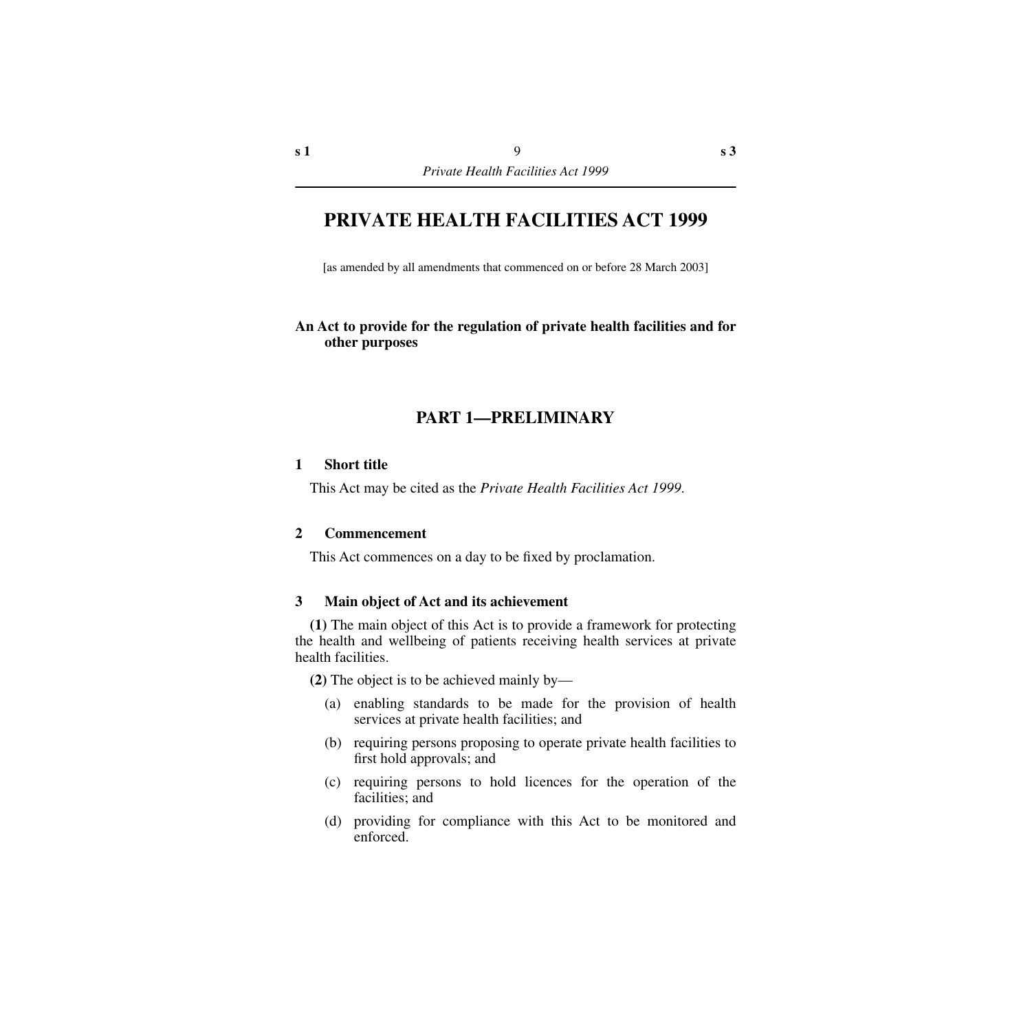# **PRIVATE HEALTH FACILITIES ACT 1999**

[as amended by all amendments that commenced on or before 28 March 2003]

## **An Act to provide for the regulation of private health facilities and for other purposes**

# **PART 1—PRELIMINARY**

#### <span id="page-10-1"></span><span id="page-10-0"></span>**1 Short title**

This Act may be cited as the *Private Health Facilities Act 1999*.

#### <span id="page-10-2"></span>**2 Commencement**

This Act commences on a day to be fixed by proclamation.

## <span id="page-10-3"></span>**3 Main object of Act and its achievement**

**(1)** The main object of this Act is to provide a framework for protecting the health and wellbeing of patients receiving health services at private health facilities.

**(2)** The object is to be achieved mainly by—

- (a) enabling standards to be made for the provision of health services at private health facilities; and
- (b) requiring persons proposing to operate private health facilities to first hold approvals; and
- (c) requiring persons to hold licences for the operation of the facilities; and
- (d) providing for compliance with this Act to be monitored and enforced.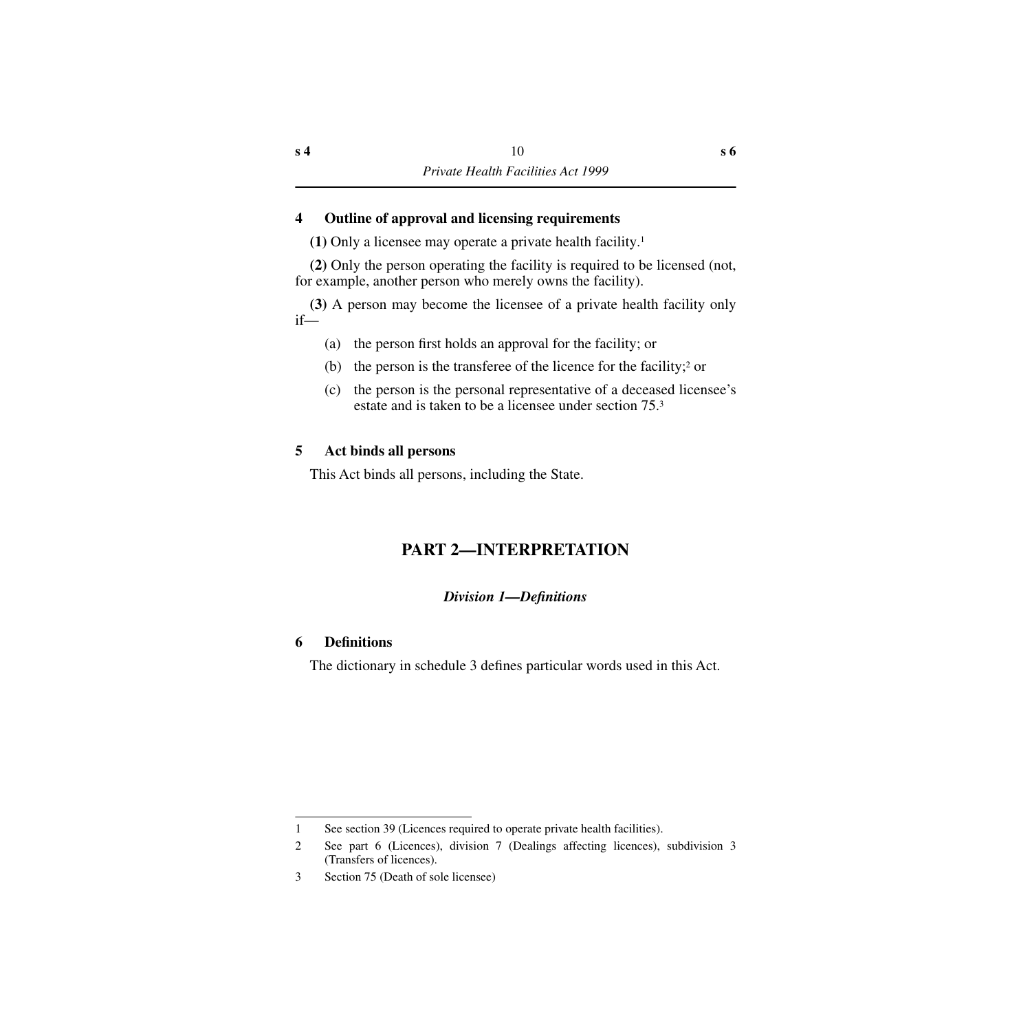# <span id="page-11-0"></span>**4 Outline of approval and licensing requirements**

**(1)** Only a licensee may operate a private health facility.1

**(2)** Only the person operating the facility is required to be licensed (not, for example, another person who merely owns the facility).

**(3)** A person may become the licensee of a private health facility only if—

- (a) the person first holds an approval for the facility; or
- (b) the person is the transferee of the licence for the facility;<sup>2</sup> or
- (c) the person is the personal representative of a deceased licensee's estate and is taken to be a licensee under section 75.3

# <span id="page-11-1"></span>**5 Act binds all persons**

<span id="page-11-2"></span>This Act binds all persons, including the State.

# **PART 2—INTERPRETATION**

# *Division 1—Definitions*

# <span id="page-11-4"></span><span id="page-11-3"></span>**6 Definitions**

The dictionary in schedule 3 defines particular words used in this Act.

<sup>1</sup> See section 39 (Licences required to operate private health facilities).

<sup>2</sup> See part 6 (Licences), division 7 (Dealings affecting licences), subdivision 3 (Transfers of licences).

<sup>3</sup> Section 75 (Death of sole licensee)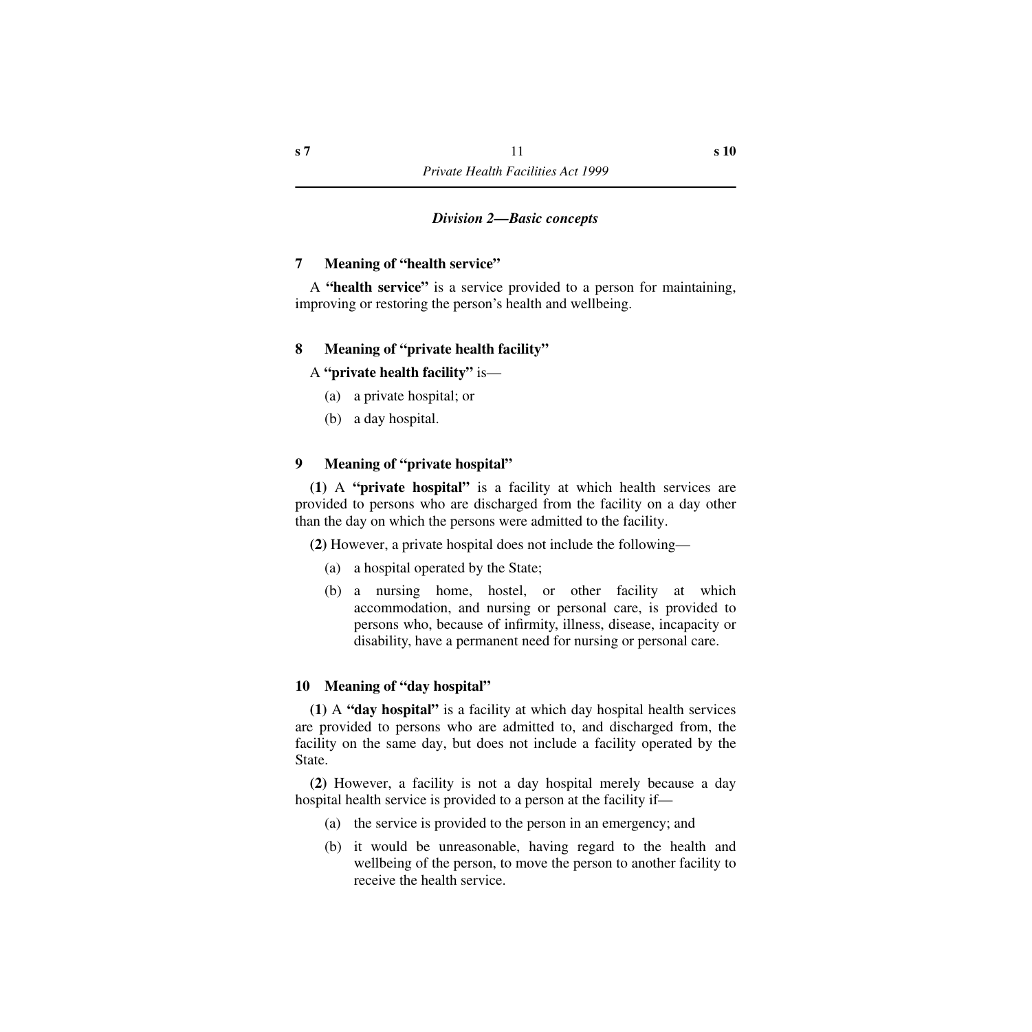## *Division 2—Basic concepts*

# <span id="page-12-1"></span><span id="page-12-0"></span>**7 Meaning of "health service"**

A **"health service"** is a service provided to a person for maintaining, improving or restoring the person's health and wellbeing.

# <span id="page-12-2"></span>**8 Meaning of "private health facility"**

# A **"private health facility"** is—

- (a) a private hospital; or
- (b) a day hospital.

#### <span id="page-12-3"></span>**9 Meaning of "private hospital"**

**(1)** A **"private hospital"** is a facility at which health services are provided to persons who are discharged from the facility on a day other than the day on which the persons were admitted to the facility.

**(2)** However, a private hospital does not include the following—

- (a) a hospital operated by the State;
- (b) a nursing home, hostel, or other facility at which accommodation, and nursing or personal care, is provided to persons who, because of infirmity, illness, disease, incapacity or disability, have a permanent need for nursing or personal care.

#### <span id="page-12-4"></span>**10 Meaning of "day hospital"**

**(1)** A **"day hospital"** is a facility at which day hospital health services are provided to persons who are admitted to, and discharged from, the facility on the same day, but does not include a facility operated by the State.

**(2)** However, a facility is not a day hospital merely because a day hospital health service is provided to a person at the facility if—

- (a) the service is provided to the person in an emergency; and
- (b) it would be unreasonable, having regard to the health and wellbeing of the person, to move the person to another facility to receive the health service.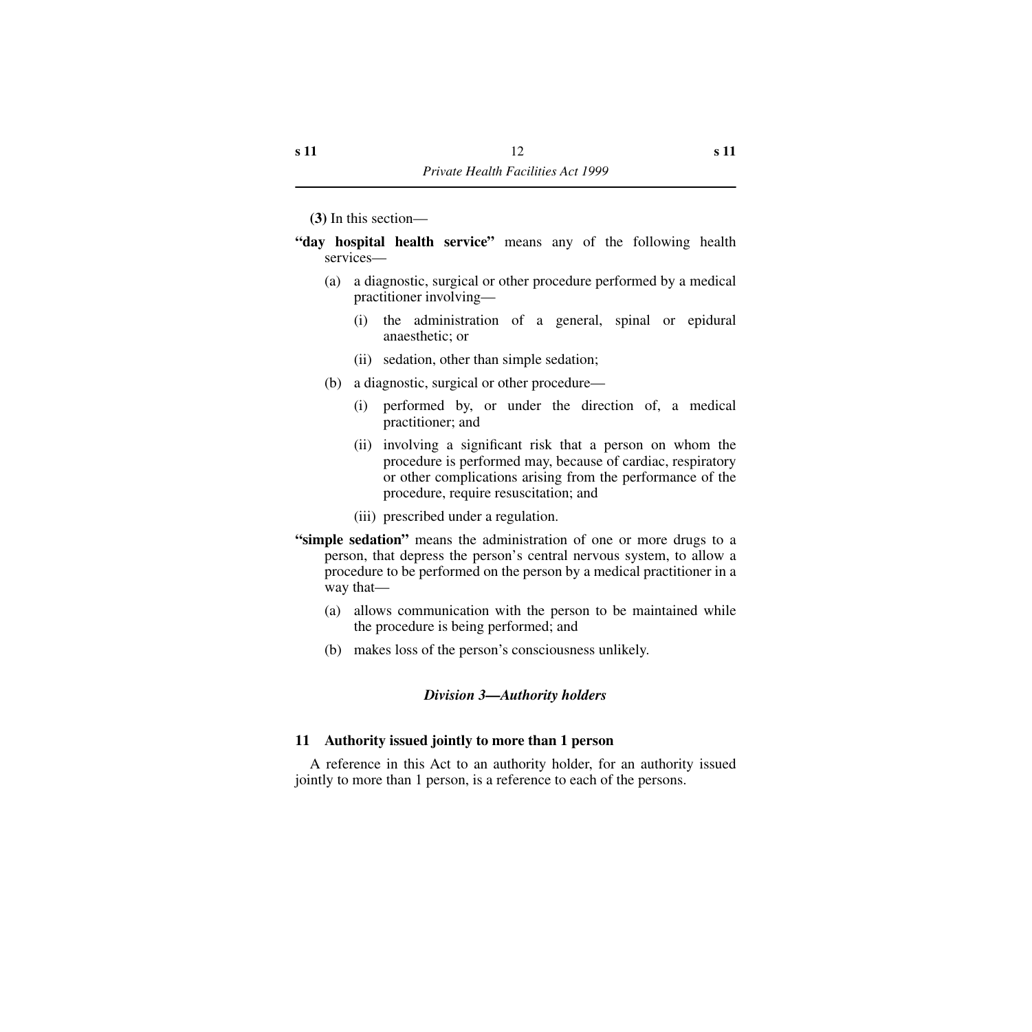- **(3)** In this section—
- **"day hospital health service"** means any of the following health services—
	- (a) a diagnostic, surgical or other procedure performed by a medical practitioner involving—
		- (i) the administration of a general, spinal or epidural anaesthetic; or
		- (ii) sedation, other than simple sedation;
	- (b) a diagnostic, surgical or other procedure—
		- (i) performed by, or under the direction of, a medical practitioner; and
		- (ii) involving a significant risk that a person on whom the procedure is performed may, because of cardiac, respiratory or other complications arising from the performance of the procedure, require resuscitation; and
		- (iii) prescribed under a regulation.
- **"simple sedation"** means the administration of one or more drugs to a person, that depress the person's central nervous system, to allow a procedure to be performed on the person by a medical practitioner in a way that—
	- (a) allows communication with the person to be maintained while the procedure is being performed; and
	- (b) makes loss of the person's consciousness unlikely.

#### *Division 3—Authority holders*

#### <span id="page-13-1"></span><span id="page-13-0"></span>**11 Authority issued jointly to more than 1 person**

A reference in this Act to an authority holder, for an authority issued jointly to more than 1 person, is a reference to each of the persons.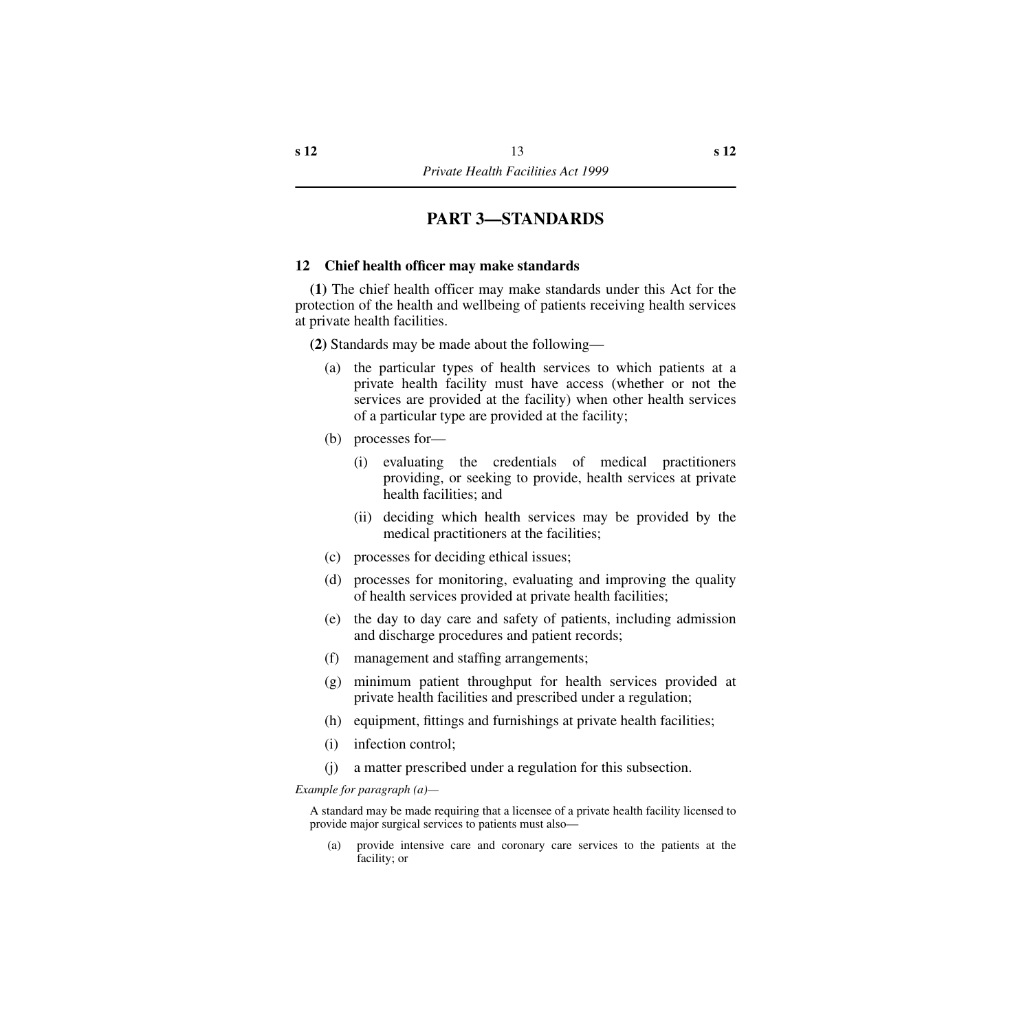# **PART 3—STANDARDS**

#### <span id="page-14-1"></span><span id="page-14-0"></span>**12 Chief health officer may make standards**

**(1)** The chief health officer may make standards under this Act for the protection of the health and wellbeing of patients receiving health services at private health facilities.

**(2)** Standards may be made about the following—

- (a) the particular types of health services to which patients at a private health facility must have access (whether or not the services are provided at the facility) when other health services of a particular type are provided at the facility;
- (b) processes for—
	- (i) evaluating the credentials of medical practitioners providing, or seeking to provide, health services at private health facilities; and
	- (ii) deciding which health services may be provided by the medical practitioners at the facilities;
- (c) processes for deciding ethical issues;
- (d) processes for monitoring, evaluating and improving the quality of health services provided at private health facilities;
- (e) the day to day care and safety of patients, including admission and discharge procedures and patient records;
- (f) management and staffing arrangements;
- (g) minimum patient throughput for health services provided at private health facilities and prescribed under a regulation;
- (h) equipment, fittings and furnishings at private health facilities;
- (i) infection control;
- (j) a matter prescribed under a regulation for this subsection.

*Example for paragraph (a)—*

A standard may be made requiring that a licensee of a private health facility licensed to provide major surgical services to patients must also—

(a) provide intensive care and coronary care services to the patients at the facility; or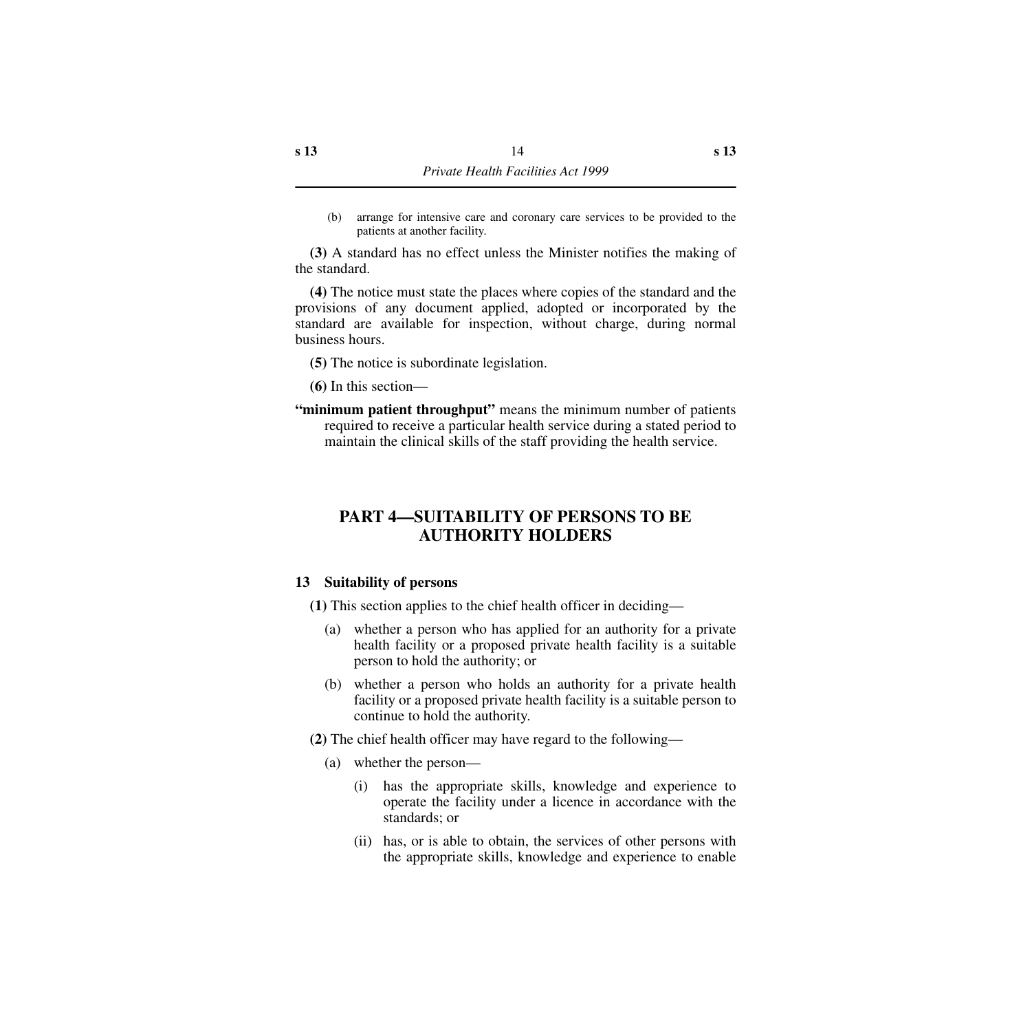(b) arrange for intensive care and coronary care services to be provided to the patients at another facility.

**(3)** A standard has no effect unless the Minister notifies the making of the standard.

**(4)** The notice must state the places where copies of the standard and the provisions of any document applied, adopted or incorporated by the standard are available for inspection, without charge, during normal business hours.

- **(5)** The notice is subordinate legislation.
- **(6)** In this section—
- **"minimum patient throughput"** means the minimum number of patients required to receive a particular health service during a stated period to maintain the clinical skills of the staff providing the health service.

# <span id="page-15-0"></span>**PART 4—SUITABILITY OF PERSONS TO BE AUTHORITY HOLDERS**

#### <span id="page-15-1"></span>**13 Suitability of persons**

**(1)** This section applies to the chief health officer in deciding—

- (a) whether a person who has applied for an authority for a private health facility or a proposed private health facility is a suitable person to hold the authority; or
- (b) whether a person who holds an authority for a private health facility or a proposed private health facility is a suitable person to continue to hold the authority.

**(2)** The chief health officer may have regard to the following—

- (a) whether the person—
	- (i) has the appropriate skills, knowledge and experience to operate the facility under a licence in accordance with the standards; or
	- (ii) has, or is able to obtain, the services of other persons with the appropriate skills, knowledge and experience to enable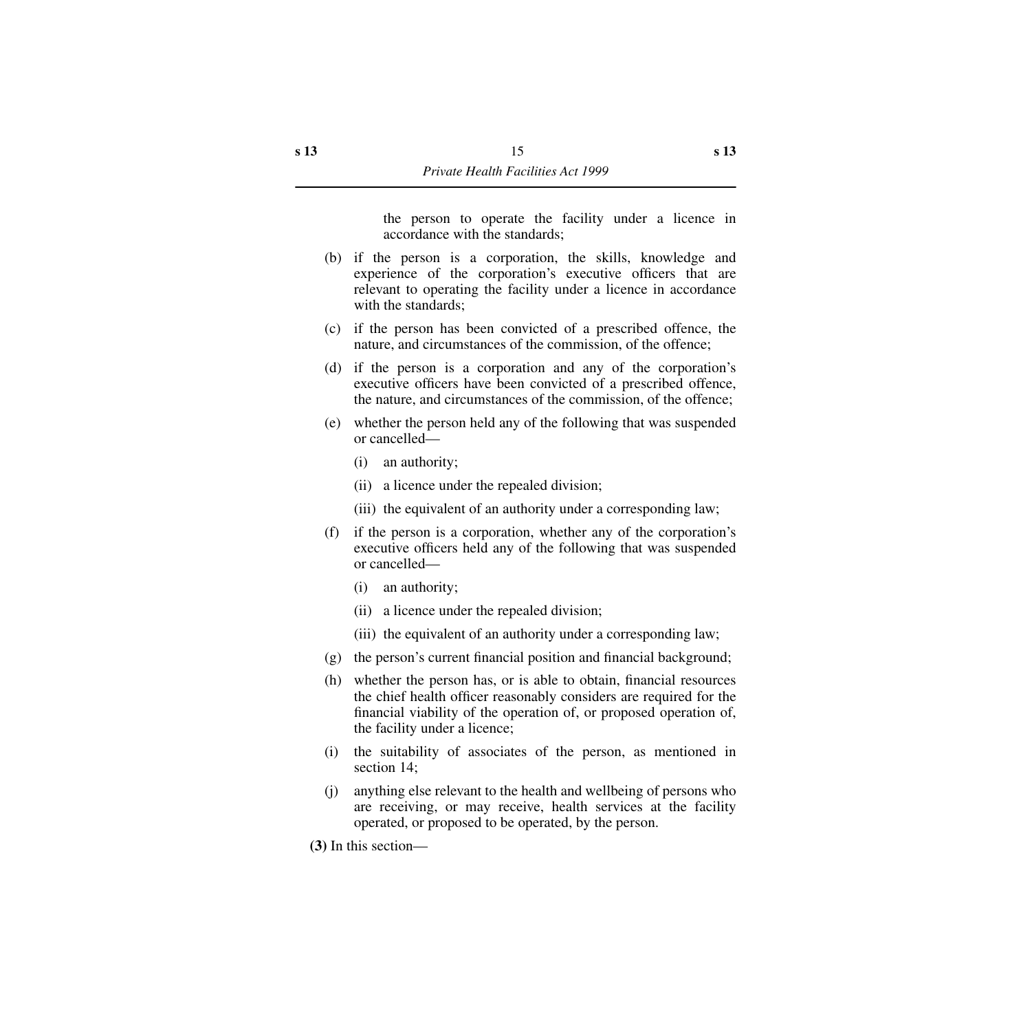the person to operate the facility under a licence in accordance with the standards;

- (b) if the person is a corporation, the skills, knowledge and experience of the corporation's executive officers that are relevant to operating the facility under a licence in accordance with the standards;
- (c) if the person has been convicted of a prescribed offence, the nature, and circumstances of the commission, of the offence;
- (d) if the person is a corporation and any of the corporation's executive officers have been convicted of a prescribed offence, the nature, and circumstances of the commission, of the offence;
- (e) whether the person held any of the following that was suspended or cancelled—
	- (i) an authority;
	- (ii) a licence under the repealed division;
	- (iii) the equivalent of an authority under a corresponding law;
- (f) if the person is a corporation, whether any of the corporation's executive officers held any of the following that was suspended or cancelled—
	- (i) an authority;
	- (ii) a licence under the repealed division;
	- (iii) the equivalent of an authority under a corresponding law;
- (g) the person's current financial position and financial background;
- (h) whether the person has, or is able to obtain, financial resources the chief health officer reasonably considers are required for the financial viability of the operation of, or proposed operation of, the facility under a licence;
- (i) the suitability of associates of the person, as mentioned in section 14;
- (j) anything else relevant to the health and wellbeing of persons who are receiving, or may receive, health services at the facility operated, or proposed to be operated, by the person.

**(3)** In this section—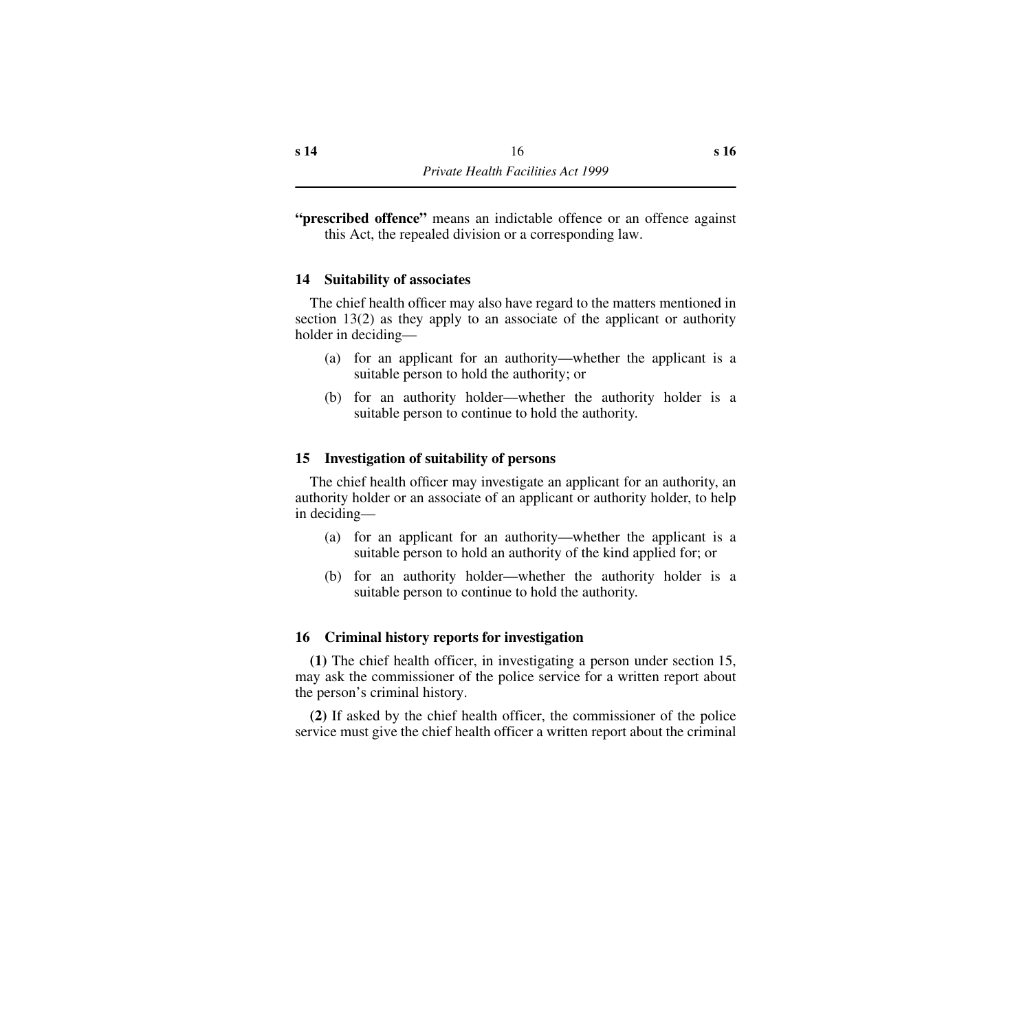**"prescribed offence"** means an indictable offence or an offence against this Act, the repealed division or a corresponding law.

## <span id="page-17-0"></span>**14 Suitability of associates**

The chief health officer may also have regard to the matters mentioned in section 13(2) as they apply to an associate of the applicant or authority holder in deciding—

- (a) for an applicant for an authority—whether the applicant is a suitable person to hold the authority; or
- (b) for an authority holder—whether the authority holder is a suitable person to continue to hold the authority.

## <span id="page-17-1"></span>**15 Investigation of suitability of persons**

The chief health officer may investigate an applicant for an authority, an authority holder or an associate of an applicant or authority holder, to help in deciding—

- (a) for an applicant for an authority—whether the applicant is a suitable person to hold an authority of the kind applied for; or
- (b) for an authority holder—whether the authority holder is a suitable person to continue to hold the authority.

# <span id="page-17-2"></span>**16 Criminal history reports for investigation**

**(1)** The chief health officer, in investigating a person under section 15, may ask the commissioner of the police service for a written report about the person's criminal history.

**(2)** If asked by the chief health officer, the commissioner of the police service must give the chief health officer a written report about the criminal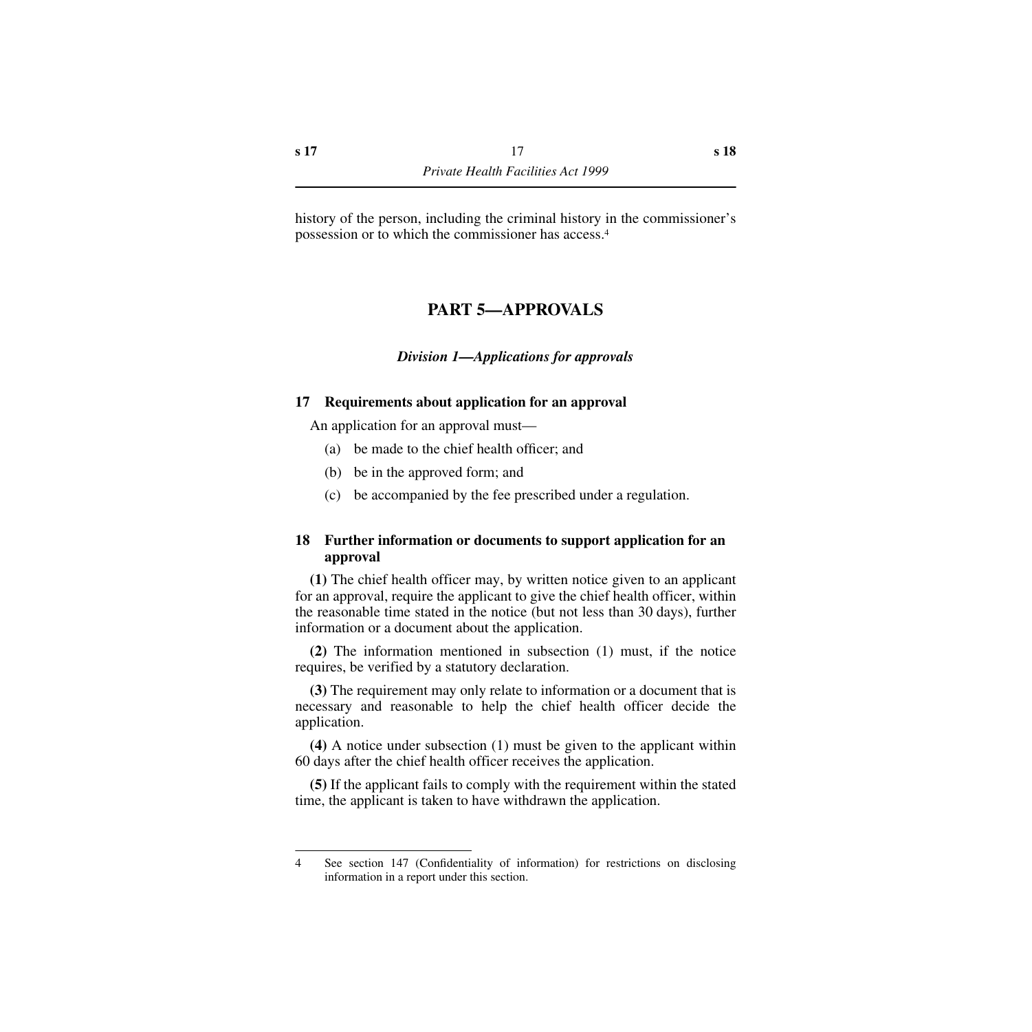<span id="page-18-0"></span>history of the person, including the criminal history in the commissioner's possession or to which the commissioner has access.4

# **PART 5—APPROVALS**

# *Division 1—Applications for approvals*

# <span id="page-18-2"></span><span id="page-18-1"></span>**17 Requirements about application for an approval**

An application for an approval must—

- (a) be made to the chief health officer; and
- (b) be in the approved form; and
- (c) be accompanied by the fee prescribed under a regulation.

# <span id="page-18-3"></span>**18 Further information or documents to support application for an approval**

**(1)** The chief health officer may, by written notice given to an applicant for an approval, require the applicant to give the chief health officer, within the reasonable time stated in the notice (but not less than 30 days), further information or a document about the application.

**(2)** The information mentioned in subsection (1) must, if the notice requires, be verified by a statutory declaration.

**(3)** The requirement may only relate to information or a document that is necessary and reasonable to help the chief health officer decide the application.

**(4)** A notice under subsection (1) must be given to the applicant within 60 days after the chief health officer receives the application.

**(5)** If the applicant fails to comply with the requirement within the stated time, the applicant is taken to have withdrawn the application.

<sup>4</sup> See section 147 (Confidentiality of information) for restrictions on disclosing information in a report under this section.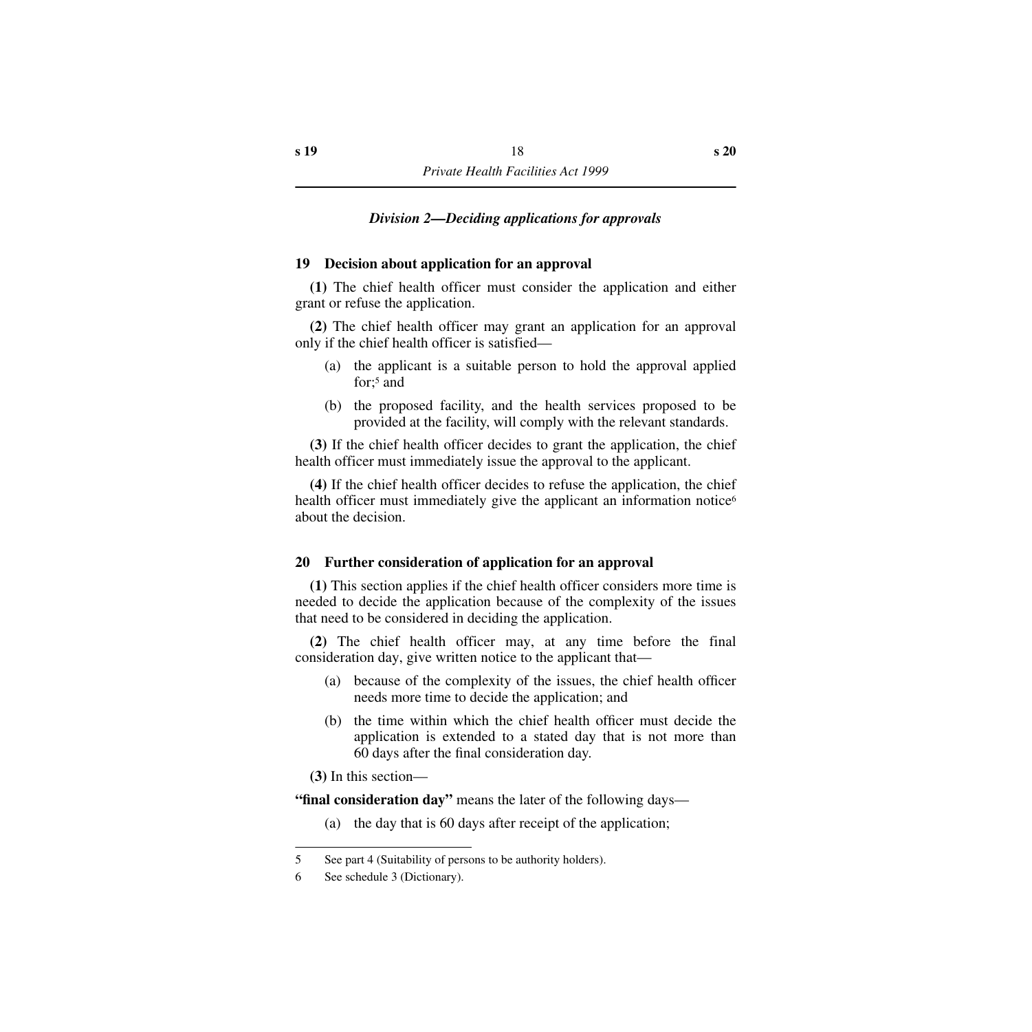# *Division 2—Deciding applications for approvals*

#### <span id="page-19-1"></span><span id="page-19-0"></span>**19 Decision about application for an approval**

**(1)** The chief health officer must consider the application and either grant or refuse the application.

**(2)** The chief health officer may grant an application for an approval only if the chief health officer is satisfied—

- (a) the applicant is a suitable person to hold the approval applied for:<sup>5</sup> and
- (b) the proposed facility, and the health services proposed to be provided at the facility, will comply with the relevant standards.

**(3)** If the chief health officer decides to grant the application, the chief health officer must immediately issue the approval to the applicant.

**(4)** If the chief health officer decides to refuse the application, the chief health officer must immediately give the applicant an information notice<sup>6</sup> about the decision.

#### <span id="page-19-2"></span>**20 Further consideration of application for an approval**

**(1)** This section applies if the chief health officer considers more time is needed to decide the application because of the complexity of the issues that need to be considered in deciding the application.

**(2)** The chief health officer may, at any time before the final consideration day, give written notice to the applicant that—

- (a) because of the complexity of the issues, the chief health officer needs more time to decide the application; and
- (b) the time within which the chief health officer must decide the application is extended to a stated day that is not more than 60 days after the final consideration day.

**(3)** In this section—

**"final consideration day"** means the later of the following days—

(a) the day that is 60 days after receipt of the application;

<sup>5</sup> See part 4 (Suitability of persons to be authority holders).

<sup>6</sup> See schedule 3 (Dictionary).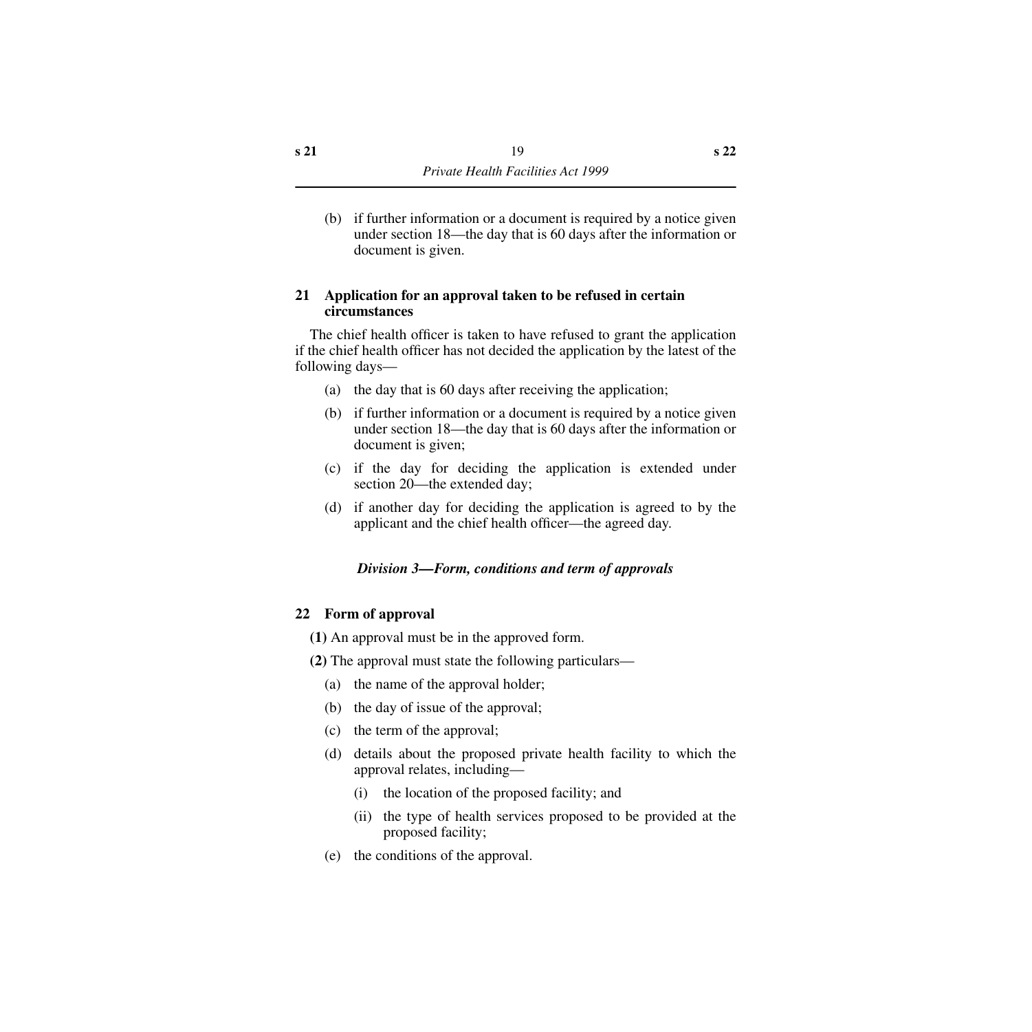(b) if further information or a document is required by a notice given under section 18—the day that is 60 days after the information or document is given.

#### <span id="page-20-0"></span>**21 Application for an approval taken to be refused in certain circumstances**

The chief health officer is taken to have refused to grant the application if the chief health officer has not decided the application by the latest of the following days—

- (a) the day that is 60 days after receiving the application;
- (b) if further information or a document is required by a notice given under section 18—the day that is 60 days after the information or document is given;
- (c) if the day for deciding the application is extended under section 20—the extended day;
- (d) if another day for deciding the application is agreed to by the applicant and the chief health officer—the agreed day.

# *Division 3—Form, conditions and term of approvals*

#### <span id="page-20-2"></span><span id="page-20-1"></span>**22 Form of approval**

- **(1)** An approval must be in the approved form.
- **(2)** The approval must state the following particulars—
	- (a) the name of the approval holder;
	- (b) the day of issue of the approval;
	- (c) the term of the approval;
	- (d) details about the proposed private health facility to which the approval relates, including—
		- (i) the location of the proposed facility; and
		- (ii) the type of health services proposed to be provided at the proposed facility;
	- (e) the conditions of the approval.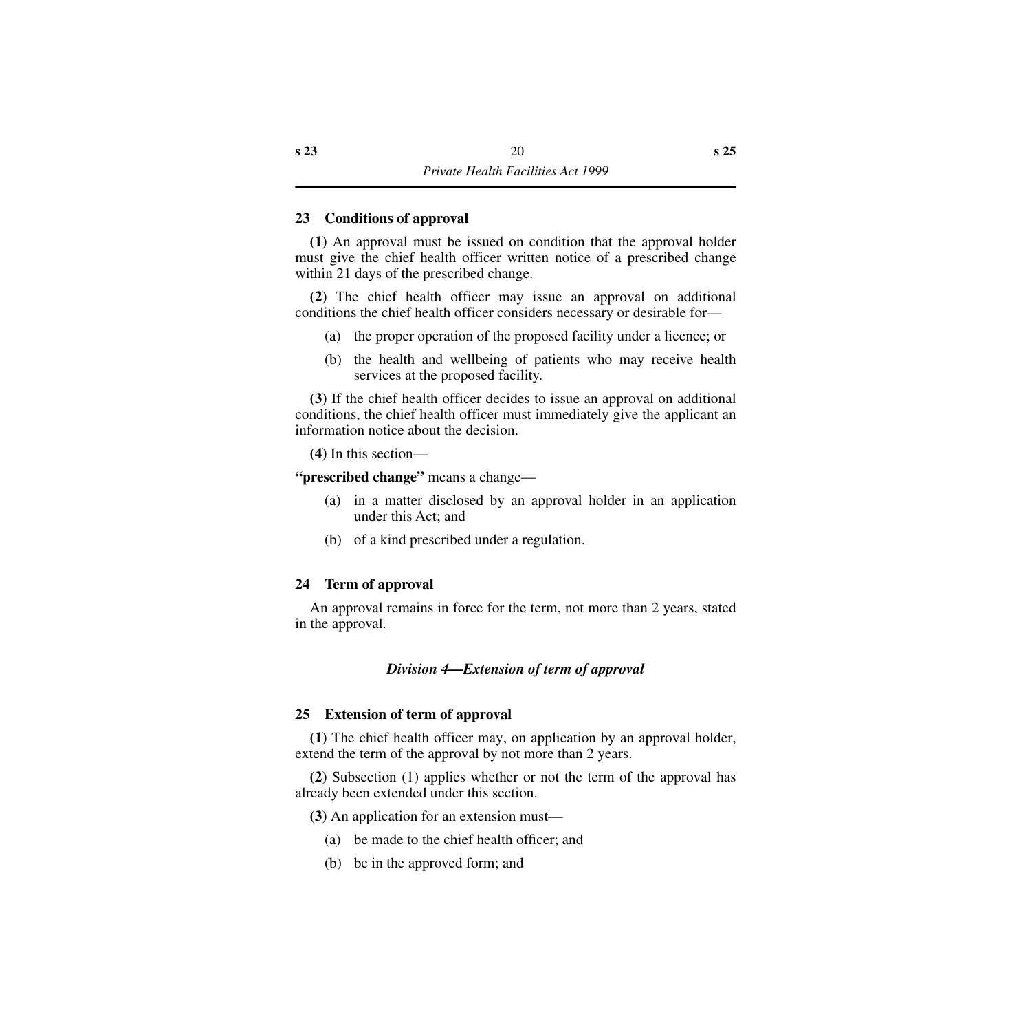#### <span id="page-21-0"></span>**23 Conditions of approval**

**(1)** An approval must be issued on condition that the approval holder must give the chief health officer written notice of a prescribed change within 21 days of the prescribed change.

**(2)** The chief health officer may issue an approval on additional conditions the chief health officer considers necessary or desirable for—

- (a) the proper operation of the proposed facility under a licence; or
- (b) the health and wellbeing of patients who may receive health services at the proposed facility.

**(3)** If the chief health officer decides to issue an approval on additional conditions, the chief health officer must immediately give the applicant an information notice about the decision.

**(4)** In this section—

**"prescribed change"** means a change—

- (a) in a matter disclosed by an approval holder in an application under this Act; and
- (b) of a kind prescribed under a regulation.

# <span id="page-21-1"></span>**24 Term of approval**

An approval remains in force for the term, not more than 2 years, stated in the approval.

# *Division 4—Extension of term of approval*

# <span id="page-21-3"></span><span id="page-21-2"></span>**25 Extension of term of approval**

**(1)** The chief health officer may, on application by an approval holder, extend the term of the approval by not more than 2 years.

**(2)** Subsection (1) applies whether or not the term of the approval has already been extended under this section.

**(3)** An application for an extension must—

- (a) be made to the chief health officer; and
- (b) be in the approved form; and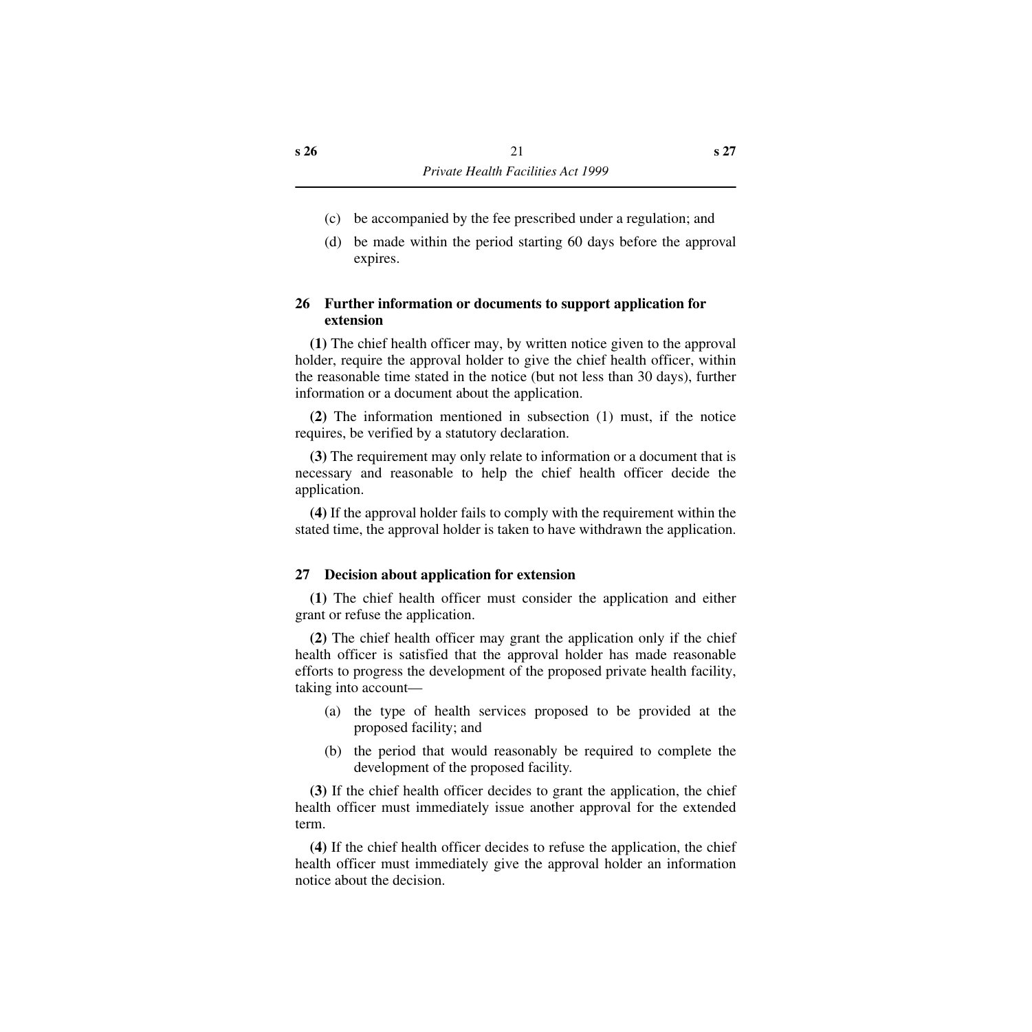- (c) be accompanied by the fee prescribed under a regulation; and
- (d) be made within the period starting 60 days before the approval expires.

# <span id="page-22-0"></span>**26 Further information or documents to support application for extension**

**(1)** The chief health officer may, by written notice given to the approval holder, require the approval holder to give the chief health officer, within the reasonable time stated in the notice (but not less than 30 days), further information or a document about the application.

**(2)** The information mentioned in subsection (1) must, if the notice requires, be verified by a statutory declaration.

**(3)** The requirement may only relate to information or a document that is necessary and reasonable to help the chief health officer decide the application.

**(4)** If the approval holder fails to comply with the requirement within the stated time, the approval holder is taken to have withdrawn the application.

# <span id="page-22-1"></span>**27 Decision about application for extension**

**(1)** The chief health officer must consider the application and either grant or refuse the application.

**(2)** The chief health officer may grant the application only if the chief health officer is satisfied that the approval holder has made reasonable efforts to progress the development of the proposed private health facility, taking into account—

- (a) the type of health services proposed to be provided at the proposed facility; and
- (b) the period that would reasonably be required to complete the development of the proposed facility.

**(3)** If the chief health officer decides to grant the application, the chief health officer must immediately issue another approval for the extended term.

**(4)** If the chief health officer decides to refuse the application, the chief health officer must immediately give the approval holder an information notice about the decision.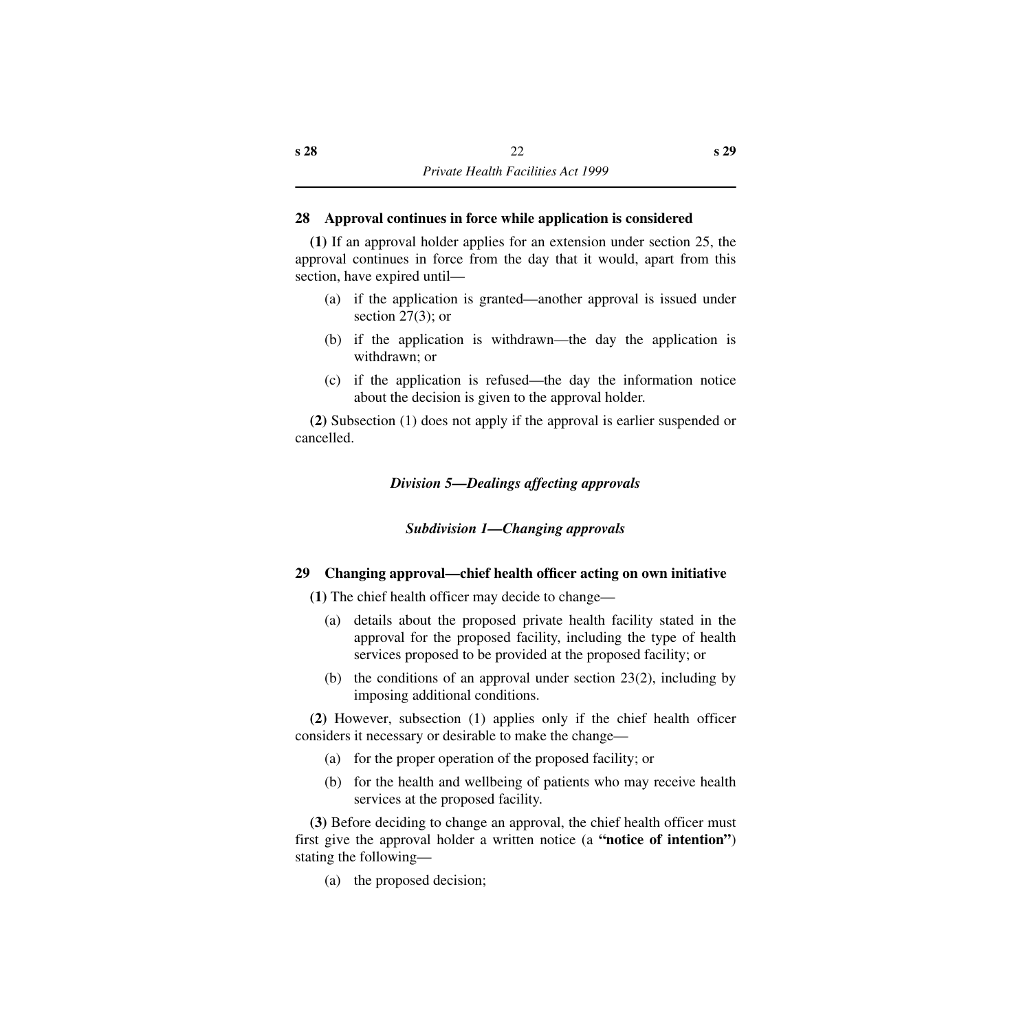# <span id="page-23-0"></span>**28 Approval continues in force while application is considered**

**(1)** If an approval holder applies for an extension under section 25, the approval continues in force from the day that it would, apart from this section, have expired until—

- (a) if the application is granted—another approval is issued under section 27(3); or
- (b) if the application is withdrawn—the day the application is withdrawn; or
- (c) if the application is refused—the day the information notice about the decision is given to the approval holder.

<span id="page-23-1"></span>**(2)** Subsection (1) does not apply if the approval is earlier suspended or cancelled.

*Division 5—Dealings affecting approvals*

# *Subdivision 1—Changing approvals*

# <span id="page-23-3"></span><span id="page-23-2"></span>**29 Changing approval—chief health officer acting on own initiative**

**(1)** The chief health officer may decide to change—

- (a) details about the proposed private health facility stated in the approval for the proposed facility, including the type of health services proposed to be provided at the proposed facility; or
- (b) the conditions of an approval under section 23(2), including by imposing additional conditions.

**(2)** However, subsection (1) applies only if the chief health officer considers it necessary or desirable to make the change—

- (a) for the proper operation of the proposed facility; or
- (b) for the health and wellbeing of patients who may receive health services at the proposed facility.

**(3)** Before deciding to change an approval, the chief health officer must first give the approval holder a written notice (a **"notice of intention"**) stating the following—

(a) the proposed decision;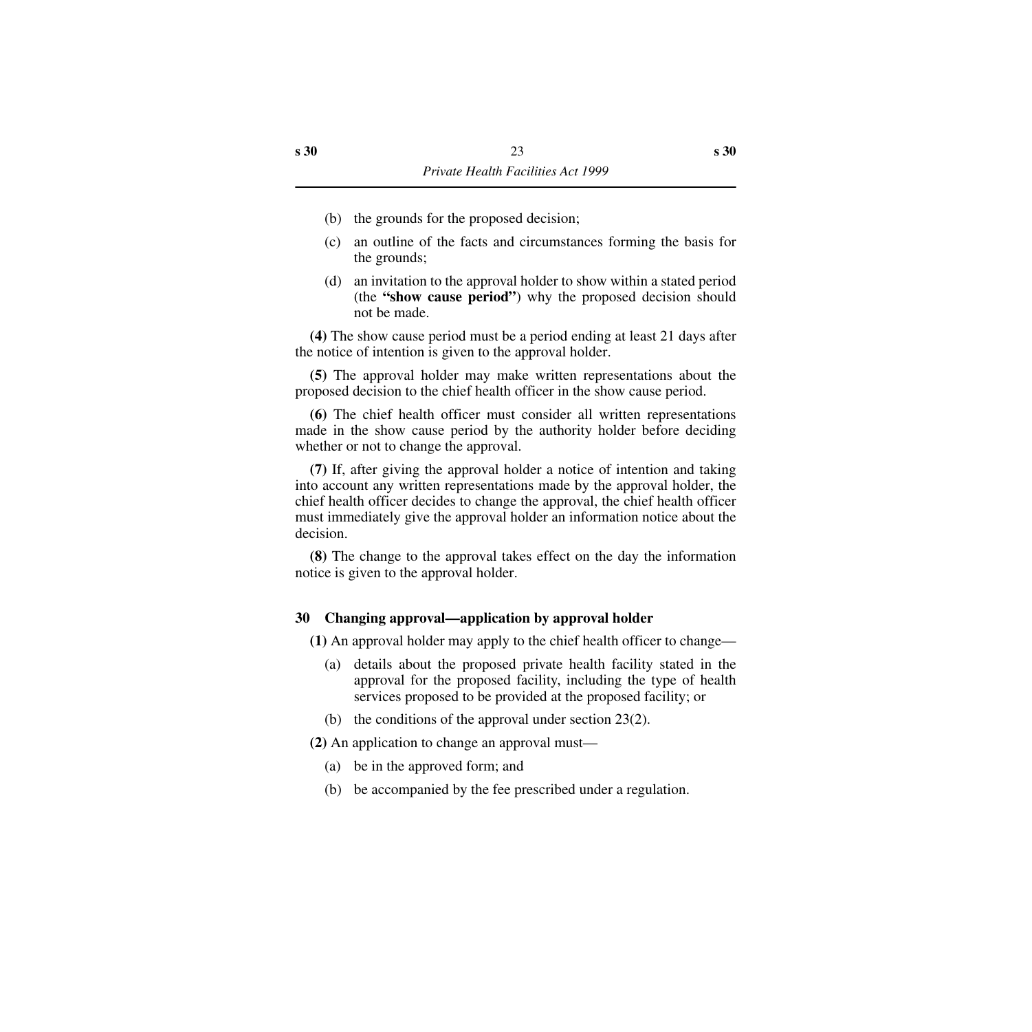- (b) the grounds for the proposed decision;
- (c) an outline of the facts and circumstances forming the basis for the grounds;
- (d) an invitation to the approval holder to show within a stated period (the **"show cause period"**) why the proposed decision should not be made.

**(4)** The show cause period must be a period ending at least 21 days after the notice of intention is given to the approval holder.

**(5)** The approval holder may make written representations about the proposed decision to the chief health officer in the show cause period.

**(6)** The chief health officer must consider all written representations made in the show cause period by the authority holder before deciding whether or not to change the approval.

**(7)** If, after giving the approval holder a notice of intention and taking into account any written representations made by the approval holder, the chief health officer decides to change the approval, the chief health officer must immediately give the approval holder an information notice about the decision.

**(8)** The change to the approval takes effect on the day the information notice is given to the approval holder.

# <span id="page-24-0"></span>**30 Changing approval—application by approval holder**

**(1)** An approval holder may apply to the chief health officer to change—

- (a) details about the proposed private health facility stated in the approval for the proposed facility, including the type of health services proposed to be provided at the proposed facility; or
- (b) the conditions of the approval under section 23(2).

**(2)** An application to change an approval must—

- (a) be in the approved form; and
- (b) be accompanied by the fee prescribed under a regulation.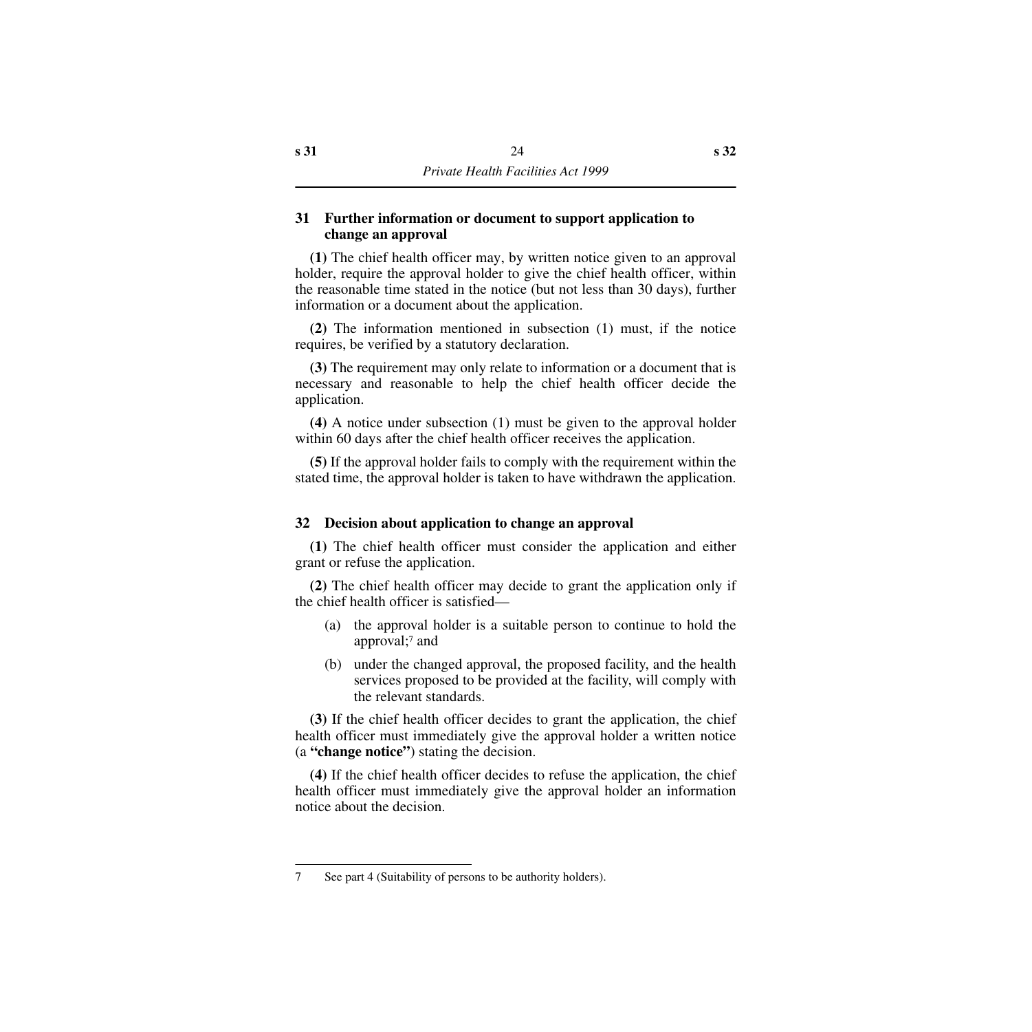## <span id="page-25-0"></span>**31 Further information or document to support application to change an approval**

**(1)** The chief health officer may, by written notice given to an approval holder, require the approval holder to give the chief health officer, within the reasonable time stated in the notice (but not less than 30 days), further information or a document about the application.

**(2)** The information mentioned in subsection (1) must, if the notice requires, be verified by a statutory declaration.

**(3)** The requirement may only relate to information or a document that is necessary and reasonable to help the chief health officer decide the application.

**(4)** A notice under subsection (1) must be given to the approval holder within 60 days after the chief health officer receives the application.

**(5)** If the approval holder fails to comply with the requirement within the stated time, the approval holder is taken to have withdrawn the application.

# <span id="page-25-1"></span>**32 Decision about application to change an approval**

**(1)** The chief health officer must consider the application and either grant or refuse the application.

**(2)** The chief health officer may decide to grant the application only if the chief health officer is satisfied—

- (a) the approval holder is a suitable person to continue to hold the approval;7 and
- (b) under the changed approval, the proposed facility, and the health services proposed to be provided at the facility, will comply with the relevant standards.

**(3)** If the chief health officer decides to grant the application, the chief health officer must immediately give the approval holder a written notice (a **"change notice"**) stating the decision.

**(4)** If the chief health officer decides to refuse the application, the chief health officer must immediately give the approval holder an information notice about the decision.

<sup>7</sup> See part 4 (Suitability of persons to be authority holders).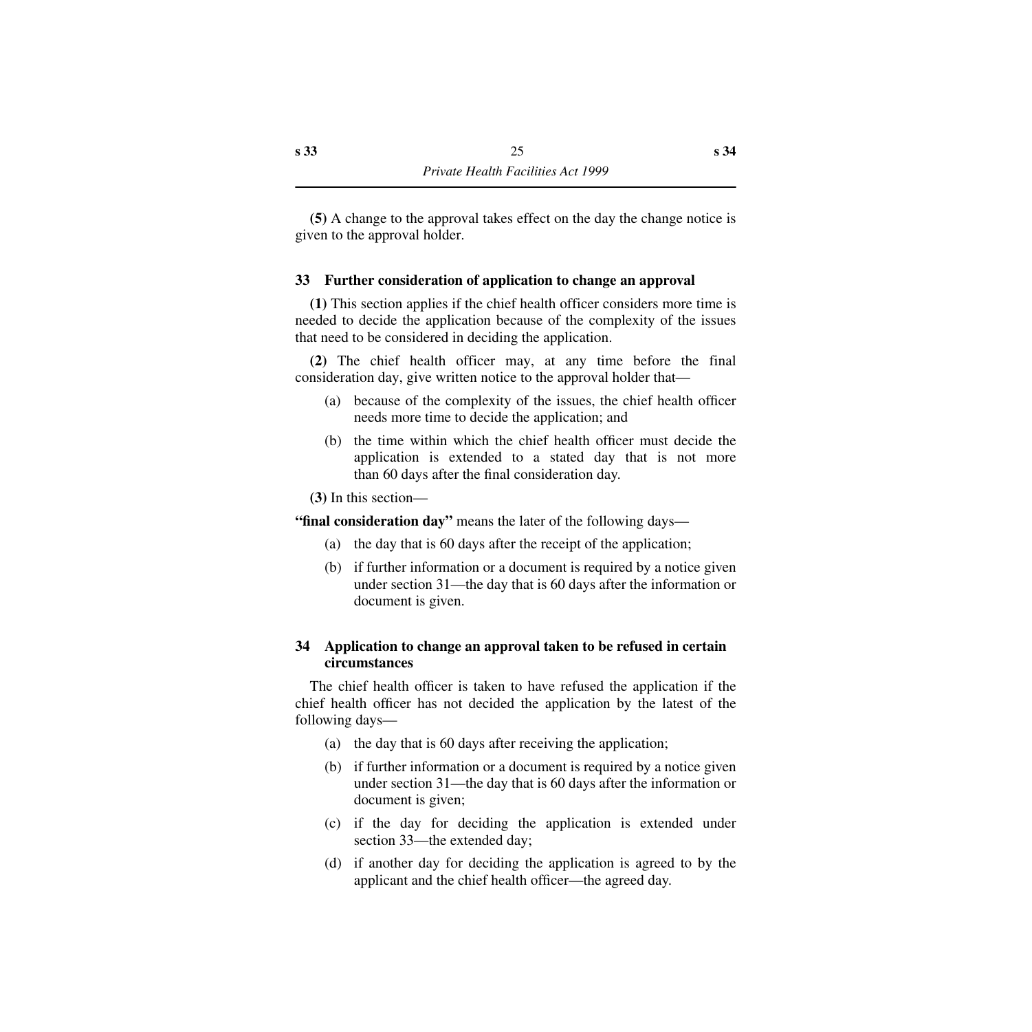**(5)** A change to the approval takes effect on the day the change notice is given to the approval holder.

# <span id="page-26-0"></span>**33 Further consideration of application to change an approval**

**(1)** This section applies if the chief health officer considers more time is needed to decide the application because of the complexity of the issues that need to be considered in deciding the application.

**(2)** The chief health officer may, at any time before the final consideration day, give written notice to the approval holder that—

- (a) because of the complexity of the issues, the chief health officer needs more time to decide the application; and
- (b) the time within which the chief health officer must decide the application is extended to a stated day that is not more than 60 days after the final consideration day.

**(3)** In this section—

**"final consideration day"** means the later of the following days—

- (a) the day that is 60 days after the receipt of the application;
- (b) if further information or a document is required by a notice given under section 31—the day that is 60 days after the information or document is given.

# <span id="page-26-1"></span>**34 Application to change an approval taken to be refused in certain circumstances**

The chief health officer is taken to have refused the application if the chief health officer has not decided the application by the latest of the following days—

- (a) the day that is 60 days after receiving the application;
- (b) if further information or a document is required by a notice given under section 31—the day that is 60 days after the information or document is given;
- (c) if the day for deciding the application is extended under section 33—the extended day;
- (d) if another day for deciding the application is agreed to by the applicant and the chief health officer—the agreed day.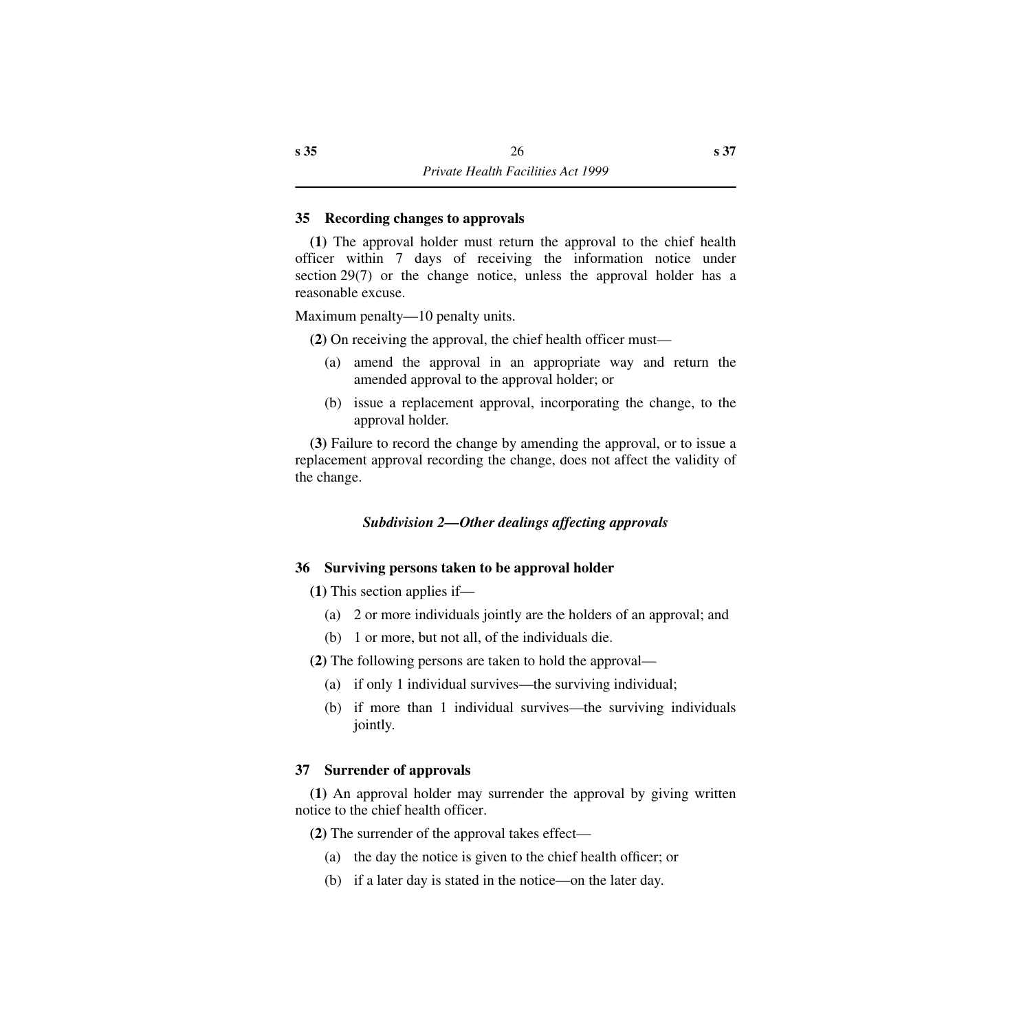#### <span id="page-27-0"></span>**35 Recording changes to approvals**

**(1)** The approval holder must return the approval to the chief health officer within 7 days of receiving the information notice under section 29(7) or the change notice, unless the approval holder has a reasonable excuse.

Maximum penalty—10 penalty units.

**(2)** On receiving the approval, the chief health officer must—

- (a) amend the approval in an appropriate way and return the amended approval to the approval holder; or
- (b) issue a replacement approval, incorporating the change, to the approval holder.

**(3)** Failure to record the change by amending the approval, or to issue a replacement approval recording the change, does not affect the validity of the change.

# *Subdivision 2—Other dealings affecting approvals*

# <span id="page-27-2"></span><span id="page-27-1"></span>**36 Surviving persons taken to be approval holder**

**(1)** This section applies if—

- (a) 2 or more individuals jointly are the holders of an approval; and
- (b) 1 or more, but not all, of the individuals die.

**(2)** The following persons are taken to hold the approval—

- (a) if only 1 individual survives—the surviving individual;
- (b) if more than 1 individual survives—the surviving individuals jointly.

# <span id="page-27-3"></span>**37 Surrender of approvals**

**(1)** An approval holder may surrender the approval by giving written notice to the chief health officer.

**(2)** The surrender of the approval takes effect—

- (a) the day the notice is given to the chief health officer; or
- (b) if a later day is stated in the notice—on the later day.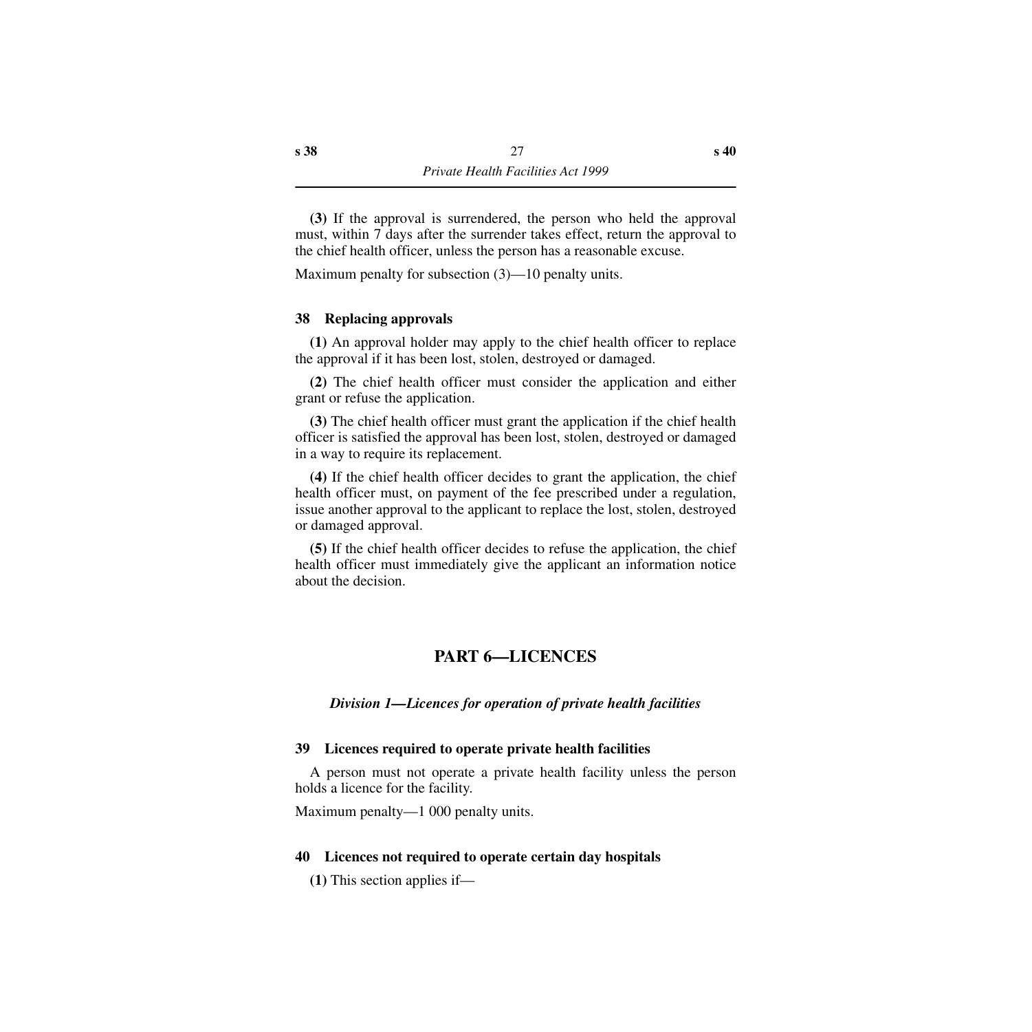**(3)** If the approval is surrendered, the person who held the approval must, within 7 days after the surrender takes effect, return the approval to the chief health officer, unless the person has a reasonable excuse.

Maximum penalty for subsection (3)—10 penalty units.

#### <span id="page-28-0"></span>**38 Replacing approvals**

**(1)** An approval holder may apply to the chief health officer to replace the approval if it has been lost, stolen, destroyed or damaged.

**(2)** The chief health officer must consider the application and either grant or refuse the application.

**(3)** The chief health officer must grant the application if the chief health officer is satisfied the approval has been lost, stolen, destroyed or damaged in a way to require its replacement.

**(4)** If the chief health officer decides to grant the application, the chief health officer must, on payment of the fee prescribed under a regulation, issue another approval to the applicant to replace the lost, stolen, destroyed or damaged approval.

**(5)** If the chief health officer decides to refuse the application, the chief health officer must immediately give the applicant an information notice about the decision.

# **PART 6—LICENCES**

#### <span id="page-28-2"></span><span id="page-28-1"></span>*Division 1—Licences for operation of private health facilities*

#### <span id="page-28-3"></span>**39 Licences required to operate private health facilities**

A person must not operate a private health facility unless the person holds a licence for the facility.

Maximum penalty—1 000 penalty units.

#### <span id="page-28-4"></span>**40 Licences not required to operate certain day hospitals**

**(1)** This section applies if—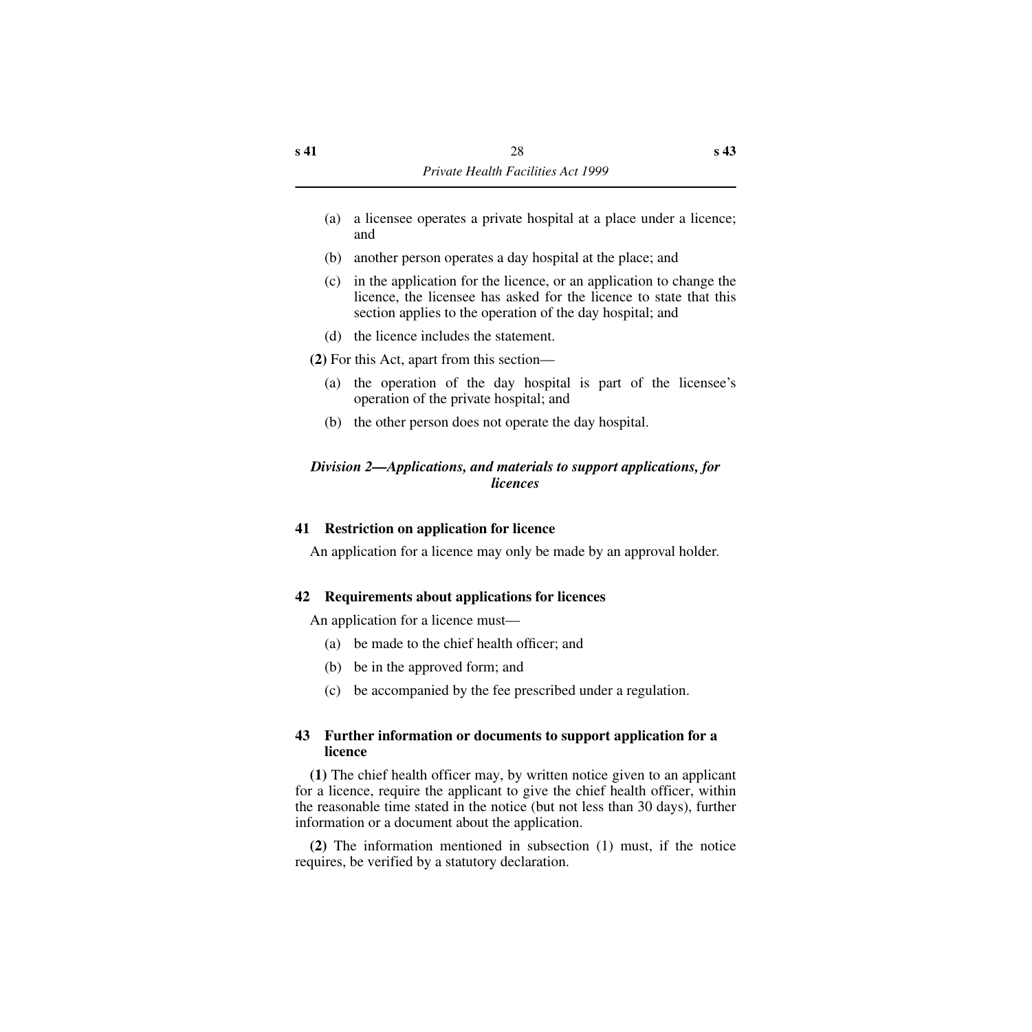- (a) a licensee operates a private hospital at a place under a licence; and
- (b) another person operates a day hospital at the place; and
- (c) in the application for the licence, or an application to change the licence, the licensee has asked for the licence to state that this section applies to the operation of the day hospital; and
- (d) the licence includes the statement.

**(2)** For this Act, apart from this section—

- (a) the operation of the day hospital is part of the licensee's operation of the private hospital; and
- (b) the other person does not operate the day hospital.

# <span id="page-29-0"></span>*Division 2—Applications, and materials to support applications, for licences*

# <span id="page-29-1"></span>**41 Restriction on application for licence**

An application for a licence may only be made by an approval holder.

# <span id="page-29-2"></span>**42 Requirements about applications for licences**

An application for a licence must—

- (a) be made to the chief health officer; and
- (b) be in the approved form; and
- (c) be accompanied by the fee prescribed under a regulation.

# <span id="page-29-3"></span>**43 Further information or documents to support application for a licence**

**(1)** The chief health officer may, by written notice given to an applicant for a licence, require the applicant to give the chief health officer, within the reasonable time stated in the notice (but not less than 30 days), further information or a document about the application.

**(2)** The information mentioned in subsection (1) must, if the notice requires, be verified by a statutory declaration.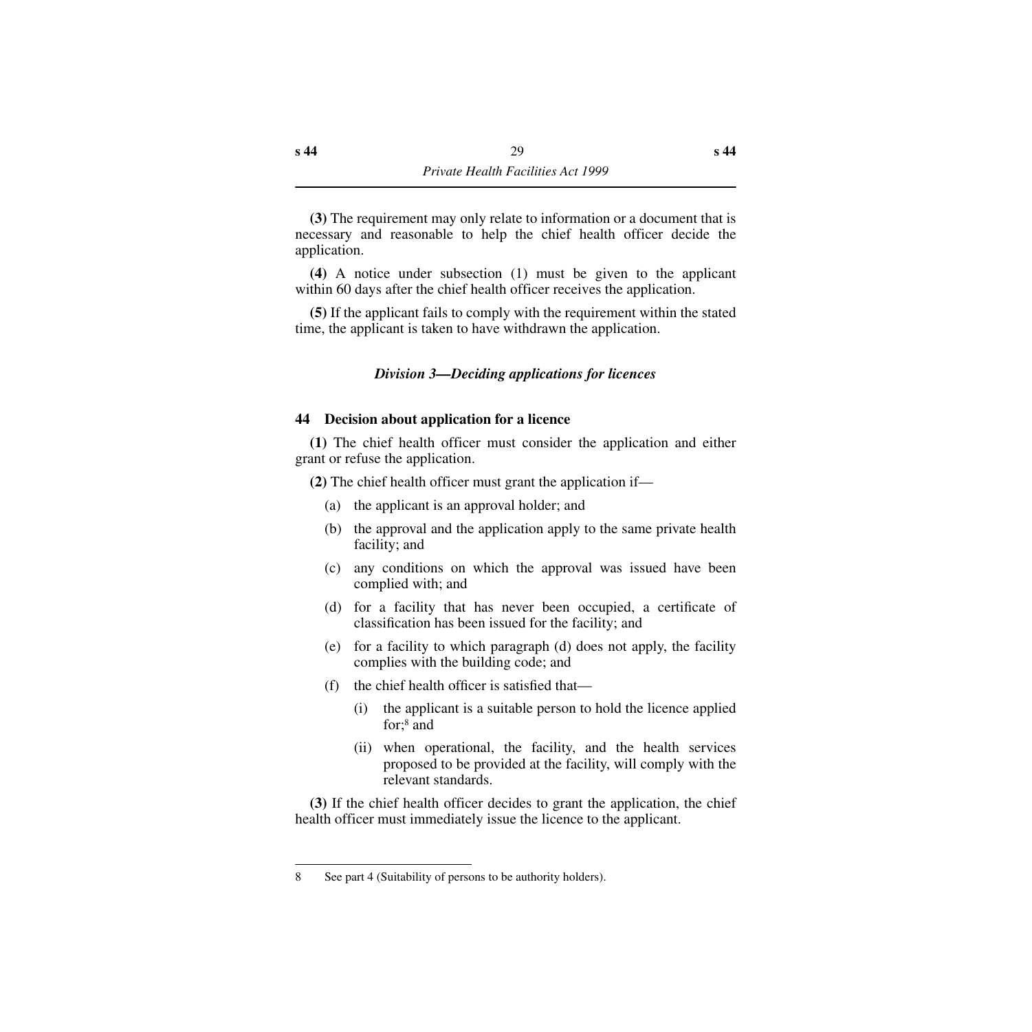**(3)** The requirement may only relate to information or a document that is necessary and reasonable to help the chief health officer decide the application.

**(4)** A notice under subsection (1) must be given to the applicant within 60 days after the chief health officer receives the application.

**(5)** If the applicant fails to comply with the requirement within the stated time, the applicant is taken to have withdrawn the application.

#### *Division 3—Deciding applications for licences*

#### <span id="page-30-1"></span><span id="page-30-0"></span>**44 Decision about application for a licence**

**(1)** The chief health officer must consider the application and either grant or refuse the application.

**(2)** The chief health officer must grant the application if—

- (a) the applicant is an approval holder; and
- (b) the approval and the application apply to the same private health facility; and
- (c) any conditions on which the approval was issued have been complied with; and
- (d) for a facility that has never been occupied, a certificate of classification has been issued for the facility; and
- (e) for a facility to which paragraph (d) does not apply, the facility complies with the building code; and
- (f) the chief health officer is satisfied that—
	- (i) the applicant is a suitable person to hold the licence applied for;8 and
	- (ii) when operational, the facility, and the health services proposed to be provided at the facility, will comply with the relevant standards.

**(3)** If the chief health officer decides to grant the application, the chief health officer must immediately issue the licence to the applicant.

<sup>8</sup> See part 4 (Suitability of persons to be authority holders).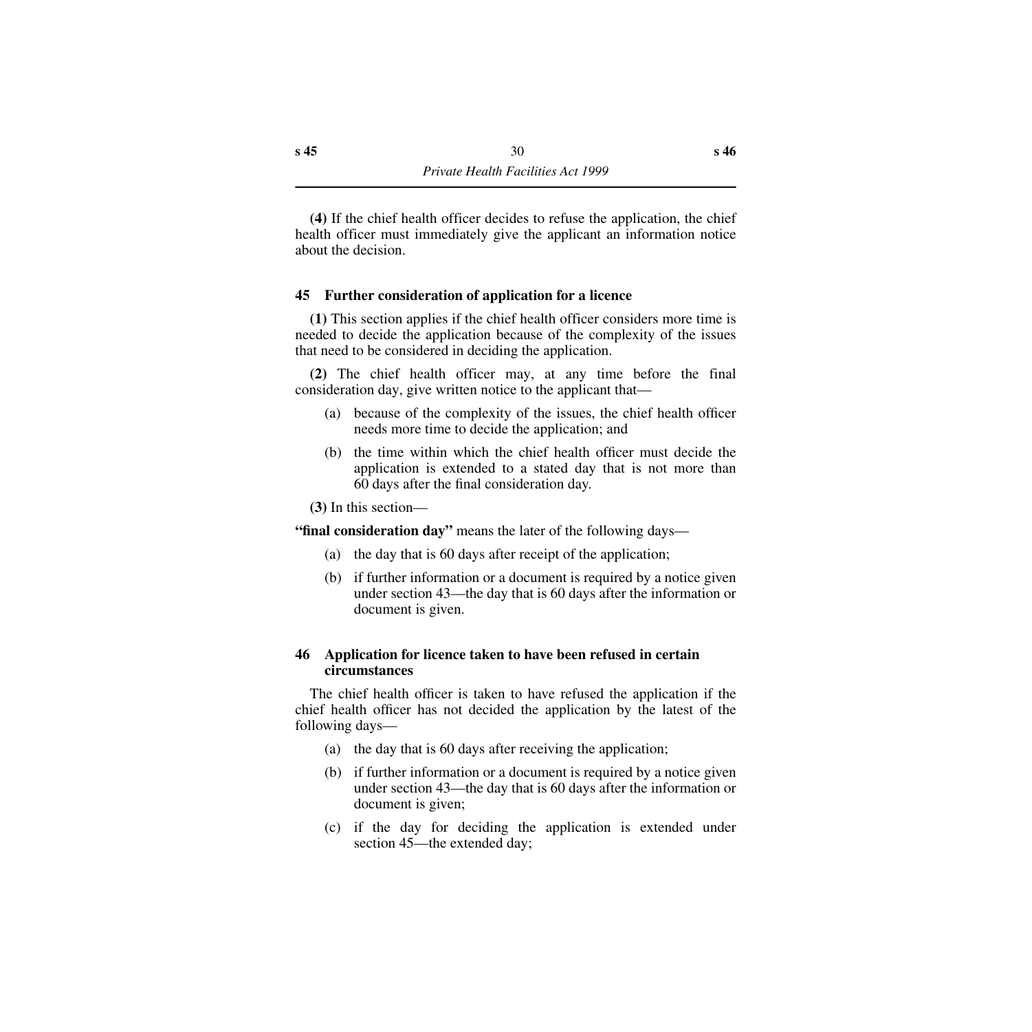**(4)** If the chief health officer decides to refuse the application, the chief health officer must immediately give the applicant an information notice about the decision.

## <span id="page-31-0"></span>**45 Further consideration of application for a licence**

**(1)** This section applies if the chief health officer considers more time is needed to decide the application because of the complexity of the issues that need to be considered in deciding the application.

**(2)** The chief health officer may, at any time before the final consideration day, give written notice to the applicant that—

- (a) because of the complexity of the issues, the chief health officer needs more time to decide the application; and
- (b) the time within which the chief health officer must decide the application is extended to a stated day that is not more than 60 days after the final consideration day.

**(3)** In this section—

**"final consideration day"** means the later of the following days—

- (a) the day that is 60 days after receipt of the application;
- (b) if further information or a document is required by a notice given under section 43—the day that is 60 days after the information or document is given.

## <span id="page-31-1"></span>**46 Application for licence taken to have been refused in certain circumstances**

The chief health officer is taken to have refused the application if the chief health officer has not decided the application by the latest of the following days—

- (a) the day that is 60 days after receiving the application;
- (b) if further information or a document is required by a notice given under section 43—the day that is 60 days after the information or document is given;
- (c) if the day for deciding the application is extended under section 45—the extended day;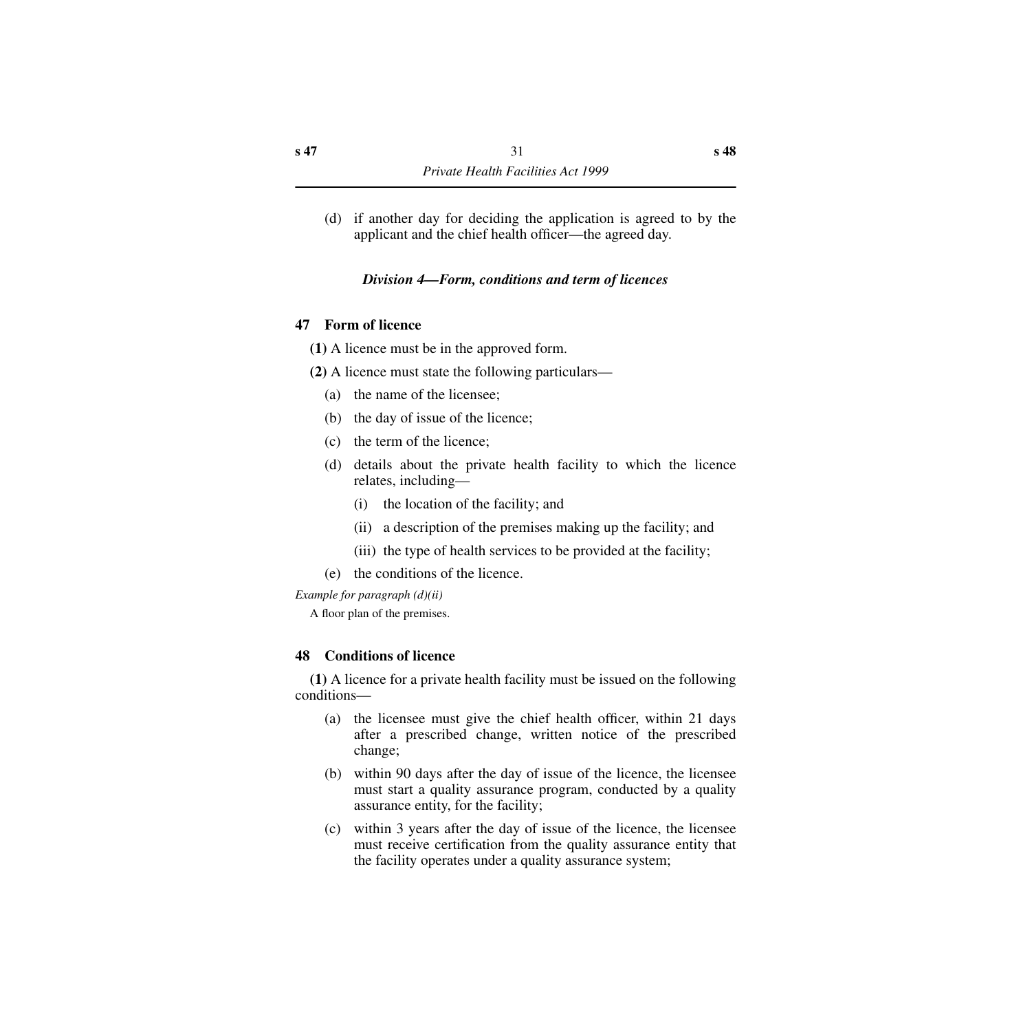(d) if another day for deciding the application is agreed to by the applicant and the chief health officer—the agreed day.

# *Division 4—Form, conditions and term of licences*

# <span id="page-32-1"></span><span id="page-32-0"></span>**47 Form of licence**

- **(1)** A licence must be in the approved form.
- **(2)** A licence must state the following particulars—
	- (a) the name of the licensee;
	- (b) the day of issue of the licence;
	- (c) the term of the licence;
	- (d) details about the private health facility to which the licence relates, including—
		- (i) the location of the facility; and
		- (ii) a description of the premises making up the facility; and
		- (iii) the type of health services to be provided at the facility;
	- (e) the conditions of the licence.

*Example for paragraph (d)(ii)*

A floor plan of the premises.

# <span id="page-32-2"></span>**48 Conditions of licence**

**(1)** A licence for a private health facility must be issued on the following conditions—

- (a) the licensee must give the chief health officer, within 21 days after a prescribed change, written notice of the prescribed change;
- (b) within 90 days after the day of issue of the licence, the licensee must start a quality assurance program, conducted by a quality assurance entity, for the facility;
- (c) within 3 years after the day of issue of the licence, the licensee must receive certification from the quality assurance entity that the facility operates under a quality assurance system;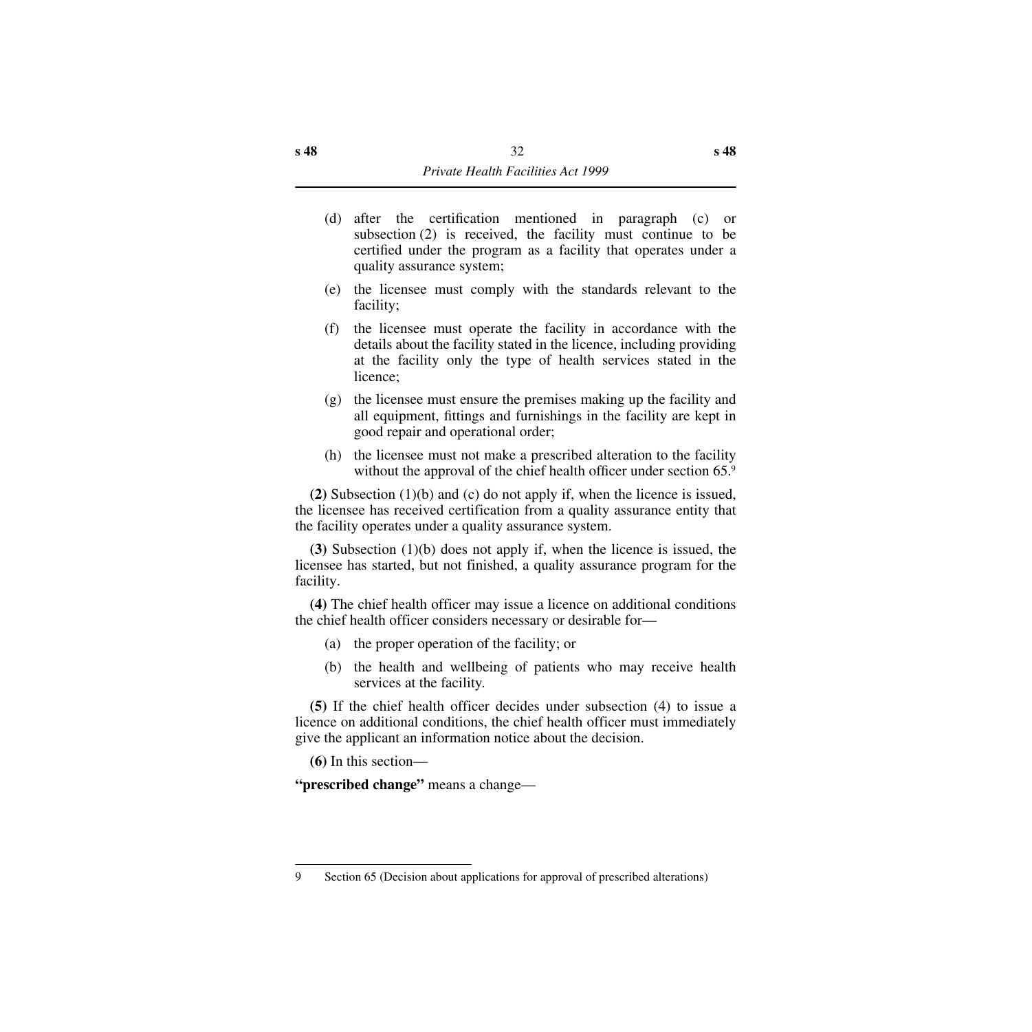- (d) after the certification mentioned in paragraph (c) or subsection (2) is received, the facility must continue to be certified under the program as a facility that operates under a quality assurance system;
- (e) the licensee must comply with the standards relevant to the facility;
- (f) the licensee must operate the facility in accordance with the details about the facility stated in the licence, including providing at the facility only the type of health services stated in the licence;
- (g) the licensee must ensure the premises making up the facility and all equipment, fittings and furnishings in the facility are kept in good repair and operational order;
- (h) the licensee must not make a prescribed alteration to the facility without the approval of the chief health officer under section 65.9

**(2)** Subsection (1)(b) and (c) do not apply if, when the licence is issued, the licensee has received certification from a quality assurance entity that the facility operates under a quality assurance system.

**(3)** Subsection (1)(b) does not apply if, when the licence is issued, the licensee has started, but not finished, a quality assurance program for the facility.

**(4)** The chief health officer may issue a licence on additional conditions the chief health officer considers necessary or desirable for—

- (a) the proper operation of the facility; or
- (b) the health and wellbeing of patients who may receive health services at the facility.

**(5)** If the chief health officer decides under subsection (4) to issue a licence on additional conditions, the chief health officer must immediately give the applicant an information notice about the decision.

**(6)** In this section—

**"prescribed change"** means a change—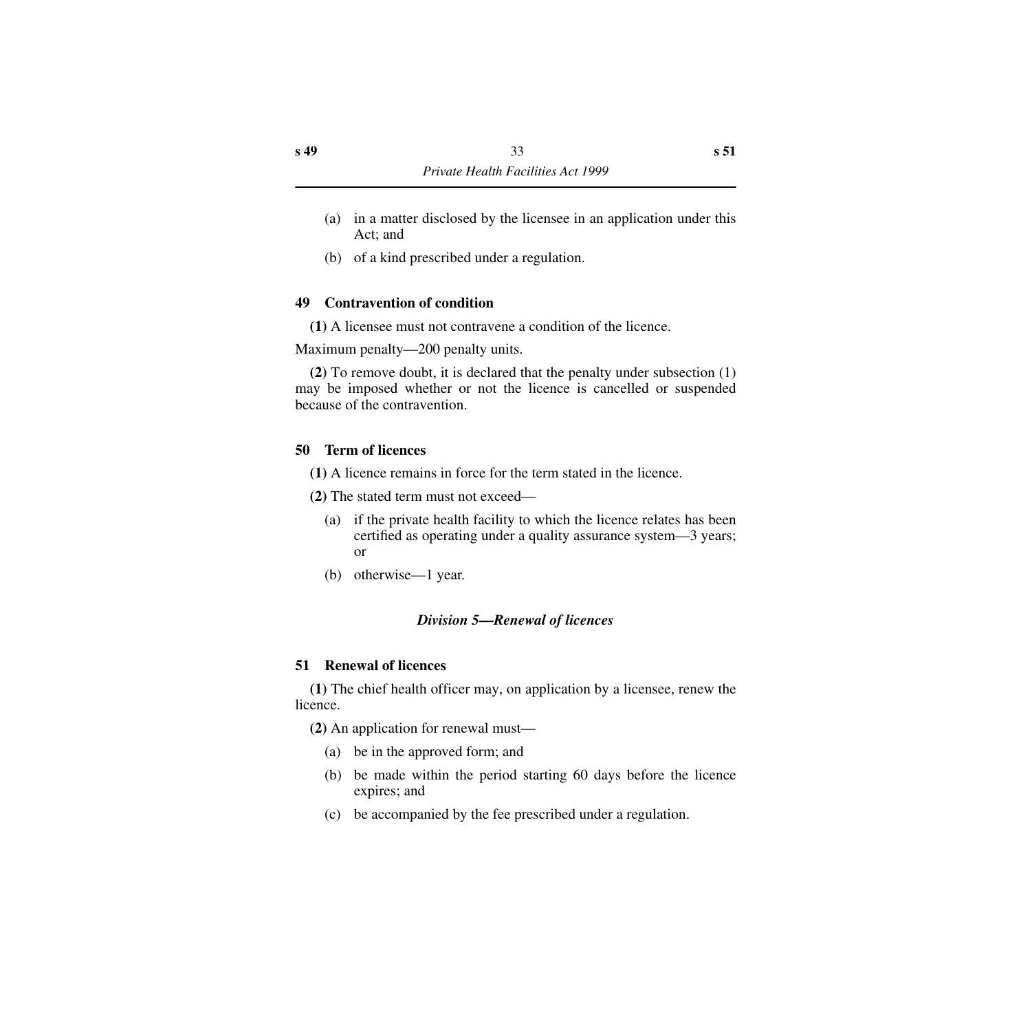- (a) in a matter disclosed by the licensee in an application under this Act; and
- (b) of a kind prescribed under a regulation.

# <span id="page-34-0"></span>**49 Contravention of condition**

**(1)** A licensee must not contravene a condition of the licence.

Maximum penalty—200 penalty units.

**(2)** To remove doubt, it is declared that the penalty under subsection (1) may be imposed whether or not the licence is cancelled or suspended because of the contravention.

# <span id="page-34-1"></span>**50 Term of licences**

**(1)** A licence remains in force for the term stated in the licence.

**(2)** The stated term must not exceed—

- (a) if the private health facility to which the licence relates has been certified as operating under a quality assurance system—3 years; or
- (b) otherwise—1 year.

# *Division 5—Renewal of licences*

# <span id="page-34-3"></span><span id="page-34-2"></span>**51 Renewal of licences**

**(1)** The chief health officer may, on application by a licensee, renew the licence.

**(2)** An application for renewal must—

- (a) be in the approved form; and
- (b) be made within the period starting 60 days before the licence expires; and
- (c) be accompanied by the fee prescribed under a regulation.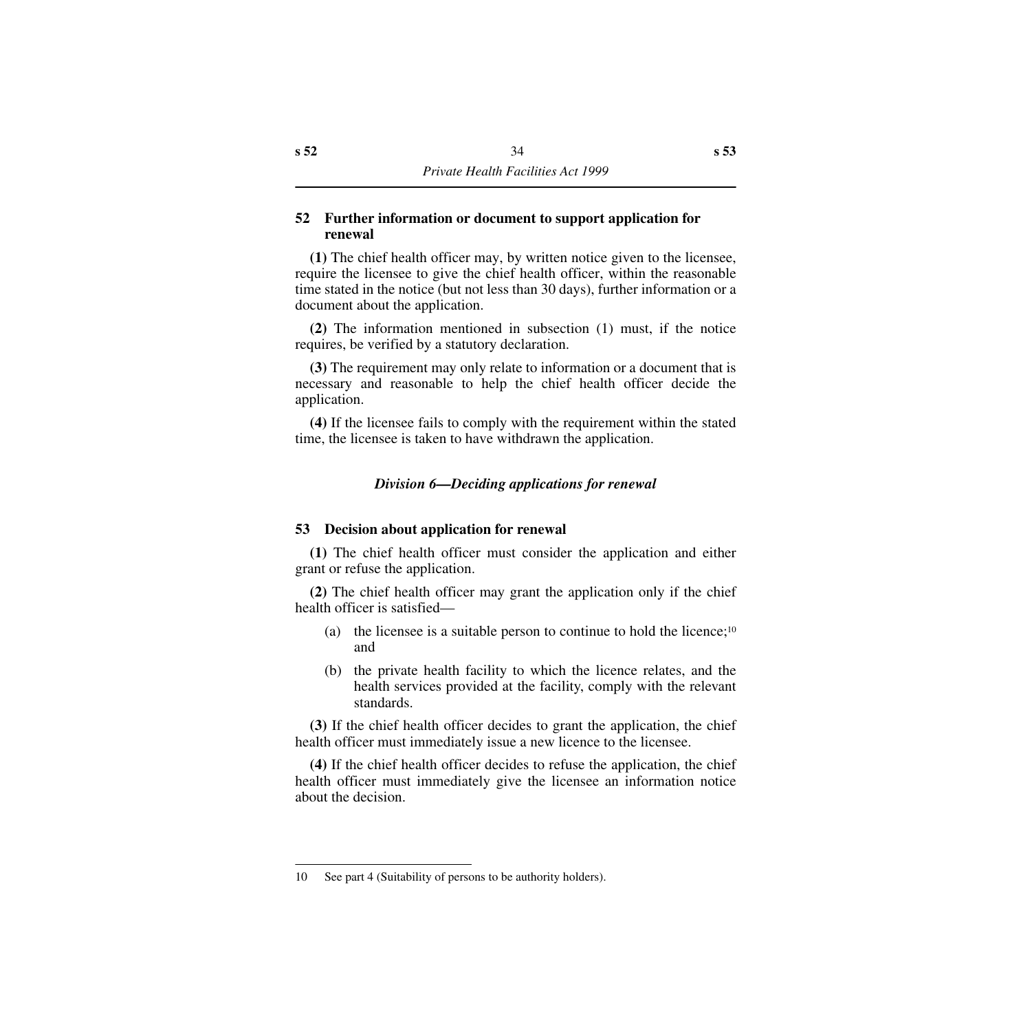#### <span id="page-35-0"></span>**52 Further information or document to support application for renewal**

**(1)** The chief health officer may, by written notice given to the licensee, require the licensee to give the chief health officer, within the reasonable time stated in the notice (but not less than 30 days), further information or a document about the application.

**(2)** The information mentioned in subsection (1) must, if the notice requires, be verified by a statutory declaration.

**(3)** The requirement may only relate to information or a document that is necessary and reasonable to help the chief health officer decide the application.

**(4)** If the licensee fails to comply with the requirement within the stated time, the licensee is taken to have withdrawn the application.

# *Division 6—Deciding applications for renewal*

#### <span id="page-35-2"></span><span id="page-35-1"></span>**53 Decision about application for renewal**

**(1)** The chief health officer must consider the application and either grant or refuse the application.

**(2)** The chief health officer may grant the application only if the chief health officer is satisfied—

- (a) the licensee is a suitable person to continue to hold the licence;<sup>10</sup> and
- (b) the private health facility to which the licence relates, and the health services provided at the facility, comply with the relevant standards.

**(3)** If the chief health officer decides to grant the application, the chief health officer must immediately issue a new licence to the licensee.

**(4)** If the chief health officer decides to refuse the application, the chief health officer must immediately give the licensee an information notice about the decision.

<sup>10</sup> See part 4 (Suitability of persons to be authority holders).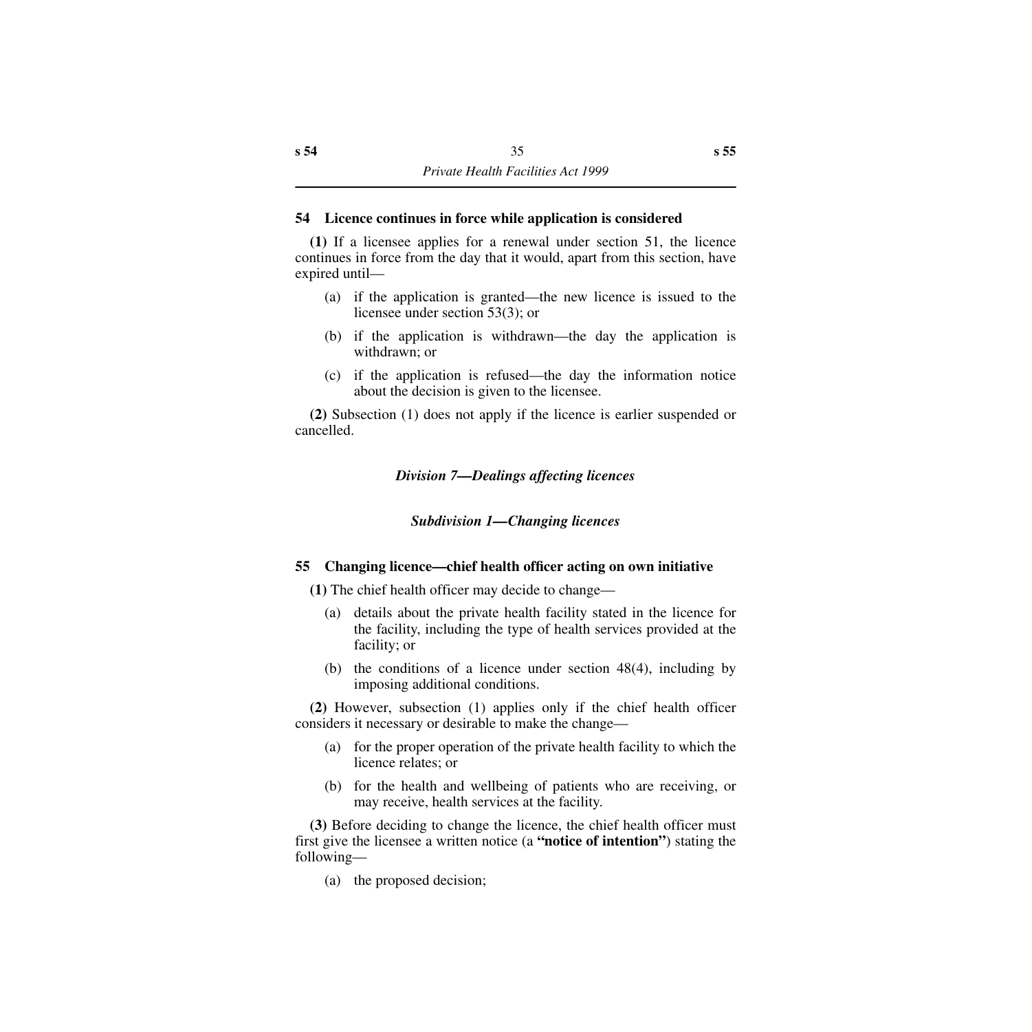## **54 Licence continues in force while application is considered**

**(1)** If a licensee applies for a renewal under section 51, the licence continues in force from the day that it would, apart from this section, have expired until—

- (a) if the application is granted—the new licence is issued to the licensee under section 53(3); or
- (b) if the application is withdrawn—the day the application is withdrawn; or
- (c) if the application is refused—the day the information notice about the decision is given to the licensee.

**(2)** Subsection (1) does not apply if the licence is earlier suspended or cancelled.

*Division 7—Dealings affecting licences*

*Subdivision 1—Changing licences*

## **55 Changing licence—chief health officer acting on own initiative**

**(1)** The chief health officer may decide to change—

- (a) details about the private health facility stated in the licence for the facility, including the type of health services provided at the facility; or
- (b) the conditions of a licence under section 48(4), including by imposing additional conditions.

**(2)** However, subsection (1) applies only if the chief health officer considers it necessary or desirable to make the change—

- (a) for the proper operation of the private health facility to which the licence relates; or
- (b) for the health and wellbeing of patients who are receiving, or may receive, health services at the facility.

**(3)** Before deciding to change the licence, the chief health officer must first give the licensee a written notice (a **"notice of intention"**) stating the following—

(a) the proposed decision;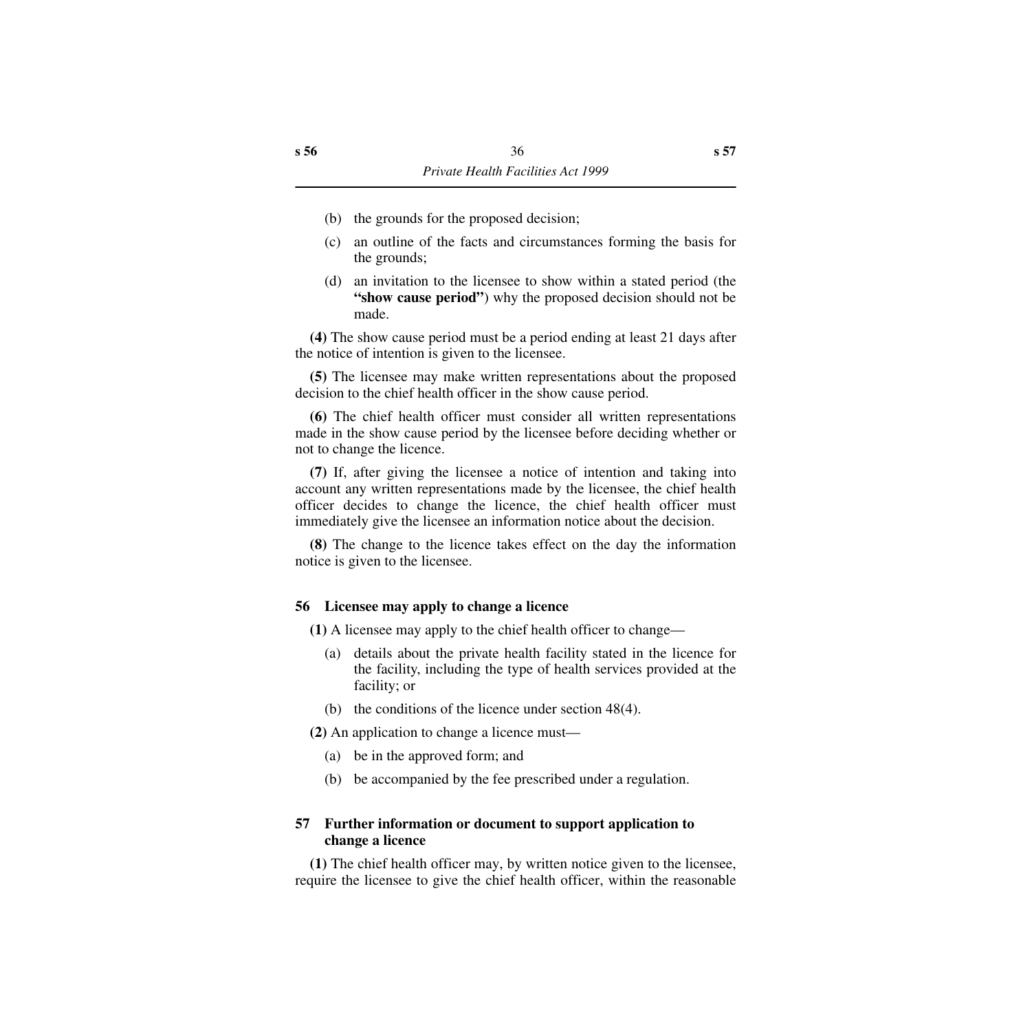- (b) the grounds for the proposed decision;
- (c) an outline of the facts and circumstances forming the basis for the grounds;
- (d) an invitation to the licensee to show within a stated period (the **"show cause period"**) why the proposed decision should not be made.

**(4)** The show cause period must be a period ending at least 21 days after the notice of intention is given to the licensee.

**(5)** The licensee may make written representations about the proposed decision to the chief health officer in the show cause period.

**(6)** The chief health officer must consider all written representations made in the show cause period by the licensee before deciding whether or not to change the licence.

**(7)** If, after giving the licensee a notice of intention and taking into account any written representations made by the licensee, the chief health officer decides to change the licence, the chief health officer must immediately give the licensee an information notice about the decision.

**(8)** The change to the licence takes effect on the day the information notice is given to the licensee.

## **56 Licensee may apply to change a licence**

**(1)** A licensee may apply to the chief health officer to change—

- (a) details about the private health facility stated in the licence for the facility, including the type of health services provided at the facility; or
- (b) the conditions of the licence under section 48(4).

**(2)** An application to change a licence must—

- (a) be in the approved form; and
- (b) be accompanied by the fee prescribed under a regulation.

## **57 Further information or document to support application to change a licence**

**(1)** The chief health officer may, by written notice given to the licensee, require the licensee to give the chief health officer, within the reasonable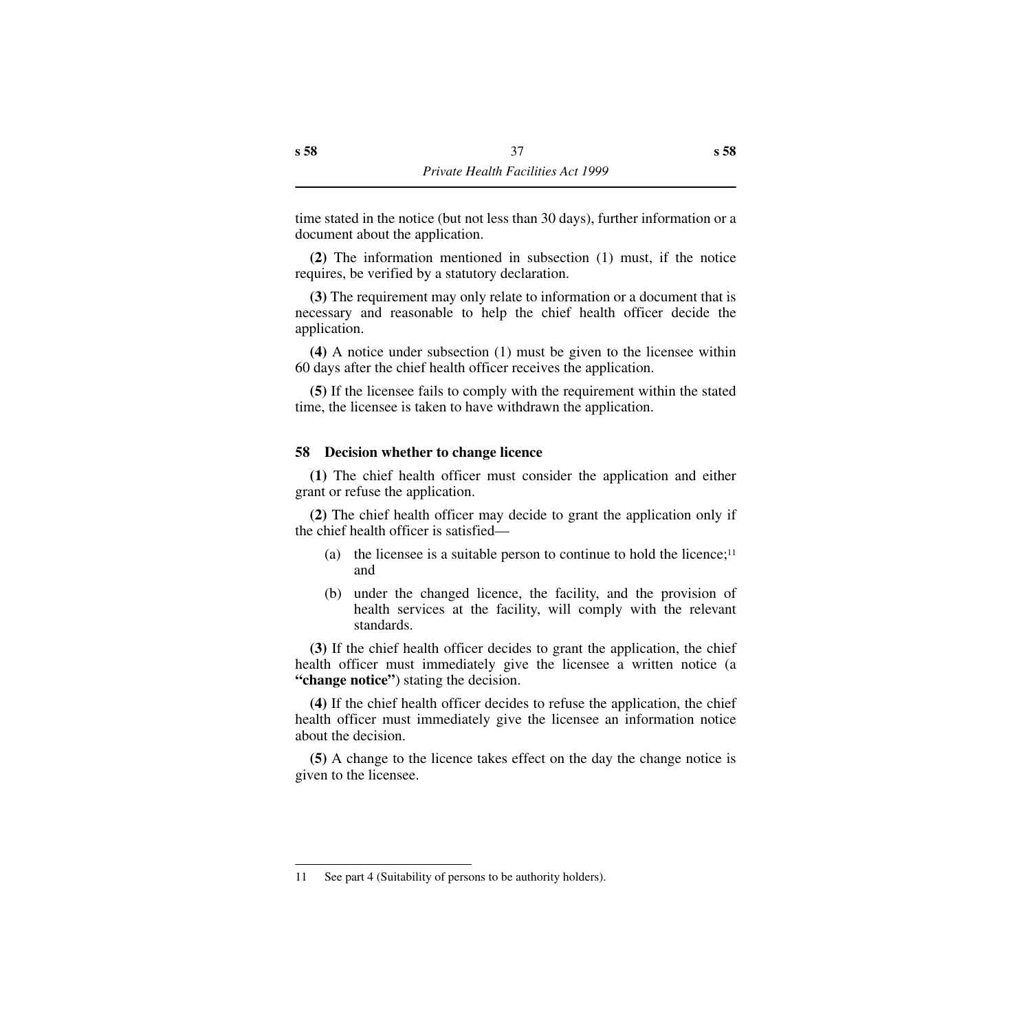time stated in the notice (but not less than 30 days), further information or a document about the application.

**(2)** The information mentioned in subsection (1) must, if the notice requires, be verified by a statutory declaration.

**(3)** The requirement may only relate to information or a document that is necessary and reasonable to help the chief health officer decide the application.

**(4)** A notice under subsection (1) must be given to the licensee within 60 days after the chief health officer receives the application.

**(5)** If the licensee fails to comply with the requirement within the stated time, the licensee is taken to have withdrawn the application.

## **58 Decision whether to change licence**

**(1)** The chief health officer must consider the application and either grant or refuse the application.

**(2)** The chief health officer may decide to grant the application only if the chief health officer is satisfied—

- (a) the licensee is a suitable person to continue to hold the licence;<sup>11</sup> and
- (b) under the changed licence, the facility, and the provision of health services at the facility, will comply with the relevant standards.

**(3)** If the chief health officer decides to grant the application, the chief health officer must immediately give the licensee a written notice (a **"change notice"**) stating the decision.

**(4)** If the chief health officer decides to refuse the application, the chief health officer must immediately give the licensee an information notice about the decision.

**(5)** A change to the licence takes effect on the day the change notice is given to the licensee.

<sup>11</sup> See part 4 (Suitability of persons to be authority holders).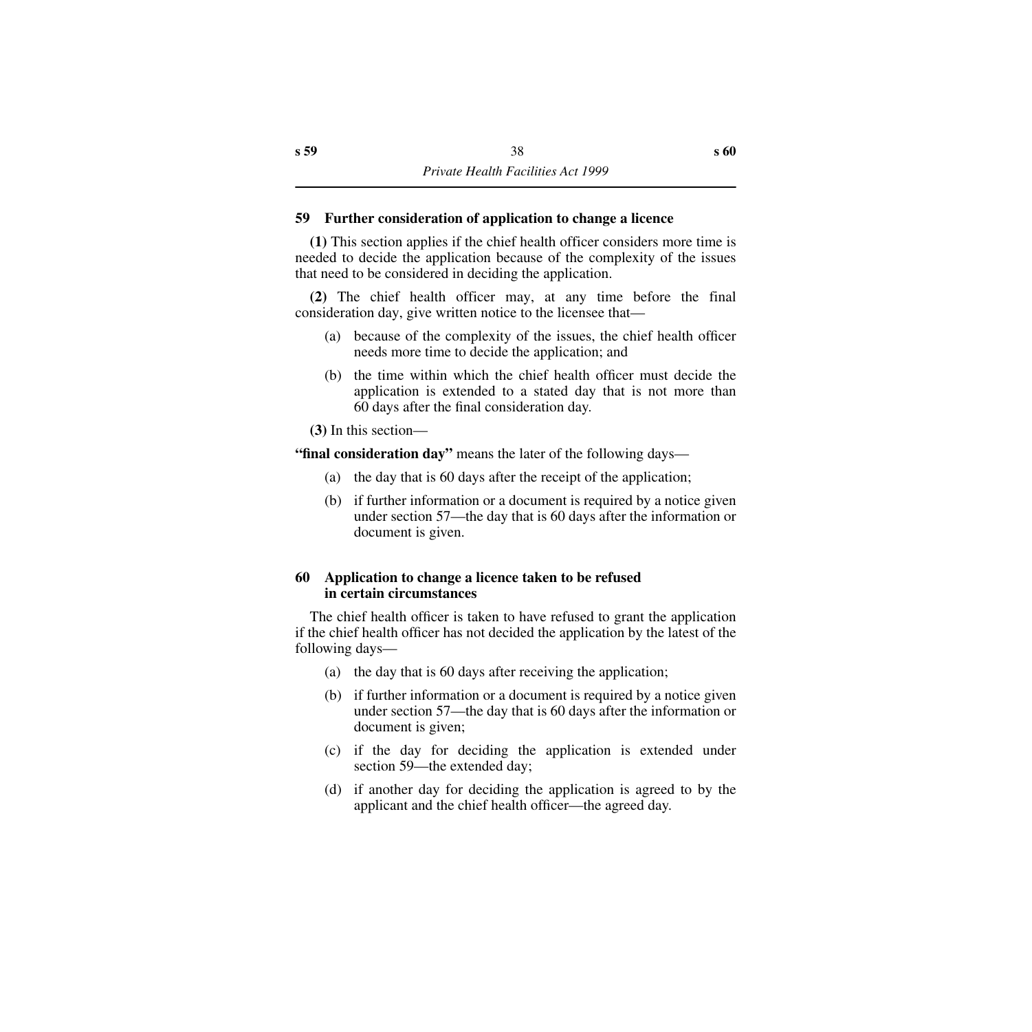## **59 Further consideration of application to change a licence**

**(1)** This section applies if the chief health officer considers more time is needed to decide the application because of the complexity of the issues that need to be considered in deciding the application.

**(2)** The chief health officer may, at any time before the final consideration day, give written notice to the licensee that—

- (a) because of the complexity of the issues, the chief health officer needs more time to decide the application; and
- (b) the time within which the chief health officer must decide the application is extended to a stated day that is not more than 60 days after the final consideration day.

**(3)** In this section—

**"final consideration day"** means the later of the following days—

- (a) the day that is 60 days after the receipt of the application;
- (b) if further information or a document is required by a notice given under section 57—the day that is 60 days after the information or document is given.

## **60 Application to change a licence taken to be refused in certain circumstances**

The chief health officer is taken to have refused to grant the application if the chief health officer has not decided the application by the latest of the following days—

- (a) the day that is 60 days after receiving the application;
- (b) if further information or a document is required by a notice given under section 57—the day that is 60 days after the information or document is given;
- (c) if the day for deciding the application is extended under section 59—the extended day;
- (d) if another day for deciding the application is agreed to by the applicant and the chief health officer—the agreed day.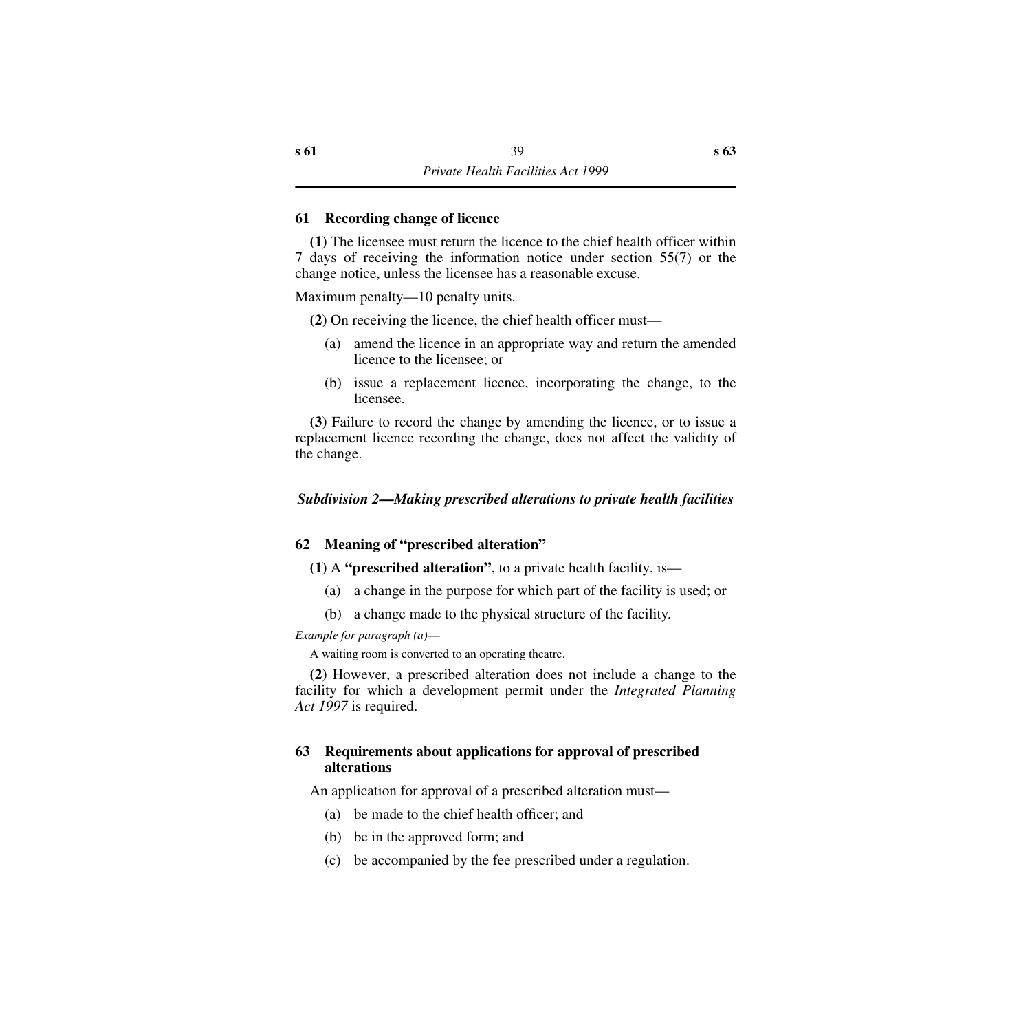## **61 Recording change of licence**

**(1)** The licensee must return the licence to the chief health officer within 7 days of receiving the information notice under section 55(7) or the change notice, unless the licensee has a reasonable excuse.

Maximum penalty—10 penalty units.

**(2)** On receiving the licence, the chief health officer must—

- (a) amend the licence in an appropriate way and return the amended licence to the licensee; or
- (b) issue a replacement licence, incorporating the change, to the licensee.

**(3)** Failure to record the change by amending the licence, or to issue a replacement licence recording the change, does not affect the validity of the change.

## *Subdivision 2—Making prescribed alterations to private health facilities*

## **62 Meaning of "prescribed alteration"**

- **(1)** A **"prescribed alteration"**, to a private health facility, is—
	- (a) a change in the purpose for which part of the facility is used; or
	- (b) a change made to the physical structure of the facility.

*Example for paragraph (a)*—

A waiting room is converted to an operating theatre.

**(2)** However, a prescribed alteration does not include a change to the facility for which a development permit under the *Integrated Planning Act 1997* is required.

## **63 Requirements about applications for approval of prescribed alterations**

An application for approval of a prescribed alteration must—

- (a) be made to the chief health officer; and
- (b) be in the approved form; and
- (c) be accompanied by the fee prescribed under a regulation.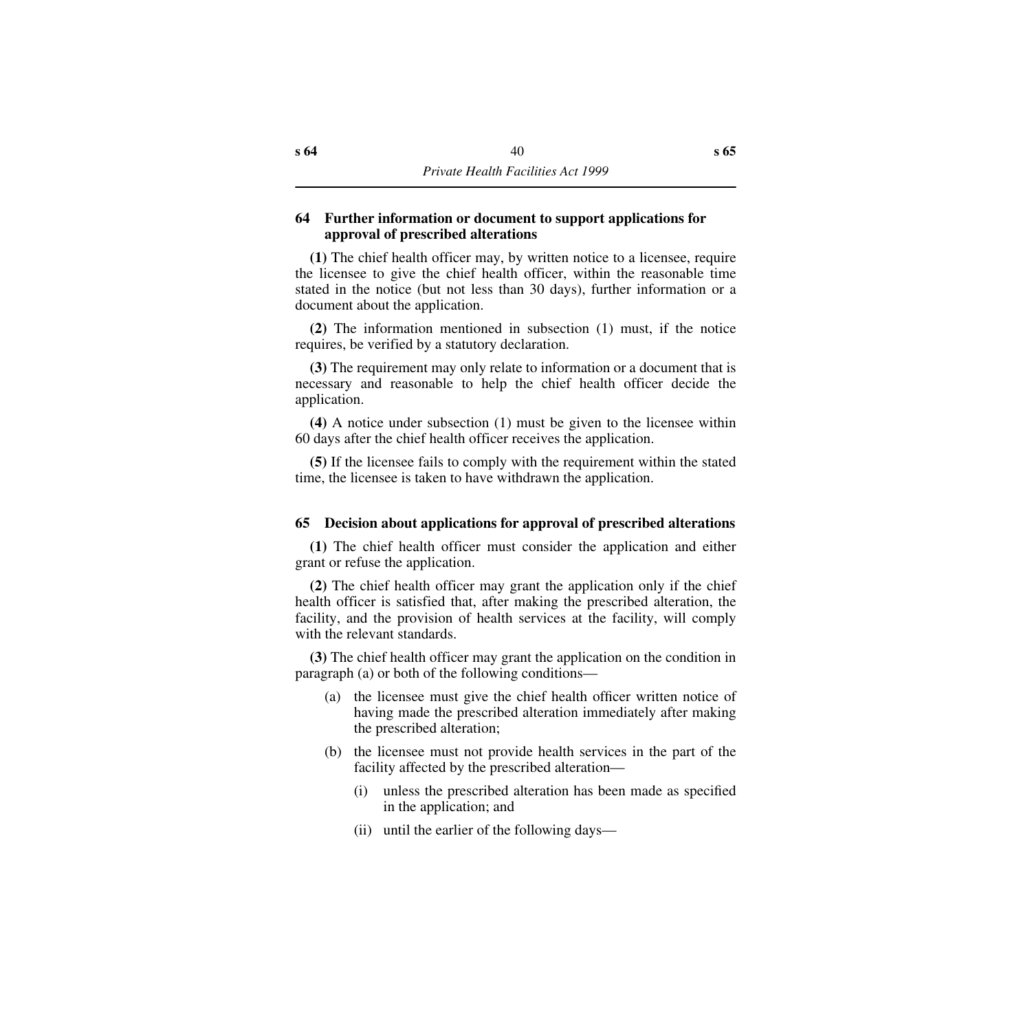## **64 Further information or document to support applications for approval of prescribed alterations**

**(1)** The chief health officer may, by written notice to a licensee, require the licensee to give the chief health officer, within the reasonable time stated in the notice (but not less than 30 days), further information or a document about the application.

**(2)** The information mentioned in subsection (1) must, if the notice requires, be verified by a statutory declaration.

**(3)** The requirement may only relate to information or a document that is necessary and reasonable to help the chief health officer decide the application.

**(4)** A notice under subsection (1) must be given to the licensee within 60 days after the chief health officer receives the application.

**(5)** If the licensee fails to comply with the requirement within the stated time, the licensee is taken to have withdrawn the application.

## **65 Decision about applications for approval of prescribed alterations**

**(1)** The chief health officer must consider the application and either grant or refuse the application.

**(2)** The chief health officer may grant the application only if the chief health officer is satisfied that, after making the prescribed alteration, the facility, and the provision of health services at the facility, will comply with the relevant standards.

**(3)** The chief health officer may grant the application on the condition in paragraph (a) or both of the following conditions—

- (a) the licensee must give the chief health officer written notice of having made the prescribed alteration immediately after making the prescribed alteration;
- (b) the licensee must not provide health services in the part of the facility affected by the prescribed alteration—
	- (i) unless the prescribed alteration has been made as specified in the application; and
	- (ii) until the earlier of the following days—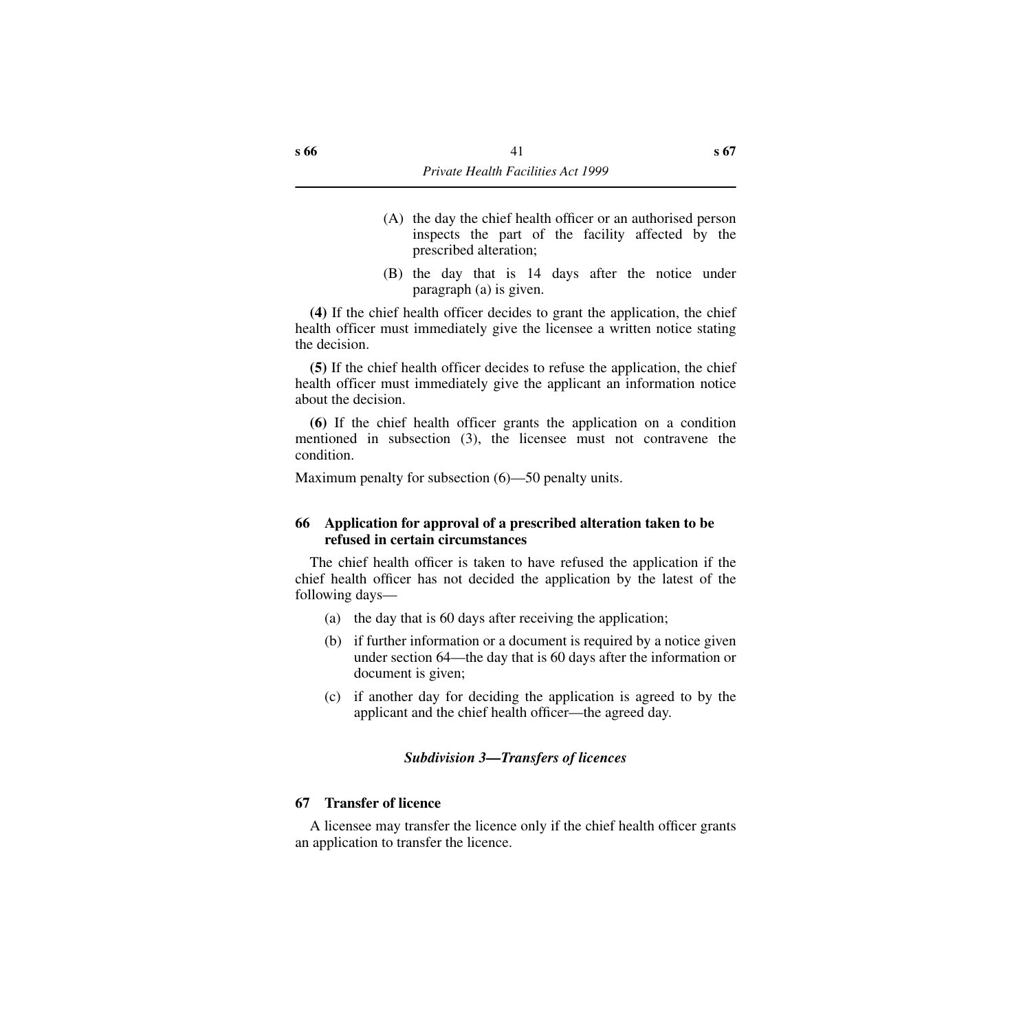- (A) the day the chief health officer or an authorised person inspects the part of the facility affected by the prescribed alteration;
- (B) the day that is 14 days after the notice under paragraph (a) is given.

**(4)** If the chief health officer decides to grant the application, the chief health officer must immediately give the licensee a written notice stating the decision.

**(5)** If the chief health officer decides to refuse the application, the chief health officer must immediately give the applicant an information notice about the decision.

**(6)** If the chief health officer grants the application on a condition mentioned in subsection (3), the licensee must not contravene the condition.

Maximum penalty for subsection (6)—50 penalty units.

## **66 Application for approval of a prescribed alteration taken to be refused in certain circumstances**

The chief health officer is taken to have refused the application if the chief health officer has not decided the application by the latest of the following days—

- (a) the day that is 60 days after receiving the application;
- (b) if further information or a document is required by a notice given under section 64—the day that is 60 days after the information or document is given;
- (c) if another day for deciding the application is agreed to by the applicant and the chief health officer—the agreed day.

## *Subdivision 3—Transfers of licences*

## **67 Transfer of licence**

A licensee may transfer the licence only if the chief health officer grants an application to transfer the licence.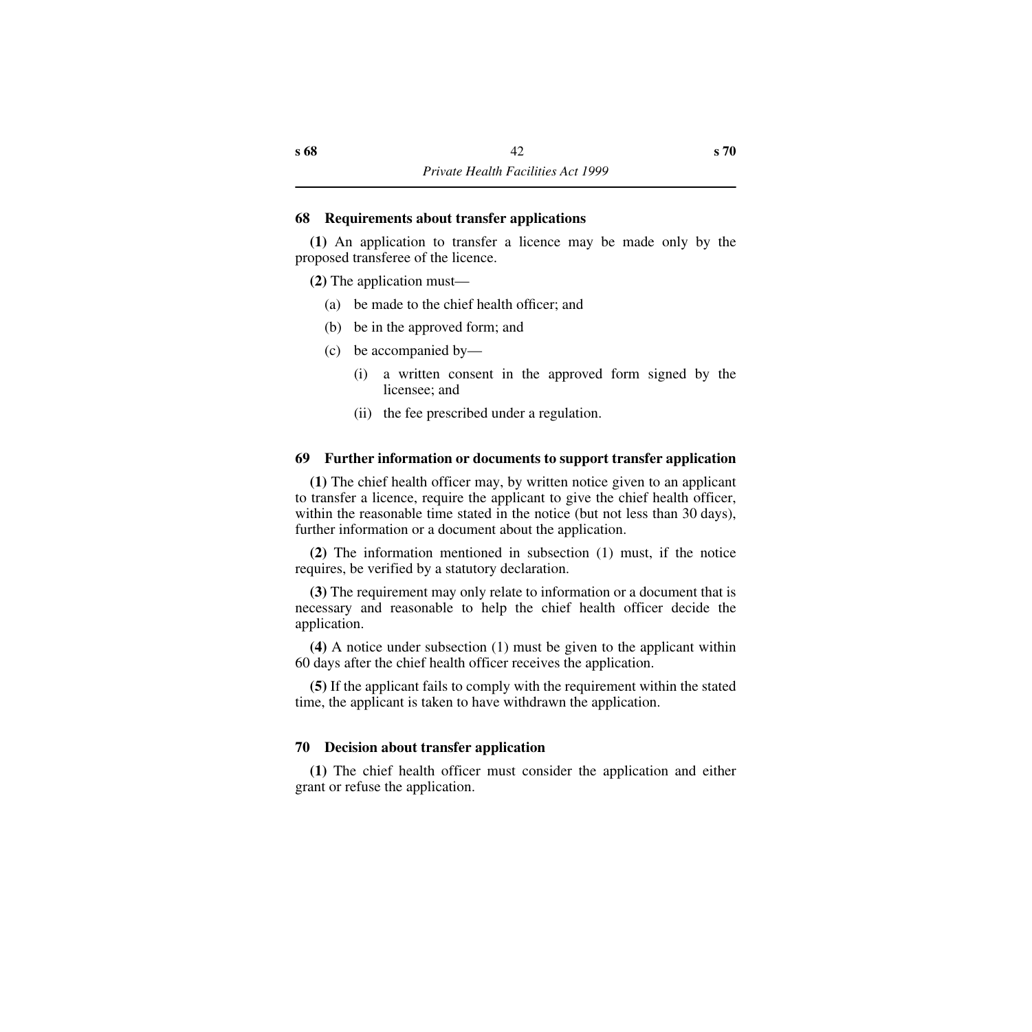### **68 Requirements about transfer applications**

**(1)** An application to transfer a licence may be made only by the proposed transferee of the licence.

**(2)** The application must—

- (a) be made to the chief health officer; and
- (b) be in the approved form; and
- (c) be accompanied by—
	- (i) a written consent in the approved form signed by the licensee; and
	- (ii) the fee prescribed under a regulation.

### **69 Further information or documents to support transfer application**

**(1)** The chief health officer may, by written notice given to an applicant to transfer a licence, require the applicant to give the chief health officer, within the reasonable time stated in the notice (but not less than 30 days), further information or a document about the application.

**(2)** The information mentioned in subsection (1) must, if the notice requires, be verified by a statutory declaration.

**(3)** The requirement may only relate to information or a document that is necessary and reasonable to help the chief health officer decide the application.

**(4)** A notice under subsection (1) must be given to the applicant within 60 days after the chief health officer receives the application.

**(5)** If the applicant fails to comply with the requirement within the stated time, the applicant is taken to have withdrawn the application.

## **70 Decision about transfer application**

**(1)** The chief health officer must consider the application and either grant or refuse the application.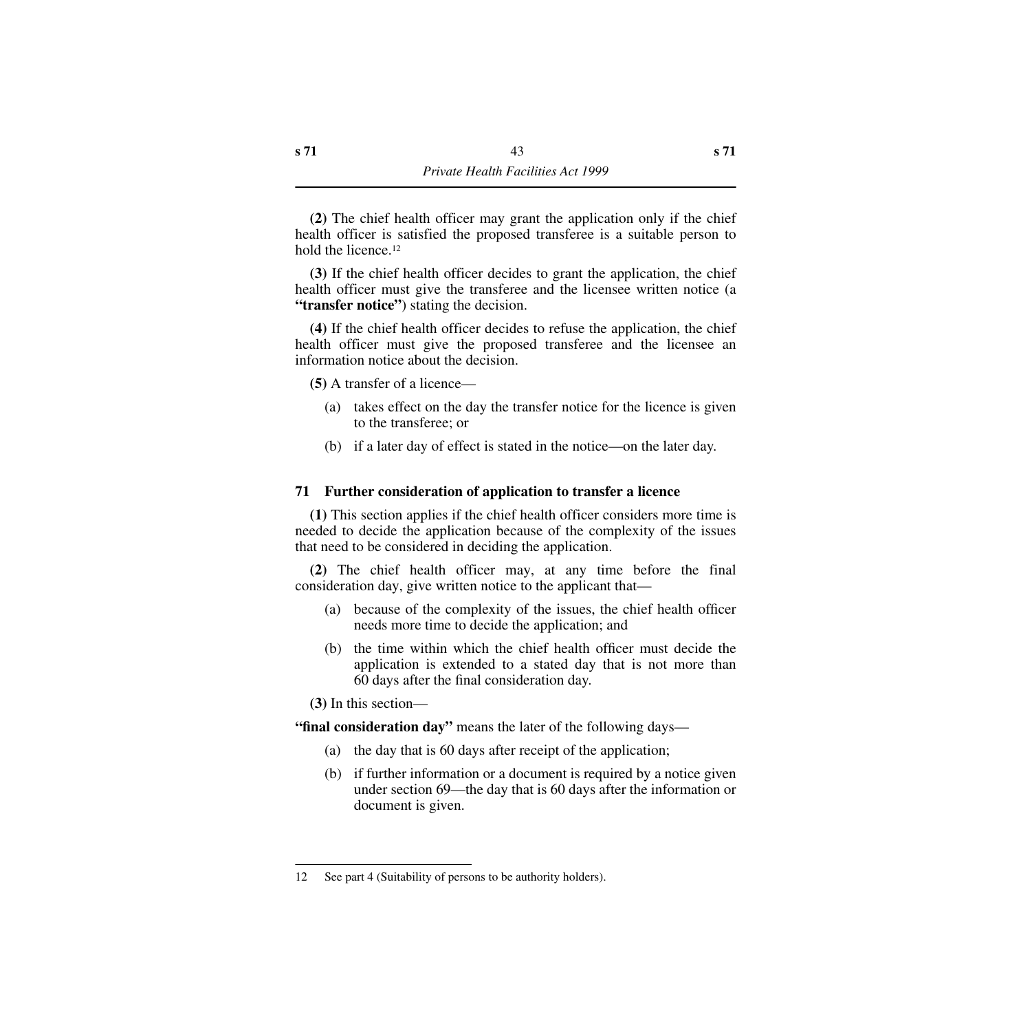**(2)** The chief health officer may grant the application only if the chief health officer is satisfied the proposed transferee is a suitable person to hold the licence.12

**(3)** If the chief health officer decides to grant the application, the chief health officer must give the transferee and the licensee written notice (a **"transfer notice"**) stating the decision.

**(4)** If the chief health officer decides to refuse the application, the chief health officer must give the proposed transferee and the licensee an information notice about the decision.

**(5)** A transfer of a licence—

- (a) takes effect on the day the transfer notice for the licence is given to the transferee; or
- (b) if a later day of effect is stated in the notice—on the later day.

## **71 Further consideration of application to transfer a licence**

**(1)** This section applies if the chief health officer considers more time is needed to decide the application because of the complexity of the issues that need to be considered in deciding the application.

**(2)** The chief health officer may, at any time before the final consideration day, give written notice to the applicant that—

- (a) because of the complexity of the issues, the chief health officer needs more time to decide the application; and
- (b) the time within which the chief health officer must decide the application is extended to a stated day that is not more than 60 days after the final consideration day.

**(3)** In this section—

**"final consideration day"** means the later of the following days—

- (a) the day that is 60 days after receipt of the application;
- (b) if further information or a document is required by a notice given under section 69—the day that is 60 days after the information or document is given.

<sup>12</sup> See part 4 (Suitability of persons to be authority holders).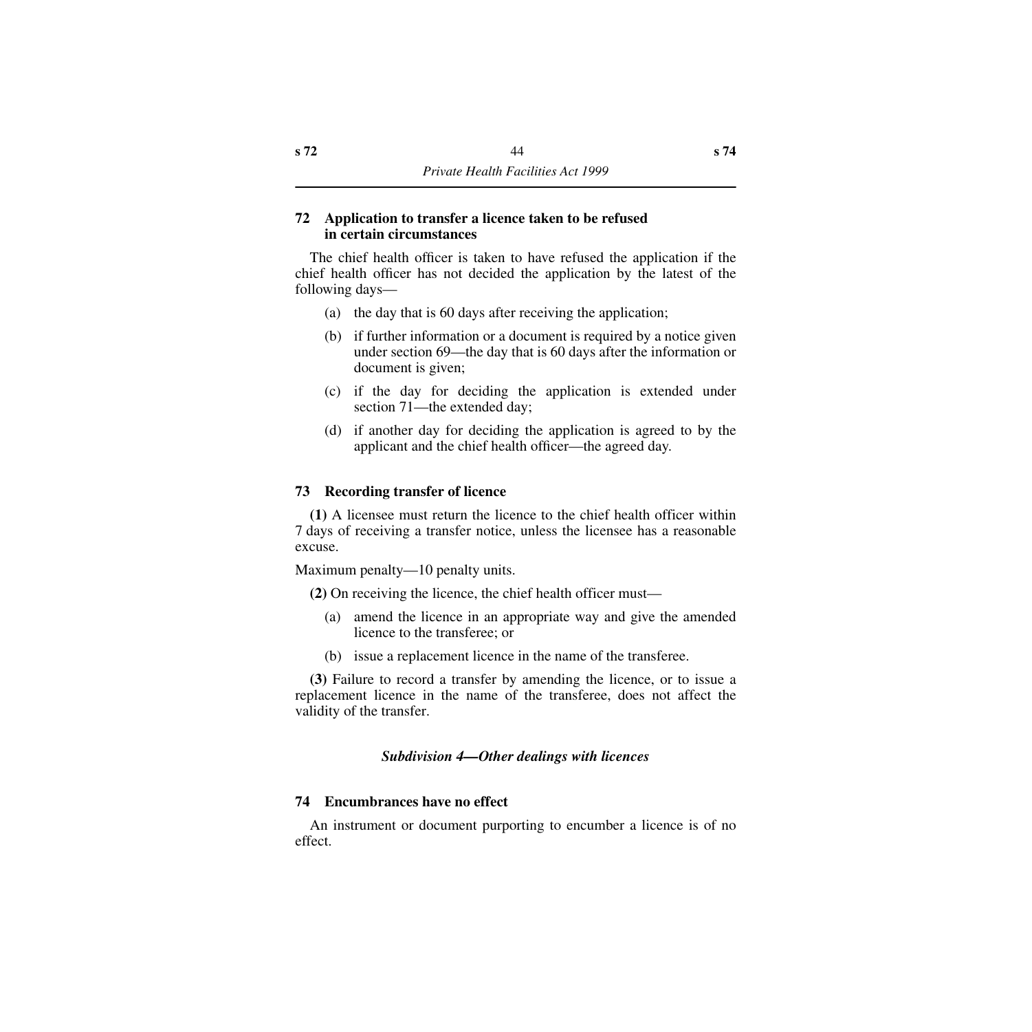## **72 Application to transfer a licence taken to be refused in certain circumstances**

The chief health officer is taken to have refused the application if the chief health officer has not decided the application by the latest of the following days—

- (a) the day that is 60 days after receiving the application;
- (b) if further information or a document is required by a notice given under section 69—the day that is 60 days after the information or document is given;
- (c) if the day for deciding the application is extended under section 71—the extended day;
- (d) if another day for deciding the application is agreed to by the applicant and the chief health officer—the agreed day.

## **73 Recording transfer of licence**

**(1)** A licensee must return the licence to the chief health officer within 7 days of receiving a transfer notice, unless the licensee has a reasonable excuse.

Maximum penalty—10 penalty units.

**(2)** On receiving the licence, the chief health officer must—

- (a) amend the licence in an appropriate way and give the amended licence to the transferee; or
- (b) issue a replacement licence in the name of the transferee.

**(3)** Failure to record a transfer by amending the licence, or to issue a replacement licence in the name of the transferee, does not affect the validity of the transfer.

# *Subdivision 4—Other dealings with licences*

## **74 Encumbrances have no effect**

An instrument or document purporting to encumber a licence is of no effect.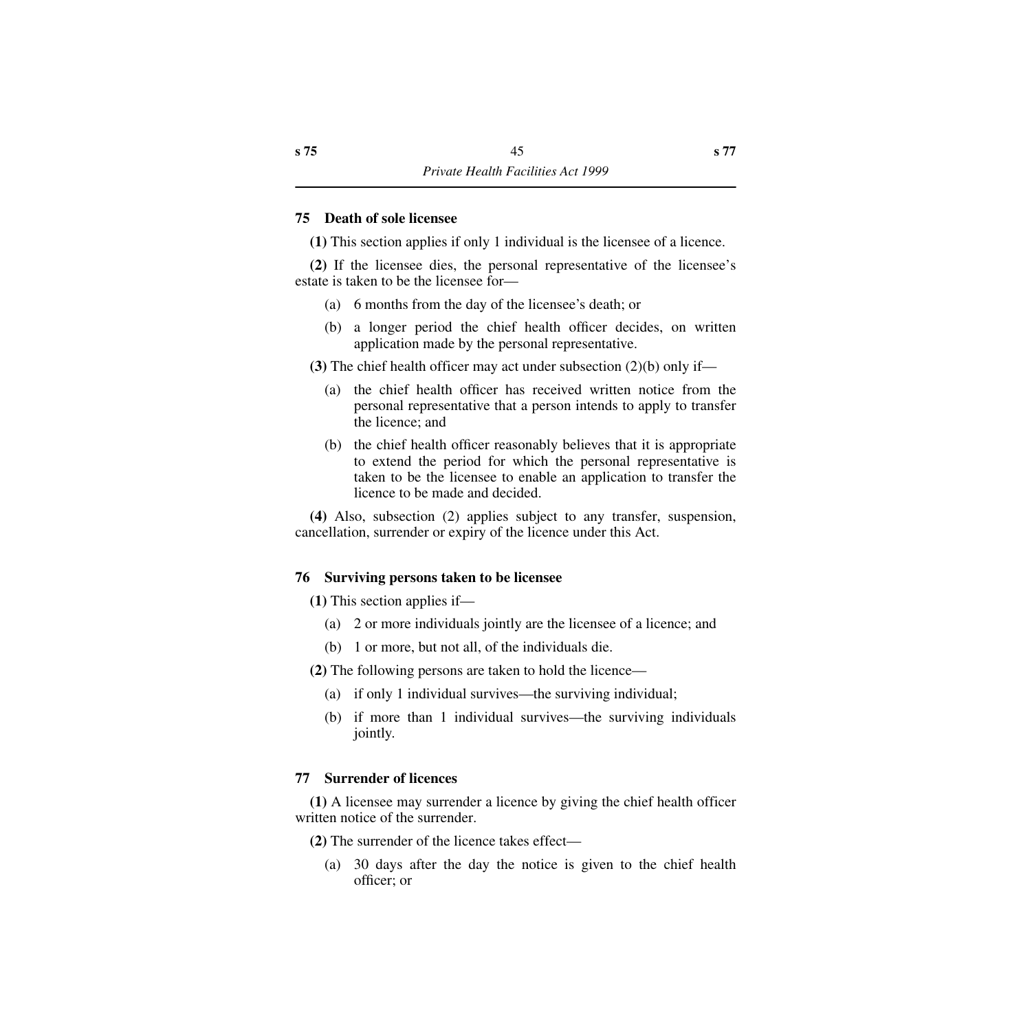### **75 Death of sole licensee**

**(1)** This section applies if only 1 individual is the licensee of a licence.

**(2)** If the licensee dies, the personal representative of the licensee's estate is taken to be the licensee for—

- (a) 6 months from the day of the licensee's death; or
- (b) a longer period the chief health officer decides, on written application made by the personal representative.

**(3)** The chief health officer may act under subsection (2)(b) only if—

- (a) the chief health officer has received written notice from the personal representative that a person intends to apply to transfer the licence; and
- (b) the chief health officer reasonably believes that it is appropriate to extend the period for which the personal representative is taken to be the licensee to enable an application to transfer the licence to be made and decided.

**(4)** Also, subsection (2) applies subject to any transfer, suspension, cancellation, surrender or expiry of the licence under this Act.

## **76 Surviving persons taken to be licensee**

**(1)** This section applies if—

- (a) 2 or more individuals jointly are the licensee of a licence; and
- (b) 1 or more, but not all, of the individuals die.

**(2)** The following persons are taken to hold the licence—

- (a) if only 1 individual survives—the surviving individual;
- (b) if more than 1 individual survives—the surviving individuals jointly.

## **77 Surrender of licences**

**(1)** A licensee may surrender a licence by giving the chief health officer written notice of the surrender.

**(2)** The surrender of the licence takes effect—

(a) 30 days after the day the notice is given to the chief health officer; or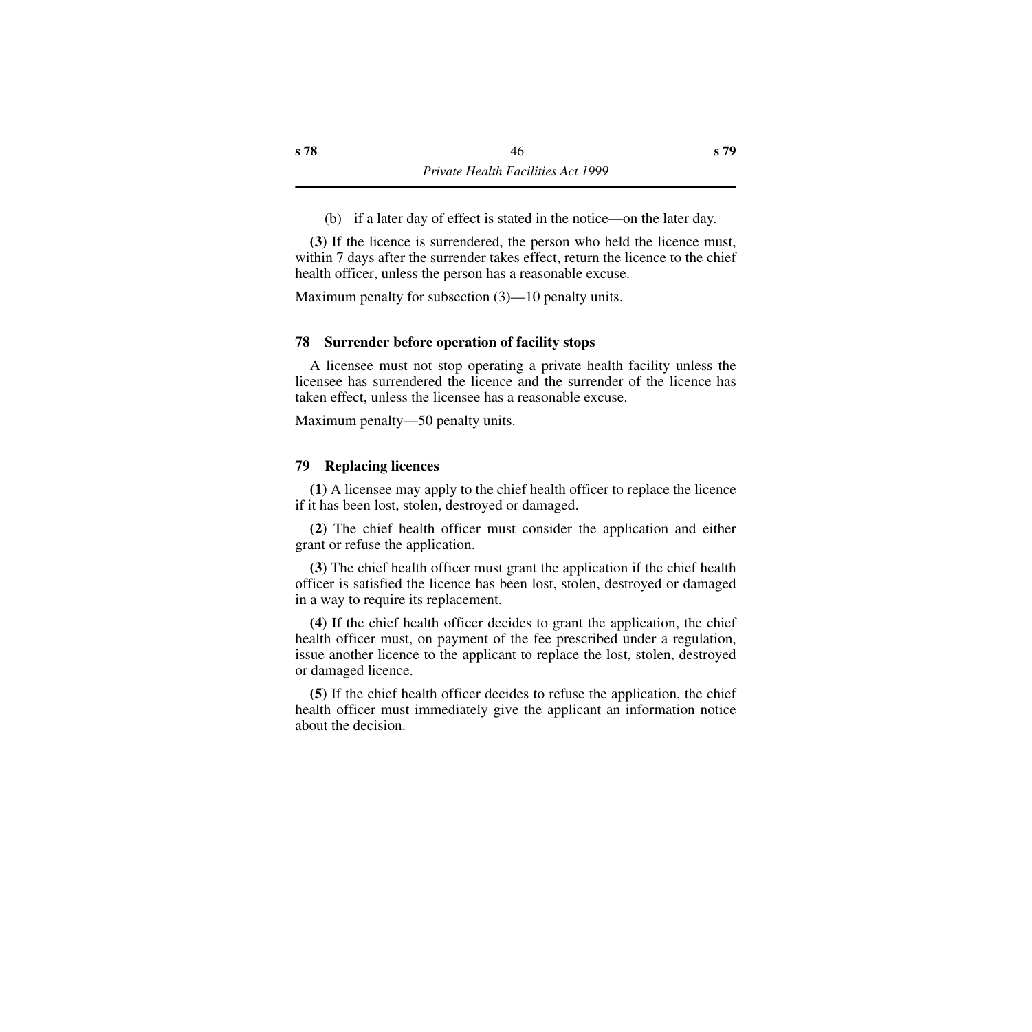(b) if a later day of effect is stated in the notice—on the later day.

**(3)** If the licence is surrendered, the person who held the licence must, within 7 days after the surrender takes effect, return the licence to the chief health officer, unless the person has a reasonable excuse.

Maximum penalty for subsection (3)—10 penalty units.

## **78 Surrender before operation of facility stops**

A licensee must not stop operating a private health facility unless the licensee has surrendered the licence and the surrender of the licence has taken effect, unless the licensee has a reasonable excuse.

Maximum penalty—50 penalty units.

## **79 Replacing licences**

**(1)** A licensee may apply to the chief health officer to replace the licence if it has been lost, stolen, destroyed or damaged.

**(2)** The chief health officer must consider the application and either grant or refuse the application.

**(3)** The chief health officer must grant the application if the chief health officer is satisfied the licence has been lost, stolen, destroyed or damaged in a way to require its replacement.

**(4)** If the chief health officer decides to grant the application, the chief health officer must, on payment of the fee prescribed under a regulation, issue another licence to the applicant to replace the lost, stolen, destroyed or damaged licence.

**(5)** If the chief health officer decides to refuse the application, the chief health officer must immediately give the applicant an information notice about the decision.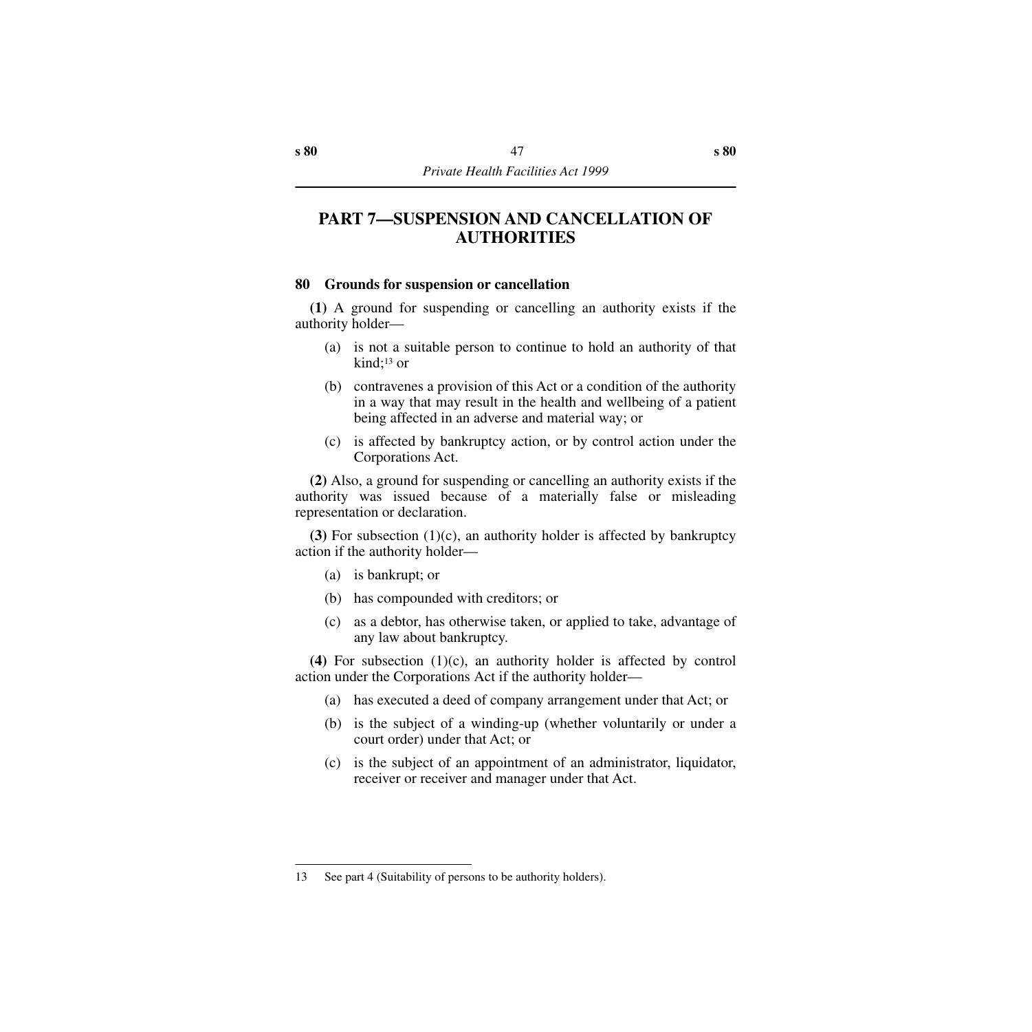# **PART 7—SUSPENSION AND CANCELLATION OF AUTHORITIES**

### **80 Grounds for suspension or cancellation**

**(1)** A ground for suspending or cancelling an authority exists if the authority holder—

- (a) is not a suitable person to continue to hold an authority of that kind;13 or
- (b) contravenes a provision of this Act or a condition of the authority in a way that may result in the health and wellbeing of a patient being affected in an adverse and material way; or
- (c) is affected by bankruptcy action, or by control action under the Corporations Act.

**(2)** Also, a ground for suspending or cancelling an authority exists if the authority was issued because of a materially false or misleading representation or declaration.

**(3)** For subsection (1)(c), an authority holder is affected by bankruptcy action if the authority holder—

- (a) is bankrupt; or
- (b) has compounded with creditors; or
- (c) as a debtor, has otherwise taken, or applied to take, advantage of any law about bankruptcy.

**(4)** For subsection (1)(c), an authority holder is affected by control action under the Corporations Act if the authority holder—

- (a) has executed a deed of company arrangement under that Act; or
- (b) is the subject of a winding-up (whether voluntarily or under a court order) under that Act; or
- (c) is the subject of an appointment of an administrator, liquidator, receiver or receiver and manager under that Act.

<sup>13</sup> See part 4 (Suitability of persons to be authority holders).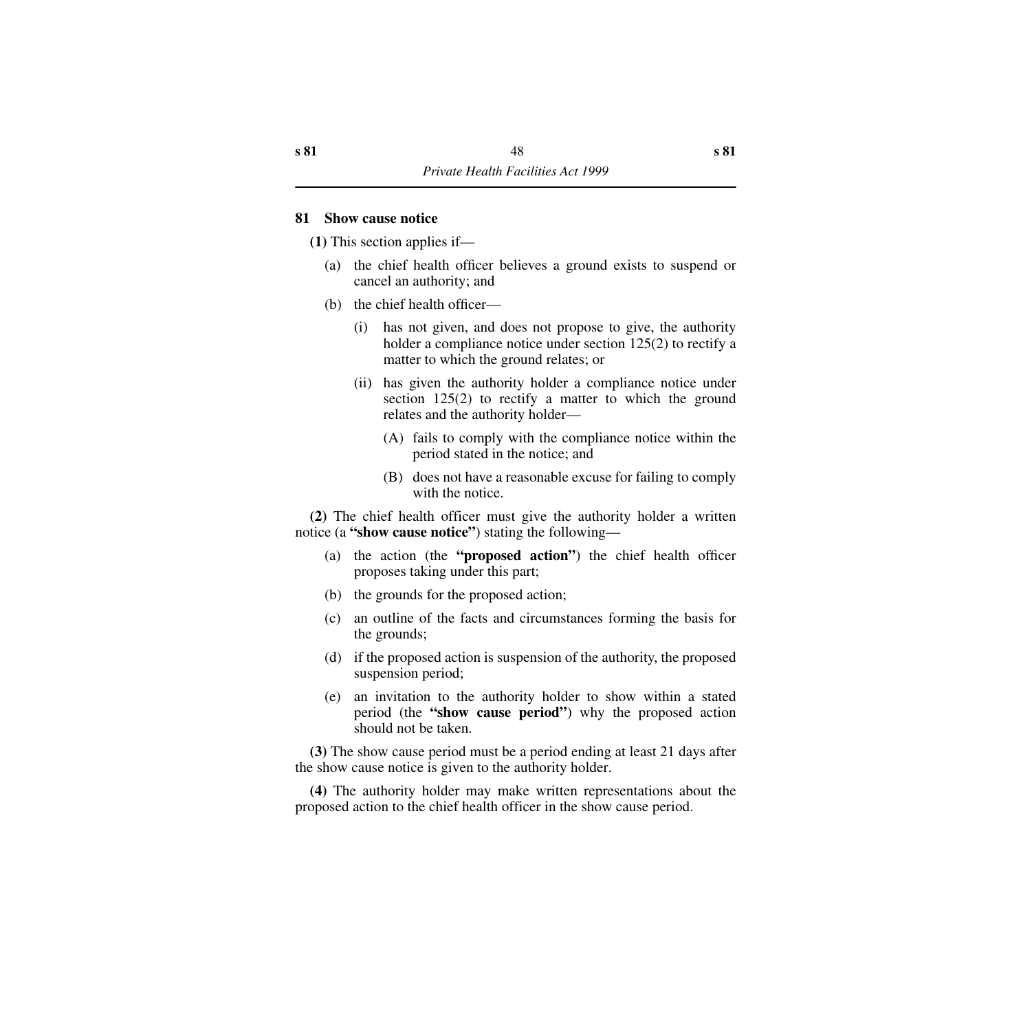### **81 Show cause notice**

**(1)** This section applies if—

- (a) the chief health officer believes a ground exists to suspend or cancel an authority; and
- (b) the chief health officer—
	- (i) has not given, and does not propose to give, the authority holder a compliance notice under section 125(2) to rectify a matter to which the ground relates; or
	- (ii) has given the authority holder a compliance notice under section 125(2) to rectify a matter to which the ground relates and the authority holder—
		- (A) fails to comply with the compliance notice within the period stated in the notice; and
		- (B) does not have a reasonable excuse for failing to comply with the notice.

**(2)** The chief health officer must give the authority holder a written notice (a **"show cause notice"**) stating the following—

- (a) the action (the **"proposed action"**) the chief health officer proposes taking under this part;
- (b) the grounds for the proposed action;
- (c) an outline of the facts and circumstances forming the basis for the grounds;
- (d) if the proposed action is suspension of the authority, the proposed suspension period;
- (e) an invitation to the authority holder to show within a stated period (the **"show cause period"**) why the proposed action should not be taken.

**(3)** The show cause period must be a period ending at least 21 days after the show cause notice is given to the authority holder.

**(4)** The authority holder may make written representations about the proposed action to the chief health officer in the show cause period.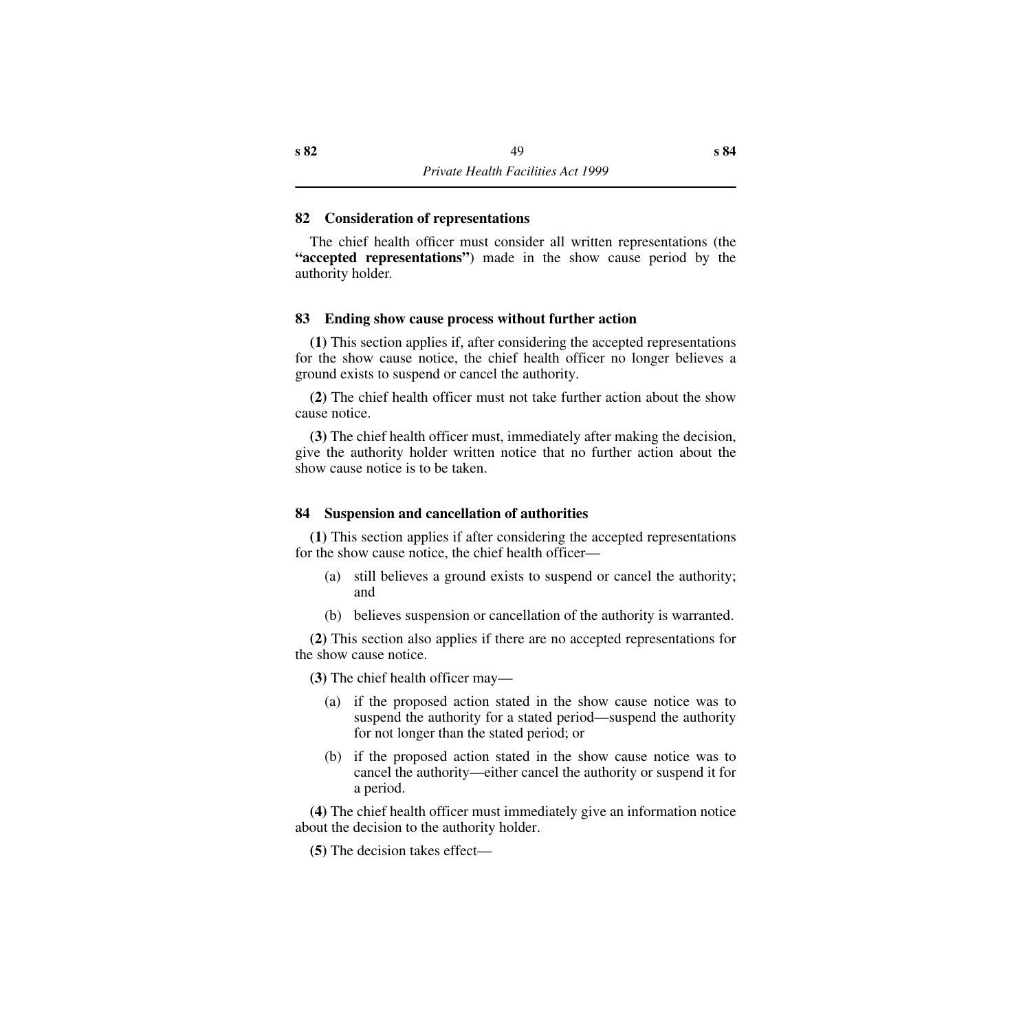### **82 Consideration of representations**

The chief health officer must consider all written representations (the **"accepted representations"**) made in the show cause period by the authority holder.

## **83 Ending show cause process without further action**

**(1)** This section applies if, after considering the accepted representations for the show cause notice, the chief health officer no longer believes a ground exists to suspend or cancel the authority.

**(2)** The chief health officer must not take further action about the show cause notice.

**(3)** The chief health officer must, immediately after making the decision, give the authority holder written notice that no further action about the show cause notice is to be taken.

### **84 Suspension and cancellation of authorities**

**(1)** This section applies if after considering the accepted representations for the show cause notice, the chief health officer—

- (a) still believes a ground exists to suspend or cancel the authority; and
- (b) believes suspension or cancellation of the authority is warranted.

**(2)** This section also applies if there are no accepted representations for the show cause notice.

**(3)** The chief health officer may—

- (a) if the proposed action stated in the show cause notice was to suspend the authority for a stated period—suspend the authority for not longer than the stated period; or
- (b) if the proposed action stated in the show cause notice was to cancel the authority—either cancel the authority or suspend it for a period.

**(4)** The chief health officer must immediately give an information notice about the decision to the authority holder.

**(5)** The decision takes effect—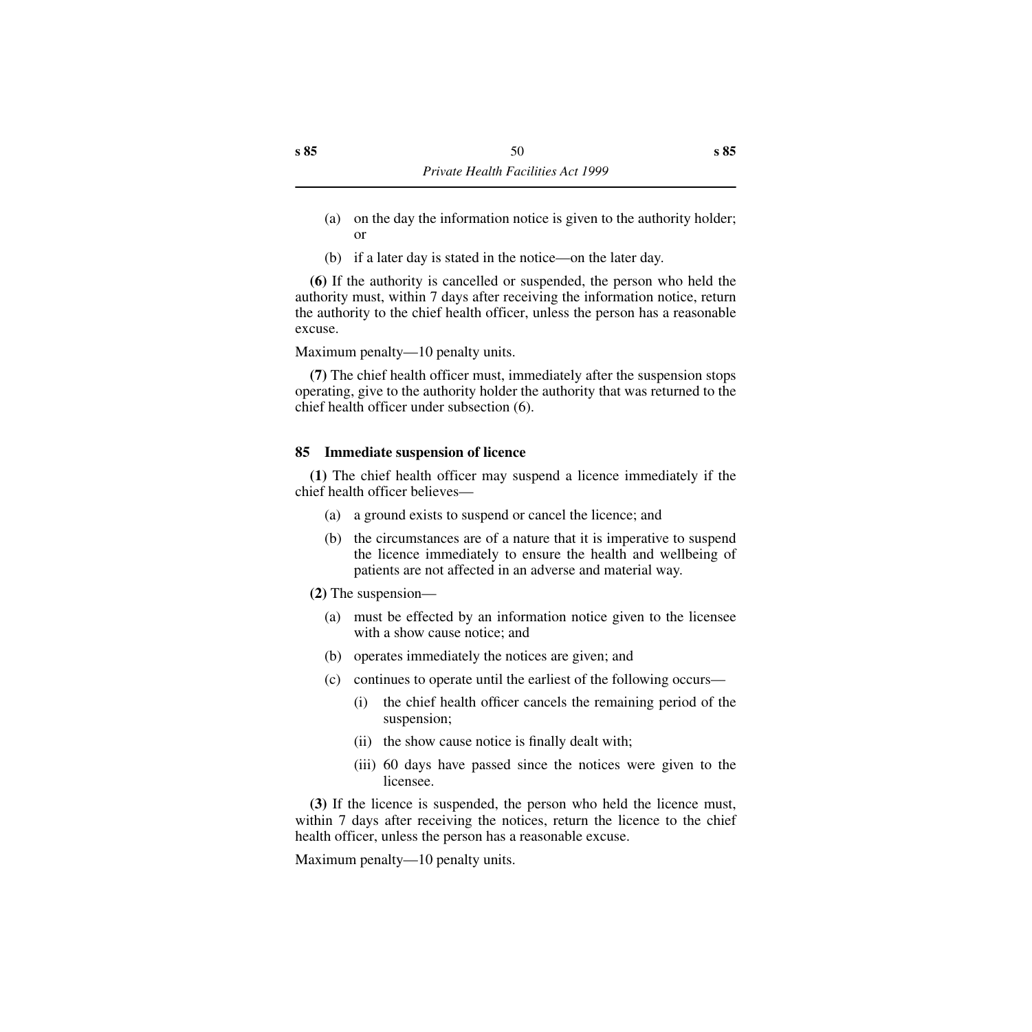- (a) on the day the information notice is given to the authority holder; or
- (b) if a later day is stated in the notice—on the later day.

**(6)** If the authority is cancelled or suspended, the person who held the authority must, within 7 days after receiving the information notice, return the authority to the chief health officer, unless the person has a reasonable excuse.

Maximum penalty—10 penalty units.

**(7)** The chief health officer must, immediately after the suspension stops operating, give to the authority holder the authority that was returned to the chief health officer under subsection (6).

## **85 Immediate suspension of licence**

**(1)** The chief health officer may suspend a licence immediately if the chief health officer believes—

- (a) a ground exists to suspend or cancel the licence; and
- (b) the circumstances are of a nature that it is imperative to suspend the licence immediately to ensure the health and wellbeing of patients are not affected in an adverse and material way.

**(2)** The suspension—

- (a) must be effected by an information notice given to the licensee with a show cause notice; and
- (b) operates immediately the notices are given; and
- (c) continues to operate until the earliest of the following occurs—
	- (i) the chief health officer cancels the remaining period of the suspension;
	- (ii) the show cause notice is finally dealt with;
	- (iii) 60 days have passed since the notices were given to the licensee.

**(3)** If the licence is suspended, the person who held the licence must, within 7 days after receiving the notices, return the licence to the chief health officer, unless the person has a reasonable excuse.

Maximum penalty—10 penalty units.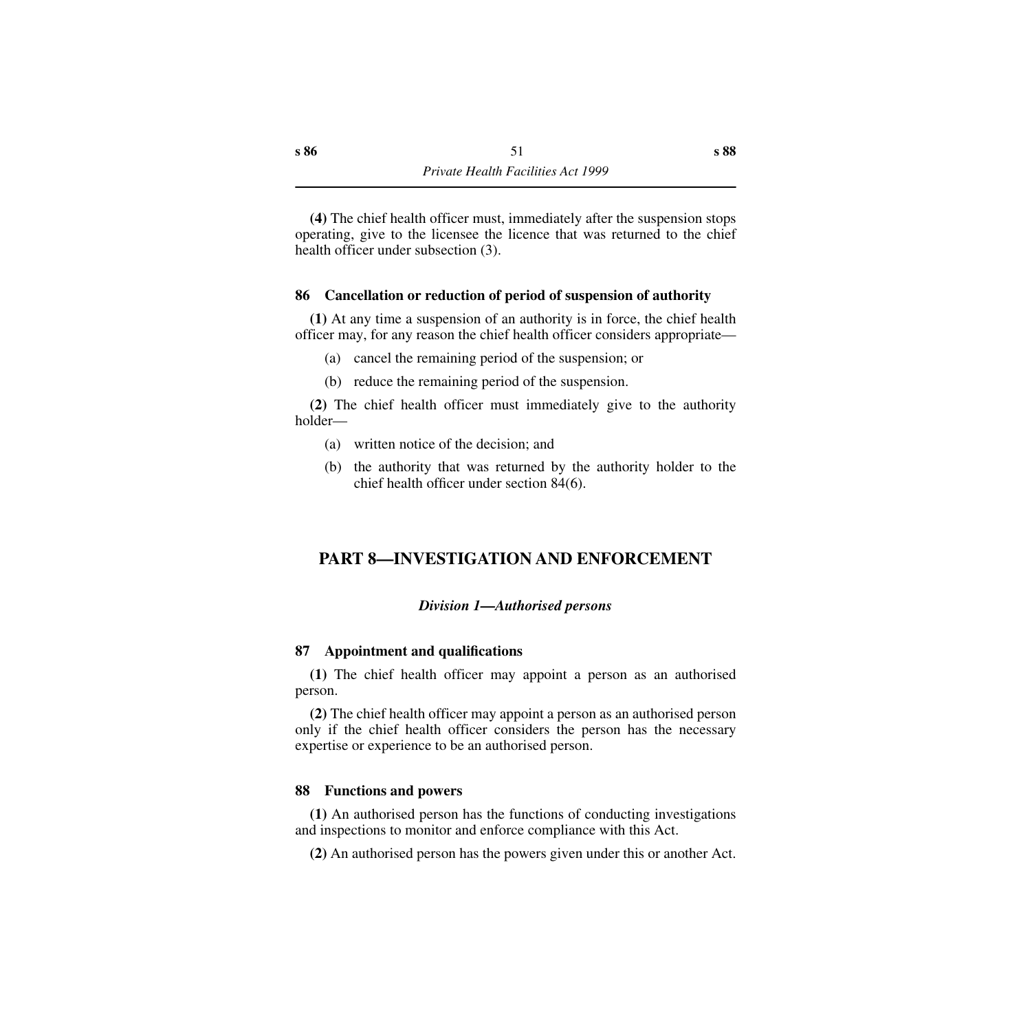**(4)** The chief health officer must, immediately after the suspension stops operating, give to the licensee the licence that was returned to the chief health officer under subsection (3).

## **86 Cancellation or reduction of period of suspension of authority**

**(1)** At any time a suspension of an authority is in force, the chief health officer may, for any reason the chief health officer considers appropriate—

- (a) cancel the remaining period of the suspension; or
- (b) reduce the remaining period of the suspension.

**(2)** The chief health officer must immediately give to the authority holder—

- (a) written notice of the decision; and
- (b) the authority that was returned by the authority holder to the chief health officer under section 84(6).

# **PART 8—INVESTIGATION AND ENFORCEMENT**

#### *Division 1—Authorised persons*

#### **87 Appointment and qualifications**

**(1)** The chief health officer may appoint a person as an authorised person.

**(2)** The chief health officer may appoint a person as an authorised person only if the chief health officer considers the person has the necessary expertise or experience to be an authorised person.

#### **88 Functions and powers**

**(1)** An authorised person has the functions of conducting investigations and inspections to monitor and enforce compliance with this Act.

**(2)** An authorised person has the powers given under this or another Act.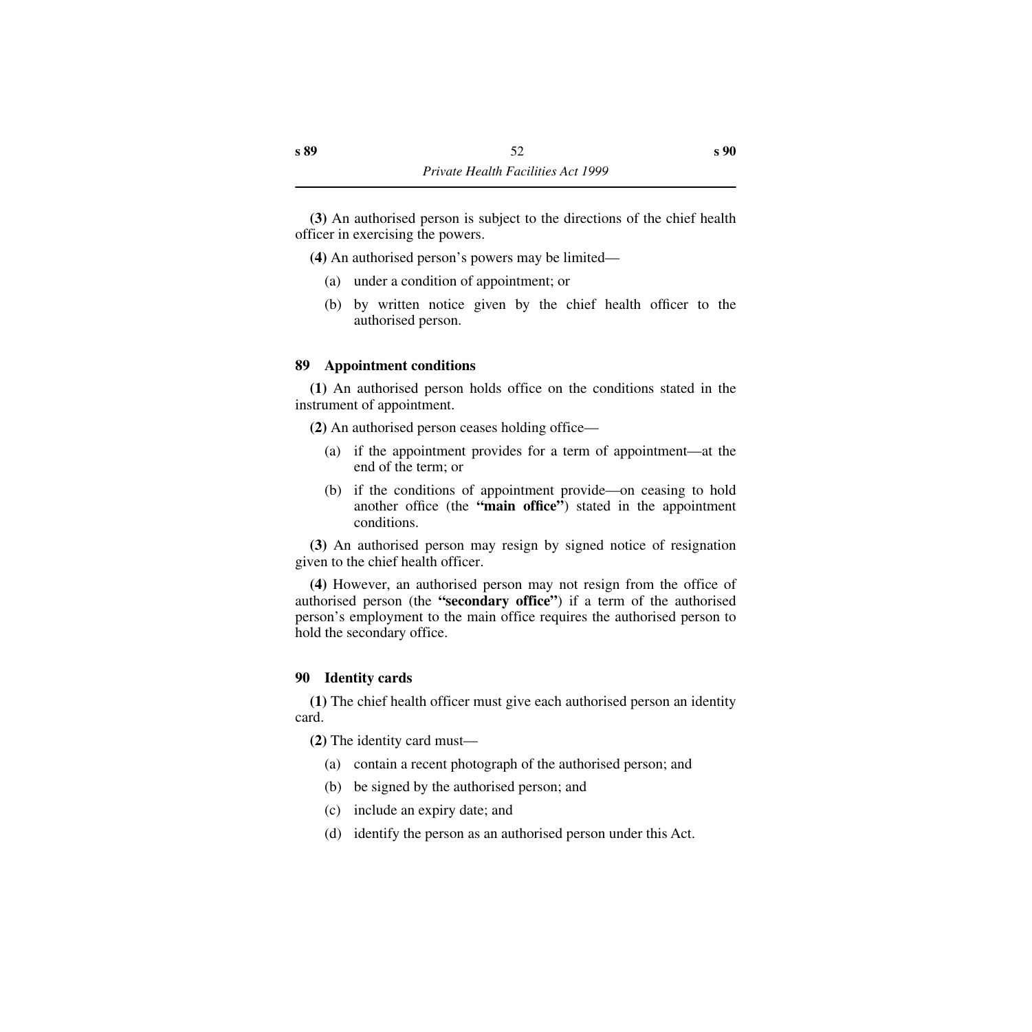**(3)** An authorised person is subject to the directions of the chief health officer in exercising the powers.

**(4)** An authorised person's powers may be limited—

- (a) under a condition of appointment; or
- (b) by written notice given by the chief health officer to the authorised person.

## **89 Appointment conditions**

**(1)** An authorised person holds office on the conditions stated in the instrument of appointment.

**(2)** An authorised person ceases holding office—

- (a) if the appointment provides for a term of appointment—at the end of the term; or
- (b) if the conditions of appointment provide—on ceasing to hold another office (the **"main office"**) stated in the appointment conditions.

**(3)** An authorised person may resign by signed notice of resignation given to the chief health officer.

**(4)** However, an authorised person may not resign from the office of authorised person (the **"secondary office"**) if a term of the authorised person's employment to the main office requires the authorised person to hold the secondary office.

# **90 Identity cards**

**(1)** The chief health officer must give each authorised person an identity card.

**(2)** The identity card must—

- (a) contain a recent photograph of the authorised person; and
- (b) be signed by the authorised person; and
- (c) include an expiry date; and
- (d) identify the person as an authorised person under this Act.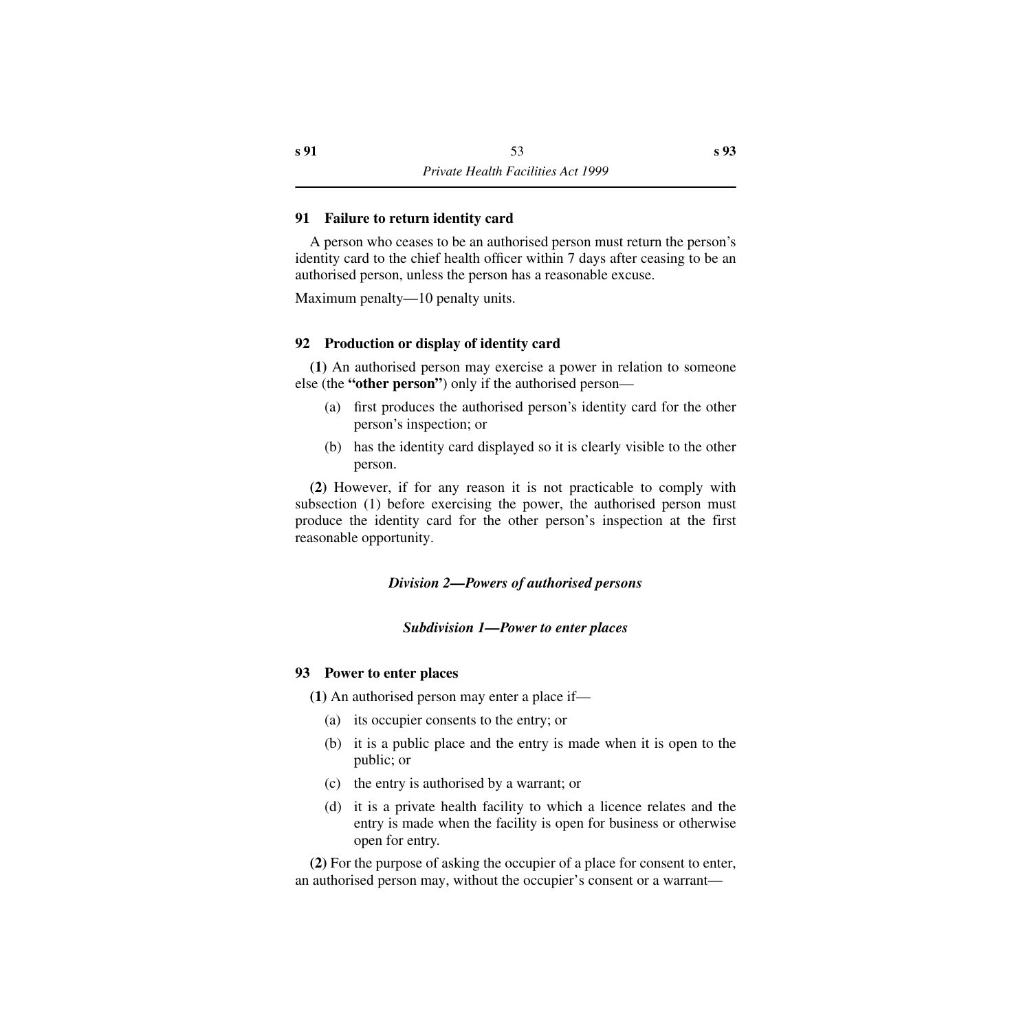## **91 Failure to return identity card**

A person who ceases to be an authorised person must return the person's identity card to the chief health officer within 7 days after ceasing to be an authorised person, unless the person has a reasonable excuse.

Maximum penalty—10 penalty units.

## **92 Production or display of identity card**

**(1)** An authorised person may exercise a power in relation to someone else (the **"other person"**) only if the authorised person—

- (a) first produces the authorised person's identity card for the other person's inspection; or
- (b) has the identity card displayed so it is clearly visible to the other person.

**(2)** However, if for any reason it is not practicable to comply with subsection (1) before exercising the power, the authorised person must produce the identity card for the other person's inspection at the first reasonable opportunity.

#### *Division 2—Powers of authorised persons*

#### *Subdivision 1—Power to enter places*

#### **93 Power to enter places**

**(1)** An authorised person may enter a place if—

- (a) its occupier consents to the entry; or
- (b) it is a public place and the entry is made when it is open to the public; or
- (c) the entry is authorised by a warrant; or
- (d) it is a private health facility to which a licence relates and the entry is made when the facility is open for business or otherwise open for entry.

**(2)** For the purpose of asking the occupier of a place for consent to enter, an authorised person may, without the occupier's consent or a warrant—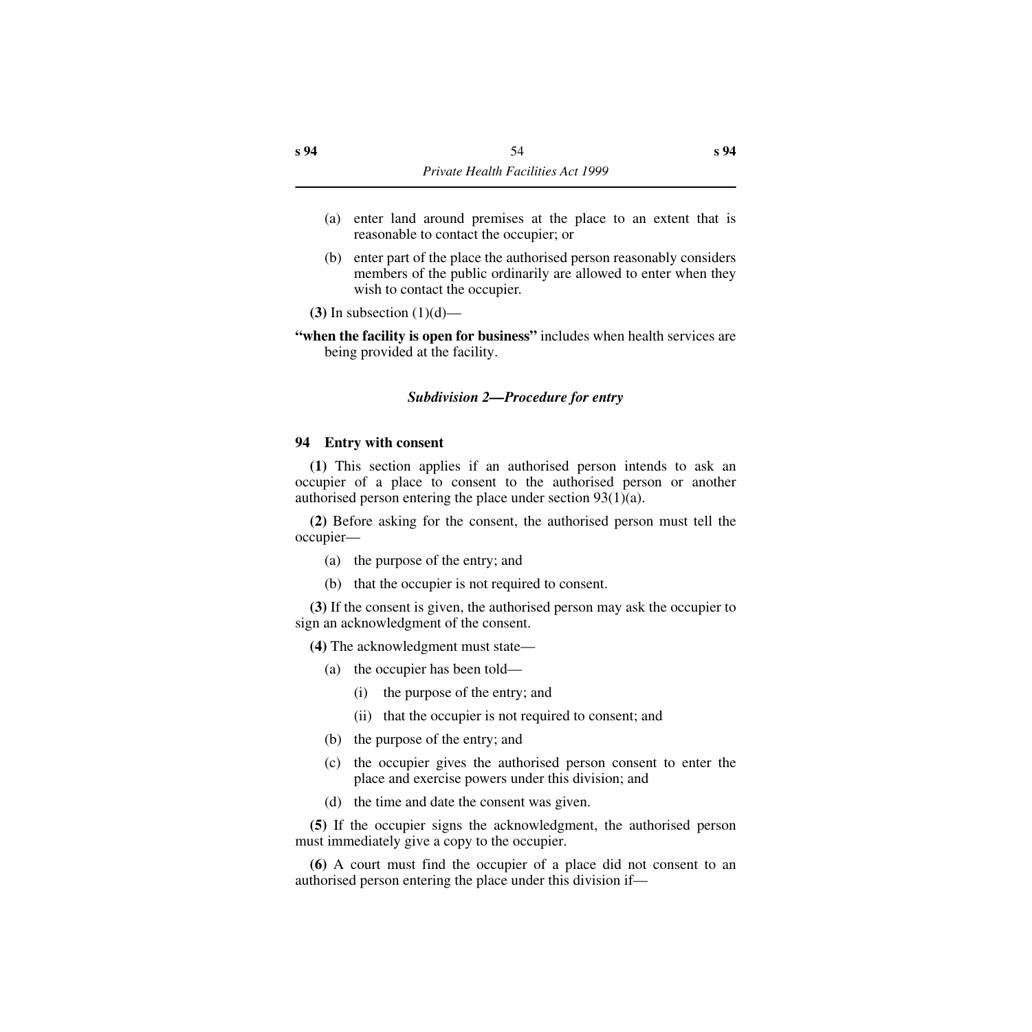- (a) enter land around premises at the place to an extent that is reasonable to contact the occupier; or
- (b) enter part of the place the authorised person reasonably considers members of the public ordinarily are allowed to enter when they wish to contact the occupier.

**(3)** In subsection (1)(d)—

**"when the facility is open for business"** includes when health services are being provided at the facility.

## *Subdivision 2—Procedure for entry*

## **94 Entry with consent**

**(1)** This section applies if an authorised person intends to ask an occupier of a place to consent to the authorised person or another authorised person entering the place under section 93(1)(a).

**(2)** Before asking for the consent, the authorised person must tell the occupier—

- (a) the purpose of the entry; and
- (b) that the occupier is not required to consent.

**(3)** If the consent is given, the authorised person may ask the occupier to sign an acknowledgment of the consent.

**(4)** The acknowledgment must state—

- (a) the occupier has been told—
	- (i) the purpose of the entry; and
	- (ii) that the occupier is not required to consent; and
- (b) the purpose of the entry; and
- (c) the occupier gives the authorised person consent to enter the place and exercise powers under this division; and
- (d) the time and date the consent was given.

**(5)** If the occupier signs the acknowledgment, the authorised person must immediately give a copy to the occupier.

**(6)** A court must find the occupier of a place did not consent to an authorised person entering the place under this division if—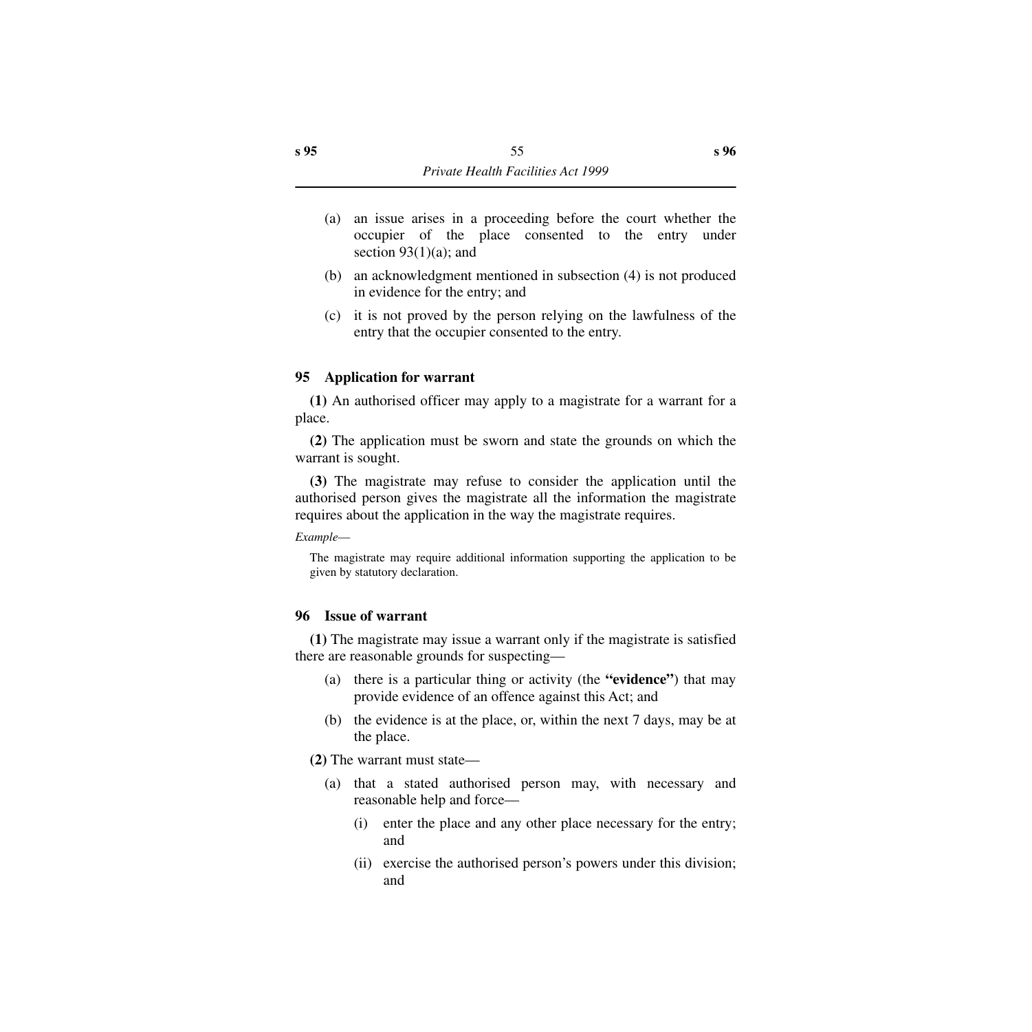- (a) an issue arises in a proceeding before the court whether the occupier of the place consented to the entry under section  $93(1)(a)$ ; and
- (b) an acknowledgment mentioned in subsection (4) is not produced in evidence for the entry; and
- (c) it is not proved by the person relying on the lawfulness of the entry that the occupier consented to the entry.

## **95 Application for warrant**

**(1)** An authorised officer may apply to a magistrate for a warrant for a place.

**(2)** The application must be sworn and state the grounds on which the warrant is sought.

**(3)** The magistrate may refuse to consider the application until the authorised person gives the magistrate all the information the magistrate requires about the application in the way the magistrate requires.

*Example*—

The magistrate may require additional information supporting the application to be given by statutory declaration.

## **96 Issue of warrant**

**(1)** The magistrate may issue a warrant only if the magistrate is satisfied there are reasonable grounds for suspecting—

- (a) there is a particular thing or activity (the **"evidence"**) that may provide evidence of an offence against this Act; and
- (b) the evidence is at the place, or, within the next 7 days, may be at the place.

**(2)** The warrant must state—

- (a) that a stated authorised person may, with necessary and reasonable help and force—
	- (i) enter the place and any other place necessary for the entry; and
	- (ii) exercise the authorised person's powers under this division; and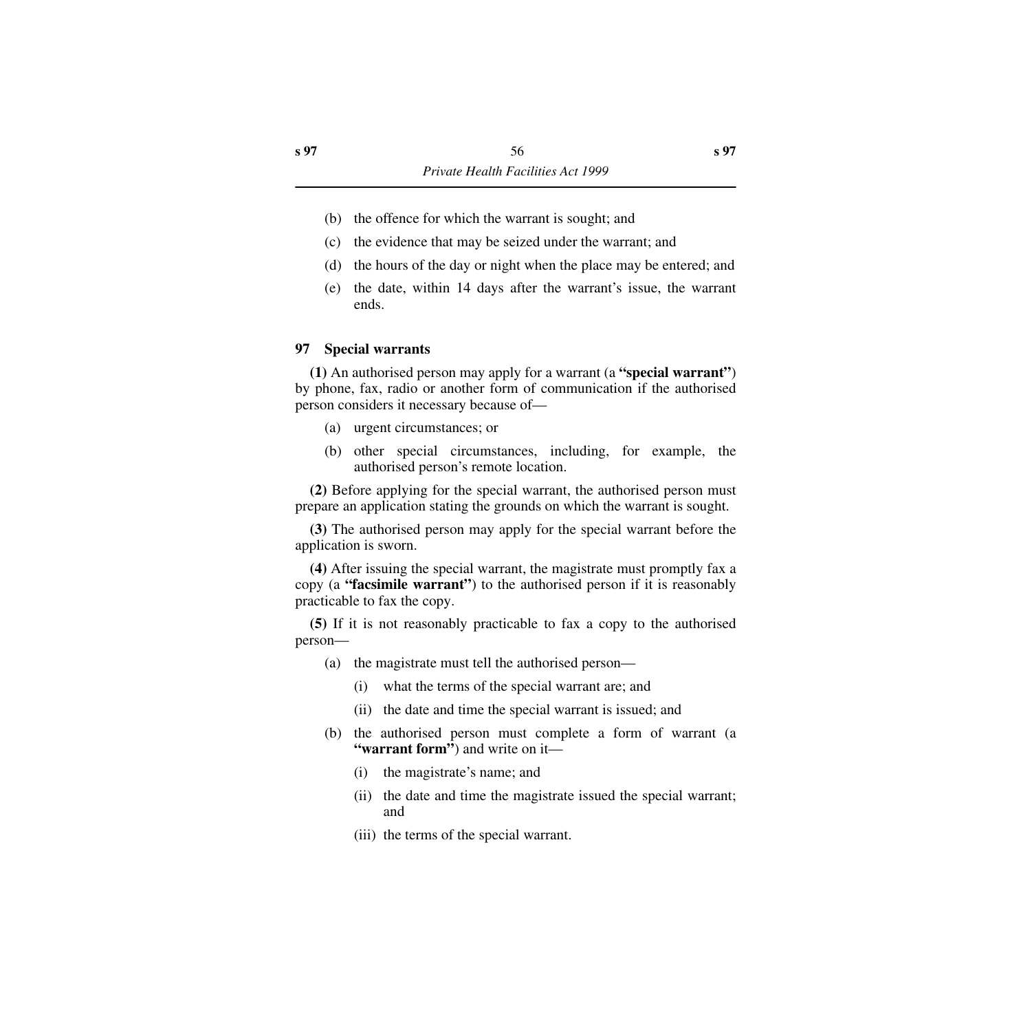- (b) the offence for which the warrant is sought; and
- (c) the evidence that may be seized under the warrant; and
- (d) the hours of the day or night when the place may be entered; and
- (e) the date, within 14 days after the warrant's issue, the warrant ends.

## **97 Special warrants**

**(1)** An authorised person may apply for a warrant (a **"special warrant"**) by phone, fax, radio or another form of communication if the authorised person considers it necessary because of—

- (a) urgent circumstances; or
- (b) other special circumstances, including, for example, the authorised person's remote location.

**(2)** Before applying for the special warrant, the authorised person must prepare an application stating the grounds on which the warrant is sought.

**(3)** The authorised person may apply for the special warrant before the application is sworn.

**(4)** After issuing the special warrant, the magistrate must promptly fax a copy (a **"facsimile warrant"**) to the authorised person if it is reasonably practicable to fax the copy.

**(5)** If it is not reasonably practicable to fax a copy to the authorised person—

- (a) the magistrate must tell the authorised person—
	- (i) what the terms of the special warrant are; and
	- (ii) the date and time the special warrant is issued; and
- (b) the authorised person must complete a form of warrant (a **"warrant form"**) and write on it—
	- (i) the magistrate's name; and
	- (ii) the date and time the magistrate issued the special warrant; and
	- (iii) the terms of the special warrant.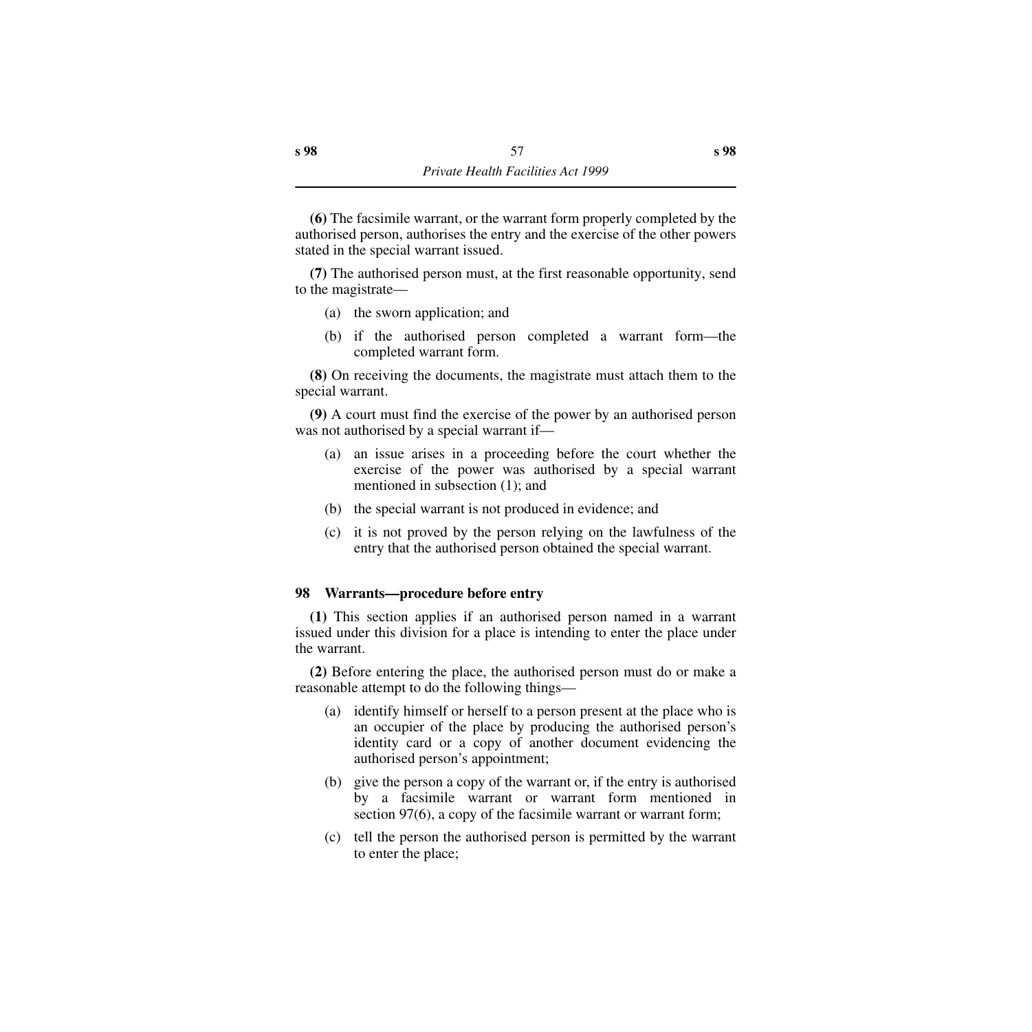**(6)** The facsimile warrant, or the warrant form properly completed by the authorised person, authorises the entry and the exercise of the other powers stated in the special warrant issued.

**(7)** The authorised person must, at the first reasonable opportunity, send to the magistrate—

- (a) the sworn application; and
- (b) if the authorised person completed a warrant form—the completed warrant form.

**(8)** On receiving the documents, the magistrate must attach them to the special warrant.

**(9)** A court must find the exercise of the power by an authorised person was not authorised by a special warrant if—

- (a) an issue arises in a proceeding before the court whether the exercise of the power was authorised by a special warrant mentioned in subsection (1); and
- (b) the special warrant is not produced in evidence; and
- (c) it is not proved by the person relying on the lawfulness of the entry that the authorised person obtained the special warrant.

## **98 Warrants—procedure before entry**

**(1)** This section applies if an authorised person named in a warrant issued under this division for a place is intending to enter the place under the warrant.

**(2)** Before entering the place, the authorised person must do or make a reasonable attempt to do the following things—

- (a) identify himself or herself to a person present at the place who is an occupier of the place by producing the authorised person's identity card or a copy of another document evidencing the authorised person's appointment;
- (b) give the person a copy of the warrant or, if the entry is authorised by a facsimile warrant or warrant form mentioned in section 97(6), a copy of the facsimile warrant or warrant form;
- (c) tell the person the authorised person is permitted by the warrant to enter the place;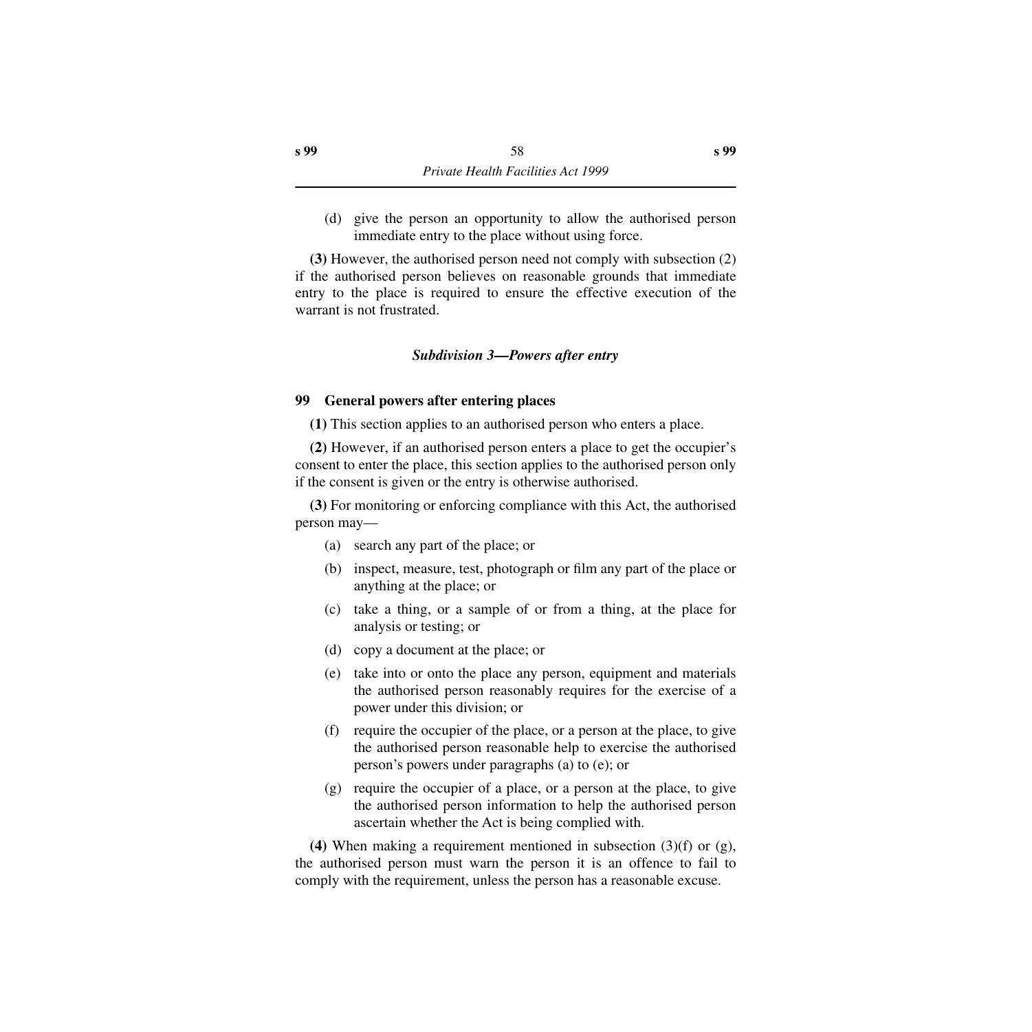(d) give the person an opportunity to allow the authorised person immediate entry to the place without using force.

**(3)** However, the authorised person need not comply with subsection (2) if the authorised person believes on reasonable grounds that immediate entry to the place is required to ensure the effective execution of the warrant is not frustrated.

## *Subdivision 3—Powers after entry*

## **99 General powers after entering places**

**(1)** This section applies to an authorised person who enters a place.

**(2)** However, if an authorised person enters a place to get the occupier's consent to enter the place, this section applies to the authorised person only if the consent is given or the entry is otherwise authorised.

**(3)** For monitoring or enforcing compliance with this Act, the authorised person may—

- (a) search any part of the place; or
- (b) inspect, measure, test, photograph or film any part of the place or anything at the place; or
- (c) take a thing, or a sample of or from a thing, at the place for analysis or testing; or
- (d) copy a document at the place; or
- (e) take into or onto the place any person, equipment and materials the authorised person reasonably requires for the exercise of a power under this division; or
- (f) require the occupier of the place, or a person at the place, to give the authorised person reasonable help to exercise the authorised person's powers under paragraphs (a) to (e); or
- (g) require the occupier of a place, or a person at the place, to give the authorised person information to help the authorised person ascertain whether the Act is being complied with.

**(4)** When making a requirement mentioned in subsection (3)(f) or (g), the authorised person must warn the person it is an offence to fail to comply with the requirement, unless the person has a reasonable excuse.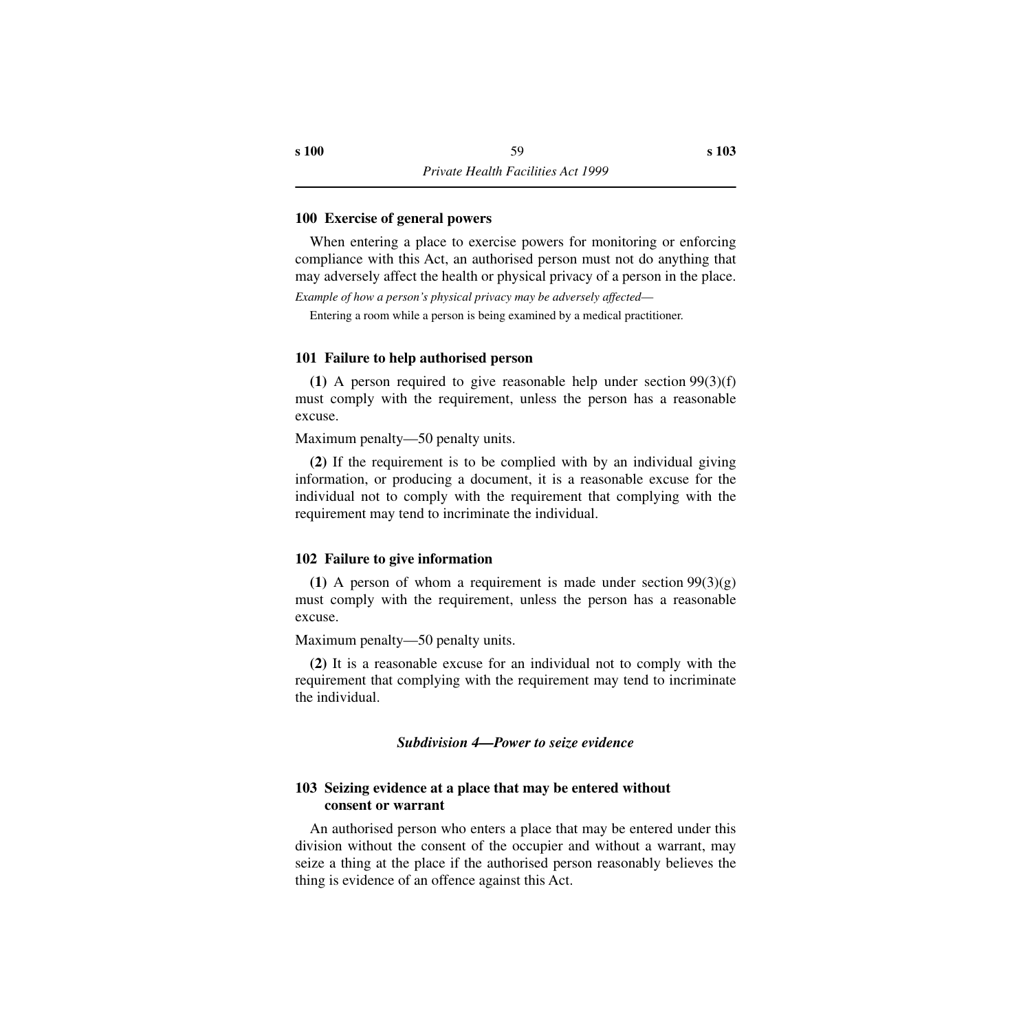### **100 Exercise of general powers**

When entering a place to exercise powers for monitoring or enforcing compliance with this Act, an authorised person must not do anything that may adversely affect the health or physical privacy of a person in the place.

*Example of how a person's physical privacy may be adversely affected*—

Entering a room while a person is being examined by a medical practitioner.

#### **101 Failure to help authorised person**

**(1)** A person required to give reasonable help under section 99(3)(f) must comply with the requirement, unless the person has a reasonable excuse.

Maximum penalty—50 penalty units.

**(2)** If the requirement is to be complied with by an individual giving information, or producing a document, it is a reasonable excuse for the individual not to comply with the requirement that complying with the requirement may tend to incriminate the individual.

#### **102 Failure to give information**

**(1)** A person of whom a requirement is made under section  $99(3)(g)$ must comply with the requirement, unless the person has a reasonable excuse.

Maximum penalty—50 penalty units.

**(2)** It is a reasonable excuse for an individual not to comply with the requirement that complying with the requirement may tend to incriminate the individual.

*Subdivision 4—Power to seize evidence*

## **103 Seizing evidence at a place that may be entered without consent or warrant**

An authorised person who enters a place that may be entered under this division without the consent of the occupier and without a warrant, may seize a thing at the place if the authorised person reasonably believes the thing is evidence of an offence against this Act.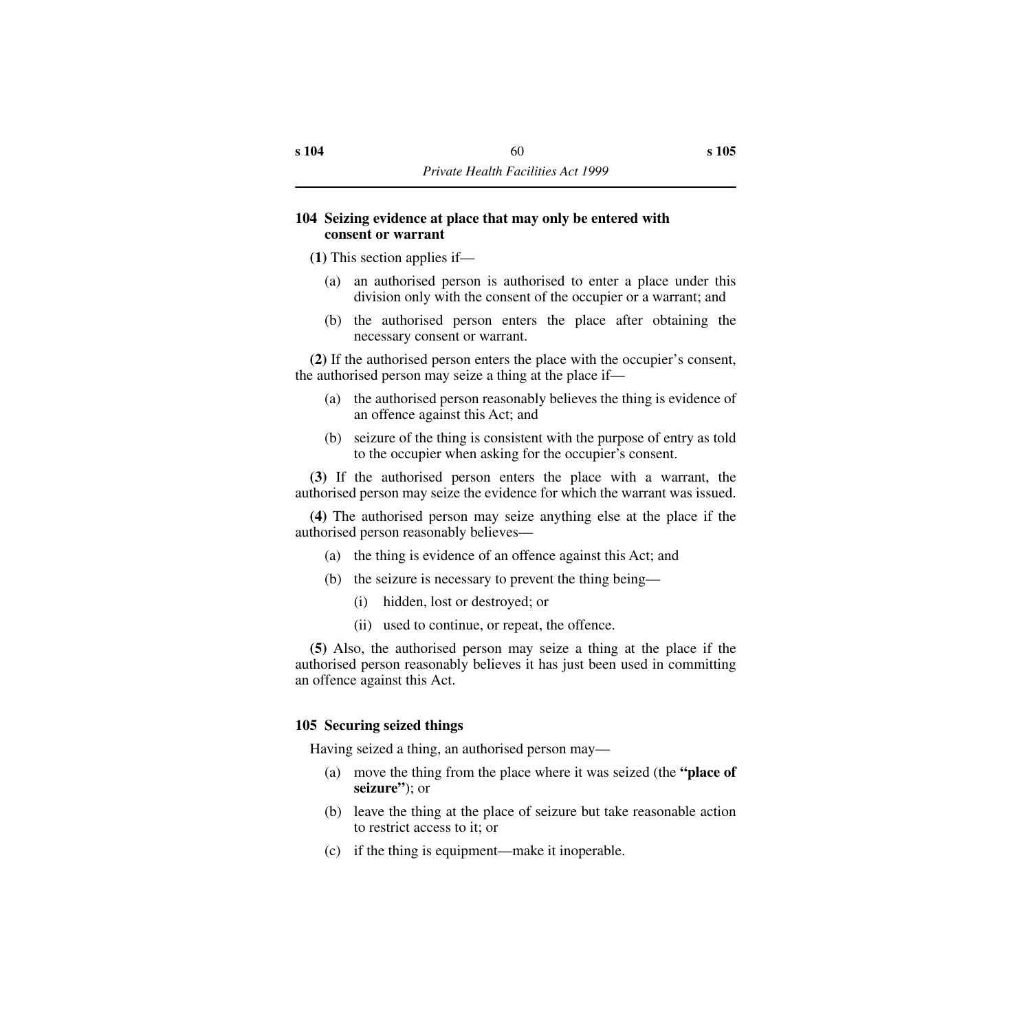## **104 Seizing evidence at place that may only be entered with consent or warrant**

**(1)** This section applies if—

- (a) an authorised person is authorised to enter a place under this division only with the consent of the occupier or a warrant; and
- (b) the authorised person enters the place after obtaining the necessary consent or warrant.

**(2)** If the authorised person enters the place with the occupier's consent, the authorised person may seize a thing at the place if—

- (a) the authorised person reasonably believes the thing is evidence of an offence against this Act; and
- (b) seizure of the thing is consistent with the purpose of entry as told to the occupier when asking for the occupier's consent.

**(3)** If the authorised person enters the place with a warrant, the authorised person may seize the evidence for which the warrant was issued.

**(4)** The authorised person may seize anything else at the place if the authorised person reasonably believes—

- (a) the thing is evidence of an offence against this Act; and
- (b) the seizure is necessary to prevent the thing being—
	- (i) hidden, lost or destroyed; or
	- (ii) used to continue, or repeat, the offence.

**(5)** Also, the authorised person may seize a thing at the place if the authorised person reasonably believes it has just been used in committing an offence against this Act.

# **105 Securing seized things**

Having seized a thing, an authorised person may—

- (a) move the thing from the place where it was seized (the **"place of seizure"**); or
- (b) leave the thing at the place of seizure but take reasonable action to restrict access to it; or
- (c) if the thing is equipment—make it inoperable.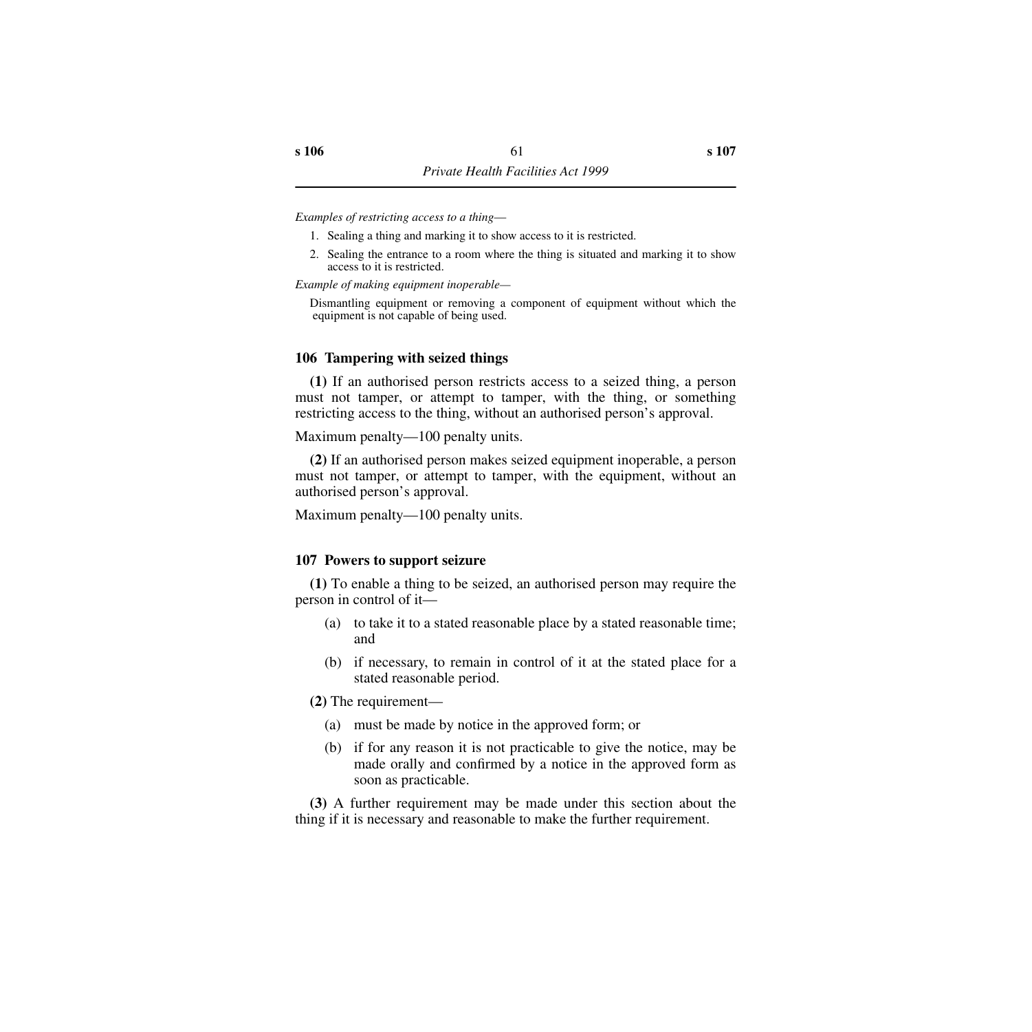*Examples of restricting access to a thing*—

- 1. Sealing a thing and marking it to show access to it is restricted.
- 2. Sealing the entrance to a room where the thing is situated and marking it to show access to it is restricted.

*Example of making equipment inoperable—*

Dismantling equipment or removing a component of equipment without which the equipment is not capable of being used.

#### **106 Tampering with seized things**

**(1)** If an authorised person restricts access to a seized thing, a person must not tamper, or attempt to tamper, with the thing, or something restricting access to the thing, without an authorised person's approval.

Maximum penalty—100 penalty units.

**(2)** If an authorised person makes seized equipment inoperable, a person must not tamper, or attempt to tamper, with the equipment, without an authorised person's approval.

Maximum penalty—100 penalty units.

#### **107 Powers to support seizure**

**(1)** To enable a thing to be seized, an authorised person may require the person in control of it—

- (a) to take it to a stated reasonable place by a stated reasonable time; and
- (b) if necessary, to remain in control of it at the stated place for a stated reasonable period.

**(2)** The requirement—

- (a) must be made by notice in the approved form; or
- (b) if for any reason it is not practicable to give the notice, may be made orally and confirmed by a notice in the approved form as soon as practicable.

**(3)** A further requirement may be made under this section about the thing if it is necessary and reasonable to make the further requirement.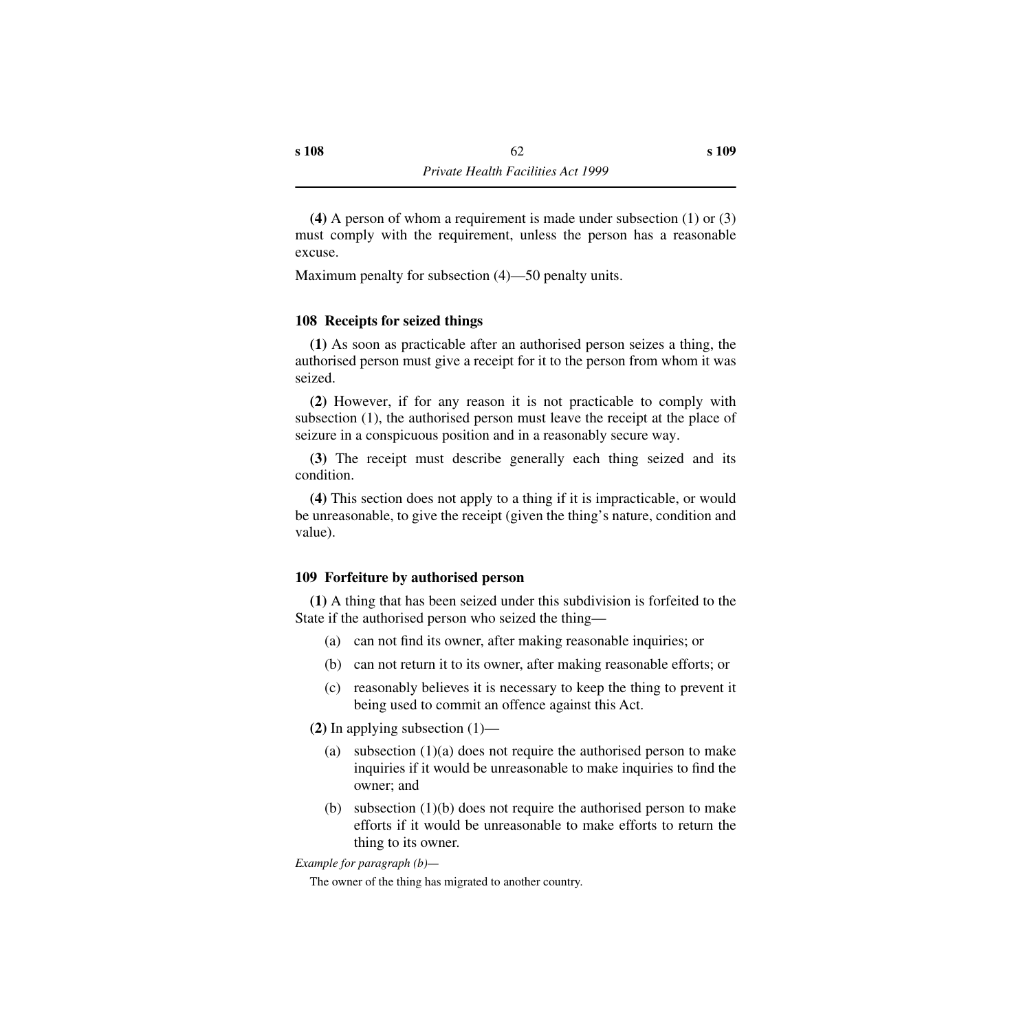**(4)** A person of whom a requirement is made under subsection (1) or (3) must comply with the requirement, unless the person has a reasonable excuse.

Maximum penalty for subsection (4)—50 penalty units.

# **108 Receipts for seized things**

**(1)** As soon as practicable after an authorised person seizes a thing, the authorised person must give a receipt for it to the person from whom it was seized.

**(2)** However, if for any reason it is not practicable to comply with subsection (1), the authorised person must leave the receipt at the place of seizure in a conspicuous position and in a reasonably secure way.

**(3)** The receipt must describe generally each thing seized and its condition.

**(4)** This section does not apply to a thing if it is impracticable, or would be unreasonable, to give the receipt (given the thing's nature, condition and value).

# **109 Forfeiture by authorised person**

**(1)** A thing that has been seized under this subdivision is forfeited to the State if the authorised person who seized the thing—

- (a) can not find its owner, after making reasonable inquiries; or
- (b) can not return it to its owner, after making reasonable efforts; or
- (c) reasonably believes it is necessary to keep the thing to prevent it being used to commit an offence against this Act.

**(2)** In applying subsection (1)—

- (a) subsection  $(1)(a)$  does not require the authorised person to make inquiries if it would be unreasonable to make inquiries to find the owner; and
- (b) subsection (1)(b) does not require the authorised person to make efforts if it would be unreasonable to make efforts to return the thing to its owner.

*Example for paragraph (b)—*

The owner of the thing has migrated to another country.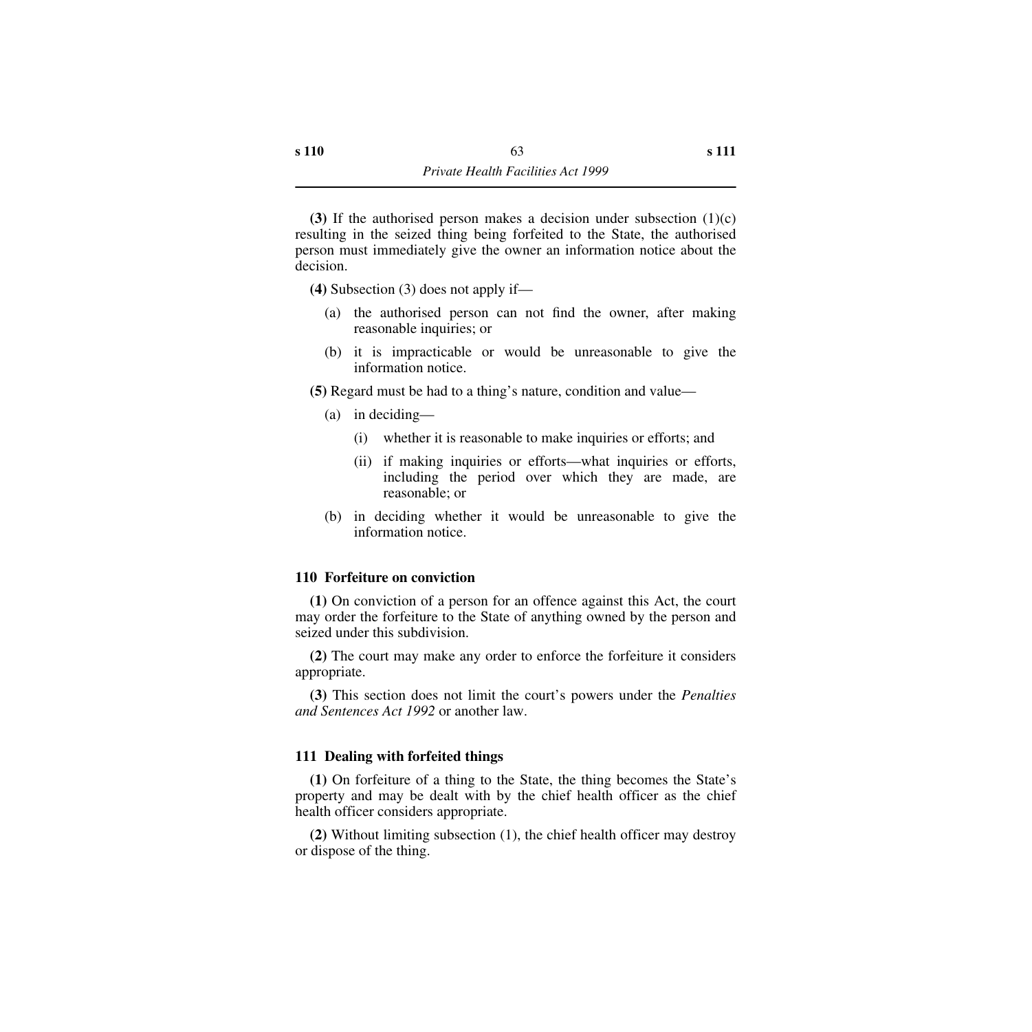**(3)** If the authorised person makes a decision under subsection (1)(c) resulting in the seized thing being forfeited to the State, the authorised person must immediately give the owner an information notice about the decision.

**(4)** Subsection (3) does not apply if—

- (a) the authorised person can not find the owner, after making reasonable inquiries; or
- (b) it is impracticable or would be unreasonable to give the information notice.

**(5)** Regard must be had to a thing's nature, condition and value—

- (a) in deciding—
	- (i) whether it is reasonable to make inquiries or efforts; and
	- (ii) if making inquiries or efforts—what inquiries or efforts, including the period over which they are made, are reasonable; or
- (b) in deciding whether it would be unreasonable to give the information notice.

#### **110 Forfeiture on conviction**

**(1)** On conviction of a person for an offence against this Act, the court may order the forfeiture to the State of anything owned by the person and seized under this subdivision.

**(2)** The court may make any order to enforce the forfeiture it considers appropriate.

**(3)** This section does not limit the court's powers under the *Penalties and Sentences Act 1992* or another law.

## **111 Dealing with forfeited things**

**(1)** On forfeiture of a thing to the State, the thing becomes the State's property and may be dealt with by the chief health officer as the chief health officer considers appropriate.

**(2)** Without limiting subsection (1), the chief health officer may destroy or dispose of the thing.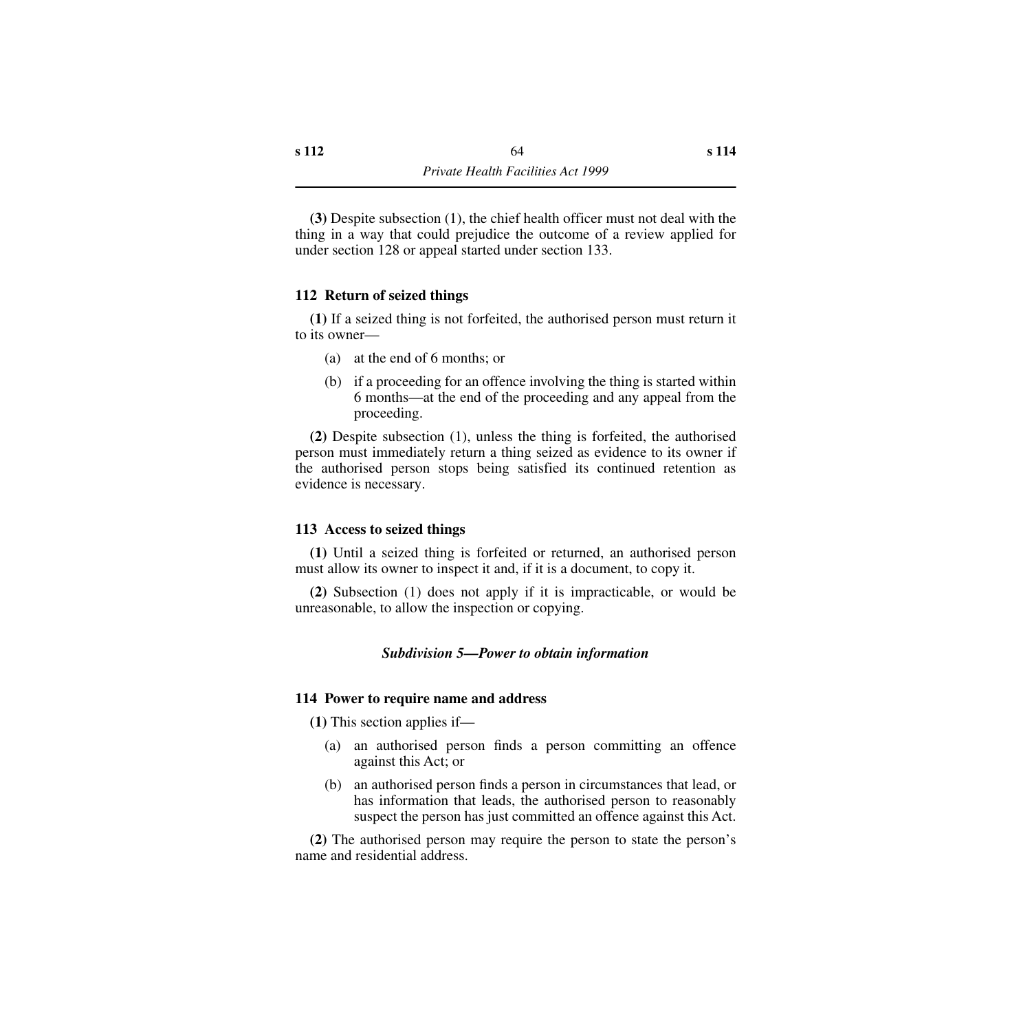**(3)** Despite subsection (1), the chief health officer must not deal with the thing in a way that could prejudice the outcome of a review applied for under section 128 or appeal started under section 133.

## **112 Return of seized things**

**(1)** If a seized thing is not forfeited, the authorised person must return it to its owner—

- (a) at the end of 6 months; or
- (b) if a proceeding for an offence involving the thing is started within 6 months—at the end of the proceeding and any appeal from the proceeding.

**(2)** Despite subsection (1), unless the thing is forfeited, the authorised person must immediately return a thing seized as evidence to its owner if the authorised person stops being satisfied its continued retention as evidence is necessary.

#### **113 Access to seized things**

**(1)** Until a seized thing is forfeited or returned, an authorised person must allow its owner to inspect it and, if it is a document, to copy it.

**(2)** Subsection (1) does not apply if it is impracticable, or would be unreasonable, to allow the inspection or copying.

#### *Subdivision 5—Power to obtain information*

#### **114 Power to require name and address**

**(1)** This section applies if—

- (a) an authorised person finds a person committing an offence against this Act; or
- (b) an authorised person finds a person in circumstances that lead, or has information that leads, the authorised person to reasonably suspect the person has just committed an offence against this Act.

**(2)** The authorised person may require the person to state the person's name and residential address.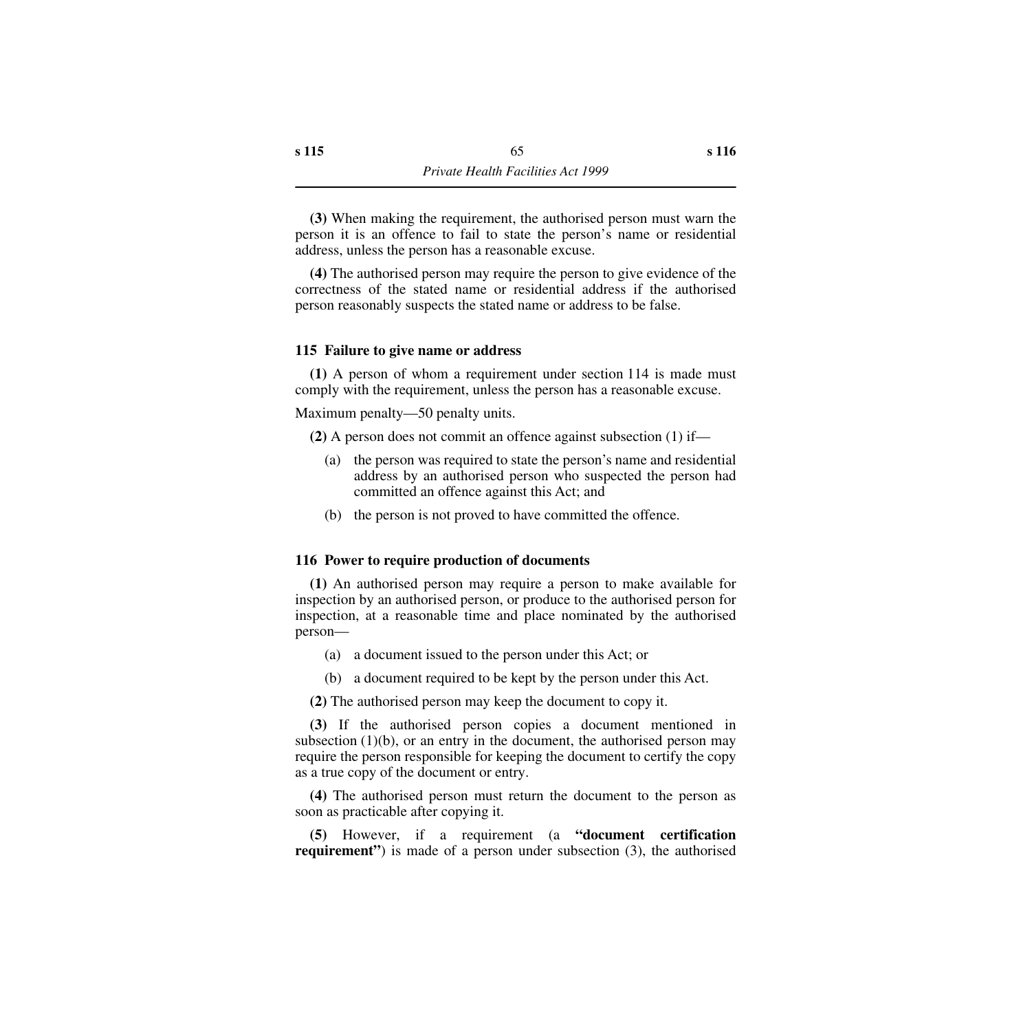**(3)** When making the requirement, the authorised person must warn the person it is an offence to fail to state the person's name or residential address, unless the person has a reasonable excuse.

**(4)** The authorised person may require the person to give evidence of the correctness of the stated name or residential address if the authorised person reasonably suspects the stated name or address to be false.

## **115 Failure to give name or address**

**(1)** A person of whom a requirement under section 114 is made must comply with the requirement, unless the person has a reasonable excuse.

Maximum penalty—50 penalty units.

**(2)** A person does not commit an offence against subsection (1) if—

- (a) the person was required to state the person's name and residential address by an authorised person who suspected the person had committed an offence against this Act; and
- (b) the person is not proved to have committed the offence.

#### **116 Power to require production of documents**

**(1)** An authorised person may require a person to make available for inspection by an authorised person, or produce to the authorised person for inspection, at a reasonable time and place nominated by the authorised person—

- (a) a document issued to the person under this Act; or
- (b) a document required to be kept by the person under this Act.

**(2)** The authorised person may keep the document to copy it.

**(3)** If the authorised person copies a document mentioned in subsection  $(1)(b)$ , or an entry in the document, the authorised person may require the person responsible for keeping the document to certify the copy as a true copy of the document or entry.

**(4)** The authorised person must return the document to the person as soon as practicable after copying it.

**(5)** However, if a requirement (a **"document certification requirement**") is made of a person under subsection (3), the authorised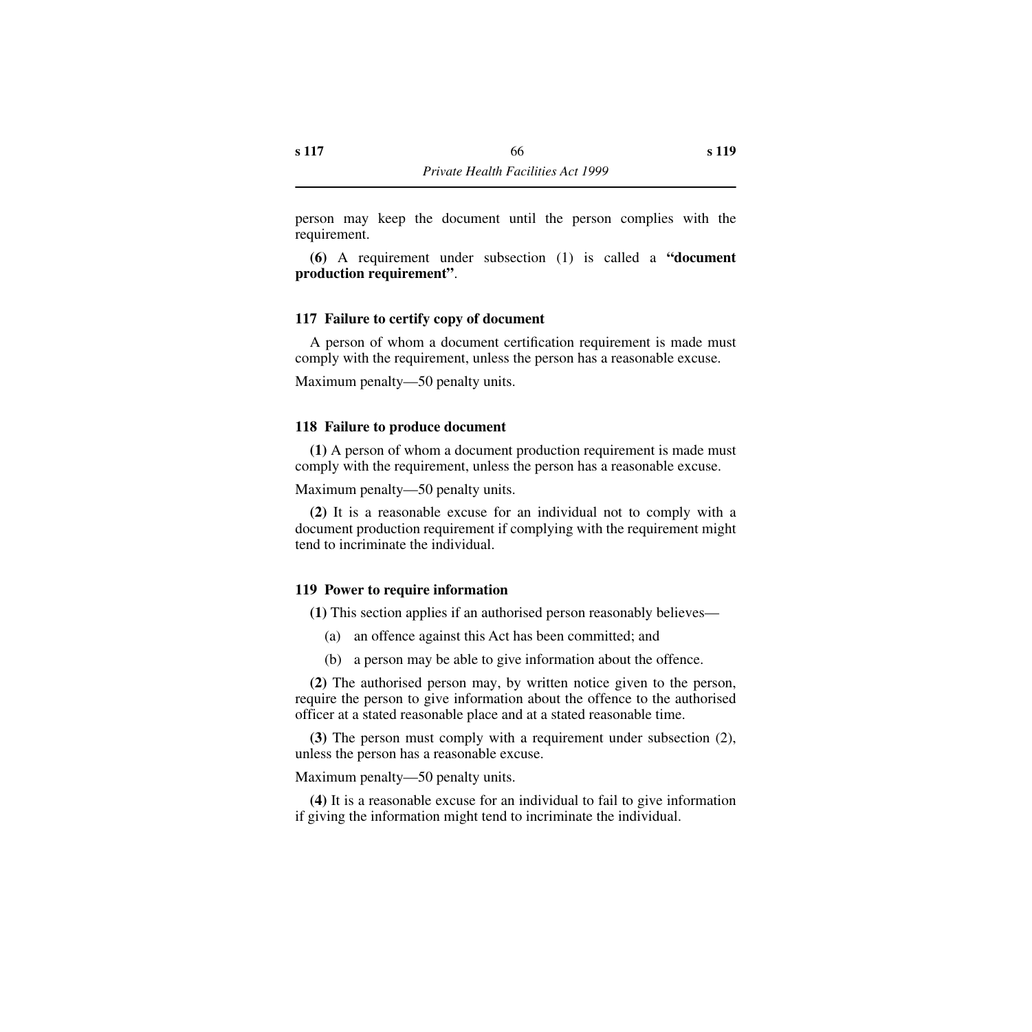person may keep the document until the person complies with the requirement.

**(6)** A requirement under subsection (1) is called a **"document production requirement"**.

### **117 Failure to certify copy of document**

A person of whom a document certification requirement is made must comply with the requirement, unless the person has a reasonable excuse.

Maximum penalty—50 penalty units.

#### **118 Failure to produce document**

**(1)** A person of whom a document production requirement is made must comply with the requirement, unless the person has a reasonable excuse.

Maximum penalty—50 penalty units.

**(2)** It is a reasonable excuse for an individual not to comply with a document production requirement if complying with the requirement might tend to incriminate the individual.

#### **119 Power to require information**

**(1)** This section applies if an authorised person reasonably believes—

- (a) an offence against this Act has been committed; and
- (b) a person may be able to give information about the offence.

**(2)** The authorised person may, by written notice given to the person, require the person to give information about the offence to the authorised officer at a stated reasonable place and at a stated reasonable time.

**(3)** The person must comply with a requirement under subsection (2), unless the person has a reasonable excuse.

Maximum penalty—50 penalty units.

**(4)** It is a reasonable excuse for an individual to fail to give information if giving the information might tend to incriminate the individual.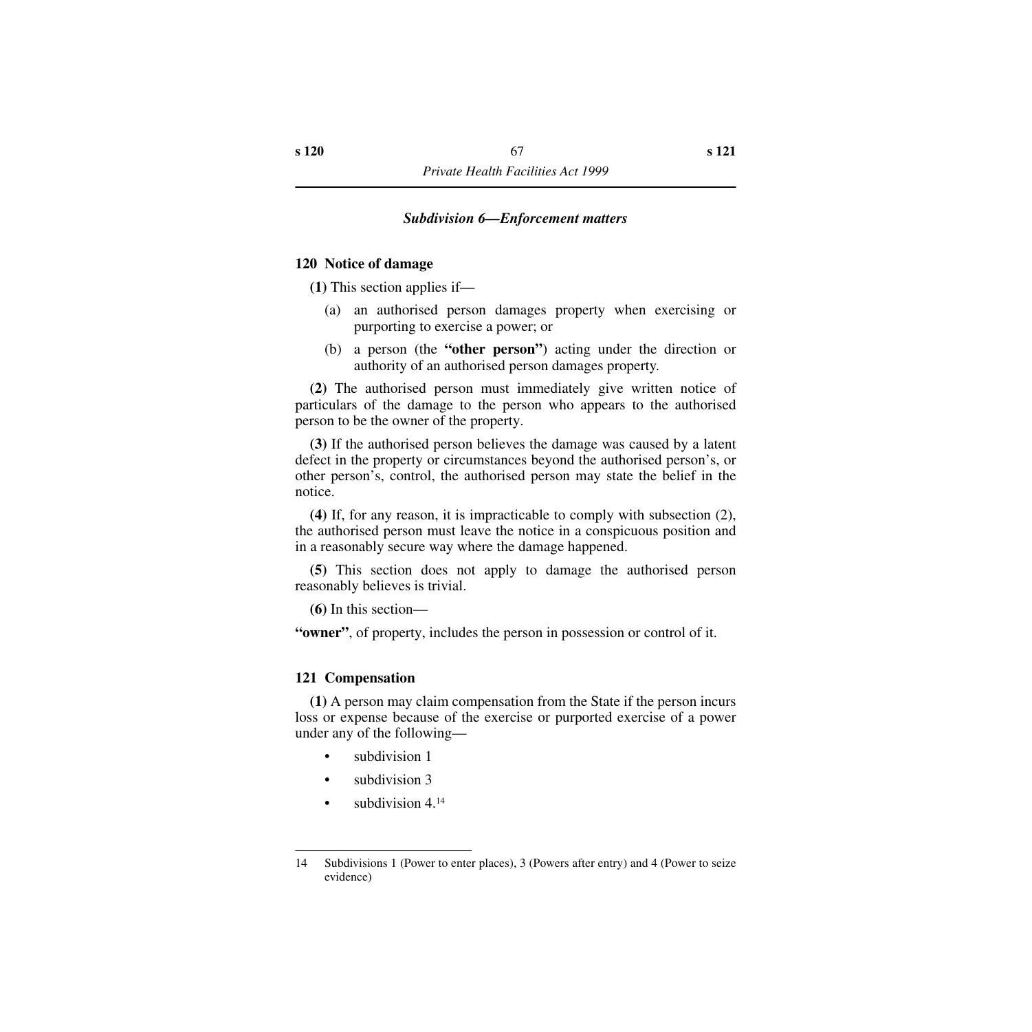## *Subdivision 6—Enforcement matters*

## **120 Notice of damage**

**(1)** This section applies if—

- (a) an authorised person damages property when exercising or purporting to exercise a power; or
- (b) a person (the **"other person"**) acting under the direction or authority of an authorised person damages property.

**(2)** The authorised person must immediately give written notice of particulars of the damage to the person who appears to the authorised person to be the owner of the property.

**(3)** If the authorised person believes the damage was caused by a latent defect in the property or circumstances beyond the authorised person's, or other person's, control, the authorised person may state the belief in the notice.

**(4)** If, for any reason, it is impracticable to comply with subsection (2), the authorised person must leave the notice in a conspicuous position and in a reasonably secure way where the damage happened.

**(5)** This section does not apply to damage the authorised person reasonably believes is trivial.

**(6)** In this section—

**"owner"**, of property, includes the person in possession or control of it.

## **121 Compensation**

**(1)** A person may claim compensation from the State if the person incurs loss or expense because of the exercise or purported exercise of a power under any of the following—

- subdivision 1
- subdivision 3
- subdivision  $4^{14}$

<sup>14</sup> Subdivisions 1 (Power to enter places), 3 (Powers after entry) and 4 (Power to seize evidence)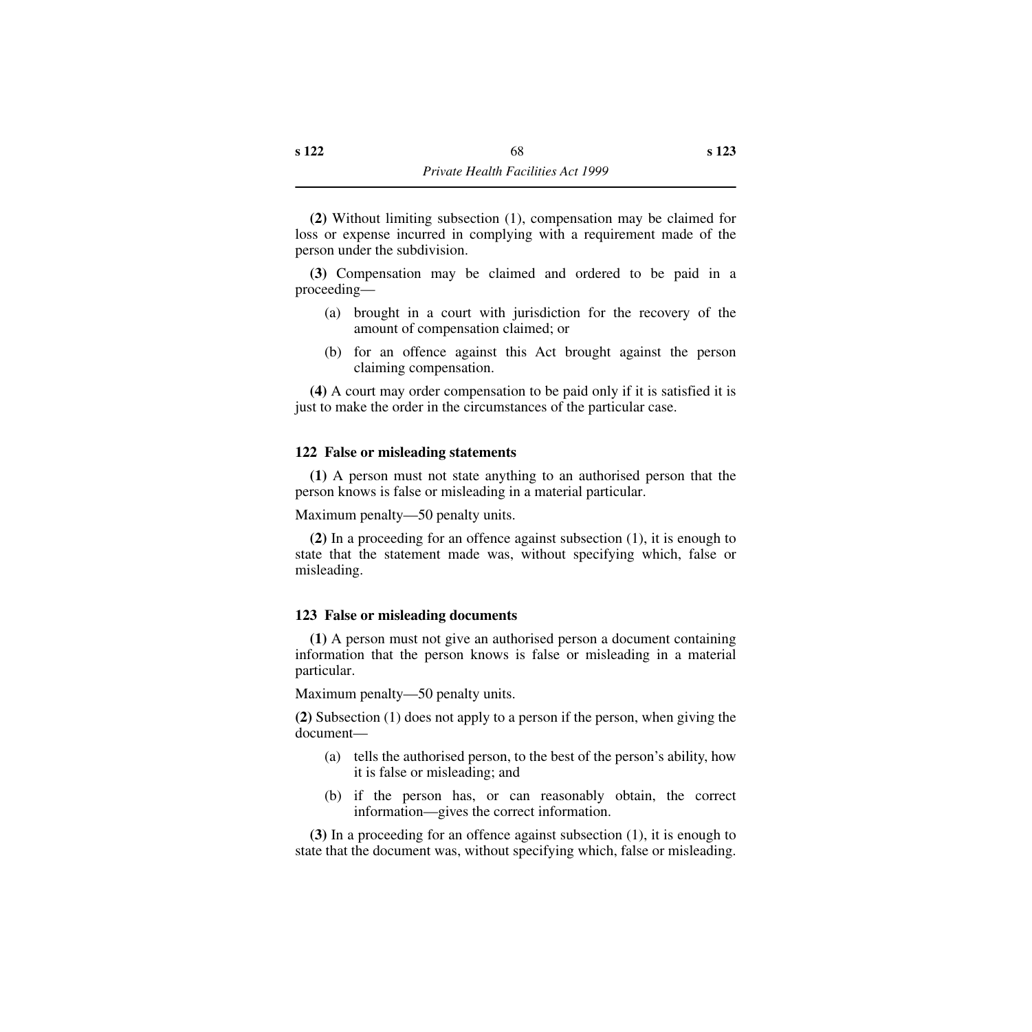**(2)** Without limiting subsection (1), compensation may be claimed for loss or expense incurred in complying with a requirement made of the person under the subdivision.

**(3)** Compensation may be claimed and ordered to be paid in a proceeding—

- (a) brought in a court with jurisdiction for the recovery of the amount of compensation claimed; or
- (b) for an offence against this Act brought against the person claiming compensation.

**(4)** A court may order compensation to be paid only if it is satisfied it is just to make the order in the circumstances of the particular case.

## **122 False or misleading statements**

**(1)** A person must not state anything to an authorised person that the person knows is false or misleading in a material particular.

Maximum penalty—50 penalty units.

**(2)** In a proceeding for an offence against subsection (1), it is enough to state that the statement made was, without specifying which, false or misleading.

#### **123 False or misleading documents**

**(1)** A person must not give an authorised person a document containing information that the person knows is false or misleading in a material particular.

Maximum penalty—50 penalty units.

**(2)** Subsection (1) does not apply to a person if the person, when giving the document—

- (a) tells the authorised person, to the best of the person's ability, how it is false or misleading; and
- (b) if the person has, or can reasonably obtain, the correct information—gives the correct information.

**(3)** In a proceeding for an offence against subsection (1), it is enough to state that the document was, without specifying which, false or misleading.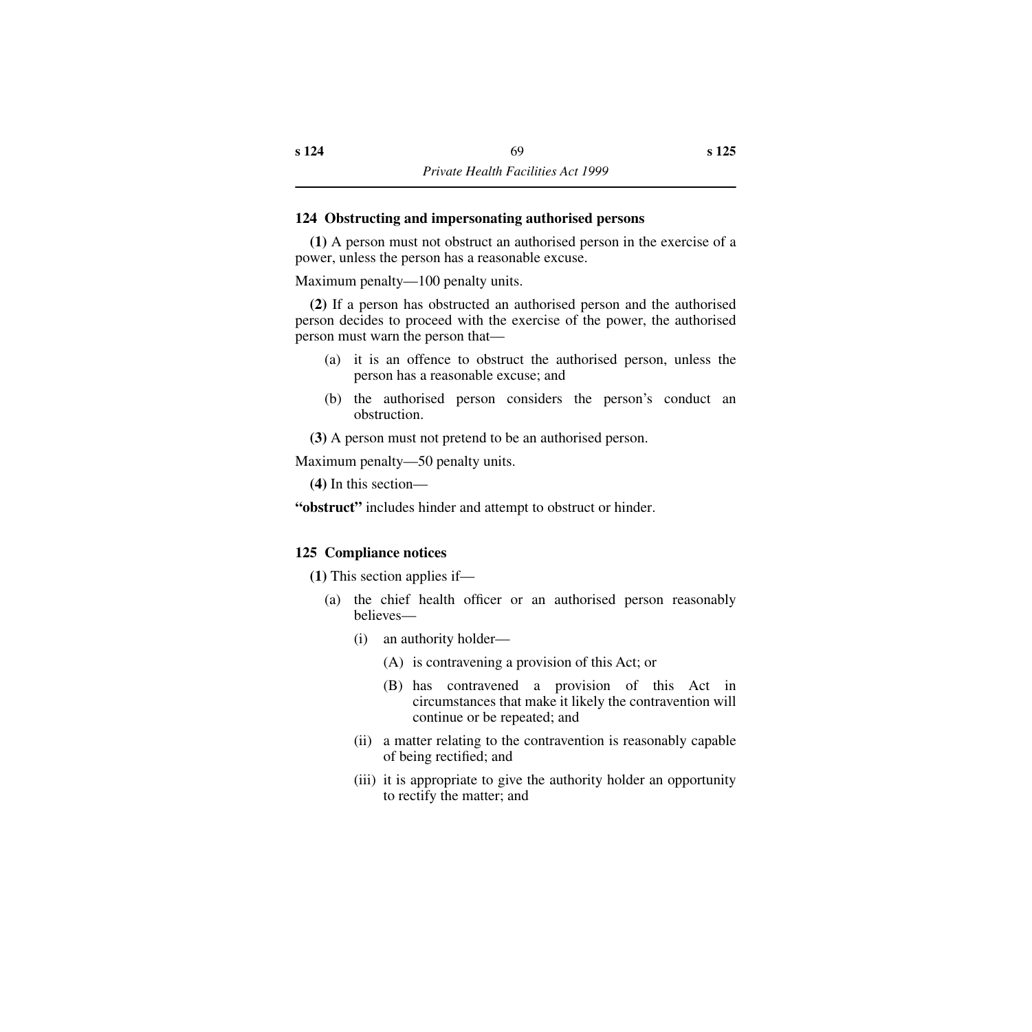## **124 Obstructing and impersonating authorised persons**

**(1)** A person must not obstruct an authorised person in the exercise of a power, unless the person has a reasonable excuse.

Maximum penalty—100 penalty units.

**(2)** If a person has obstructed an authorised person and the authorised person decides to proceed with the exercise of the power, the authorised person must warn the person that—

- (a) it is an offence to obstruct the authorised person, unless the person has a reasonable excuse; and
- (b) the authorised person considers the person's conduct an obstruction.

**(3)** A person must not pretend to be an authorised person.

Maximum penalty—50 penalty units.

**(4)** In this section—

**"obstruct"** includes hinder and attempt to obstruct or hinder.

# **125 Compliance notices**

**(1)** This section applies if—

- (a) the chief health officer or an authorised person reasonably believes—
	- (i) an authority holder—
		- (A) is contravening a provision of this Act; or
		- (B) has contravened a provision of this Act in circumstances that make it likely the contravention will continue or be repeated; and
	- (ii) a matter relating to the contravention is reasonably capable of being rectified; and
	- (iii) it is appropriate to give the authority holder an opportunity to rectify the matter; and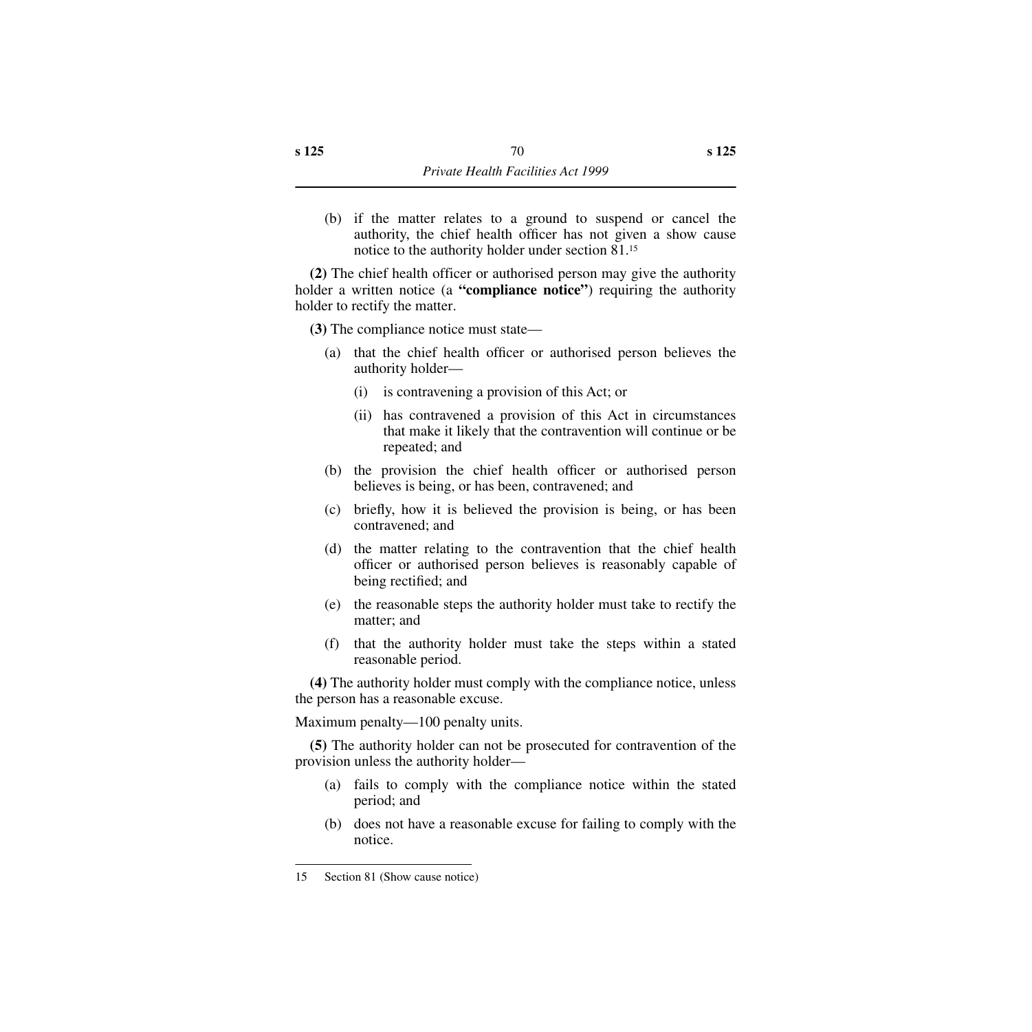(b) if the matter relates to a ground to suspend or cancel the authority, the chief health officer has not given a show cause notice to the authority holder under section 81.15

**(2)** The chief health officer or authorised person may give the authority holder a written notice (a **"compliance notice"**) requiring the authority holder to rectify the matter.

**(3)** The compliance notice must state—

- (a) that the chief health officer or authorised person believes the authority holder—
	- (i) is contravening a provision of this Act; or
	- (ii) has contravened a provision of this Act in circumstances that make it likely that the contravention will continue or be repeated; and
- (b) the provision the chief health officer or authorised person believes is being, or has been, contravened; and
- (c) briefly, how it is believed the provision is being, or has been contravened; and
- (d) the matter relating to the contravention that the chief health officer or authorised person believes is reasonably capable of being rectified; and
- (e) the reasonable steps the authority holder must take to rectify the matter; and
- (f) that the authority holder must take the steps within a stated reasonable period.

**(4)** The authority holder must comply with the compliance notice, unless the person has a reasonable excuse.

Maximum penalty—100 penalty units.

**(5)** The authority holder can not be prosecuted for contravention of the provision unless the authority holder—

- (a) fails to comply with the compliance notice within the stated period; and
- (b) does not have a reasonable excuse for failing to comply with the notice.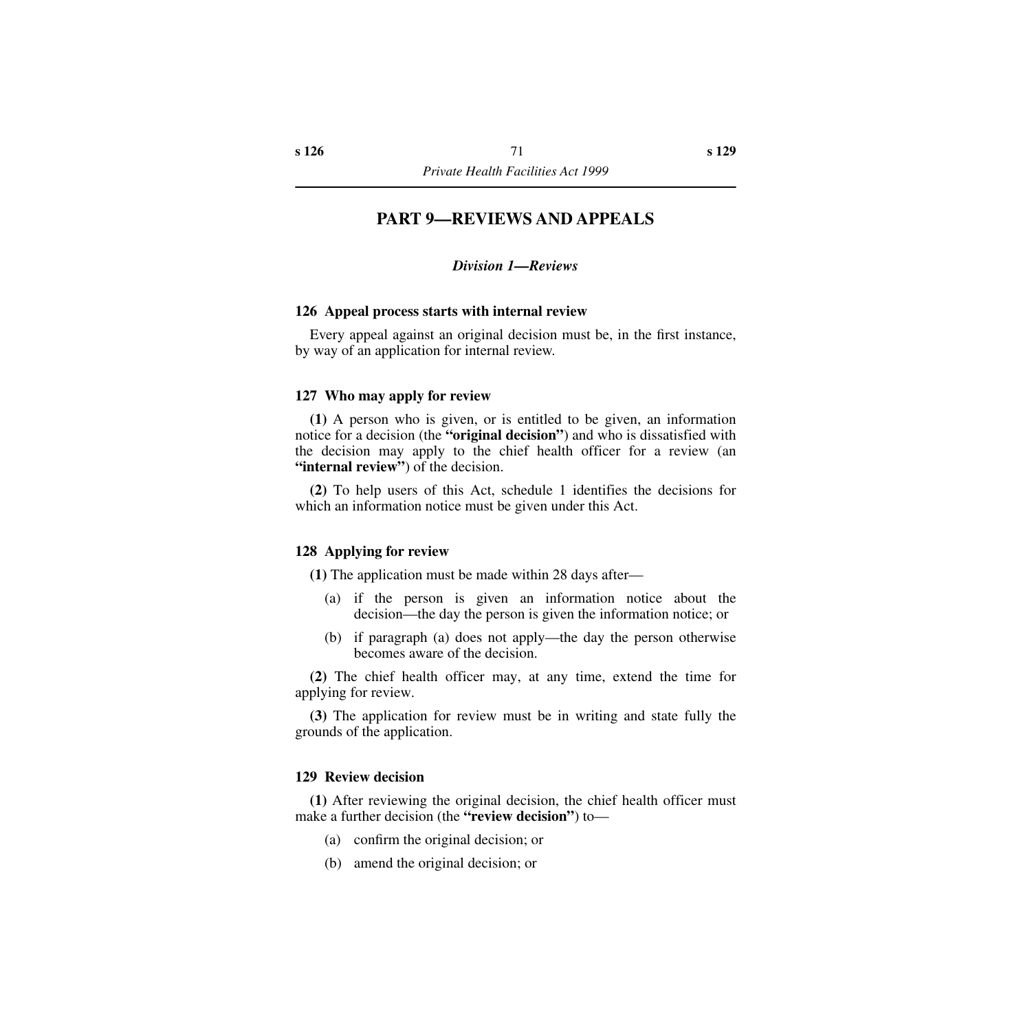### **PART 9—REVIEWS AND APPEALS**

#### *Division 1—Reviews*

#### **126 Appeal process starts with internal review**

Every appeal against an original decision must be, in the first instance, by way of an application for internal review.

#### **127 Who may apply for review**

**(1)** A person who is given, or is entitled to be given, an information notice for a decision (the **"original decision"**) and who is dissatisfied with the decision may apply to the chief health officer for a review (an **"internal review"**) of the decision.

**(2)** To help users of this Act, schedule 1 identifies the decisions for which an information notice must be given under this Act.

#### **128 Applying for review**

**(1)** The application must be made within 28 days after—

- (a) if the person is given an information notice about the decision—the day the person is given the information notice; or
- (b) if paragraph (a) does not apply—the day the person otherwise becomes aware of the decision.

**(2)** The chief health officer may, at any time, extend the time for applying for review.

**(3)** The application for review must be in writing and state fully the grounds of the application.

#### **129 Review decision**

**(1)** After reviewing the original decision, the chief health officer must make a further decision (the **"review decision"**) to—

- (a) confirm the original decision; or
- (b) amend the original decision; or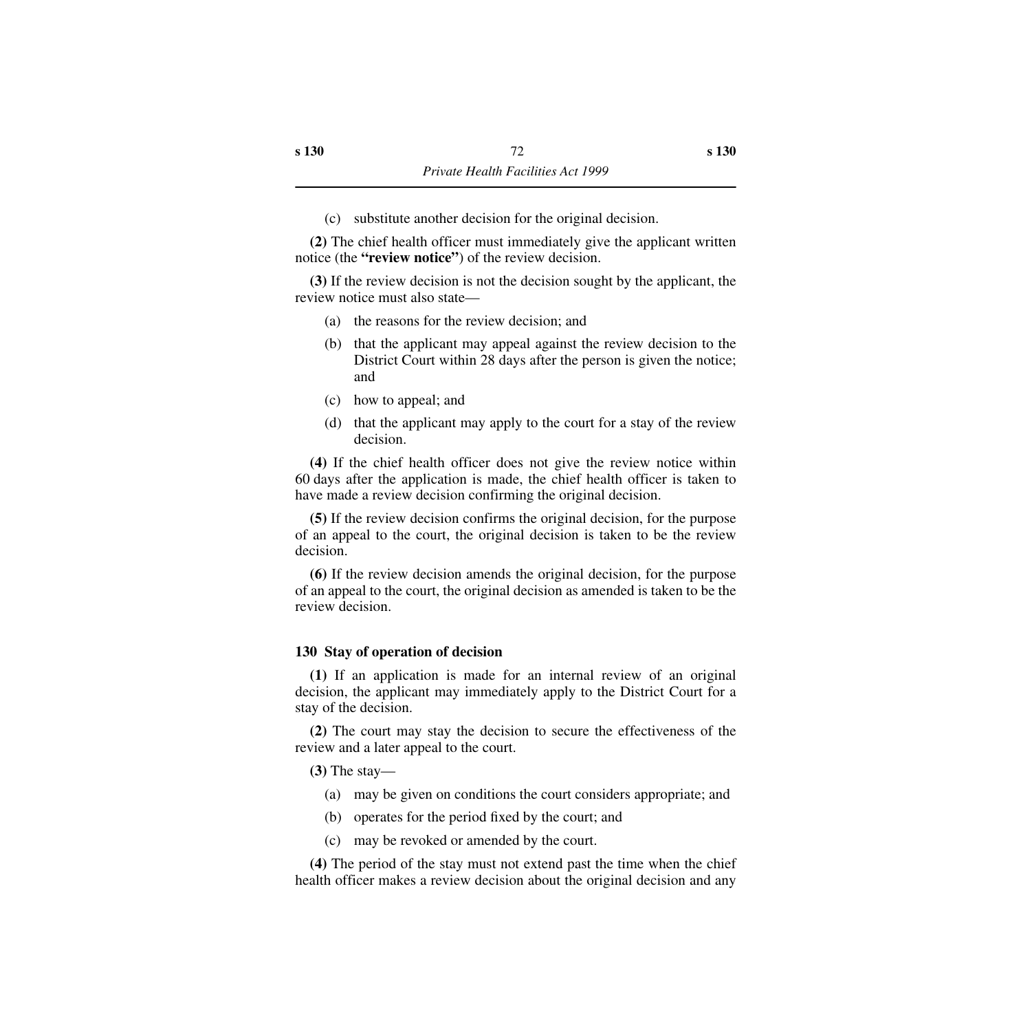(c) substitute another decision for the original decision.

**(2)** The chief health officer must immediately give the applicant written notice (the **"review notice"**) of the review decision.

**(3)** If the review decision is not the decision sought by the applicant, the review notice must also state—

- (a) the reasons for the review decision; and
- (b) that the applicant may appeal against the review decision to the District Court within 28 days after the person is given the notice; and
- (c) how to appeal; and
- (d) that the applicant may apply to the court for a stay of the review decision.

**(4)** If the chief health officer does not give the review notice within 60 days after the application is made, the chief health officer is taken to have made a review decision confirming the original decision.

**(5)** If the review decision confirms the original decision, for the purpose of an appeal to the court, the original decision is taken to be the review decision.

**(6)** If the review decision amends the original decision, for the purpose of an appeal to the court, the original decision as amended is taken to be the review decision.

#### **130 Stay of operation of decision**

**(1)** If an application is made for an internal review of an original decision, the applicant may immediately apply to the District Court for a stay of the decision.

**(2)** The court may stay the decision to secure the effectiveness of the review and a later appeal to the court.

**(3)** The stay—

- (a) may be given on conditions the court considers appropriate; and
- (b) operates for the period fixed by the court; and
- (c) may be revoked or amended by the court.

**(4)** The period of the stay must not extend past the time when the chief health officer makes a review decision about the original decision and any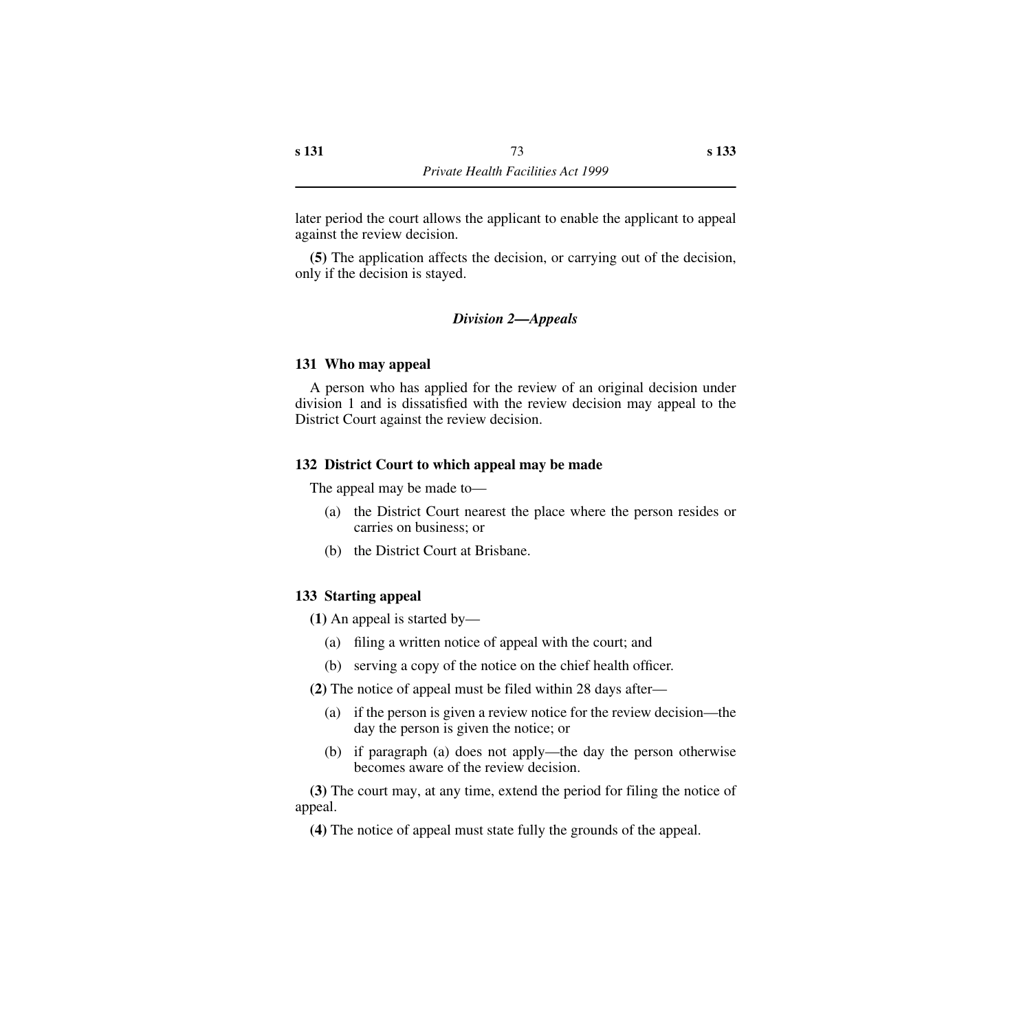later period the court allows the applicant to enable the applicant to appeal against the review decision.

**(5)** The application affects the decision, or carrying out of the decision, only if the decision is stayed.

### *Division 2—Appeals*

#### **131 Who may appeal**

A person who has applied for the review of an original decision under division 1 and is dissatisfied with the review decision may appeal to the District Court against the review decision.

#### **132 District Court to which appeal may be made**

The appeal may be made to—

- (a) the District Court nearest the place where the person resides or carries on business; or
- (b) the District Court at Brisbane.

### **133 Starting appeal**

**(1)** An appeal is started by—

- (a) filing a written notice of appeal with the court; and
- (b) serving a copy of the notice on the chief health officer.

**(2)** The notice of appeal must be filed within 28 days after—

- (a) if the person is given a review notice for the review decision—the day the person is given the notice; or
- (b) if paragraph (a) does not apply—the day the person otherwise becomes aware of the review decision.

**(3)** The court may, at any time, extend the period for filing the notice of appeal.

**(4)** The notice of appeal must state fully the grounds of the appeal.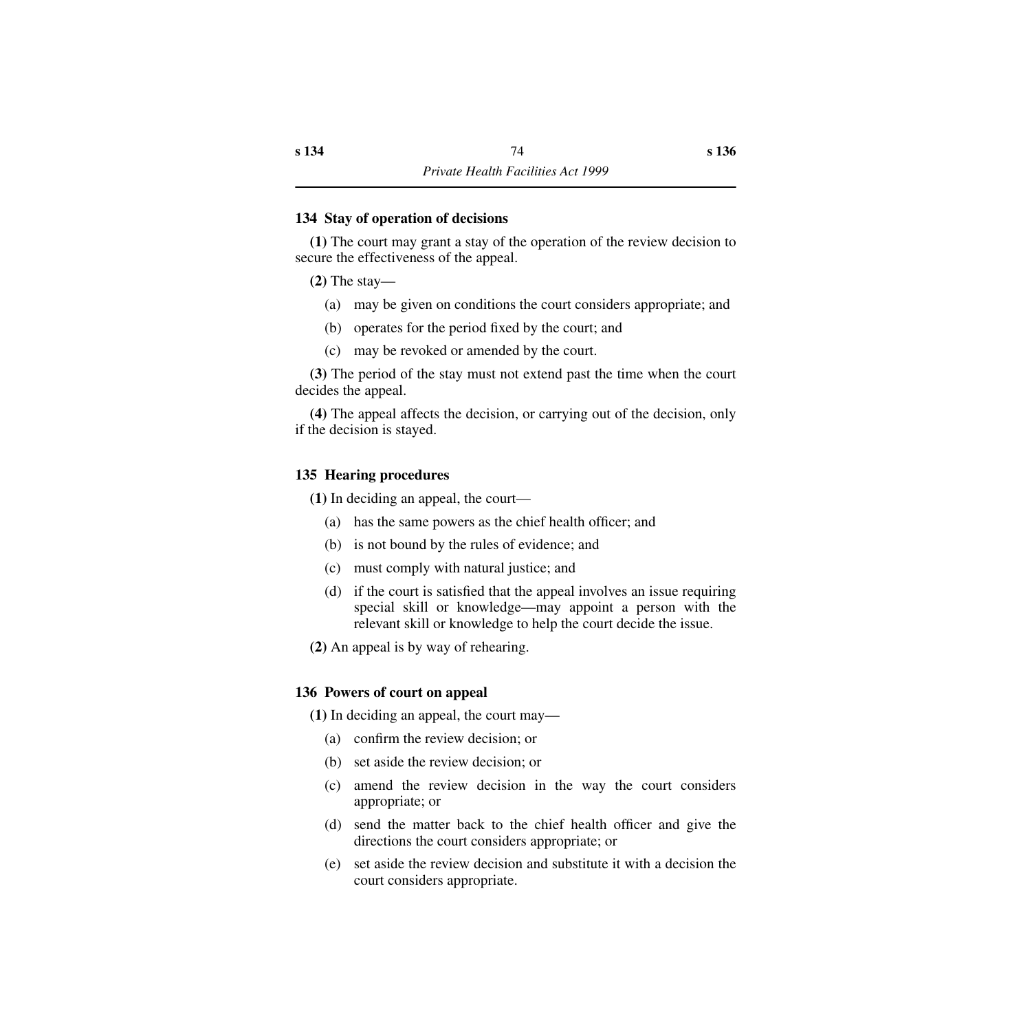### **134 Stay of operation of decisions**

**(1)** The court may grant a stay of the operation of the review decision to secure the effectiveness of the appeal.

**(2)** The stay—

- (a) may be given on conditions the court considers appropriate; and
- (b) operates for the period fixed by the court; and
- (c) may be revoked or amended by the court.

**(3)** The period of the stay must not extend past the time when the court decides the appeal.

**(4)** The appeal affects the decision, or carrying out of the decision, only if the decision is stayed.

### **135 Hearing procedures**

**(1)** In deciding an appeal, the court—

- (a) has the same powers as the chief health officer; and
- (b) is not bound by the rules of evidence; and
- (c) must comply with natural justice; and
- (d) if the court is satisfied that the appeal involves an issue requiring special skill or knowledge—may appoint a person with the relevant skill or knowledge to help the court decide the issue.
- **(2)** An appeal is by way of rehearing.

### **136 Powers of court on appeal**

**(1)** In deciding an appeal, the court may—

- (a) confirm the review decision; or
- (b) set aside the review decision; or
- (c) amend the review decision in the way the court considers appropriate; or
- (d) send the matter back to the chief health officer and give the directions the court considers appropriate; or
- (e) set aside the review decision and substitute it with a decision the court considers appropriate.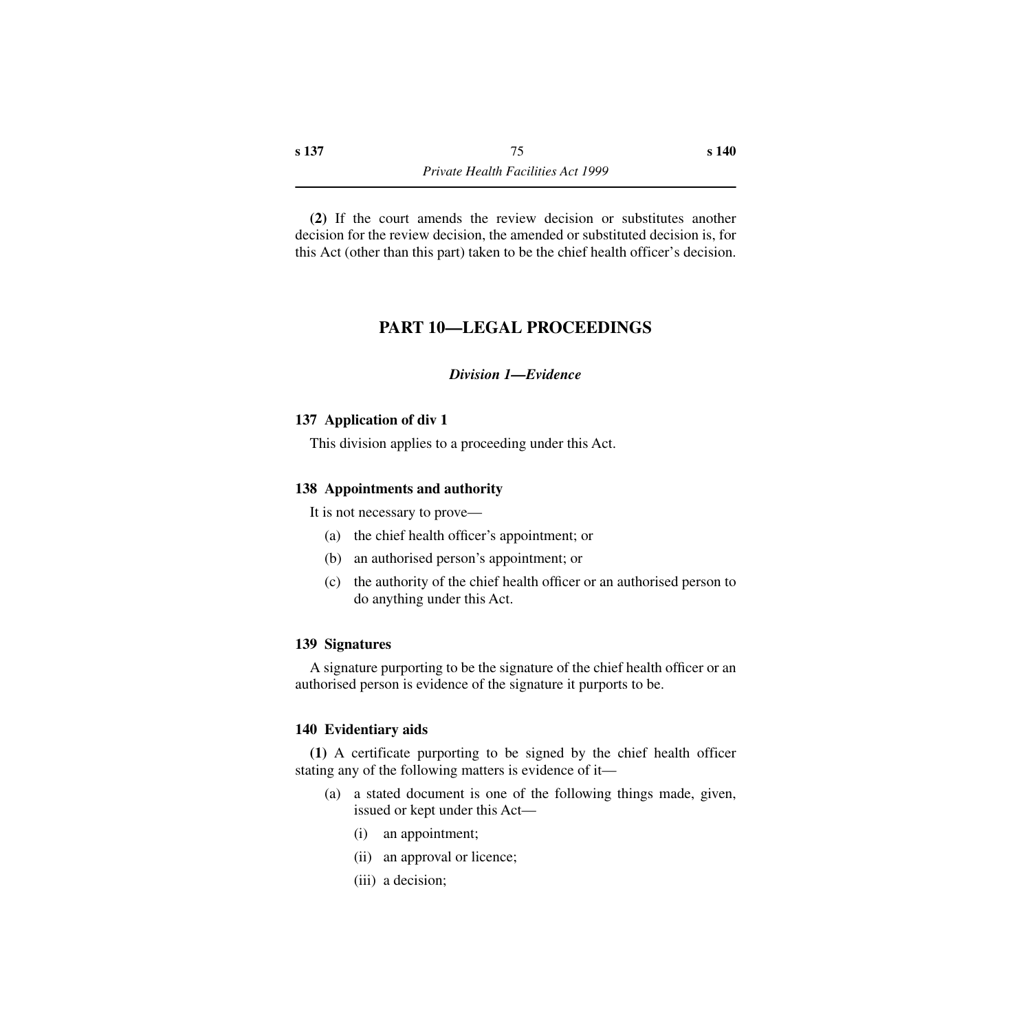**(2)** If the court amends the review decision or substitutes another decision for the review decision, the amended or substituted decision is, for this Act (other than this part) taken to be the chief health officer's decision.

# **PART 10—LEGAL PROCEEDINGS**

### *Division 1—Evidence*

### **137 Application of div 1**

This division applies to a proceeding under this Act.

### **138 Appointments and authority**

It is not necessary to prove—

- (a) the chief health officer's appointment; or
- (b) an authorised person's appointment; or
- (c) the authority of the chief health officer or an authorised person to do anything under this Act.

### **139 Signatures**

A signature purporting to be the signature of the chief health officer or an authorised person is evidence of the signature it purports to be.

### **140 Evidentiary aids**

**(1)** A certificate purporting to be signed by the chief health officer stating any of the following matters is evidence of it—

- (a) a stated document is one of the following things made, given, issued or kept under this Act—
	- (i) an appointment;
	- (ii) an approval or licence;
	- (iii) a decision;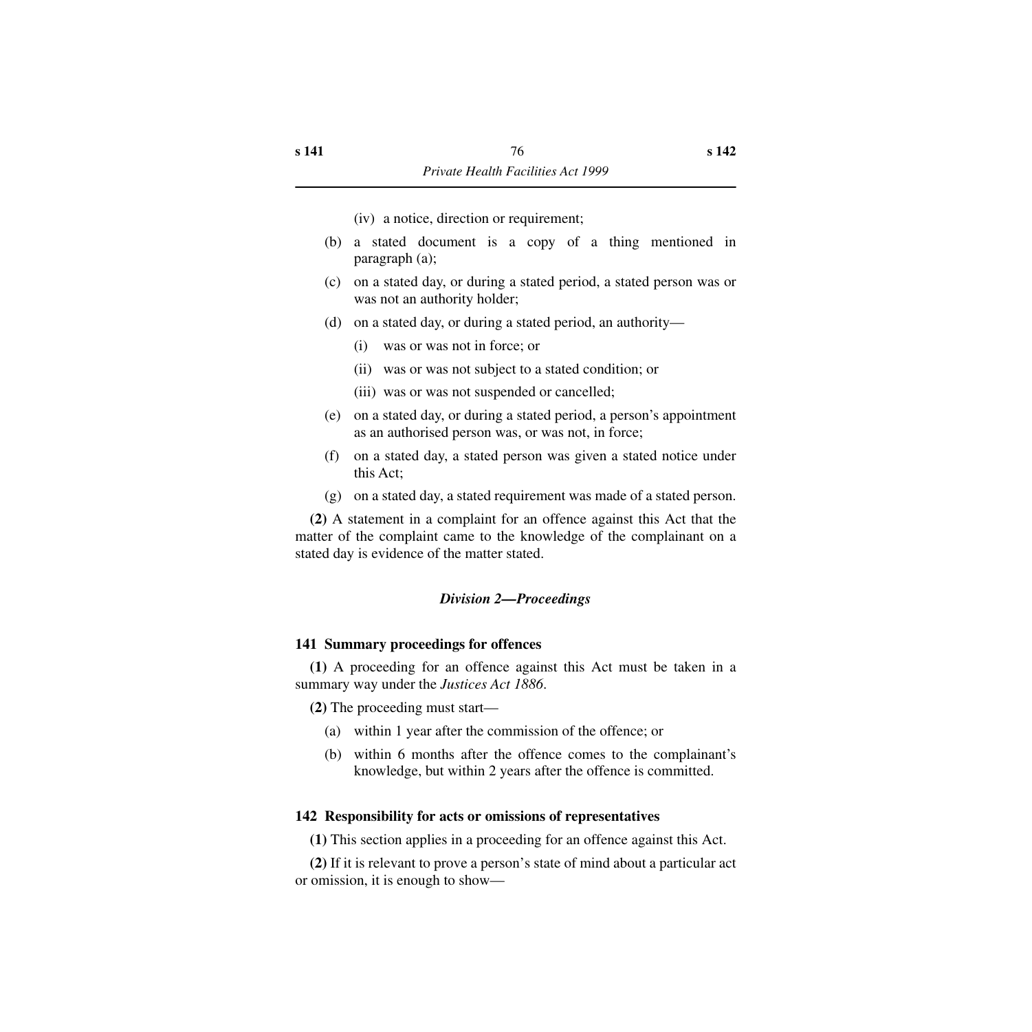(iv) a notice, direction or requirement;

- (b) a stated document is a copy of a thing mentioned in paragraph (a);
- (c) on a stated day, or during a stated period, a stated person was or was not an authority holder;
- (d) on a stated day, or during a stated period, an authority—
	- (i) was or was not in force; or
	- (ii) was or was not subject to a stated condition; or
	- (iii) was or was not suspended or cancelled;
- (e) on a stated day, or during a stated period, a person's appointment as an authorised person was, or was not, in force;
- (f) on a stated day, a stated person was given a stated notice under this Act;
- (g) on a stated day, a stated requirement was made of a stated person.

**(2)** A statement in a complaint for an offence against this Act that the matter of the complaint came to the knowledge of the complainant on a stated day is evidence of the matter stated.

## *Division 2—Proceedings*

### **141 Summary proceedings for offences**

**(1)** A proceeding for an offence against this Act must be taken in a summary way under the *Justices Act 1886*.

**(2)** The proceeding must start—

- (a) within 1 year after the commission of the offence; or
- (b) within 6 months after the offence comes to the complainant's knowledge, but within 2 years after the offence is committed.

## **142 Responsibility for acts or omissions of representatives**

**(1)** This section applies in a proceeding for an offence against this Act.

**(2)** If it is relevant to prove a person's state of mind about a particular act or omission, it is enough to show—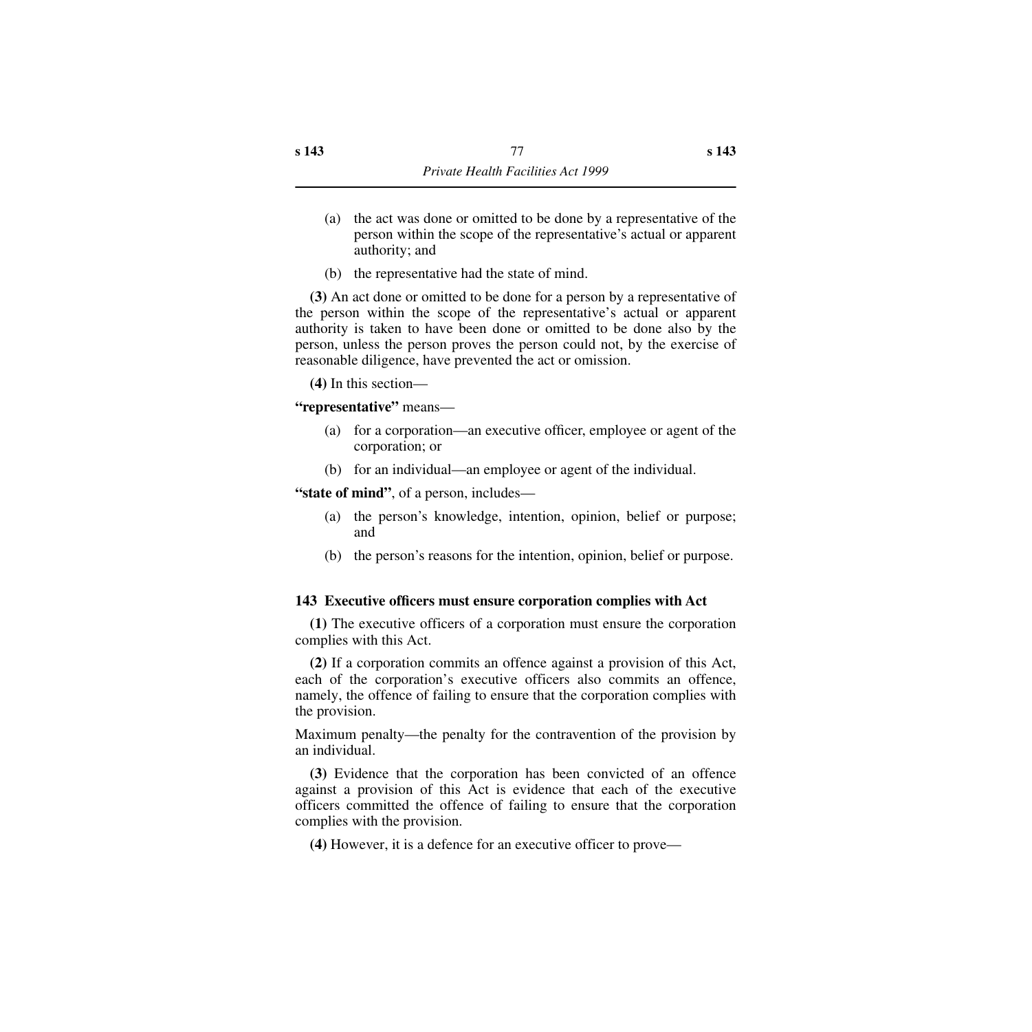- (a) the act was done or omitted to be done by a representative of the person within the scope of the representative's actual or apparent authority; and
- (b) the representative had the state of mind.

**(3)** An act done or omitted to be done for a person by a representative of the person within the scope of the representative's actual or apparent authority is taken to have been done or omitted to be done also by the person, unless the person proves the person could not, by the exercise of reasonable diligence, have prevented the act or omission.

**(4)** In this section—

**"representative"** means—

- (a) for a corporation—an executive officer, employee or agent of the corporation; or
- (b) for an individual—an employee or agent of the individual.

**"state of mind"**, of a person, includes—

- (a) the person's knowledge, intention, opinion, belief or purpose; and
- (b) the person's reasons for the intention, opinion, belief or purpose.

### **143 Executive officers must ensure corporation complies with Act**

**(1)** The executive officers of a corporation must ensure the corporation complies with this Act.

**(2)** If a corporation commits an offence against a provision of this Act, each of the corporation's executive officers also commits an offence, namely, the offence of failing to ensure that the corporation complies with the provision.

Maximum penalty—the penalty for the contravention of the provision by an individual.

**(3)** Evidence that the corporation has been convicted of an offence against a provision of this Act is evidence that each of the executive officers committed the offence of failing to ensure that the corporation complies with the provision.

**(4)** However, it is a defence for an executive officer to prove—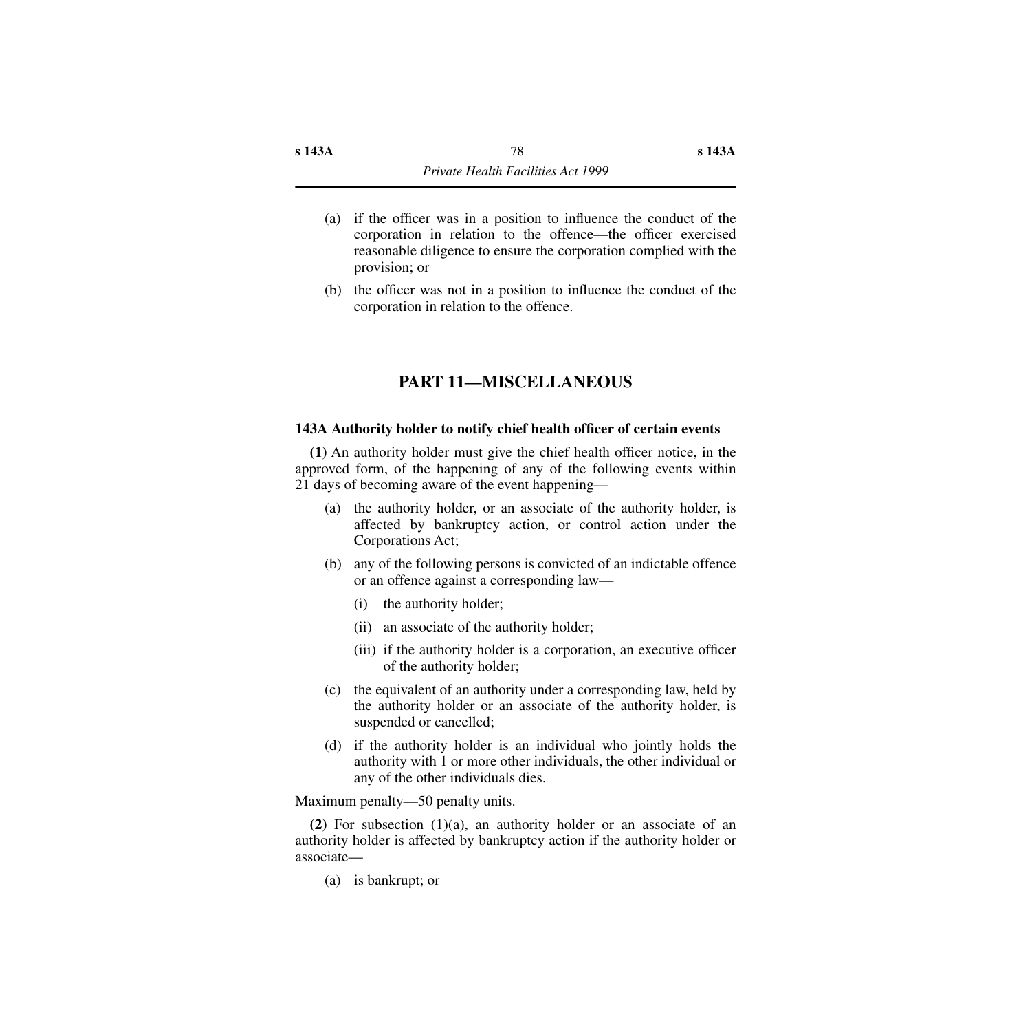- (a) if the officer was in a position to influence the conduct of the corporation in relation to the offence—the officer exercised reasonable diligence to ensure the corporation complied with the provision; or
- (b) the officer was not in a position to influence the conduct of the corporation in relation to the offence.

## **PART 11—MISCELLANEOUS**

#### **143A Authority holder to notify chief health officer of certain events**

**(1)** An authority holder must give the chief health officer notice, in the approved form, of the happening of any of the following events within 21 days of becoming aware of the event happening—

- (a) the authority holder, or an associate of the authority holder, is affected by bankruptcy action, or control action under the Corporations Act;
- (b) any of the following persons is convicted of an indictable offence or an offence against a corresponding law—
	- (i) the authority holder;
	- (ii) an associate of the authority holder;
	- (iii) if the authority holder is a corporation, an executive officer of the authority holder;
- (c) the equivalent of an authority under a corresponding law, held by the authority holder or an associate of the authority holder, is suspended or cancelled;
- (d) if the authority holder is an individual who jointly holds the authority with 1 or more other individuals, the other individual or any of the other individuals dies.

Maximum penalty—50 penalty units.

**(2)** For subsection (1)(a), an authority holder or an associate of an authority holder is affected by bankruptcy action if the authority holder or associate—

(a) is bankrupt; or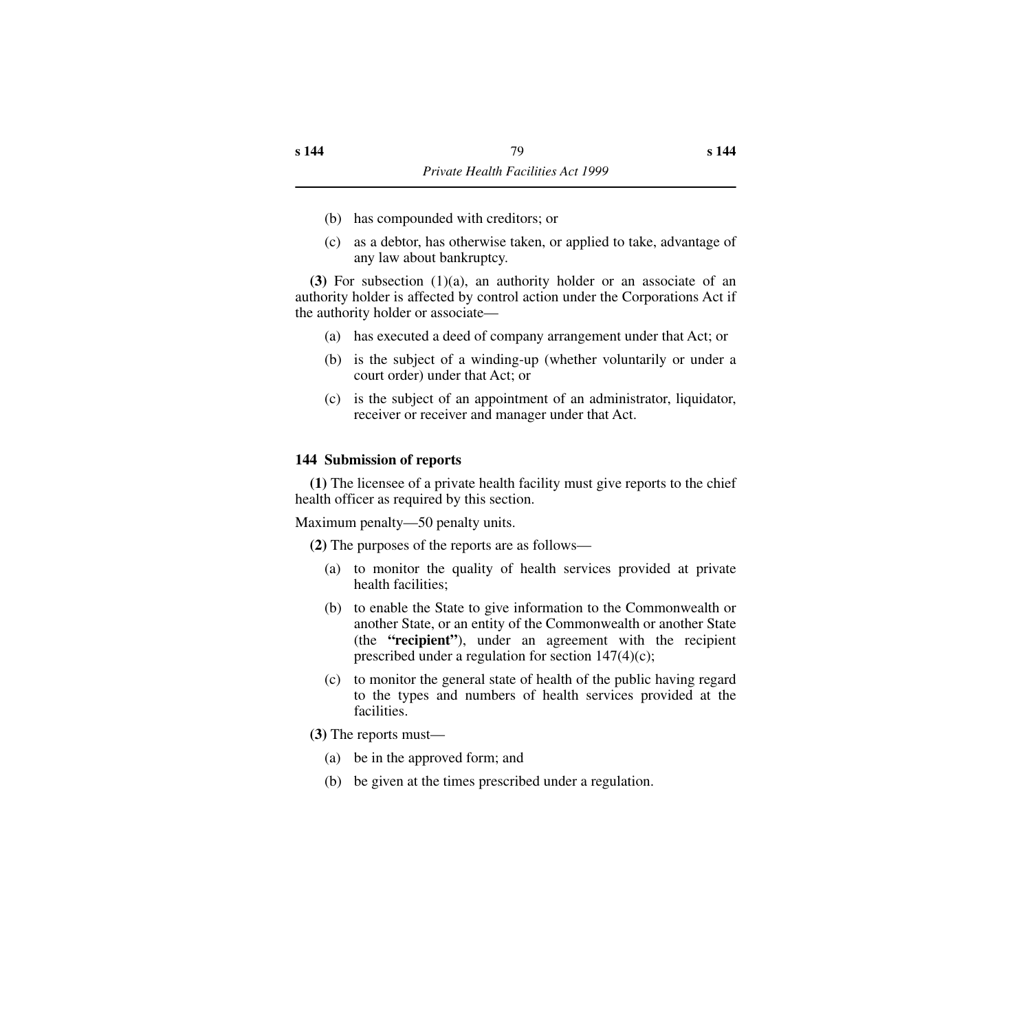- (b) has compounded with creditors; or
- (c) as a debtor, has otherwise taken, or applied to take, advantage of any law about bankruptcy.

**(3)** For subsection (1)(a), an authority holder or an associate of an authority holder is affected by control action under the Corporations Act if the authority holder or associate—

- (a) has executed a deed of company arrangement under that Act; or
- (b) is the subject of a winding-up (whether voluntarily or under a court order) under that Act; or
- (c) is the subject of an appointment of an administrator, liquidator, receiver or receiver and manager under that Act.

#### **144 Submission of reports**

**(1)** The licensee of a private health facility must give reports to the chief health officer as required by this section.

Maximum penalty—50 penalty units.

**(2)** The purposes of the reports are as follows—

- (a) to monitor the quality of health services provided at private health facilities;
- (b) to enable the State to give information to the Commonwealth or another State, or an entity of the Commonwealth or another State (the **"recipient"**), under an agreement with the recipient prescribed under a regulation for section  $147(4)(c)$ ;
- (c) to monitor the general state of health of the public having regard to the types and numbers of health services provided at the facilities.

**(3)** The reports must—

- (a) be in the approved form; and
- (b) be given at the times prescribed under a regulation.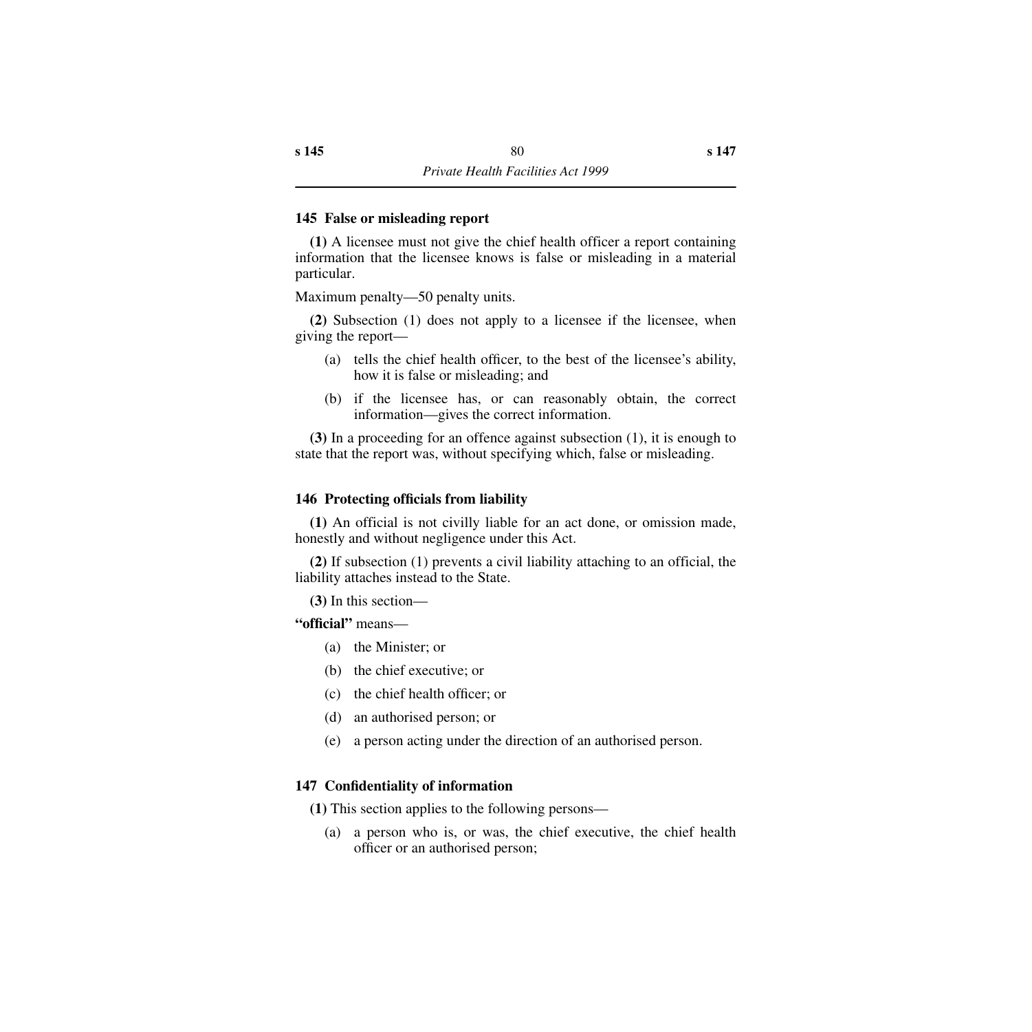### **145 False or misleading report**

**(1)** A licensee must not give the chief health officer a report containing information that the licensee knows is false or misleading in a material particular.

Maximum penalty—50 penalty units.

**(2)** Subsection (1) does not apply to a licensee if the licensee, when giving the report—

- (a) tells the chief health officer, to the best of the licensee's ability, how it is false or misleading; and
- (b) if the licensee has, or can reasonably obtain, the correct information—gives the correct information.

**(3)** In a proceeding for an offence against subsection (1), it is enough to state that the report was, without specifying which, false or misleading.

### **146 Protecting officials from liability**

**(1)** An official is not civilly liable for an act done, or omission made, honestly and without negligence under this Act.

**(2)** If subsection (1) prevents a civil liability attaching to an official, the liability attaches instead to the State.

**(3)** In this section—

**"official"** means—

- (a) the Minister; or
- (b) the chief executive; or
- (c) the chief health officer; or
- (d) an authorised person; or
- (e) a person acting under the direction of an authorised person.

### **147 Confidentiality of information**

**(1)** This section applies to the following persons—

(a) a person who is, or was, the chief executive, the chief health officer or an authorised person;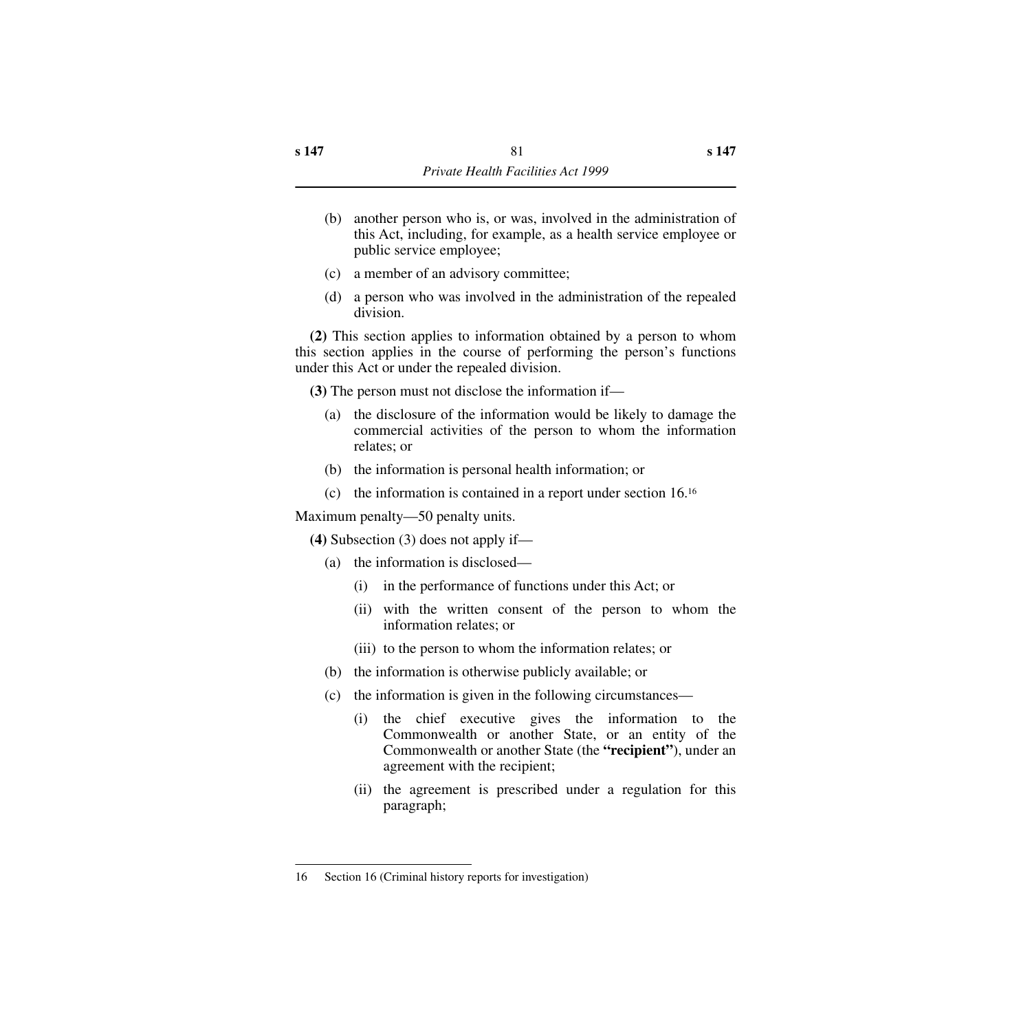- (b) another person who is, or was, involved in the administration of this Act, including, for example, as a health service employee or public service employee;
- (c) a member of an advisory committee;
- (d) a person who was involved in the administration of the repealed division.

**(2)** This section applies to information obtained by a person to whom this section applies in the course of performing the person's functions under this Act or under the repealed division.

**(3)** The person must not disclose the information if—

- (a) the disclosure of the information would be likely to damage the commercial activities of the person to whom the information relates; or
- (b) the information is personal health information; or
- (c) the information is contained in a report under section 16.16

Maximum penalty—50 penalty units.

**(4)** Subsection (3) does not apply if—

- (a) the information is disclosed—
	- (i) in the performance of functions under this Act; or
	- (ii) with the written consent of the person to whom the information relates; or
	- (iii) to the person to whom the information relates; or
- (b) the information is otherwise publicly available; or
- (c) the information is given in the following circumstances—
	- (i) the chief executive gives the information to the Commonwealth or another State, or an entity of the Commonwealth or another State (the **"recipient"**), under an agreement with the recipient;
	- (ii) the agreement is prescribed under a regulation for this paragraph;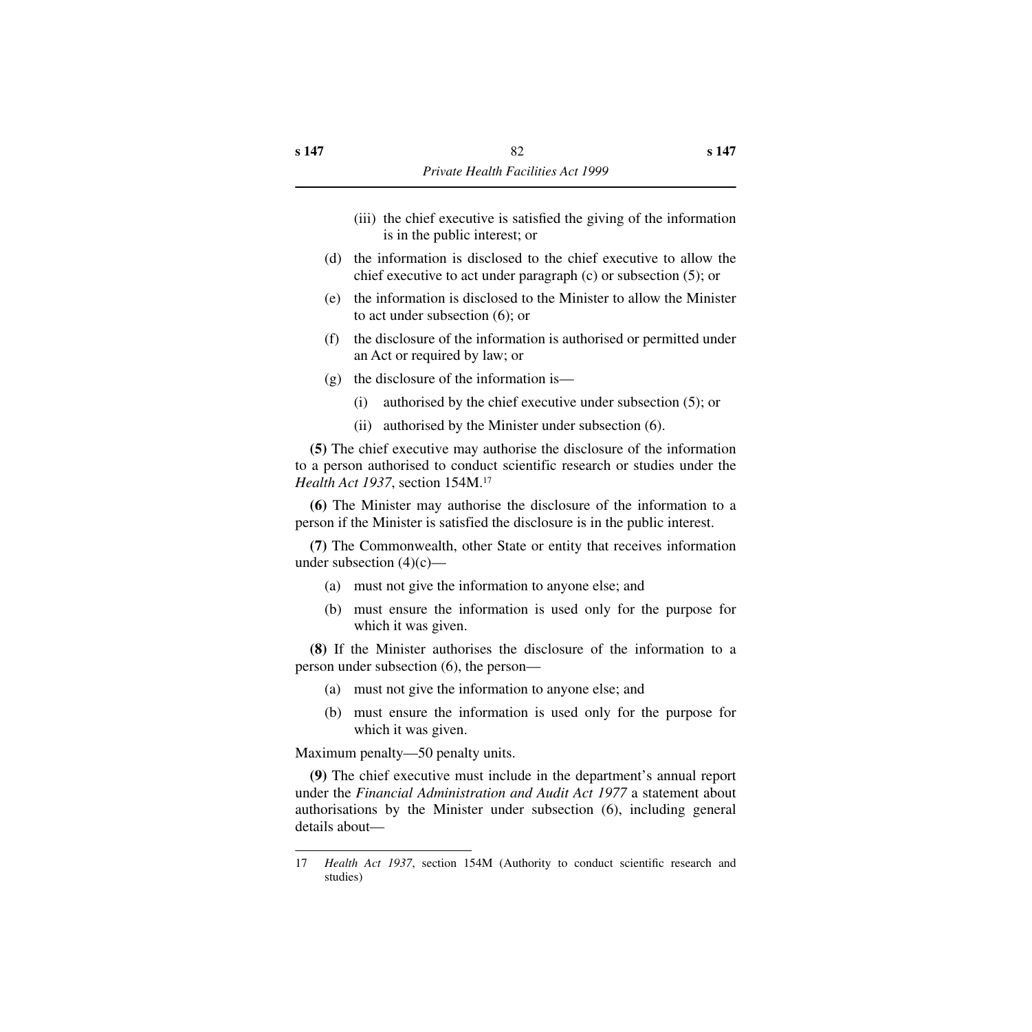- (iii) the chief executive is satisfied the giving of the information is in the public interest; or
- (d) the information is disclosed to the chief executive to allow the chief executive to act under paragraph (c) or subsection (5); or
- (e) the information is disclosed to the Minister to allow the Minister to act under subsection (6); or
- (f) the disclosure of the information is authorised or permitted under an Act or required by law; or
- (g) the disclosure of the information is—
	- (i) authorised by the chief executive under subsection (5); or
	- (ii) authorised by the Minister under subsection (6).

**(5)** The chief executive may authorise the disclosure of the information to a person authorised to conduct scientific research or studies under the *Health Act 1937*, section 154M.17

**(6)** The Minister may authorise the disclosure of the information to a person if the Minister is satisfied the disclosure is in the public interest.

**(7)** The Commonwealth, other State or entity that receives information under subsection  $(4)(c)$ —

- (a) must not give the information to anyone else; and
- (b) must ensure the information is used only for the purpose for which it was given.

**(8)** If the Minister authorises the disclosure of the information to a person under subsection (6), the person—

- (a) must not give the information to anyone else; and
- (b) must ensure the information is used only for the purpose for which it was given.

Maximum penalty—50 penalty units.

**(9)** The chief executive must include in the department's annual report under the *Financial Administration and Audit Act 1977* a statement about authorisations by the Minister under subsection (6), including general details about—

<sup>17</sup> *Health Act 1937*, section 154M (Authority to conduct scientific research and studies)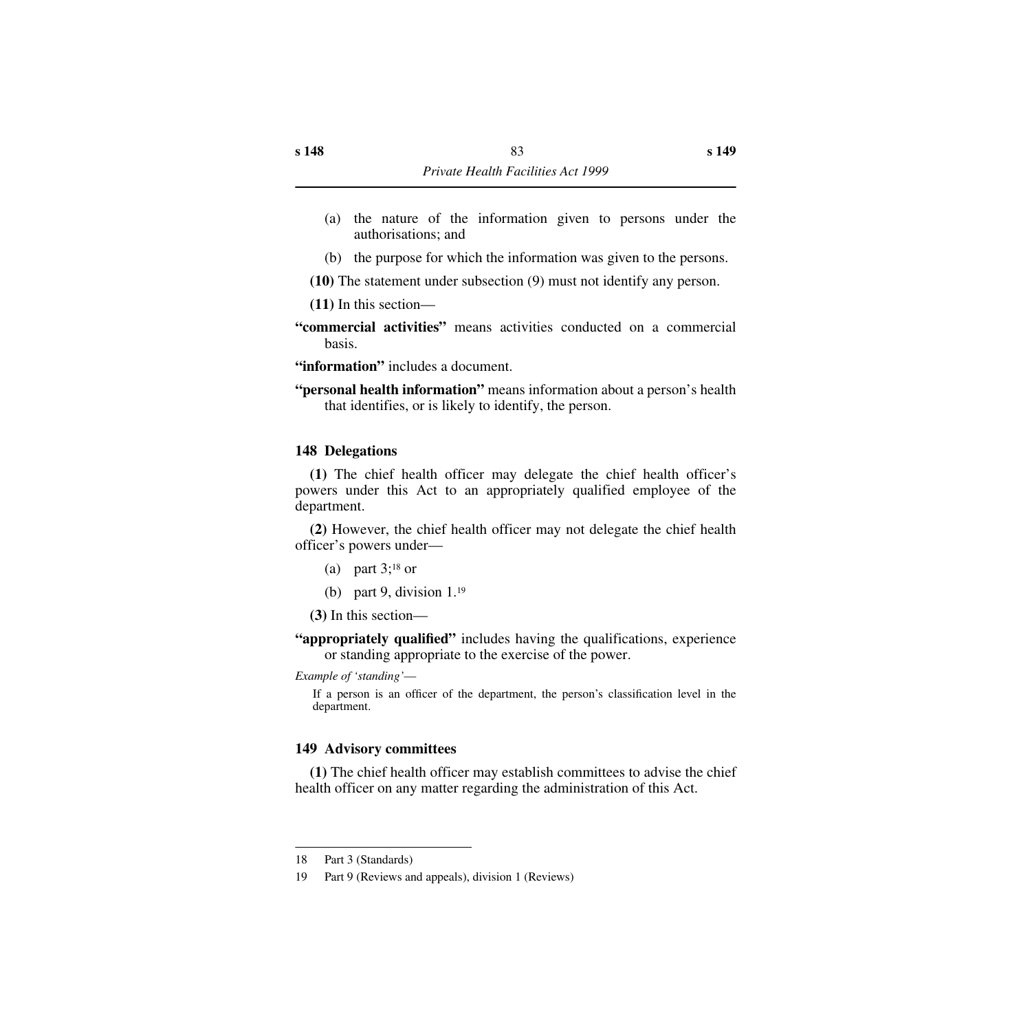- (a) the nature of the information given to persons under the authorisations; and
- (b) the purpose for which the information was given to the persons.
- **(10)** The statement under subsection (9) must not identify any person.

**(11)** In this section—

**"commercial activities"** means activities conducted on a commercial basis.

**"information"** includes a document.

**"personal health information"** means information about a person's health that identifies, or is likely to identify, the person.

## **148 Delegations**

**(1)** The chief health officer may delegate the chief health officer's powers under this Act to an appropriately qualified employee of the department.

**(2)** However, the chief health officer may not delegate the chief health officer's powers under—

- (a) part  $3$ ;<sup>18</sup> or
- (b) part 9, division  $1.^{19}$

**(3)** In this section—

**"appropriately qualified"** includes having the qualifications, experience or standing appropriate to the exercise of the power.

*Example of 'standing'*—

If a person is an officer of the department, the person's classification level in the department.

## **149 Advisory committees**

**(1)** The chief health officer may establish committees to advise the chief health officer on any matter regarding the administration of this Act.

<sup>18</sup> Part 3 (Standards)

<sup>19</sup> Part 9 (Reviews and appeals), division 1 (Reviews)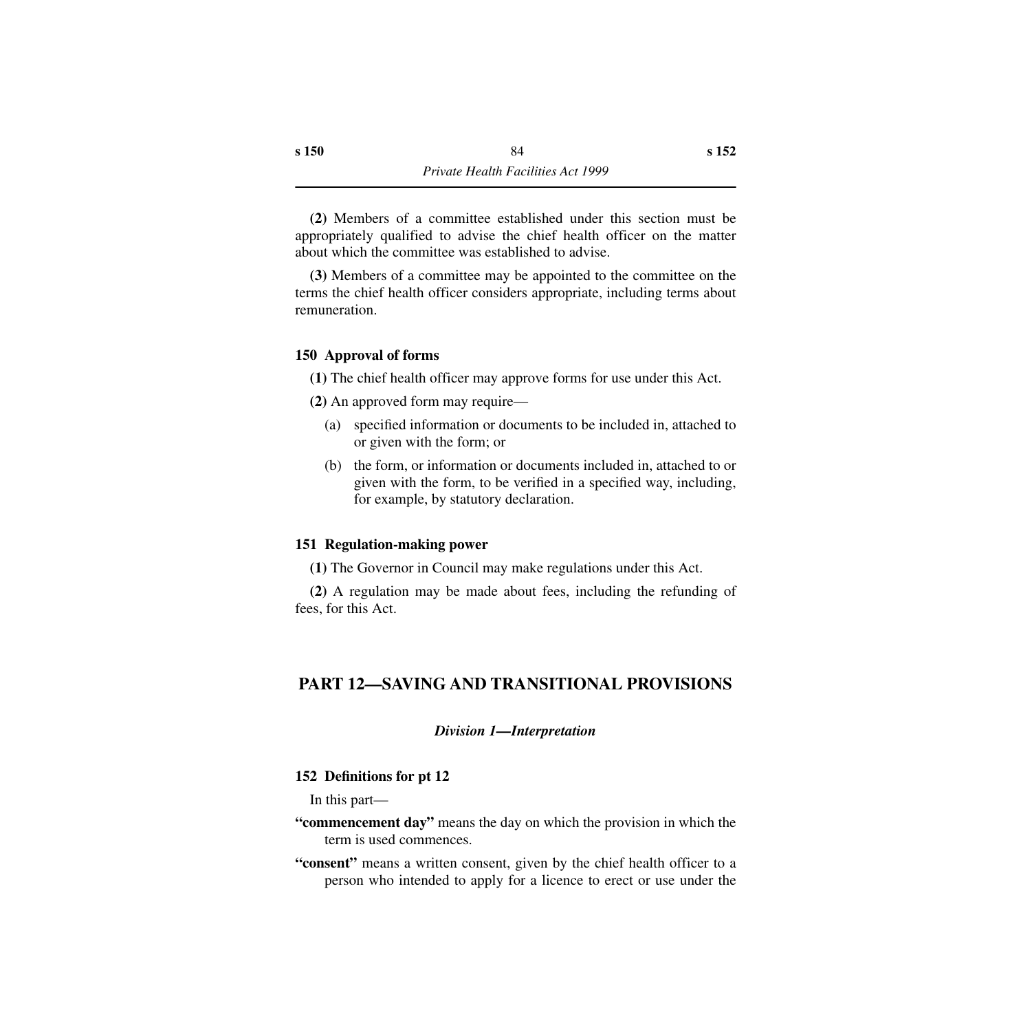**(2)** Members of a committee established under this section must be appropriately qualified to advise the chief health officer on the matter about which the committee was established to advise.

**(3)** Members of a committee may be appointed to the committee on the terms the chief health officer considers appropriate, including terms about remuneration.

### **150 Approval of forms**

- **(1)** The chief health officer may approve forms for use under this Act.
- **(2)** An approved form may require—
	- (a) specified information or documents to be included in, attached to or given with the form; or
	- (b) the form, or information or documents included in, attached to or given with the form, to be verified in a specified way, including, for example, by statutory declaration.

### **151 Regulation-making power**

**(1)** The Governor in Council may make regulations under this Act.

**(2)** A regulation may be made about fees, including the refunding of fees, for this Act.

# **PART 12—SAVING AND TRANSITIONAL PROVISIONS**

### *Division 1—Interpretation*

### **152 Definitions for pt 12**

In this part—

- **"commencement day"** means the day on which the provision in which the term is used commences.
- **"consent"** means a written consent, given by the chief health officer to a person who intended to apply for a licence to erect or use under the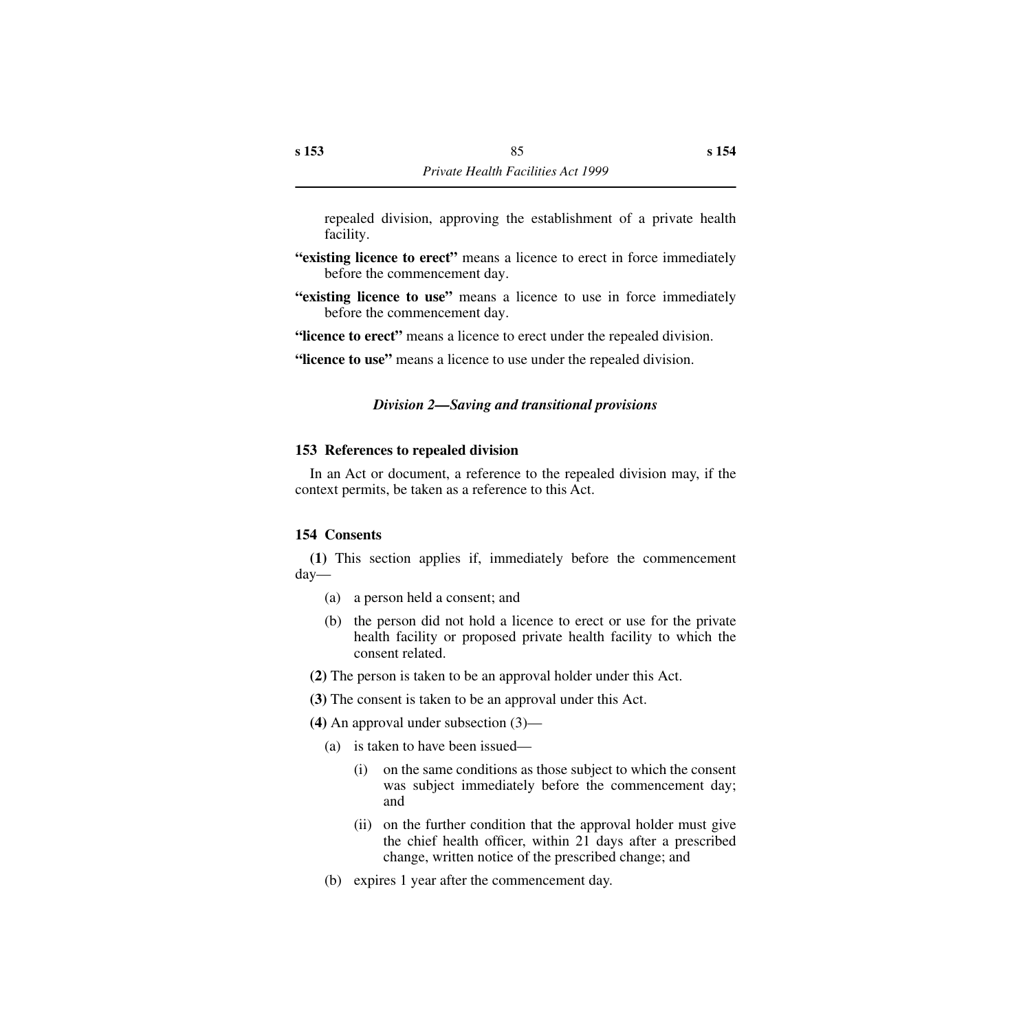repealed division, approving the establishment of a private health facility.

- **"existing licence to erect"** means a licence to erect in force immediately before the commencement day.
- **"existing licence to use"** means a licence to use in force immediately before the commencement day.

**"licence to erect"** means a licence to erect under the repealed division.

**"licence to use"** means a licence to use under the repealed division.

### *Division 2—Saving and transitional provisions*

#### **153 References to repealed division**

In an Act or document, a reference to the repealed division may, if the context permits, be taken as a reference to this Act.

#### **154 Consents**

**(1)** This section applies if, immediately before the commencement day—

- (a) a person held a consent; and
- (b) the person did not hold a licence to erect or use for the private health facility or proposed private health facility to which the consent related.

**(2)** The person is taken to be an approval holder under this Act.

**(3)** The consent is taken to be an approval under this Act.

**(4)** An approval under subsection (3)—

- (a) is taken to have been issued—
	- (i) on the same conditions as those subject to which the consent was subject immediately before the commencement day; and
	- (ii) on the further condition that the approval holder must give the chief health officer, within 21 days after a prescribed change, written notice of the prescribed change; and
- (b) expires 1 year after the commencement day.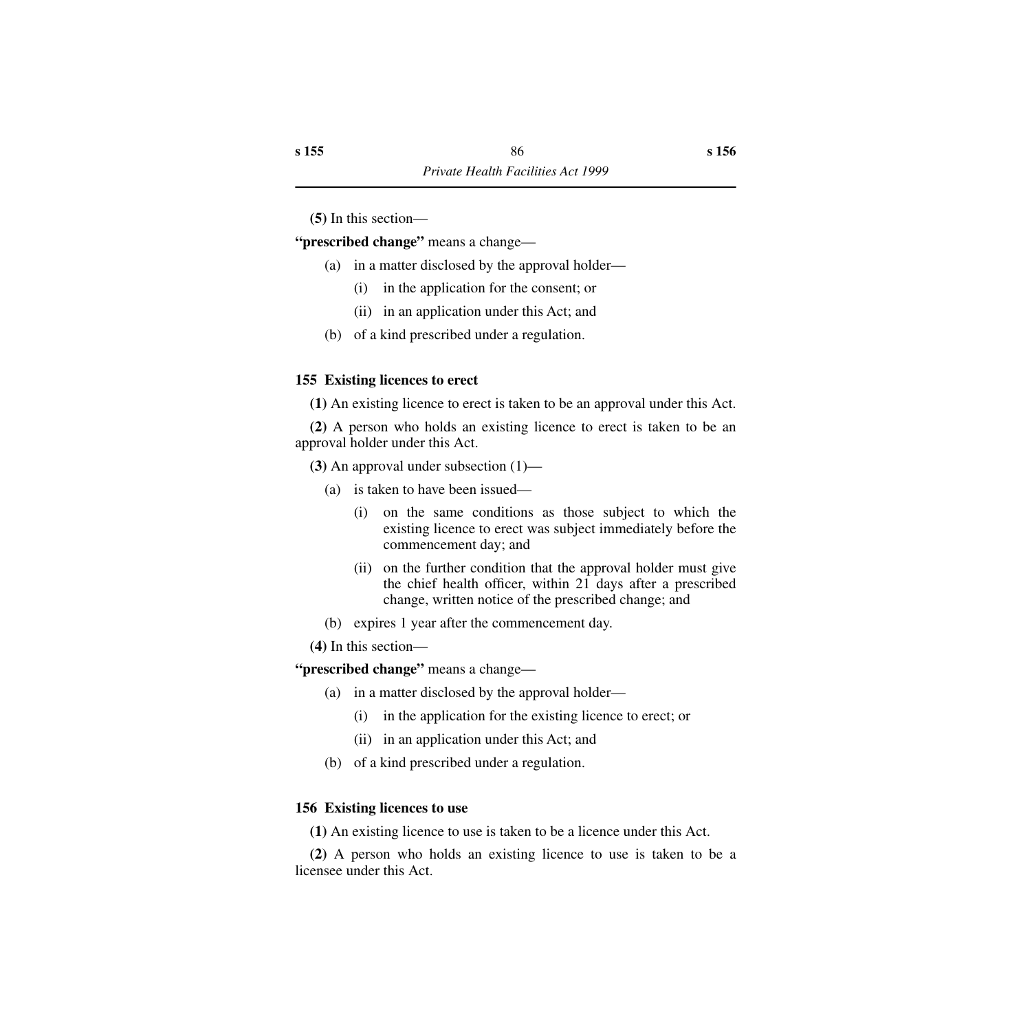**(5)** In this section—

**"prescribed change"** means a change—

- (a) in a matter disclosed by the approval holder—
	- (i) in the application for the consent; or
	- (ii) in an application under this Act; and
- (b) of a kind prescribed under a regulation.

## **155 Existing licences to erect**

**(1)** An existing licence to erect is taken to be an approval under this Act.

**(2)** A person who holds an existing licence to erect is taken to be an approval holder under this Act.

**(3)** An approval under subsection (1)—

- (a) is taken to have been issued—
	- (i) on the same conditions as those subject to which the existing licence to erect was subject immediately before the commencement day; and
	- (ii) on the further condition that the approval holder must give the chief health officer, within 21 days after a prescribed change, written notice of the prescribed change; and
- (b) expires 1 year after the commencement day.

**(4)** In this section—

**"prescribed change"** means a change—

- (a) in a matter disclosed by the approval holder—
	- (i) in the application for the existing licence to erect; or
	- (ii) in an application under this Act; and
- (b) of a kind prescribed under a regulation.

## **156 Existing licences to use**

**(1)** An existing licence to use is taken to be a licence under this Act.

**(2)** A person who holds an existing licence to use is taken to be a licensee under this Act.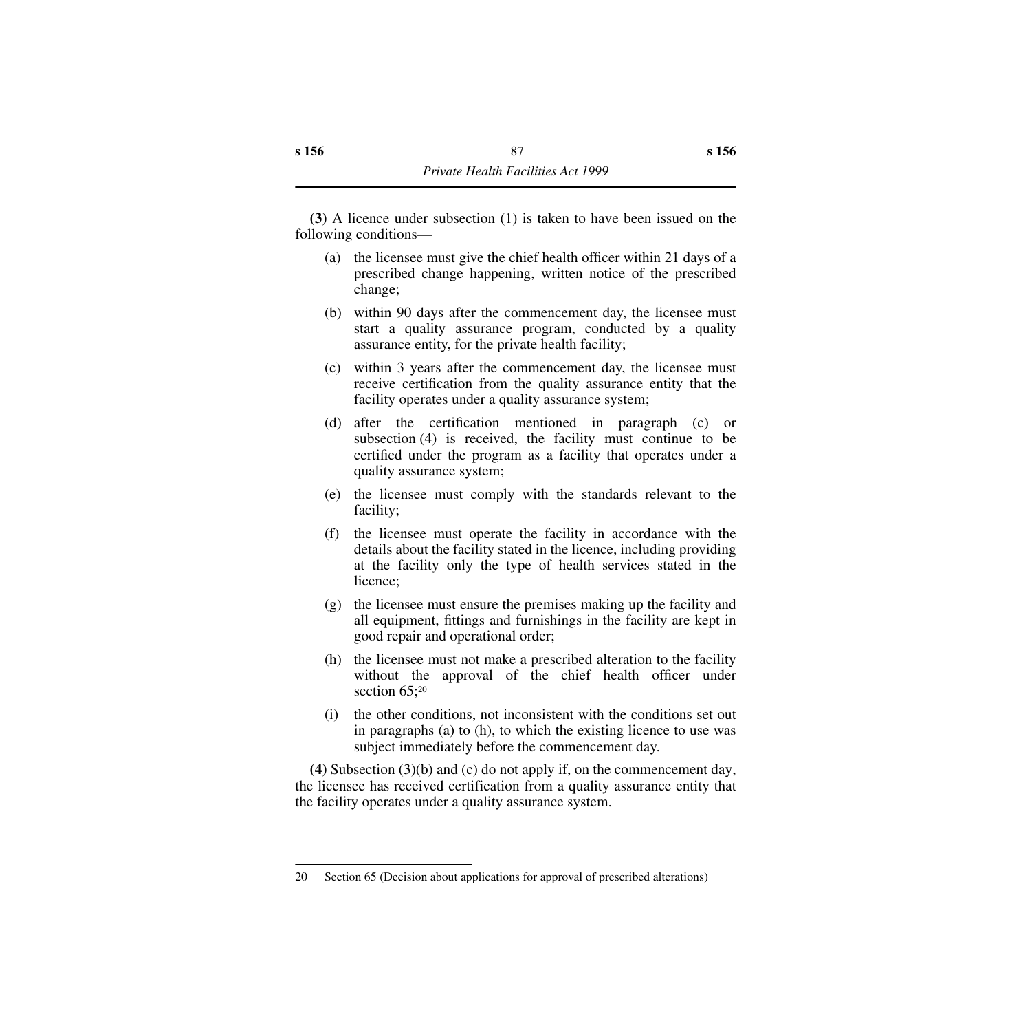**(3)** A licence under subsection (1) is taken to have been issued on the following conditions—

- (a) the licensee must give the chief health officer within 21 days of a prescribed change happening, written notice of the prescribed change;
- (b) within 90 days after the commencement day, the licensee must start a quality assurance program, conducted by a quality assurance entity, for the private health facility;
- (c) within 3 years after the commencement day, the licensee must receive certification from the quality assurance entity that the facility operates under a quality assurance system;
- (d) after the certification mentioned in paragraph (c) or subsection (4) is received, the facility must continue to be certified under the program as a facility that operates under a quality assurance system;
- (e) the licensee must comply with the standards relevant to the facility;
- (f) the licensee must operate the facility in accordance with the details about the facility stated in the licence, including providing at the facility only the type of health services stated in the licence;
- (g) the licensee must ensure the premises making up the facility and all equipment, fittings and furnishings in the facility are kept in good repair and operational order;
- (h) the licensee must not make a prescribed alteration to the facility without the approval of the chief health officer under section 65;<sup>20</sup>
- (i) the other conditions, not inconsistent with the conditions set out in paragraphs (a) to (h), to which the existing licence to use was subject immediately before the commencement day.

**(4)** Subsection (3)(b) and (c) do not apply if, on the commencement day, the licensee has received certification from a quality assurance entity that the facility operates under a quality assurance system.

<sup>20</sup> Section 65 (Decision about applications for approval of prescribed alterations)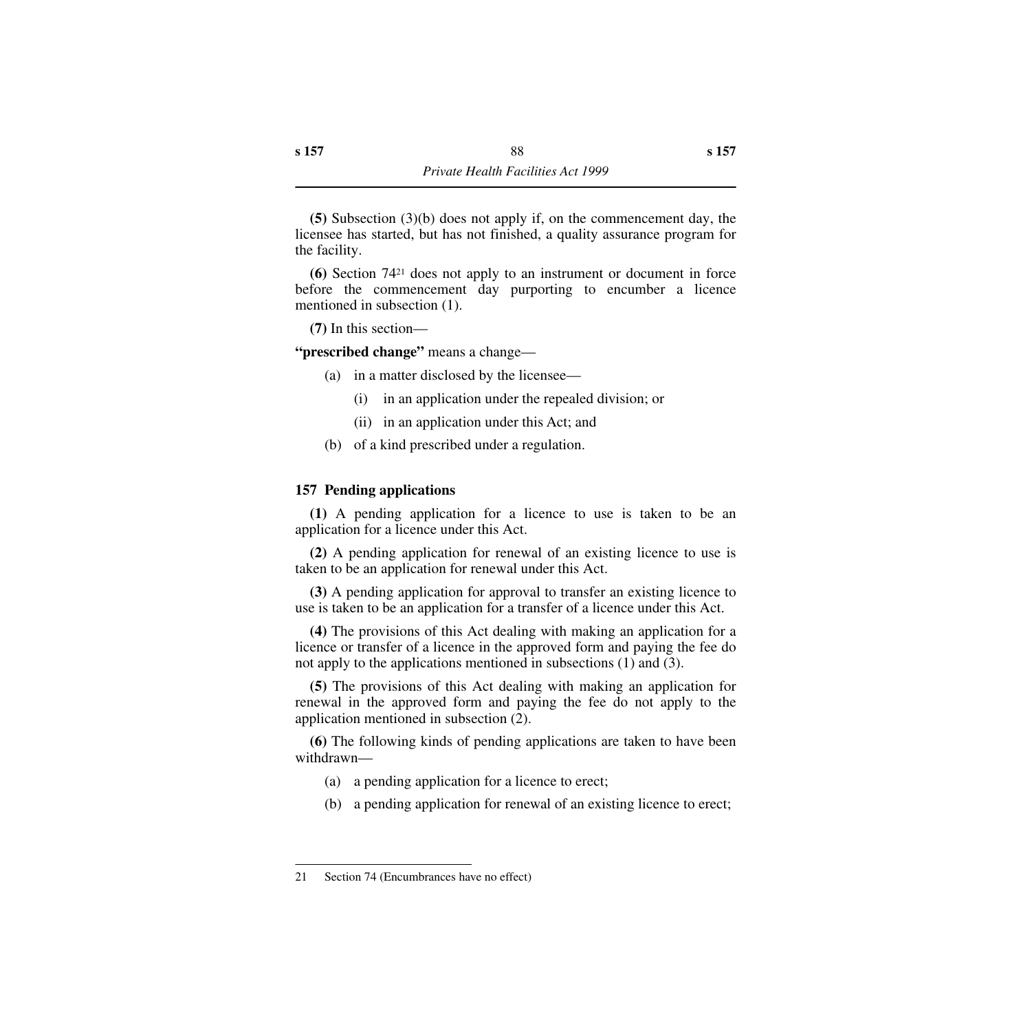**(5)** Subsection (3)(b) does not apply if, on the commencement day, the licensee has started, but has not finished, a quality assurance program for the facility.

**(6)** Section 7421 does not apply to an instrument or document in force before the commencement day purporting to encumber a licence mentioned in subsection (1).

**(7)** In this section—

**"prescribed change"** means a change—

- (a) in a matter disclosed by the licensee—
	- (i) in an application under the repealed division; or
	- (ii) in an application under this Act; and
- (b) of a kind prescribed under a regulation.

## **157 Pending applications**

**(1)** A pending application for a licence to use is taken to be an application for a licence under this Act.

**(2)** A pending application for renewal of an existing licence to use is taken to be an application for renewal under this Act.

**(3)** A pending application for approval to transfer an existing licence to use is taken to be an application for a transfer of a licence under this Act.

**(4)** The provisions of this Act dealing with making an application for a licence or transfer of a licence in the approved form and paying the fee do not apply to the applications mentioned in subsections (1) and (3).

**(5)** The provisions of this Act dealing with making an application for renewal in the approved form and paying the fee do not apply to the application mentioned in subsection (2).

**(6)** The following kinds of pending applications are taken to have been withdrawn—

- (a) a pending application for a licence to erect;
- (b) a pending application for renewal of an existing licence to erect;

<sup>21</sup> Section 74 (Encumbrances have no effect)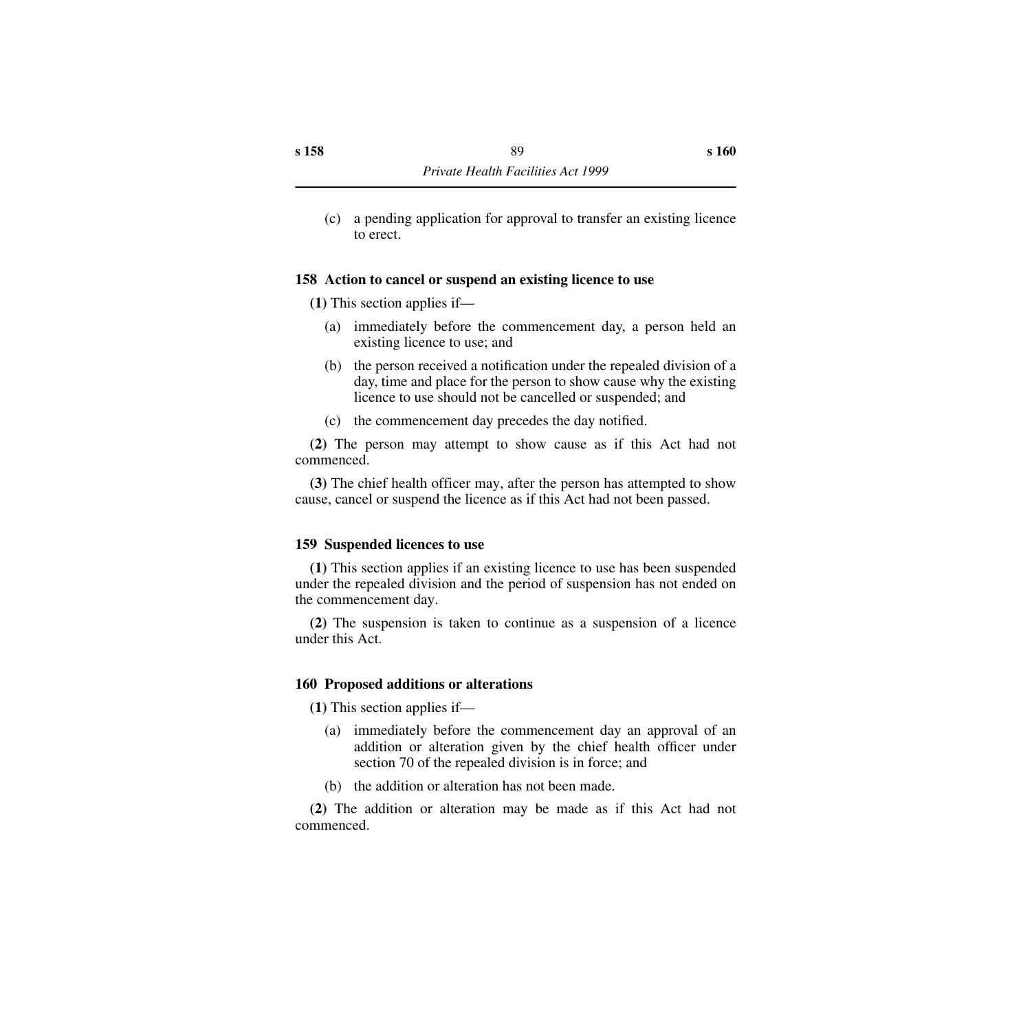(c) a pending application for approval to transfer an existing licence to erect.

### **158 Action to cancel or suspend an existing licence to use**

**(1)** This section applies if—

- (a) immediately before the commencement day, a person held an existing licence to use; and
- (b) the person received a notification under the repealed division of a day, time and place for the person to show cause why the existing licence to use should not be cancelled or suspended; and
- (c) the commencement day precedes the day notified.

**(2)** The person may attempt to show cause as if this Act had not commenced.

**(3)** The chief health officer may, after the person has attempted to show cause, cancel or suspend the licence as if this Act had not been passed.

### **159 Suspended licences to use**

**(1)** This section applies if an existing licence to use has been suspended under the repealed division and the period of suspension has not ended on the commencement day.

**(2)** The suspension is taken to continue as a suspension of a licence under this Act.

### **160 Proposed additions or alterations**

**(1)** This section applies if—

- (a) immediately before the commencement day an approval of an addition or alteration given by the chief health officer under section 70 of the repealed division is in force; and
- (b) the addition or alteration has not been made.

**(2)** The addition or alteration may be made as if this Act had not commenced.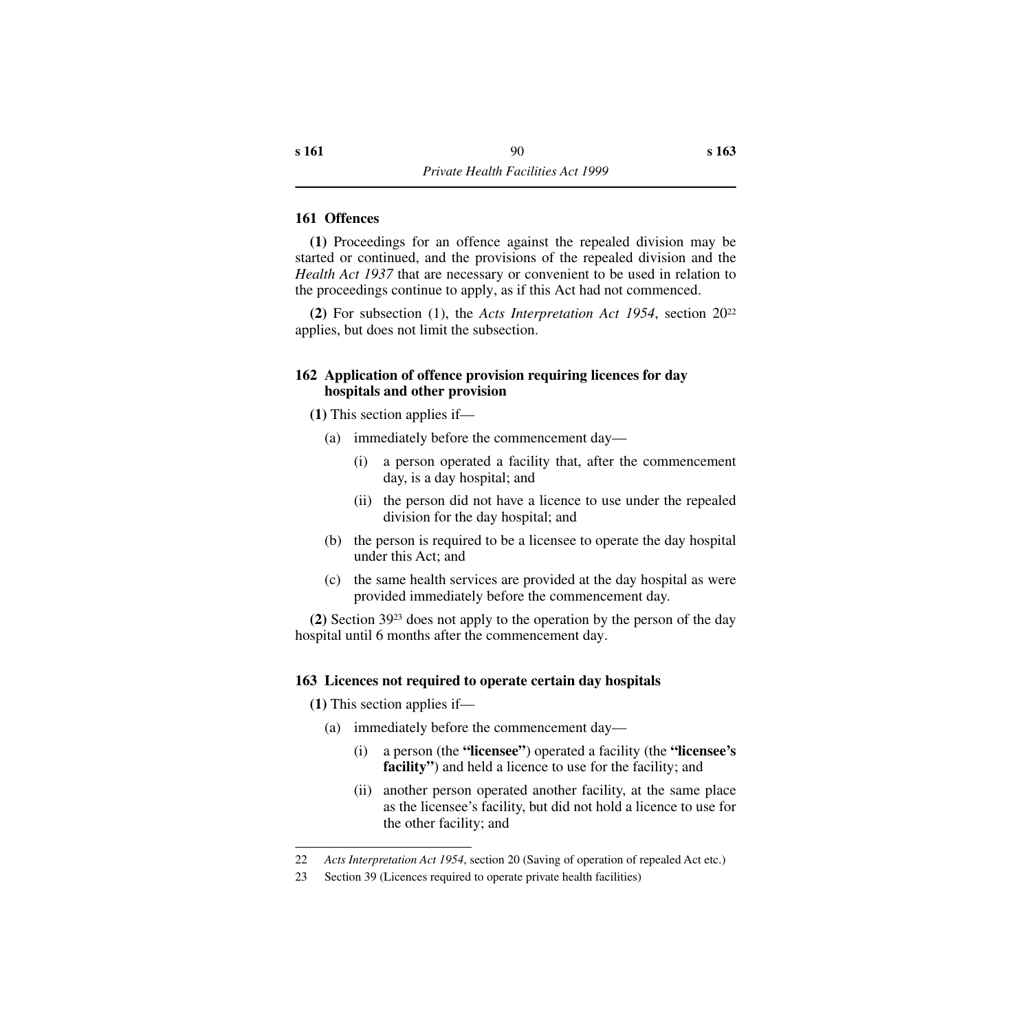### **161 Offences**

**(1)** Proceedings for an offence against the repealed division may be started or continued, and the provisions of the repealed division and the *Health Act 1937* that are necessary or convenient to be used in relation to the proceedings continue to apply, as if this Act had not commenced.

**(2)** For subsection (1), the *Acts Interpretation Act 1954*, section 2022 applies, but does not limit the subsection.

#### **162 Application of offence provision requiring licences for day hospitals and other provision**

**(1)** This section applies if—

- (a) immediately before the commencement day—
	- (i) a person operated a facility that, after the commencement day, is a day hospital; and
	- (ii) the person did not have a licence to use under the repealed division for the day hospital; and
- (b) the person is required to be a licensee to operate the day hospital under this Act; and
- (c) the same health services are provided at the day hospital as were provided immediately before the commencement day.

**(2)** Section 3923 does not apply to the operation by the person of the day hospital until 6 months after the commencement day.

### **163 Licences not required to operate certain day hospitals**

**(1)** This section applies if—

- (a) immediately before the commencement day—
	- (i) a person (the **"licensee"**) operated a facility (the **"licensee's facility"**) and held a licence to use for the facility; and
	- (ii) another person operated another facility, at the same place as the licensee's facility, but did not hold a licence to use for the other facility; and

<sup>22</sup> *Acts Interpretation Act 1954*, section 20 (Saving of operation of repealed Act etc.)

<sup>23</sup> Section 39 (Licences required to operate private health facilities)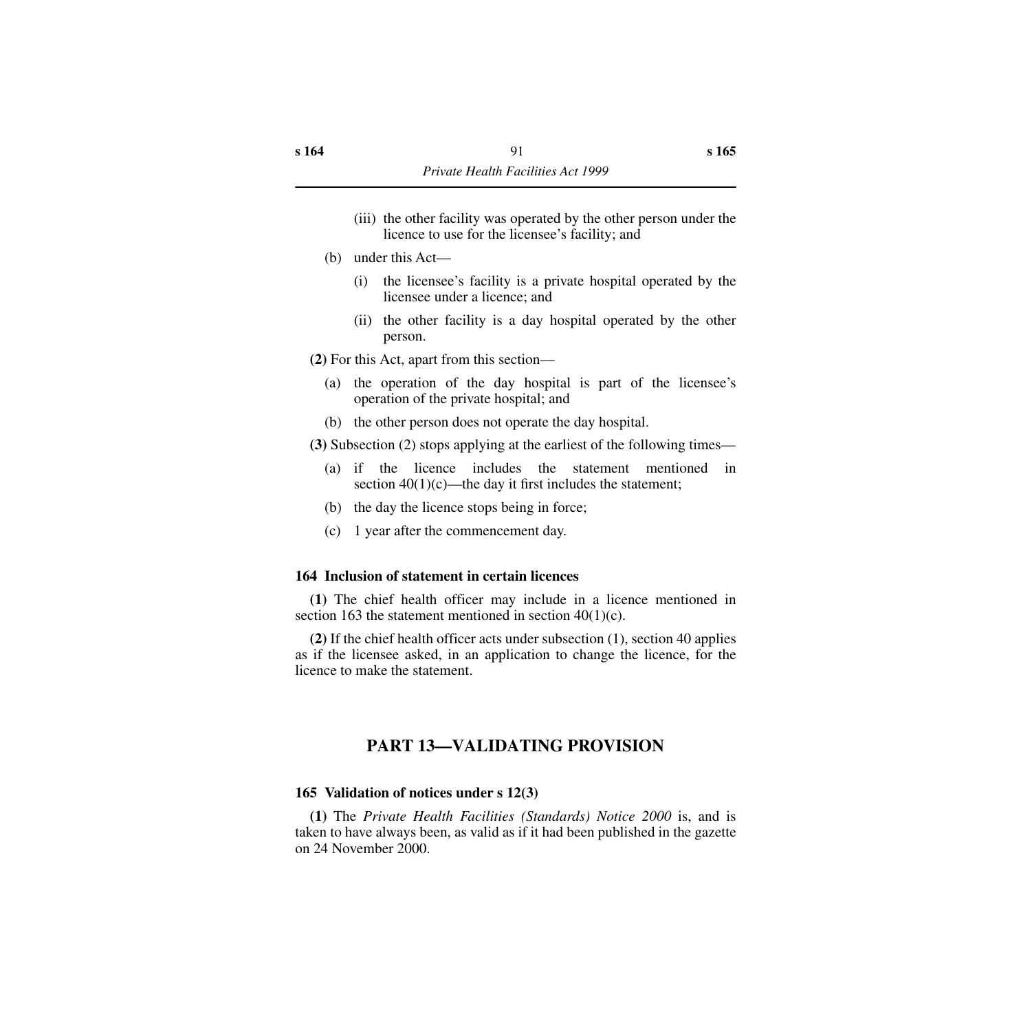- (iii) the other facility was operated by the other person under the licence to use for the licensee's facility; and
- (b) under this Act—
	- (i) the licensee's facility is a private hospital operated by the licensee under a licence; and
	- (ii) the other facility is a day hospital operated by the other person.

**(2)** For this Act, apart from this section—

- (a) the operation of the day hospital is part of the licensee's operation of the private hospital; and
- (b) the other person does not operate the day hospital.

**(3)** Subsection (2) stops applying at the earliest of the following times—

- (a) if the licence includes the statement mentioned in section  $40(1)(c)$ —the day it first includes the statement;
- (b) the day the licence stops being in force;
- (c) 1 year after the commencement day.

#### **164 Inclusion of statement in certain licences**

**(1)** The chief health officer may include in a licence mentioned in section 163 the statement mentioned in section 40(1)(c).

**(2)** If the chief health officer acts under subsection (1), section 40 applies as if the licensee asked, in an application to change the licence, for the licence to make the statement.

## **PART 13—VALIDATING PROVISION**

#### **165 Validation of notices under s 12(3)**

**(1)** The *Private Health Facilities (Standards) Notice 2000* is, and is taken to have always been, as valid as if it had been published in the gazette on 24 November 2000.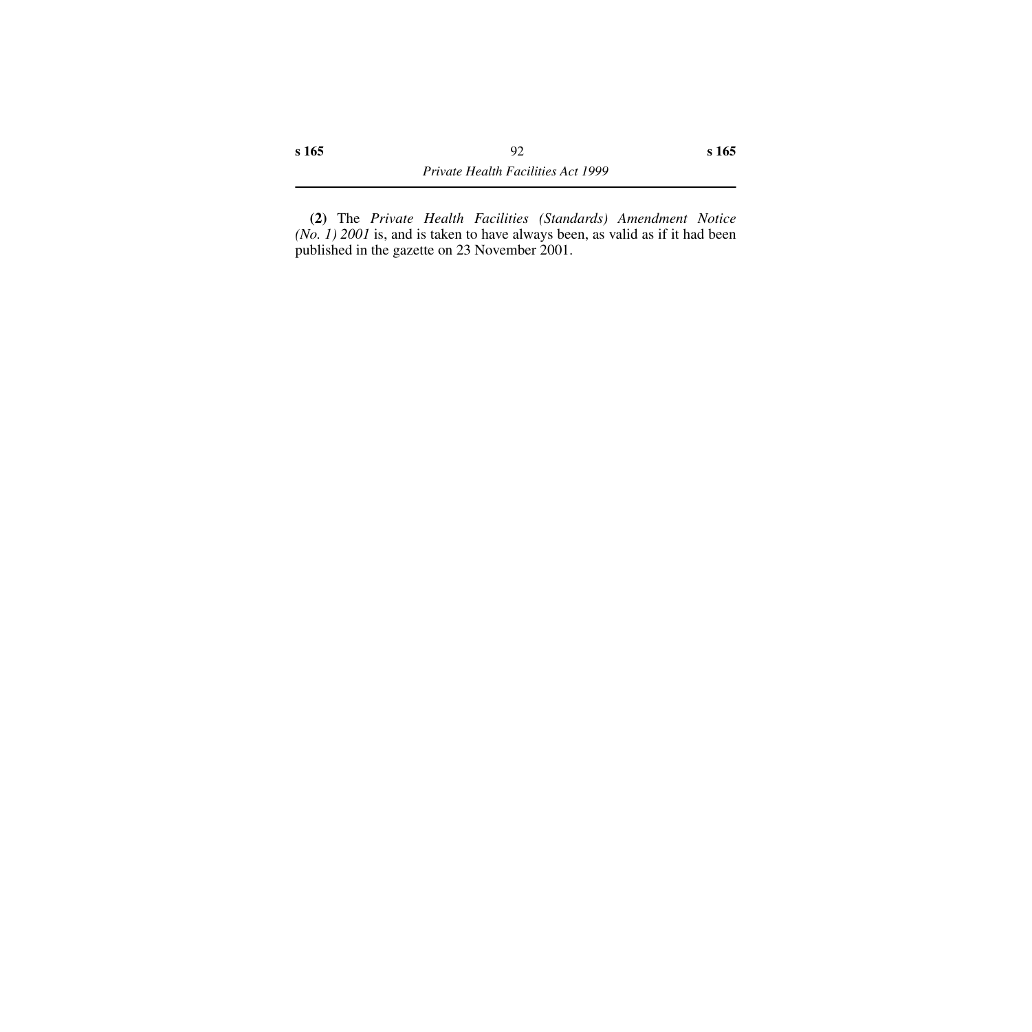**(2)** The *Private Health Facilities (Standards) Amendment Notice (No. 1) 2001* is, and is taken to have always been, as valid as if it had been published in the gazette on 23 November 2001.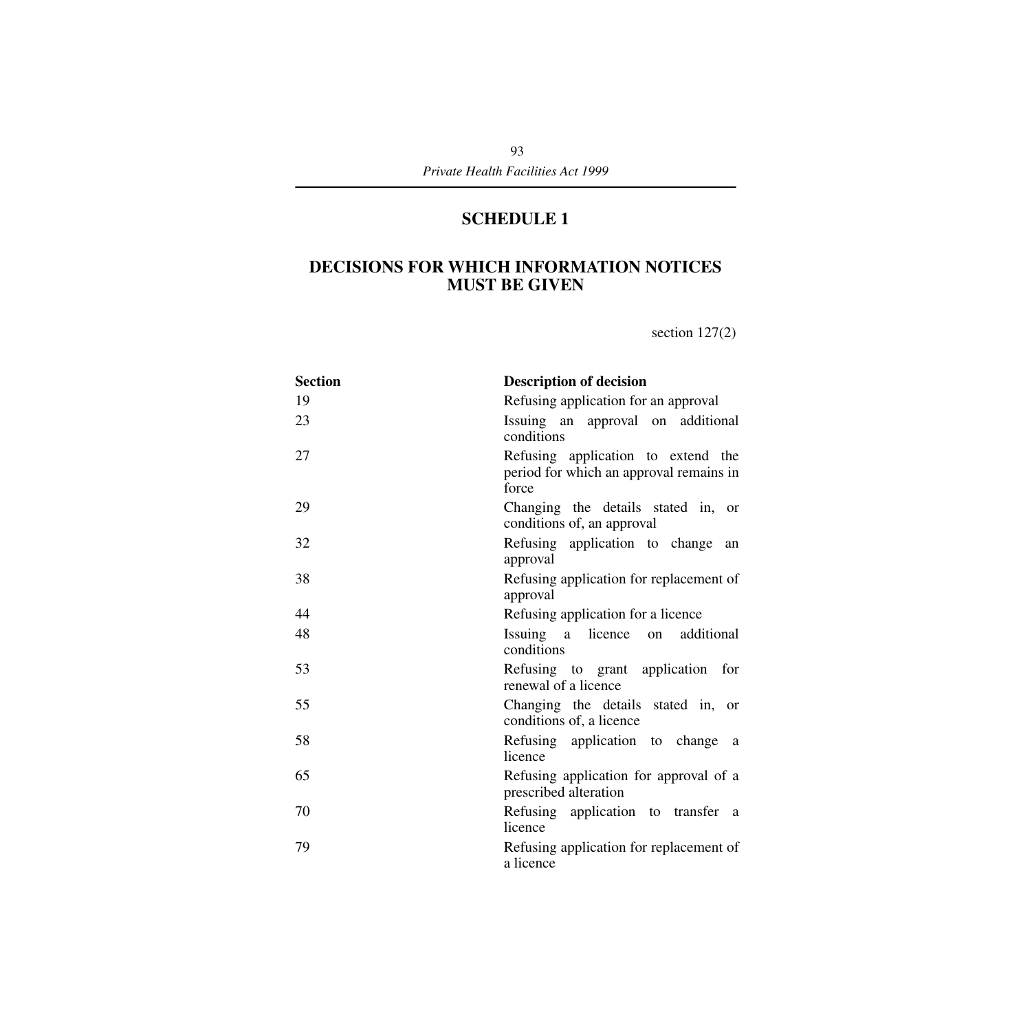# **SCHEDULE 1**

# **DECISIONS FOR WHICH INFORMATION NOTICES MUST BE GIVEN**

section 127(2)

| <b>Section</b> | <b>Description of decision</b>                                                         |
|----------------|----------------------------------------------------------------------------------------|
| 19             | Refusing application for an approval                                                   |
| 23             | Issuing an approval on additional<br>conditions                                        |
| 27             | Refusing application to extend the<br>period for which an approval remains in<br>force |
| 29             | Changing the details stated in, or<br>conditions of, an approval                       |
| 32             | Refusing application to change<br>an<br>approval                                       |
| 38             | Refusing application for replacement of<br>approval                                    |
| 44             | Refusing application for a licence                                                     |
| 48             | Issuing a licence on<br>additional<br>conditions                                       |
| 53             | Refusing to grant application for<br>renewal of a licence                              |
| 55             | Changing the details stated in, or<br>conditions of, a licence                         |
| 58             | Refusing application to change<br><sub>a</sub><br>licence                              |
| 65             | Refusing application for approval of a<br>prescribed alteration                        |
| 70             | Refusing application to transfer a<br>licence                                          |
| 79             | Refusing application for replacement of<br>a licence                                   |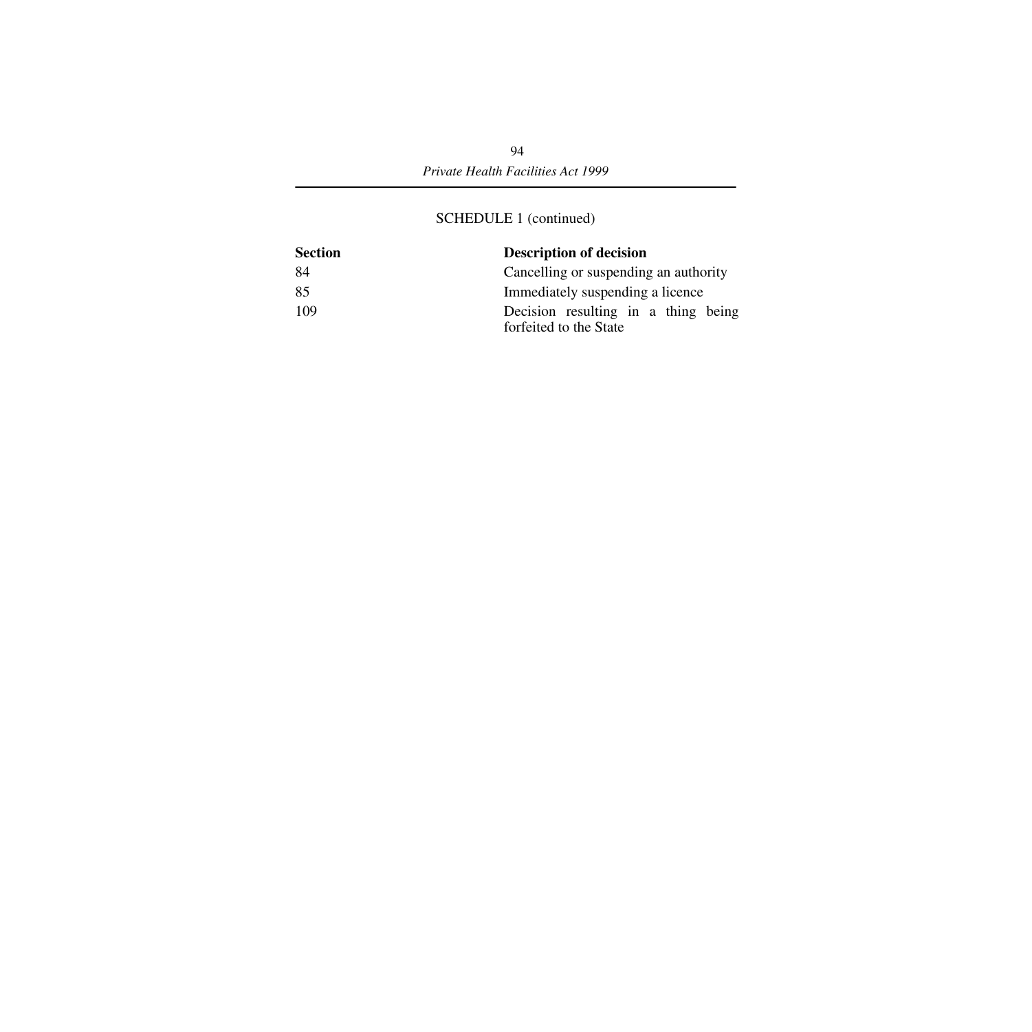## SCHEDULE 1 (continued)

| <b>Section</b> | <b>Description of decision</b>                                |
|----------------|---------------------------------------------------------------|
| 84             | Cancelling or suspending an authority                         |
| 85             | Immediately suspending a licence                              |
| 109            | Decision resulting in a thing being<br>forfeited to the State |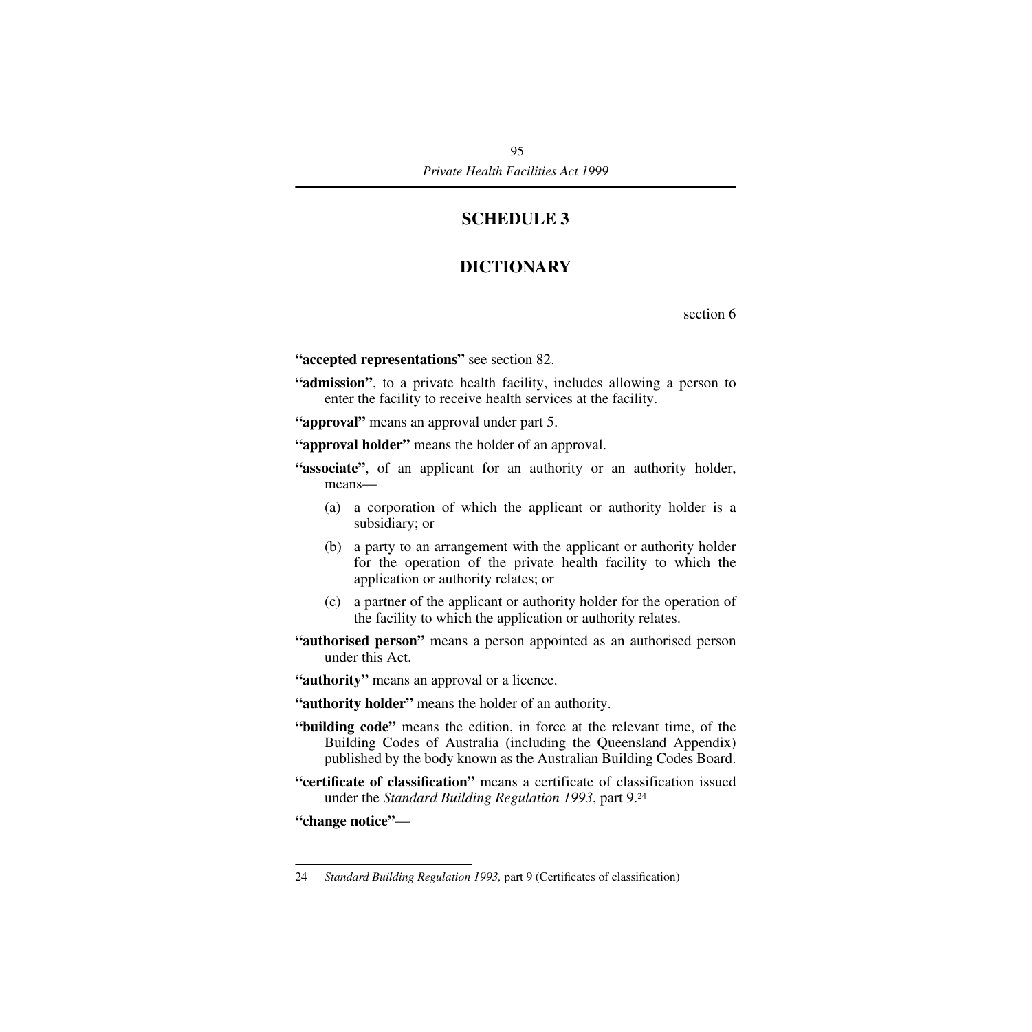# **SCHEDULE 3**

# **DICTIONARY**

section 6

**"accepted representations"** see section 82.

**"admission"**, to a private health facility, includes allowing a person to enter the facility to receive health services at the facility.

**"approval"** means an approval under part 5.

**"approval holder"** means the holder of an approval.

**"associate"**, of an applicant for an authority or an authority holder, means—

- (a) a corporation of which the applicant or authority holder is a subsidiary; or
- (b) a party to an arrangement with the applicant or authority holder for the operation of the private health facility to which the application or authority relates; or
- (c) a partner of the applicant or authority holder for the operation of the facility to which the application or authority relates.
- **"authorised person"** means a person appointed as an authorised person under this Act.

**"authority"** means an approval or a licence.

**"authority holder"** means the holder of an authority.

- **"building code"** means the edition, in force at the relevant time, of the Building Codes of Australia (including the Queensland Appendix) published by the body known as the Australian Building Codes Board.
- **"certificate of classification"** means a certificate of classification issued under the *Standard Building Regulation 1993*, part 9.24

**"change notice"**—

<sup>24</sup> *Standard Building Regulation 1993,* part 9 (Certificates of classification)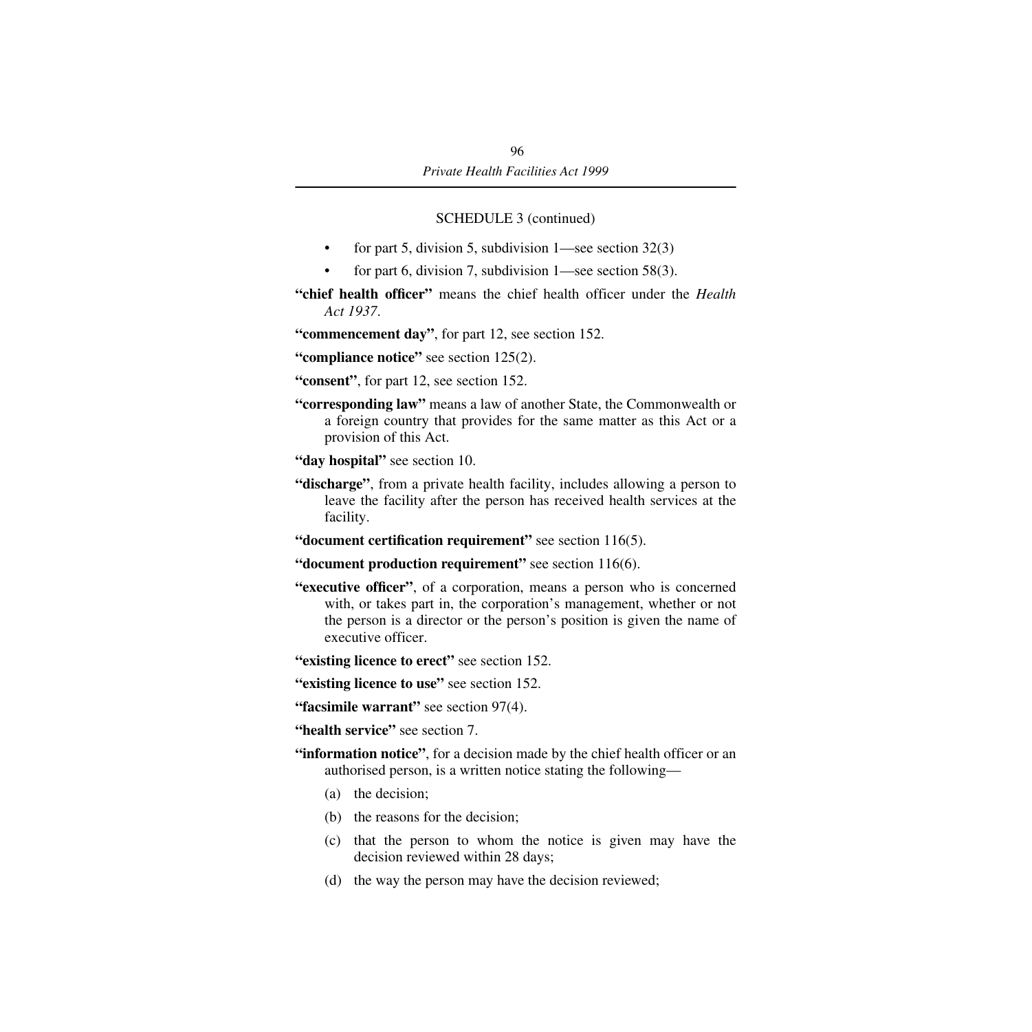## SCHEDULE 3 (continued)

- for part 5, division 5, subdivision  $1$ —see section 32(3)
- for part 6, division 7, subdivision  $1$ —see section 58(3).

**"chief health officer"** means the chief health officer under the *Health Act 1937*.

**"commencement day"**, for part 12, see section 152.

**"compliance notice"** see section 125(2).

- **"consent"**, for part 12, see section 152.
- **"corresponding law"** means a law of another State, the Commonwealth or a foreign country that provides for the same matter as this Act or a provision of this Act.
- **"day hospital"** see section 10.
- **"discharge"**, from a private health facility, includes allowing a person to leave the facility after the person has received health services at the facility.
- **"document certification requirement"** see section 116(5).
- **"document production requirement"** see section 116(6).
- **"executive officer"**, of a corporation, means a person who is concerned with, or takes part in, the corporation's management, whether or not the person is a director or the person's position is given the name of executive officer.
- **"existing licence to erect"** see section 152.
- **"existing licence to use"** see section 152.
- **"facsimile warrant"** see section 97(4).
- **"health service"** see section 7.
- **"information notice"**, for a decision made by the chief health officer or an authorised person, is a written notice stating the following—
	- (a) the decision;
	- (b) the reasons for the decision;
	- (c) that the person to whom the notice is given may have the decision reviewed within 28 days;
	- (d) the way the person may have the decision reviewed;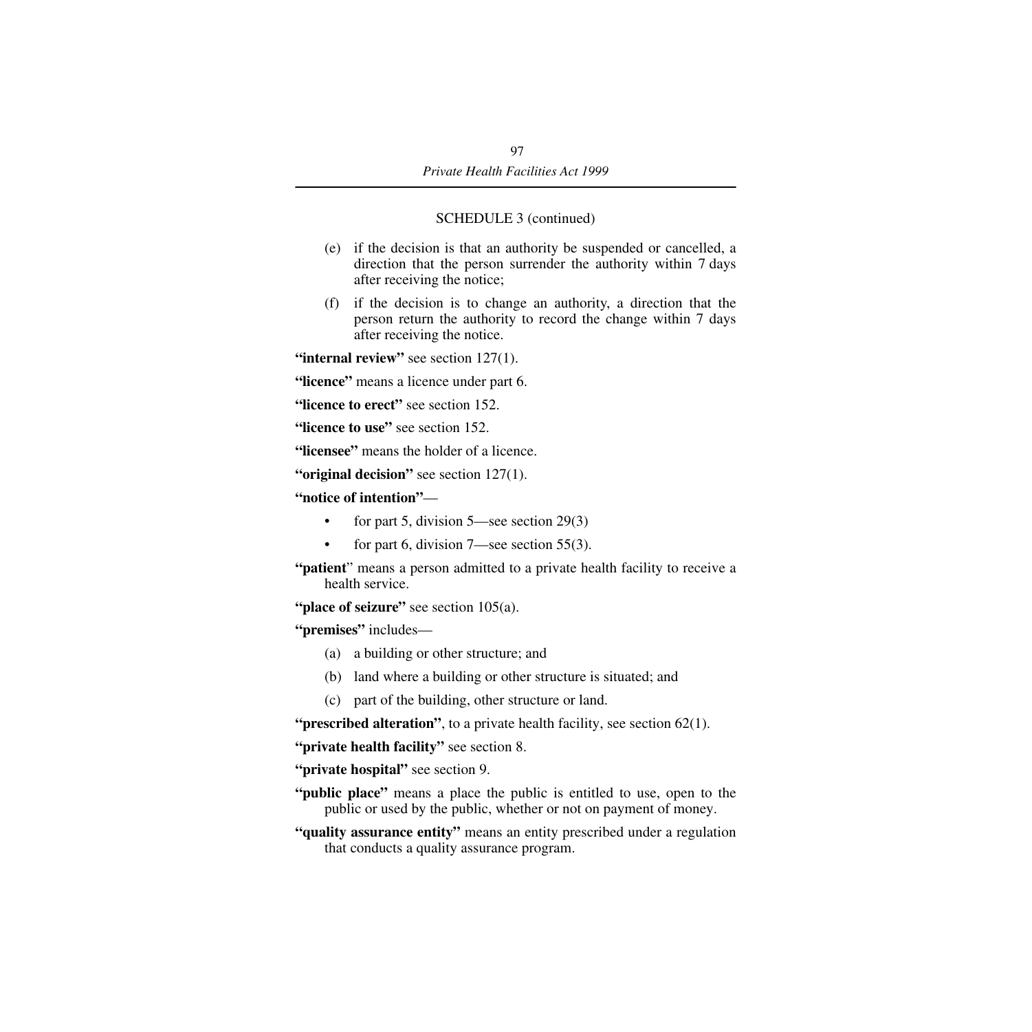### SCHEDULE 3 (continued)

- (e) if the decision is that an authority be suspended or cancelled, a direction that the person surrender the authority within 7 days after receiving the notice;
- (f) if the decision is to change an authority, a direction that the person return the authority to record the change within 7 days after receiving the notice.

**"internal review"** see section 127(1).

**"licence"** means a licence under part 6.

**"licence to erect"** see section 152.

**"licence to use"** see section 152.

**"licensee"** means the holder of a licence.

**"original decision"** see section 127(1).

**"notice of intention"**—

- for part 5, division 5—see section 29(3)
- for part 6, division  $7$ —see section 55(3).
- **"patient**" means a person admitted to a private health facility to receive a health service.

"**place of seizure**" see section 105(a).

**"premises"** includes—

- (a) a building or other structure; and
- (b) land where a building or other structure is situated; and
- (c) part of the building, other structure or land.

**"prescribed alteration"**, to a private health facility, see section 62(1).

**"private health facility"** see section 8.

**"private hospital"** see section 9.

**"public place"** means a place the public is entitled to use, open to the public or used by the public, whether or not on payment of money.

**"quality assurance entity"** means an entity prescribed under a regulation that conducts a quality assurance program.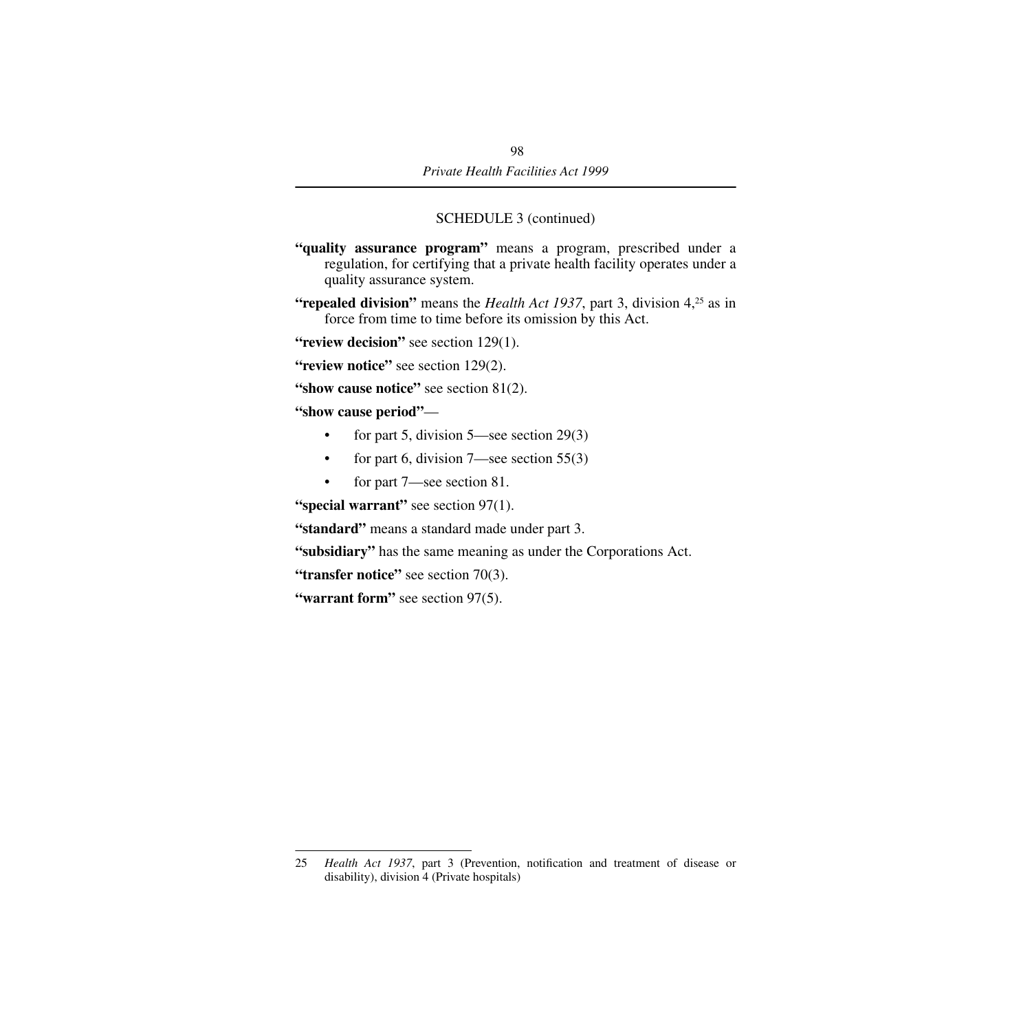### SCHEDULE 3 (continued)

- **"quality assurance program"** means a program, prescribed under a regulation, for certifying that a private health facility operates under a quality assurance system.
- **"repealed division"** means the *Health Act 1937*, part 3, division 4,<sup>25</sup> as in force from time to time before its omission by this Act.

**"review decision"** see section 129(1).

**"review notice"** see section 129(2).

**"show cause notice"** see section 81(2).

**"show cause period"**—

- for part 5, division 5—see section 29(3)
- for part 6, division  $7$ —see section  $55(3)$
- for part 7—see section 81.

**"special warrant"** see section 97(1).

**"standard"** means a standard made under part 3.

**"subsidiary"** has the same meaning as under the Corporations Act.

**"transfer notice"** see section 70(3).

**"warrant form"** see section 97(5).

<sup>25</sup> *Health Act 1937*, part 3 (Prevention, notification and treatment of disease or disability), division 4 (Private hospitals)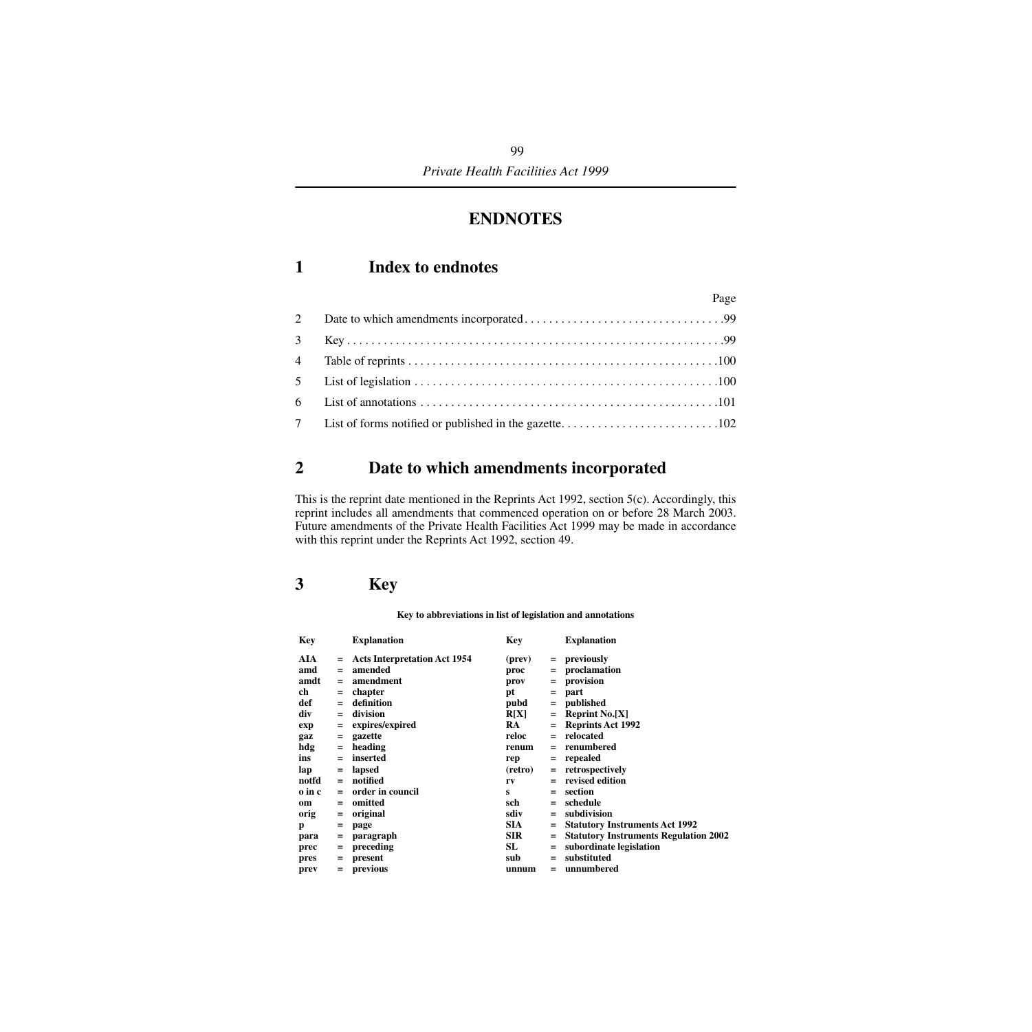# **ENDNOTES**

## **1 Index to endnotes**

|   | Page |
|---|------|
| 2 |      |
|   |      |
|   |      |
|   |      |
|   |      |
|   |      |

# <span id="page-100-0"></span>**2 Date to which amendments incorporated**

This is the reprint date mentioned in the Reprints Act 1992, section 5(c). Accordingly, this reprint includes all amendments that commenced operation on or before 28 March 2003. Future amendments of the Private Health Facilities Act 1999 may be made in accordance with this reprint under the Reprints Act 1992, section 49.

## <span id="page-100-1"></span>**3 Key**

#### **Key to abbreviations in list of legislation and annotations**

| Key    |     | <b>Explanation</b>                  | Key        |     | <b>Explanation</b>                           |
|--------|-----|-------------------------------------|------------|-----|----------------------------------------------|
| AIA    |     | <b>Acts Interpretation Act 1954</b> | (prev)     |     | $=$ previously                               |
| amd    | $=$ | amended                             | proc       | $=$ | proclamation                                 |
| amdt   | $=$ | amendment                           | prov       | $=$ | provision                                    |
| ch     | $=$ | chapter                             | pt         | $=$ | part                                         |
| def    | $=$ | definition                          | pubd       | $=$ | published                                    |
| div    | $=$ | division                            | R[X]       | $=$ | <b>Reprint No.[X]</b>                        |
| exp    | $=$ | expires/expired                     | <b>RA</b>  | $=$ | <b>Reprints Act 1992</b>                     |
| gaz    | $=$ | gazette                             | reloc      | $=$ | relocated                                    |
| hdg    | $=$ | heading                             | renum      | $=$ | renumbered                                   |
| ins    | $=$ | inserted                            | rep        | $=$ | repealed                                     |
| lap    | $=$ | lapsed                              | (retro)    | $=$ | retrospectively                              |
| notfd  | $=$ | notified                            | rv         | $=$ | revised edition                              |
| o in c | $=$ | order in council                    | s          |     | section                                      |
| om     | $=$ | omitted                             | sch        | $=$ | schedule                                     |
| orig   | $=$ | original                            | sdiv       | $=$ | subdivision                                  |
| p      | $=$ | page                                | <b>SIA</b> |     | <b>Statutory Instruments Act 1992</b>        |
| para   | $=$ | paragraph                           | <b>SIR</b> | $=$ | <b>Statutory Instruments Regulation 2002</b> |
| prec   | $=$ | preceding                           | SL         | $=$ | subordinate legislation                      |
| pres   | $=$ | present                             | sub        | $=$ | substituted                                  |
| prev   | $=$ | previous                            | unnum      | $=$ | unnumbered                                   |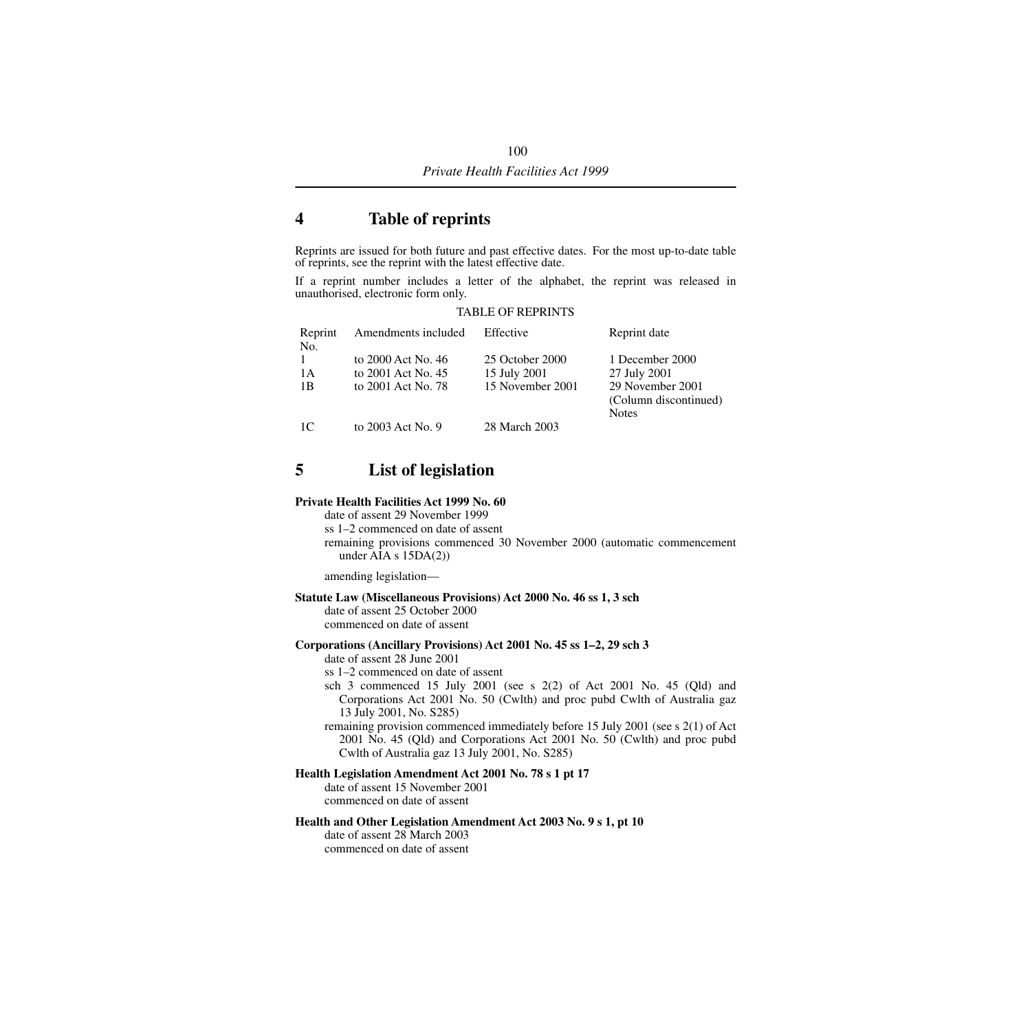## <span id="page-101-0"></span>**4 Table of reprints**

Reprints are issued for both future and past effective dates. For the most up-to-date table of reprints, see the reprint with the latest effective date.

If a reprint number includes a letter of the alphabet, the reprint was released in unauthorised, electronic form only.

#### TABLE OF REPRINTS

| Reprint      | Amendments included | Effective        | Reprint date          |
|--------------|---------------------|------------------|-----------------------|
| No.          |                     |                  |                       |
| $\mathbf{1}$ | to 2000 Act No. 46  | 25 October 2000  | 1 December 2000       |
| 1 A          | to 2001 Act No. 45  | 15 July 2001     | 27 July 2001          |
| 1B           | to 2001 Act No. 78  | 15 November 2001 | 29 November 2001      |
|              |                     |                  | (Column discontinued) |
|              |                     |                  | <b>Notes</b>          |
| 1C           | to 2003 Act No. 9   | 28 March 2003    |                       |

## <span id="page-101-1"></span>**5 List of legislation**

#### **Private Health Facilities Act 1999 No. 60**

date of assent 29 November 1999 ss 1–2 commenced on date of assent remaining provisions commenced 30 November 2000 (automatic commencement under AIA s 15DA(2))

amending legislation—

**Statute Law (Miscellaneous Provisions) Act 2000 No. 46 ss 1, 3 sch**

date of assent 25 October 2000 commenced on date of assent

#### **Corporations (Ancillary Provisions) Act 2001 No. 45 ss 1–2, 29 sch 3**

date of assent 28 June 2001

ss 1–2 commenced on date of assent

sch 3 commenced 15 July 2001 (see s  $2(2)$  of Act 2001 No. 45 (Qld) and Corporations Act 2001 No. 50 (Cwlth) and proc pubd Cwlth of Australia gaz 13 July 2001, No. S285)

remaining provision commenced immediately before 15 July 2001 (see s 2(1) of Act 2001 No. 45 (Qld) and Corporations Act 2001 No. 50 (Cwlth) and proc pubd Cwlth of Australia gaz 13 July 2001, No. S285)

#### **Health Legislation Amendment Act 2001 No. 78 s 1 pt 17**

date of assent 15 November 2001 commenced on date of assent

#### **Health and Other Legislation Amendment Act 2003 No. 9 s 1, pt 10**

date of assent 28 March 2003 commenced on date of assent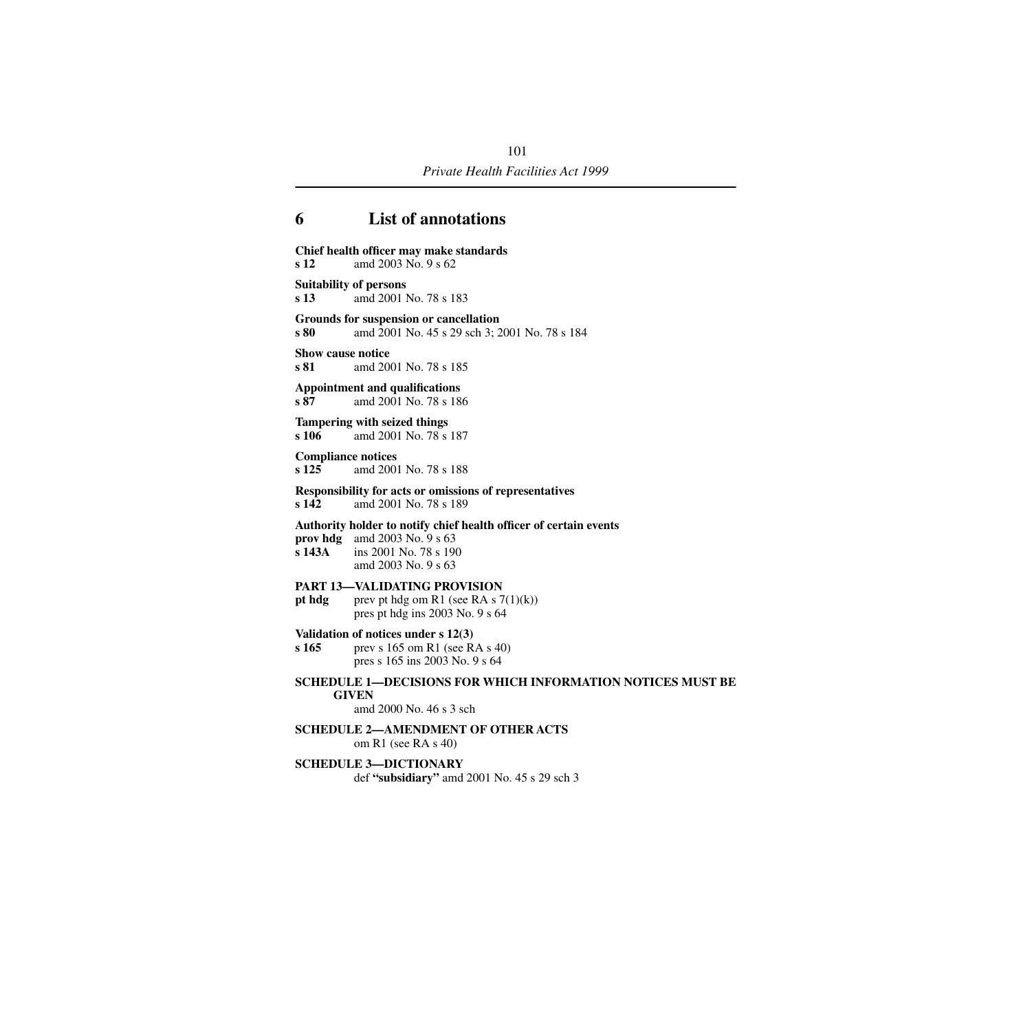# <span id="page-102-0"></span>**6 List of annotations**

| s <sub>12</sub>                       | Chief health officer may make standards<br>amd 2003 No. 9 s 62                                                                                        |
|---------------------------------------|-------------------------------------------------------------------------------------------------------------------------------------------------------|
| <b>Suitability of persons</b><br>s 13 | amd 2001 No. 78 s 183                                                                                                                                 |
| s 80                                  | Grounds for suspension or cancellation<br>amd 2001 No. 45 s 29 sch 3; 2001 No. 78 s 184                                                               |
| <b>Show cause notice</b><br>s 81      | amd 2001 No. 78 s 185                                                                                                                                 |
| s 87                                  | <b>Appointment and qualifications</b><br>amd 2001 No. 78 s 186                                                                                        |
| s 106                                 | Tampering with seized things<br>amd 2001 No. 78 s 187                                                                                                 |
| <b>Compliance notices</b><br>s 125    | amd 2001 No. 78 s 188                                                                                                                                 |
| s <sub>142</sub>                      | <b>Responsibility for acts or omissions of representatives</b><br>amd 2001 No. 78 s 189                                                               |
| s 143A                                | Authority holder to notify chief health officer of certain events<br>prov hdg amd $2003$ No. $9 s 63$<br>ins 2001 No. 78 s 190<br>amd 2003 No. 9 s 63 |
| pt hdg                                | <b>PART 13-VALIDATING PROVISION</b><br>prev pt hdg om R1 (see RA s $7(1)(k)$ )<br>pres pt hdg ins 2003 No. 9 s 64                                     |
| s 165                                 | Validation of notices under $s$ 12(3)<br>prev s 165 om R1 (see RA s 40)<br>pres s 165 ins 2003 No. 9 s 64                                             |
|                                       | <b>SCHEDULE 1—DECISIONS FOR WHICH INFORMATION NOTICES MUST BE</b><br><b>GIVEN</b><br>amd 2000 No. 46 s 3 sch                                          |
|                                       | <b>SCHEDULE 2-AMENDMENT OF OTHER ACTS</b><br>om R1 (see RA s 40)                                                                                      |
|                                       | <b>SCHEDULE 3-DICTIONARY</b><br>def "subsidiary" amd $2001$ No. 45 s 29 sch 3                                                                         |